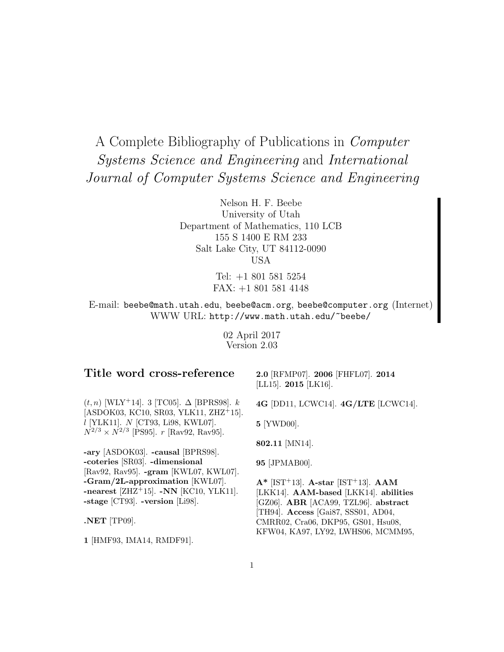# A Complete Bibliography of Publications in Computer Systems Science and Engineering and International Journal of Computer Systems Science and Engineering

Nelson H. F. Beebe University of Utah Department of Mathematics, 110 LCB 155 S 1400 E RM 233 Salt Lake City, UT 84112-0090 USA

> Tel: +1 801 581 5254 FAX: +1 801 581 4148

E-mail: beebe@math.utah.edu, beebe@acm.org, beebe@computer.org (Internet) WWW URL: http://www.math.utah.edu/~beebe/

> 02 April 2017 Version 2.03

## **Title word cross-reference**

 $(t, n)$  [WLY<sup>+</sup>14]. 3 [TC05]. ∆ [BPRS98].  $k$ [ASDOK03, KC10, SR03, YLK11, ZHZ<sup>+</sup>15]. l [YLK11]. N [CT93, Li98, KWL07].  $N^{2/3} \times N^{2/3}$  [PS95]. r [Rav92, Rav95].

**-ary** [ASDOK03]. **-causal** [BPRS98]. **-coteries** [SR03]. **-dimensional** [Rav92, Rav95]. **-gram** [KWL07, KWL07]. **-Gram/2L-approximation** [KWL07]. **-nearest** [ZHZ<sup>+</sup>15]. **-NN** [KC10, YLK11]. **-stage** [CT93]. **-version** [Li98].

**.NET** [TP09].

**1** [HMF93, IMA14, RMDF91].

**2.0** [RFMP07]. **2006** [FHFL07]. **2014** [LL15]. **2015** [LK16].

**4G** [DD11, LCWC14]. **4G/LTE** [LCWC14].

**5** [YWD00].

**802.11** [MN14].

**95** [JPMAB00].

**A\*** [IST<sup>+</sup>13]. **A-star** [IST<sup>+</sup>13]. **AAM** [LKK14]. **AAM-based** [LKK14]. **abilities** [GZ06]. **ABR** [ACA99, TZL96]. **abstract** [TH94]. **Access** [Gai87, SSS01, AD04, CMRR02, Cra06, DKP95, GS01, Hsu08, KFW04, KA97, LY92, LWHS06, MCMM95,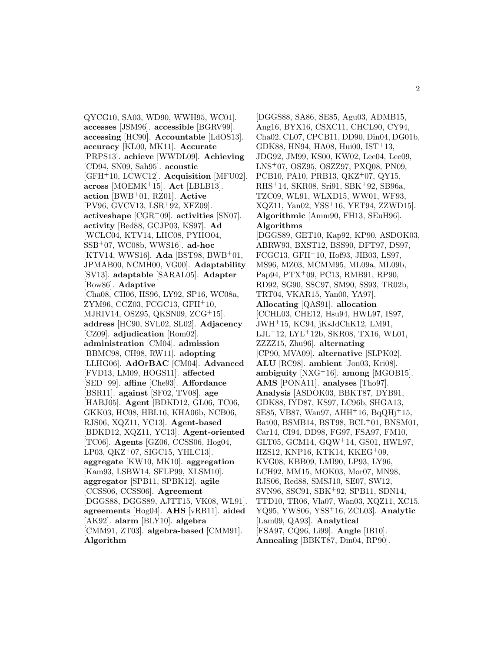QYCG10, SA03, WD90, WWH95, WC01]. **accesses** [JSM96]. **accessible** [BGRV99]. **accessing** [HC90]. **Accountable** [LdOS13]. **accuracy** [KL00, MK11]. **Accurate** [PRPS13]. **achieve** [WWDL09]. **Achieving** [CD94, SN09, Sah95]. **acoustic** [GFH<sup>+</sup>10, LCWC12]. **Acquisition** [MFU02]. **across** [MOEMK<sup>+</sup>15]. **Act** [LBLB13]. **action** [BWB<sup>+</sup>01, RZ01]. **Active** [PV96, GVCV13, LSR<sup>+</sup>92, XFZ09]. **activeshape** [CGR<sup>+</sup>09]. **activities** [SN07]. **activity** [Bed88, GCJP03, KS97]. **Ad** [WCLC04, KTV14, LHC08, PYHO04, SSB<sup>+</sup>07, WC08b, WWS16]. **ad-hoc** [KTV14, WWS16]. **Ada** [BST98, BWB<sup>+</sup>01, JPMAB00, NCMH00, VG00]. **Adaptability** [SV13]. **adaptable** [SARAL05]. **Adapter** [Bow86]. **Adaptive** [Cha08, CH06, HS96, LY92, SP16, WC08a, ZYM96, CCZ03, FCGC13, GFH<sup>+</sup>10, MJRIV14, OSZ95, QKSN09, ZCG<sup>+</sup>15]. **address** [HC90, SVL02, SL02]. **Adjacency** [CZ09]. **adjudication** [Rom02]. **administration** [CM04]. **admission** [BBMC98, CH98, RW11]. **adopting** [LLHG06]. **AdOrBAC** [CM04]. **Advanced** [FVD13, LM09, HOGS11]. **affected** [SED<sup>+</sup>99]. **affine** [Che93]. **Affordance** [BSR11]. **against** [SF02, TV08]. **age** [HABJ05]. **Agent** [BDKD12, GL06, TC06, GKK03, HC08, HBL16, KHA06b, NCB06, RJS06, XQZ11, YC13]. **Agent-based** [BDKD12, XQZ11, YC13]. **Agent-oriented** [TC06]. **Agents** [GZ06, CCSS06, Hog04, LP03,  $QKZ^+07$ , SIGC15, YHLC13. **aggregate** [KW10, MK10]. **aggregation** [Kam93, LSBW14, SFLP99, XLSM10]. **aggregator** [SPB11, SPBK12]. **agile** [CCSS06, CCSS06]. **Agreement** [DGGS88, DGGS89, AJTT15, VK08, WL91]. **agreements** [Hog04]. **AHS** [vRB11]. **aided** [AK92]. **alarm** [BLY10]. **algebra** [CMM91, ZT03]. **algebra-based** [CMM91]. **Algorithm**

[DGGS88, SA86, SE85, Agu03, ADMB15, Ang16, BYX16, CSXC11, CHCL90, CY94, Cha02, CL07, CPCB11, DD90, Din04, DG01b, GDK88, HN94, HA08, Hui00, IST<sup>+</sup>13, JDG92, JM99, KS00, KW02, Lee04, Lee09, LNS<sup>+</sup>07, OSZ95, OSZZ97, PXQ08, PN09, PCB10, PA10, PRB13, QKZ<sup>+</sup>07, QY15, RHS<sup>+</sup>14, SKR08, Sri91, SBK<sup>+</sup>92, SB96a, TZC09, WL91, WLXD15, WW01, WF93, XQZ11, Yan02, YSS<sup>+</sup>16, YET94, ZZWD15]. **Algorithmic** [Amm90, FH13, SEuH96]. **Algorithms** [DGGS89, GET10, Kap92, KP90, ASDOK03, ABRW93, BXST12, BSS90, DFT97, DS97, FCGC13, GFH<sup>+</sup>10, Hof93, JIB03, LS97, MS96, MZ03, MCMM95, ML09a, ML09b, Pap94, PTX<sup>+</sup>09, PC13, RMB91, RP90, RD92, SG90, SSC97, SM90, SS93, TR02b, TRT04, VKAR15, Yan00, YA97]. **Allocating** [QAS91]. **allocation** [CCHL03, CHE12, Hsu94, HWL97, IS97, JWH<sup>+</sup>15, KC94, jKsJdChK12, LM91, LJL<sup>+</sup>12, LYL<sup>+</sup>12b, SKR08, TX16, WL01, ZZZZ15, Zhu96]. **alternating** [CP90, MVA09]. **alternative** [SLPK02]. **ALU** [RC98]. **ambient** [Jon03, Kri08]. **ambiguity** [NXG<sup>+</sup>16]. **among** [MGOB15]. **AMS** [PONA11]. **analyses** [Tho97]. **Analysis** [ASDOK03, BBKT87, DYB91, GDK88, IYD87, KS97, LC96b, SHGA13, SE85, VB87, Wan97, AHH<sup>+</sup>16, BqQHj<sup>+</sup>15, Bat00, BSMB14, BST98, BCL<sup>+</sup>01, BNSM01, Car14, CI94, DD98, FG97, FSA97, FM10, GLT05, GCM14, GQW<sup>+</sup>14, GS01, HWL97, HZS12, KNP16, KTK14, KKEG<sup>+</sup>09, KVG08, KBB09, LMI90, LP93, LY96, LCH92, MM15, MOK03, Mor07, MN98, RJS06, Red88, SMSJ10, SE07, SW12, SVN96, SSC91, SBK<sup>+</sup>92, SPB11, SDN14, TTD10, TR06, Vla07, Wan03, XQZ11, XC15, YQ95, YWS06, YSS<sup>+</sup>16, ZCL03]. **Analytic** [Lam09, QA93]. **Analytical** [FSA97, CQ96, Li99]. **Angle** [IB10]. **Annealing** [BBKT87, Din04, RP90].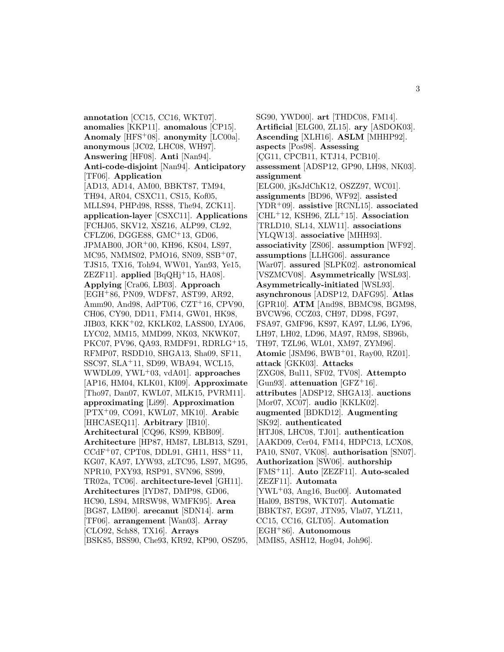**annotation** [CC15, CC16, WKT07]. **anomalies** [KKP11]. **anomalous** [CP15]. **Anomaly** [HFS<sup>+</sup>08]. **anonymity** [LC00a]. **anonymous** [JC02, LHC08, WH97]. **Answering** [HF08]. **Anti** [Nan94]. **Anti-code-disjoint** [Nan94]. **Anticipatory** [TF06]. **Application** [AD13, AD14, AM00, BBKT87, TM94, TH94, AR04, CSXC11, CS15, Kof05, MLLS94, PHPd98, RS88, The94, ZCK11]. **application-layer** [CSXC11]. **Applications** [FCHJ05, SKV12, XSZ16, ALP99, CL92, CFLZ06, DGGE88, GMC<sup>+</sup>13, GD06, JPMAB00, JOR<sup>+</sup>00, KH96, KS04, LS97, MC95, NMMS02, PMO16, SN09, SSB<sup>+</sup>07, TJS15, TX16, Toh94, WW01, Yan93, Ye15, ZEZF11. **applied**  $[BqQHj+15, HA08]$ . **Applying** [Cra06, LB03]. **Approach** [EGH<sup>+</sup>86, PN09, WDF87, AST99, AR92, Amm90, And98, AdPT06, CZT<sup>+</sup>16, CPV90, CH06, CY90, DD11, FM14, GW01, HK98, JIB03, KKK<sup>+</sup>02, KKLK02, LASS00, LYA06, LYC02, MM15, MMD99, NK03, NKWK07, PKC07, PV96, QA93, RMDF91, RDRLG<sup>+</sup>15, RFMP07, RSDD10, SHGA13, Sha09, SF11, SSC97, SLA<sup>+</sup>11, SD99, WBA94, WCL15, WWDL09, YWL<sup>+</sup>03, vdA01]. **approaches** [AP16, HM04, KLK01, KI09]. **Approximate** [Tho97, Dan07, KWL07, MLK15, PVRM11]. **approximating** [Li99]. **Approximation** [PTX<sup>+</sup>09, CO91, KWL07, MK10]. **Arabic** [HHCASEQ11]. **Arbitrary** [IB10]. **Architectural** [CQ96, KS99, KBB09]. **Architecture** [HP87, HM87, LBLB13, SZ91,  $CCdF<sup>+</sup>07$ , CPT08, DDL91, GH11, HSS<sup>+</sup>11, KG07, KA97, LYW93, zLTC95, LS97, MG95, NPR10, PXY93, RSP91, SVN96, SS99, TR02a, TC06]. **architecture-level** [GH11]. **Architectures** [IYD87, DMP98, GD06, HC90, LS94, MRSW98, WMFK95]. **Area** [BG87, LMI90]. **arecanut** [SDN14]. **arm** [TF06]. **arrangement** [Wan03]. **Array** [CLO92, Sch88, TX16]. **Arrays** [BSK85, BSS90, Che93, KR92, KP90, OSZ95,

SG90, YWD00]. **art** [THDC08, FM14]. **Artificial** [ELG00, ZL15]. **ary** [ASDOK03]. **Ascending** [XLH16]. **ASLM** [MHHP92]. **aspects** [Pos98]. **Assessing** [CG11, CPCB11, KTJ14, PCB10]. **assessment** [ADSP12, GP90, LH98, NK03]. **assignment** [ELG00, jKsJdChK12, OSZZ97, WC01]. **assignments** [BD96, WF92]. **assisted** [YDR<sup>+</sup>09]. **assistive** [RCNL15]. **associated** [CHL<sup>+</sup>12, KSH96, ZLL<sup>+</sup>15]. **Association** [TRLD10, SL14, XLW11]. **associations** [YLQW13]. **associative** [MHH93]. **associativity** [ZS06]. **assumption** [WF92]. **assumptions** [LLHG06]. **assurance** [War07]. **assured** [SLPK02]. **astronomical** [VSZMCV08]. **Asymmetrically** [WSL93]. **Asymmetrically-initiated** [WSL93]. **asynchronous** [ADSP12, DAFG95]. **Atlas** [GPR10]. **ATM** [And98, BBMC98, BGM98, BVCW96, CCZ03, CH97, DD98, FG97, FSA97, GMF96, KS97, KA97, LL96, LY96, LH97, LH02, LD96, MA97, RM98, SB96b, TH97, TZL96, WL01, XM97, ZYM96]. **Atomic** [JSM96, BWB<sup>+</sup>01, Ray00, RZ01]. **attack** [GKK03]. **Attacks** [ZXG08, Bul11, SF02, TV08]. **Attempto** [Gun93]. **attenuation** [GFZ<sup>+</sup>16]. **attributes** [ADSP12, SHGA13]. **auctions** [Mor07, XC07]. **audio** [KKLK02]. **augmented** [BDKD12]. **Augmenting** [SK92]. **authenticated** [HTJ08, LHC08, TJ01]. **authentication** [AAKD09, Cer04, FM14, HDPC13, LCX08, PA10, SN07, VK08]. **authorisation** [SN07]. **Authorization** [SW06]. **authorship** [FMS<sup>+</sup>11]. **Auto** [ZEZF11]. **Auto-scaled** [ZEZF11]. **Automata** [YWL<sup>+</sup>03, Ang16, Buc00]. **Automated** [Hal09, BST98, WKT07]. **Automatic** [BBKT87, EG97, JTN95, Vla07, YLZ11, CC15, CC16, GLT05]. **Automation** [EGH<sup>+</sup>86]. **Autonomous** [MMI85, ASH12, Hog04, Joh96].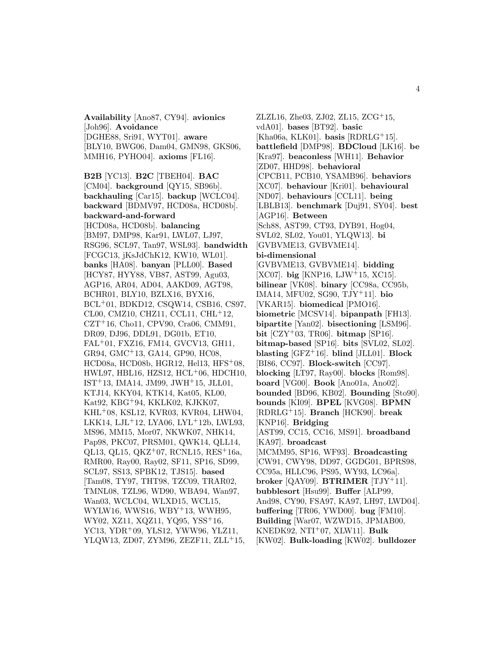**Availability** [Ano87, CY94]. **avionics** [Joh96]. **Avoidance** [DGHE88, Sri91, WYT01]. **aware** [BLY10, BWG06, Dam04, GMN98, GKS06, MMH16, PYHO04]. **axioms** [FL16].

**B2B** [YC13]. **B2C** [TBEH04]. **BAC** [CM04]. **background** [QY15, SB96b]. **backhauling** [Car15]. **backup** [WCLC04]. **backward** [BDMV97, HCD08a, HCD08b]. **backward-and-forward** [HCD08a, HCD08b]. **balancing** [BM97, DMP98, Kar91, LWL07, LJ97, RSG96, SCL97, Tan97, WSL93]. **bandwidth** [FCGC13, jKsJdChK12, KW10, WL01]. **banks** [HA08]. **banyan** [PLL00]. **Based** [HCY87, HYY88, VB87, AST99, Agu03, AGP16, AR04, AD04, AAKD09, AGT98, BCHR01, BLY10, BZLX16, BYX16, BCL<sup>+</sup>01, BDKD12, CSQW14, CSB16, CS97, CL00, CMZ10, CHZ11, CCL11, CHL<sup>+</sup>12, CZT<sup>+</sup>16, Cho11, CPV90, Cra06, CMM91, DR09, DJ96, DDL91, DG01b, ET10, FAL<sup>+</sup>01, FXZ16, FM14, GVCV13, GH11, GR94, GMC<sup>+</sup>13, GA14, GP90, HC08, HCD08a, HCD08b, HGR12, Hel13, HFS<sup>+</sup>08, HWL97, HBL16, HZS12, HCL<sup>+</sup>06, HDCH10, IST<sup>+</sup>13, IMA14, JM99, JWH<sup>+</sup>15, JLL01, KTJ14, KKY04, KTK14, Kat05, KL00, Kat92, KBG<sup>+</sup>94, KKLK02, KJKK07, KHL<sup>+</sup>08, KSL12, KVR03, KVR04, LHW04, LKK14, LJL<sup>+</sup>12, LYA06, LYL<sup>+</sup>12b, LWL93, MS96, MM15, Mor07, NKWK07, NHK14, Pap98, PKC07, PRSM01, QWK14, QLL14, QL13, QL15, QKZ<sup>+</sup>07, RCNL15, RES<sup>+</sup>16a, RMR00, Ray00, Ray02, SF11, SP16, SD99, SCL97, SS13, SPBK12, TJS15]. **based** [Tam08, TY97, THT98, TZC09, TRAR02, TMNL08, TZL96, WD90, WBA94, Wan97, Wan03, WCLC04, WLXD15, WCL15, WYLW16, WWS16, WBY<sup>+</sup>13, WWH95, WY02, XZ11, XQZ11, YQ95, YSS<sup>+</sup>16, YC13, YDR<sup>+</sup>09, YLS12, YWW96, YLZ11, YLQW13, ZD07, ZYM96, ZEZF11, ZLL<sup>+</sup>15,

ZLZL16, Zhe03, ZJ02, ZL15, ZCG<sup>+</sup>15, vdA01]. **bases** [BT92]. **basic** [Kha06a, KLK01]. **basis** [RDRLG<sup>+</sup>15]. **battlefield** [DMP98]. **BDCloud** [LK16]. **be** [Kra97]. **beaconless** [WH11]. **Behavior** [ZD07, HHD98]. **behavioral** [CPCB11, PCB10, YSAMB96]. **behaviors** [XC07]. **behaviour** [Kri01]. **behavioural** [ND07]. **behaviours** [CCL11]. **being** [LBLB13]. **benchmark** [Duj91, SY04]. **best** [AGP16]. **Between** [Sch88, AST99, CT93, DYB91, Hog04, SVL02, SL02, You01, YLQW13]. **bi** [GVBVME13, GVBVME14]. **bi-dimensional** [GVBVME13, GVBVME14]. **bidding** [XC07]. **big** [KNP16, LJW<sup>+</sup>15, XC15]. **bilinear** [VK08]. **binary** [CC98a, CC95b, IMA14, MFU02, SG90, TJY<sup>+</sup>11]. **bio** [VKAR15]. **biomedical** [PMO16]. **biometric** [MCSV14]. **bipanpath** [FH13]. **bipartite** [Yan02]. **bisectioning** [LSM96]. **bit** [CZY<sup>+</sup>03, TR06]. **bitmap** [SP16]. **bitmap-based** [SP16]. **bits** [SVL02, SL02]. **blasting** [GFZ<sup>+</sup>16]. **blind** [JLL01]. **Block** [BI86, CC97]. **Block-switch** [CC97]. **blocking** [LT97, Ray00]. **blocks** [Rom98]. **board** [VG00]. **Book** [Ano01a, Ano02]. **bounded** [BD96, KB02]. **Bounding** [Sto90]. **bounds** [KI09]. **BPEL** [KVG08]. **BPMN** [RDRLG<sup>+</sup>15]. **Branch** [HCK90]. **break** [KNP16]. **Bridging** [AST99, CC15, CC16, MS91]. **broadband** [KA97]. **broadcast** [MCMM95, SP16, WF93]. **Broadcasting** [CW91, CWY98, DD97, GGDG01, BPRS98, CC95a, HLLC96, PS95, WY93, LC96a]. **broker** [QAY09]. **BTRIMER** [TJY<sup>+</sup>11]. **bubblesort** [Hsu99]. **Buffer** [ALP99, And98, CY90, FSA97, KA97, LH97, LWD04]. **buffering** [TR06, YWD00]. **bug** [FM10]. **Building** [War07, WZWD15, JPMAB00, KNEDK92, NTI<sup>+</sup>07, XLW11]. **Bulk**

[KW02]. **Bulk-loading** [KW02]. **bulldozer**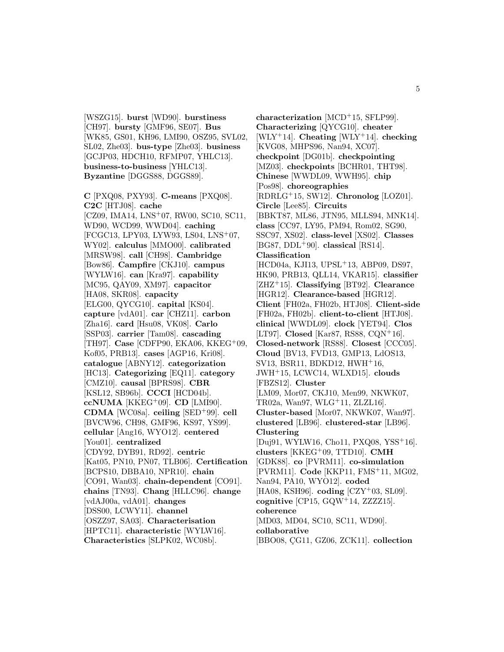[WSZG15]. **burst** [WD90]. **burstiness** [CH97]. **bursty** [GMF96, SE07]. **Bus** [WK85, GS01, KH96, LMI90, OSZ95, SVL02, SL02, Zhe03]. **bus-type** [Zhe03]. **business** [GCJP03, HDCH10, RFMP07, YHLC13]. **business-to-business** [YHLC13]. **Byzantine** [DGGS88, DGGS89].

**C** [PXQ08, PXY93]. **C-means** [PXQ08]. **C2C** [HTJ08]. **cache** [CZ09, IMA14, LNS<sup>+</sup>07, RW00, SC10, SC11, WD90, WCD99, WWD04]. **caching** [FCGC13, LPY03, LYW93, LS04, LNS<sup>+</sup>07, WY02]. **calculus** [MMO00]. **calibrated** [MRSW98]. **call** [CH98]. **Cambridge** [Bow86]. **Campfire** [CKJ10]. **campus** [WYLW16]. **can** [Kra97]. **capability** [MC95, QAY09, XM97]. **capacitor** [HA08, SKR08]. **capacity** [ELG00, QYCG10]. **capital** [KS04]. **capture** [vdA01]. **car** [CHZ11]. **carbon** [Zha16]. **card** [Hsu08, VK08]. **Carlo** [SSP03]. **carrier** [Tam08]. **cascading** [TH97]. **Case** [CDFP90, EKA06, KKEG<sup>+</sup>09, Kof05, PRB13]. **cases** [AGP16, Kri08]. **catalogue** [ABNY12]. **categorization** [HC13]. **Categorizing** [EQ11]. **category** [CMZ10]. **causal** [BPRS98]. **CBR** [KSL12, SB96b]. **CCCI** [HCD04b]. **ccNUMA** [KKEG<sup>+</sup>09]. **CD** [LMI90]. **CDMA** [WC08a]. **ceiling** [SED<sup>+</sup>99]. **cell** [BVCW96, CH98, GMF96, KS97, YS99]. **cellular** [Ang16, WYO12]. **centered** [You01]. **centralized** [CDY92, DYB91, RD92]. **centric** [Kat05, PN10, PN07, TLB06]. **Certification** [BCPS10, DBBA10, NPR10]. **chain** [CO91, Wan03]. **chain-dependent** [CO91]. **chains** [TN93]. **Chang** [HLLC96]. **change** [vdAJ00a, vdA01]. **changes** [DSS00, LCWY11]. **channel** [OSZZ97, SA03]. **Characterisation** [HPTC11]. **characteristic** [WYLW16]. **Characteristics** [SLPK02, WC08b].

**characterization** [MCD<sup>+</sup>15, SFLP99]. **Characterizing** [QYCG10]. **cheater** [WLY<sup>+</sup>14]. **Cheating** [WLY<sup>+</sup>14]. **checking** [KVG08, MHPS96, Nan94, XC07]. **checkpoint** [DG01b]. **checkpointing** [MZ03]. **checkpoints** [BCHR01, THT98]. **Chinese** [WWDL09, WWH95]. **chip** [Pos98]. **choreographies** [RDRLG<sup>+</sup>15, SW12]. **Chronolog** [LOZ01]. **Circle** [Lee85]. **Circuits** [BBKT87, ML86, JTN95, MLLS94, MNK14]. **class** [CC97, LY95, PM94, Rom02, SG90, SSC97, XS02]. **class-level** [XS02]. **Classes** [BG87, DDL<sup>+</sup>90]. **classical** [RS14]. **Classification** [HCD04a, KJI13, UPSL<sup>+</sup>13, ABP09, DS97, HK90, PRB13, QLL14, VKAR15]. **classifier** [ZHZ<sup>+</sup>15]. **Classifying** [BT92]. **Clearance** [HGR12]. **Clearance-based** [HGR12]. **Client** [FH02a, FH02b, HTJ08]. **Client-side** [FH02a, FH02b]. **client-to-client** [HTJ08]. **clinical** [WWDL09]. **clock** [YET94]. **Clos** [LT97]. **Closed** [Kar87, RS88, CQN<sup>+</sup>16]. **Closed-network** [RS88]. **Closest** [CCC05]. **Cloud** [BV13, FVD13, GMP13, LdOS13, SV13, BSR11, BDKD12, HWH<sup>+</sup>16, JWH<sup>+</sup>15, LCWC14, WLXD15]. **clouds** [FBZS12]. **Cluster** [LM09, Mor07, CKJ10, Men99, NKWK07, TR02a, Wan97, WLG<sup>+</sup>11, ZLZL16]. **Cluster-based** [Mor07, NKWK07, Wan97]. **clustered** [LB96]. **clustered-star** [LB96]. **Clustering** [Duj91, WYLW16, Cho11, PXQ08, YSS<sup>+</sup>16]. **clusters** [KKEG<sup>+</sup>09, TTD10]. **CMH** [GDK88]. **co** [PVRM11]. **co-simulation** [PVRM11]. **Code** [KKP11, FMS<sup>+</sup>11, MG02, Nan94, PA10, WYO12]. **coded** [HA08, KSH96]. **coding** [CZY<sup>+</sup>03, SL09]. **cognitive** [CP15, GQW<sup>+</sup>14, ZZZZ15]. **coherence** [MD03, MD04, SC10, SC11, WD90]. **collaborative** [BBO08, CG11, GZ06, ZCK11]. **collection**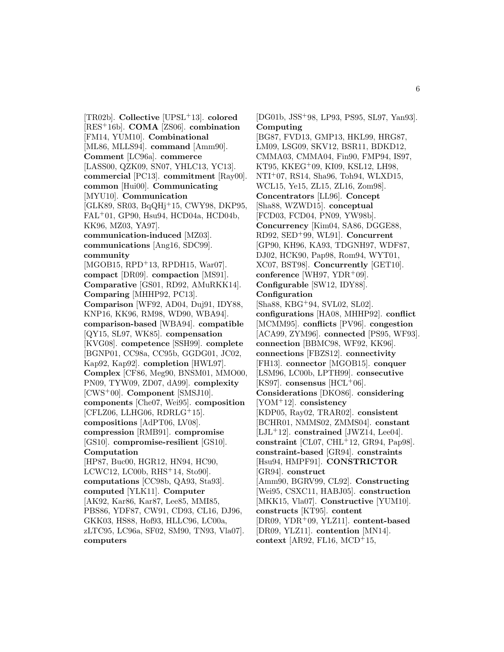[TR02b]. **Collective** [UPSL<sup>+</sup>13]. **colored** [RES<sup>+</sup>16b]. **COMA** [ZS06]. **combination** [FM14, YUM10]. **Combinational** [ML86, MLLS94]. **command** [Amm90]. **Comment** [LC96a]. **commerce** [LASS00, QZK09, SN07, YHLC13, YC13]. **commercial** [PC13]. **commitment** [Ray00]. **common** [Hui00]. **Communicating** [MYU10]. **Communication** [GLK89, SR03, BqQHj<sup>+</sup>15, CWY98, DKP95, FAL<sup>+</sup>01, GP90, Hsu94, HCD04a, HCD04b, KK96, MZ03, YA97]. **communication-induced** [MZ03]. **communications** [Ang16, SDC99]. **community** [MGOB15, RPD<sup>+</sup>13, RPDH15, War07]. **compact** [DR09]. **compaction** [MS91]. **Comparative** [GS01, RD92, AMuRKK14]. **Comparing** [MHHP92, PC13]. **Comparison** [WF92, AD04, Duj91, IDY88, KNP16, KK96, RM98, WD90, WBA94]. **comparison-based** [WBA94]. **compatible** [QY15, SL97, WK85]. **compensation** [KVG08]. **competence** [SSH99]. **complete** [BGNP01, CC98a, CC95b, GGDG01, JC02, Kap92, Kap92]. **completion** [HWL97]. **Complex** [CF86, Meg90, BNSM01, MMO00, PN09, TYW09, ZD07, dA99]. **complexity** [CWS<sup>+</sup>00]. **Component** [SMSJ10]. **components** [Che07, Wei95]. **composition**  $[CFLZ06, LLHG06, RDRLG<sup>+</sup>15].$ **compositions** [AdPT06, LV08]. **compression** [RMB91]. **compromise** [GS10]. **compromise-resilient** [GS10]. **Computation** [HP87, Buc00, HGR12, HN94, HC90, LCWC12, LC00b, RHS<sup>+</sup>14, Sto90]. **computations** [CC98b, QA93, Sta93]. **computed** [YLK11]. **Computer** [AK92, Kar86, Kar87, Lee85, MMI85, PBS86, YDF87, CW91, CD93, CL16, DJ96, GKK03, HS88, Hof93, HLLC96, LC00a, zLTC95, LC96a, SF02, SM90, TN93, Vla07]. **computers**

[DG01b, JSS<sup>+</sup>98, LP93, PS95, SL97, Yan93]. **Computing** [BG87, FVD13, GMP13, HKL99, HRG87, LM09, LSG09, SKV12, BSR11, BDKD12, CMMA03, CMMA04, Fin90, FMP94, IS97, KT95, KKEG<sup>+</sup>09, KI09, KSL12, LH98, NTI<sup>+</sup>07, RS14, Sha96, Toh94, WLXD15, WCL15, Ye15, ZL15, ZL16, Zom98]. **Concentrators** [LL96]. **Concept** [Sha88, WZWD15]. **conceptual** [FCD03, FCD04, PN09, YW98b]. **Concurrency** [Kim04, SA86, DGGE88, RD92, SED<sup>+</sup>99, WL91]. **Concurrent** [GP90, KH96, KA93, TDGNH97, WDF87, DJ02, HCK90, Pap98, Rom94, WYT01, XC07, BST98]. **Concurrently** [GET10]. **conference** [WH97, YDR<sup>+</sup>09]. **Configurable** [SW12, IDY88]. **Configuration** [Sha88, KBG<sup>+</sup>94, SVL02, SL02]. **configurations** [HA08, MHHP92]. **conflict** [MCMM95]. **conflicts** [PV96]. **congestion** [ACA99, ZYM96]. **connected** [PS95, WF93]. **connection** [BBMC98, WF92, KK96]. **connections** [FBZS12]. **connectivity** [FH13]. **connector** [MGOB15]. **conquer** [LSM96, LC00b, LPTH99]. **consecutive**  $[KS97]$ . **consensus**  $[HCL+06]$ . **Considerations** [DKO86]. **considering** [YOM<sup>+</sup>12]. **consistency** [KDP05, Ray02, TRAR02]. **consistent** [BCHR01, NMMS02, ZMMS04]. **constant** [LJL<sup>+</sup>12]. **constrained** [JWZ14, Lee04]. **constraint** [CL07, CHL<sup>+</sup>12, GR94, Pap98]. **constraint-based** [GR94]. **constraints** [Hsu94, HMPF91]. **CONSTRICTOR** [GR94]. **construct** [Amm90, BGRV99, CL92]. **Constructing** [Wei95, CSXC11, HABJ05]. **construction** [MKK15, Vla07]. **Constructive** [YUM10]. **constructs** [KT95]. **content** [DR09, YDR<sup>+</sup>09, YLZ11]. **content-based** [DR09, YLZ11]. **contention** [MN14]. **context** [AR92, FL16, MCD<sup>+</sup>15,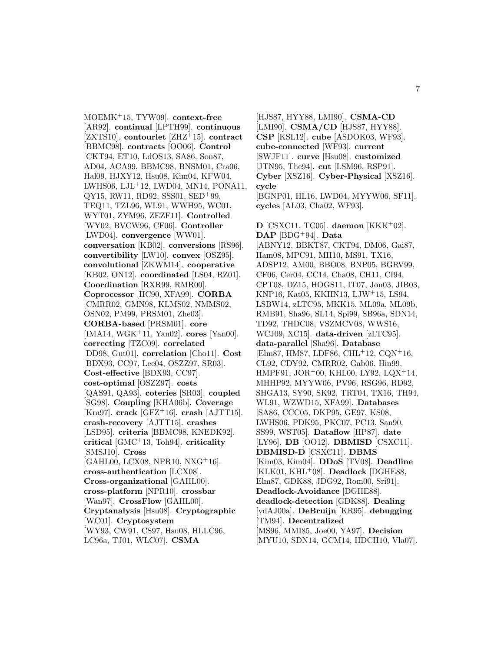MOEMK<sup>+</sup>15, TYW09]. **context-free** [AR92]. **continual** [LPTH99]. **continuous** [ZXTS10]. **contourlet** [ZHZ<sup>+</sup>15]. **contract** [BBMC98]. **contracts** [OO06]. **Control** [CKT94, ET10, LdOS13, SA86, Son87, AD04, ACA99, BBMC98, BNSM01, Cra06, Hal09, HJXY12, Hsu08, Kim04, KFW04, LWHS06, LJL<sup>+</sup>12, LWD04, MN14, PONA11, QY15, RW11, RD92, SSS01, SED<sup>+</sup>99, TEQ11, TZL96, WL91, WWH95, WC01, WYT01, ZYM96, ZEZF11]. **Controlled** [WY02, BVCW96, CF06]. **Controller** [LWD04]. **convergence** [WW01]. **conversation** [KB02]. **conversions** [RS96]. **convertibility** [LW10]. **convex** [OSZ95]. **convolutional** [ZKWM14]. **cooperative** [KB02, ON12]. **coordinated** [LS04, RZ01]. **Coordination** [RXR99, RMR00]. **Coprocessor** [HC90, XFA99]. **CORBA** [CMRR02, GMN98, KLMS02, NMMS02, OSN02, PM99, PRSM01, Zhe03]. **CORBA-based** [PRSM01]. **core** [IMA14, WGK<sup>+</sup>11, Yan02]. **cores** [Yan00]. **correcting** [TZC09]. **correlated** [DD98, Gut01]. **correlation** [Cho11]. **Cost** [BDX93, CC97, Lee04, OSZZ97, SR03]. **Cost-effective** [BDX93, CC97]. **cost-optimal** [OSZZ97]. **costs** [QAS91, QA93]. **coteries** [SR03]. **coupled** [SG98]. **Coupling** [KHA06b]. **Coverage** [Kra97]. **crack** [GFZ<sup>+</sup>16]. **crash** [AJTT15]. **crash-recovery** [AJTT15]. **crashes** [LSD95]. **criteria** [BBMC98, KNEDK92]. **critical** [GMC<sup>+</sup>13, Toh94]. **criticality** [SMSJ10]. **Cross** [GAHL00, LCX08, NPR10, NXG<sup>+</sup>16]. **cross-authentication** [LCX08]. **Cross-organizational** [GAHL00]. **cross-platform** [NPR10]. **crossbar** [Wan97]. **CrossFlow** [GAHL00]. **Cryptanalysis** [Hsu08]. **Cryptographic** [WC01]. **Cryptosystem** [WY93, CW91, CS97, Hsu08, HLLC96, LC96a, TJ01, WLC07]. **CSMA**

[HJS87, HYY88, LMI90]. **CSMA-CD** [LMI90]. **CSMA/CD** [HJS87, HYY88]. **CSP** [KSL12]. **cube** [ASDOK03, WF93]. **cube-connected** [WF93]. **current** [SWJF11]. **curve** [Hsu08]. **customized** [JTN95, The94]. **cut** [LSM96, RSP91]. **Cyber** [XSZ16]. **Cyber-Physical** [XSZ16]. **cycle** [BGNP01, HL16, LWD04, MYYW06, SF11]. **cycles** [AL03, Cha02, WF93].

**D** [CSXC11, TC05]. **daemon** [KKK<sup>+</sup>02]. **DAP** [BDG<sup>+</sup>94]. **Data** [ABNY12, BBKT87, CKT94, DM06, Gai87, Ham08, MPC91, MH10, MS91, TX16, ADSP12, AM00, BBO08, BNP05, BGRV99, CF06, Cer04, CC14, Cha08, CH11, CI94, CPT08, DZ15, HOGS11, IT07, Jon03, JIB03, KNP16, Kat05, KKHN13, LJW<sup>+</sup>15, LS94, LSBW14, zLTC95, MKK15, ML09a, ML09b, RMB91, Sha96, SL14, Spi99, SB96a, SDN14, TD92, THDC08, VSZMCV08, WWS16, WCJ09, XC15]. **data-driven** [zLTC95]. **data-parallel** [Sha96]. **Database** [Elm87, HM87, LDF86, CHL<sup>+</sup>12, CQN<sup>+</sup>16, CL92, CDY92, CMRR02, Gab06, Hin99, HMPF91, JOR<sup>+</sup>00, KHL00, LY92, LQX<sup>+</sup>14, MHHP92, MYYW06, PV96, RSG96, RD92, SHGA13, SY90, SK92, TRT04, TX16, TH94, WL91, WZWD15, XFA99]. **Databases** [SA86, CCC05, DKP95, GE97, KS08, LWHS06, PDK95, PKC07, PC13, San90, SS99, WST05]. **Dataflow** [HP87]. **date** [LY96]. **DB** [OO12]. **DBMISD** [CSXC11]. **DBMISD-D** [CSXC11]. **DBMS** [Kim03, Kim04]. **DDoS** [TV08]. **Deadline** [KLK01, KHL<sup>+</sup>08]. **Deadlock** [DGHE88, Elm87, GDK88, JDG92, Rom00, Sri91]. **Deadlock-Avoidance** [DGHE88]. **deadlock-detection** [GDK88]. **Dealing** [vdAJ00a]. **DeBruijn** [KR95]. **debugging** [TM94]. **Decentralized** [MS96, MMI85, Joe00, YA97]. **Decision** [MYU10, SDN14, GCM14, HDCH10, Vla07].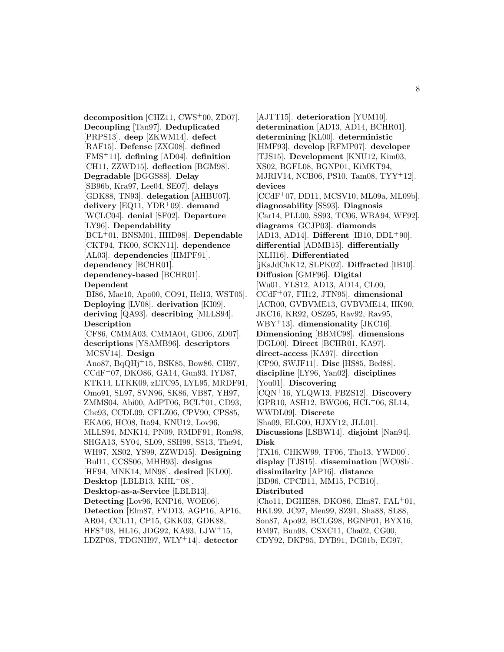**decomposition** [CHZ11, CWS<sup>+</sup>00, ZD07]. **Decoupling** [Tan97]. **Deduplicated** [PRPS13]. **deep** [ZKWM14]. **defect** [RAF15]. **Defense** [ZXG08]. **defined** [FMS<sup>+</sup>11]. **defining** [AD04]. **definition** [CH11, ZZWD15]. **deflection** [BGM98]. **Degradable** [DGGS88]. **Delay** [SB96b, Kra97, Lee04, SE07]. **delays** [GDK88, TN93]. **delegation** [AHBU07]. **delivery** [EQ11, YDR<sup>+</sup>09]. **demand** [WCLC04]. **denial** [SF02]. **Departure** [LY96]. **Dependability** [BCL<sup>+</sup>01, BNSM01, HHD98]. **Dependable** [CKT94, TK00, SCKN11]. **dependence** [AL03]. **dependencies** [HMPF91]. **dependency** [BCHR01]. **dependency-based** [BCHR01]. **Dependent** [BI86, Mae10, Apo00, CO91, Hel13, WST05]. **Deploying** [LV08]. **derivation** [KI09]. **deriving** [QA93]. **describing** [MLLS94]. **Description** [CF86, CMMA03, CMMA04, GD06, ZD07]. **descriptions** [YSAMB96]. **descriptors** [MCSV14]. **Design** [Ano87, BqQHj<sup>+</sup>15, BSK85, Bow86, CH97, CCdF<sup>+</sup>07, DKO86, GA14, Gun93, IYD87, KTK14, LTKK09, zLTC95, LYL95, MRDF91, Omo91, SL97, SVN96, SK86, VB87, YH97, ZMMS04, Abi00, AdPT06, BCL<sup>+</sup>01, CD93, Che93, CCDL09, CFLZ06, CPV90, CPS85, EKA06, HC08, Ito94, KNU12, Lov96, MLLS94, MNK14, PN09, RMDF91, Rom98, SHGA13, SY04, SL09, SSH99, SS13, The94, WH97, XS02, YS99, ZZWD15]. **Designing** [Bul11, CCSS06, MHH93]. **designs** [HF94, MNK14, MN98]. **desired** [KL00]. **Desktop** [LBLB13, KHL<sup>+</sup>08]. **Desktop-as-a-Service** [LBLB13]. **Detecting** [Lov96, KNP16, WOE06]. **Detection** [Elm87, FVD13, AGP16, AP16, AR04, CCL11, CP15, GKK03, GDK88, HFS<sup>+</sup>08, HL16, JDG92, KA93, LJW<sup>+</sup>15, LDZP08, TDGNH97, WLY<sup>+</sup>14]. **detector**

[AJTT15]. **deterioration** [YUM10]. **determination** [AD13, AD14, BCHR01]. **determining** [KL00]. **deterministic** [HMF93]. **develop** [RFMP07]. **developer** [TJS15]. **Development** [KNU12, Kim03, XS02, BGFL08, BGNP01, KiMKT94, MJRIV14, NCB06, PS10, Tam08, TYY<sup>+</sup>12]. **devices** [CCdF<sup>+</sup>07, DD11, MCSV10, ML09a, ML09b]. **diagnosability** [SS93]. **Diagnosis** [Car14, PLL00, SS93, TC06, WBA94, WF92]. **diagrams** [GCJP03]. **diamonds** [AD13, AD14]. **Different** [IB10, DDL<sup>+</sup>90]. **differential** [ADMB15]. **differentially** [XLH16]. **Differentiated** [jKsJdChK12, SLPK02]. **Diffracted** [IB10]. **Diffusion** [GMF96]. **Digital** [Wu01, YLS12, AD13, AD14, CL00, CCdF<sup>+</sup>07, FH12, JTN95]. **dimensional** [ACR00, GVBVME13, GVBVME14, HK90, JKC16, KR92, OSZ95, Rav92, Rav95, WBY<sup>+</sup>13]. **dimensionality** [JKC16]. **Dimensioning** [BBMC98]. **dimensions** [DGL00]. **Direct** [BCHR01, KA97]. **direct-access** [KA97]. **direction** [CP90, SWJF11]. **Disc** [HS85, Bed88]. **discipline** [LY96, Yan02]. **disciplines** [You01]. **Discovering** [CQN<sup>+</sup>16, YLQW13, FBZS12]. **Discovery** [GPR10, ASH12, BWG06, HCL<sup>+</sup>06, SL14, WWDL09]. **Discrete** [Sha09, ELG00, HJXY12, JLL01]. **Discussions** [LSBW14]. **disjoint** [Nan94]. **Disk** [TX16, CHKW99, TF06, Tho13, YWD00]. **display** [TJS15]. **dissemination** [WC08b]. **dissimilarity** [AP16]. **distance** [BD96, CPCB11, MM15, PCB10]. **Distributed** [Cho11, DGHE88, DKO86, Elm87, FAL<sup>+</sup>01, HKL99, JC97, Men99, SZ91, Sha88, SL88, Son87, Apo92, BCLG98, BGNP01, BYX16, BM97, Bun98, CSXC11, Cha02, CG00, CDY92, DKP95, DYB91, DG01b, EG97,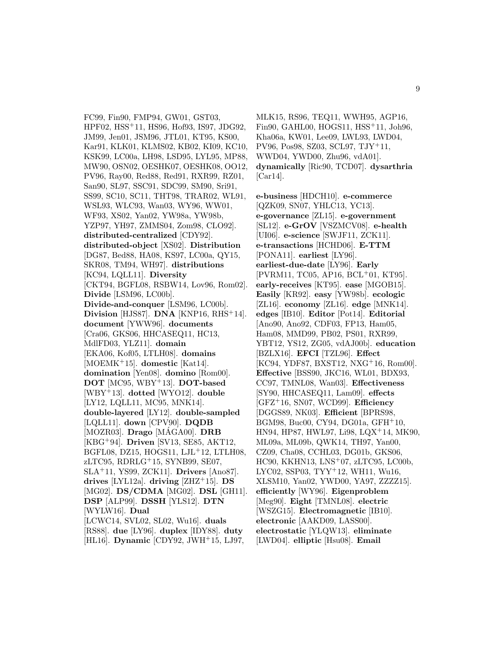FC99, Fin90, FMP94, GW01, GST03, HPF02, HSS<sup>+</sup>11, HS96, Hof93, IS97, JDG92, JM99, Jen01, JSM96, JTL01, KT95, KS00, Kar91, KLK01, KLMS02, KB02, KI09, KC10, KSK99, LC00a, LH98, LSD95, LYL95, MP88, MW90, OSN02, OESHK07, OESHK08, OO12, PV96, Ray00, Red88, Red91, RXR99, RZ01, San90, SL97, SSC91, SDC99, SM90, Sri91, SS99, SC10, SC11, THT98, TRAR02, WL91, WSL93, WLC93, Wan03, WY96, WW01, WF93, XS02, Yan02, YW98a, YW98b, YZP97, YH97, ZMMS04, Zom98, CLO92]. **distributed-centralized** [CDY92]. **distributed-object** [XS02]. **Distribution** [DG87, Bed88, HA08, KS97, LC00a, QY15, SKR08, TM94, WH97]. **distributions** [KC94, LQLL11]. **Diversity** [CKT94, BGFL08, RSBW14, Lov96, Rom02]. **Divide** [LSM96, LC00b]. **Divide-and-conquer** [LSM96, LC00b]. **Division** [HJS87]. **DNA** [KNP16, RHS<sup>+</sup>14]. **document** [YWW96]. **documents** [Cra06, GKS06, HHCASEQ11, HC13, MdlFD03, YLZ11]. **domain** [EKA06, Kof05, LTLH08]. **domains** [MOEMK<sup>+</sup>15]. **domestic** [Kat14]. **domination** [Yen08]. **domino** [Rom00]. **DOT** [MC95, WBY<sup>+</sup>13]. **DOT-based** [WBY<sup>+</sup>13]. **dotted** [WYO12]. **double** [LY12, LQLL11, MC95, MNK14]. **double-layered** [LY12]. **double-sampled** [LQLL11]. **down** [CPV90]. **DQDB**  $[MOZR03]$ . **Drago**  $[MAGA00]$ . **DRB** [KBG<sup>+</sup>94]. **Driven** [SV13, SE85, AKT12, BGFL08, DZ15, HOGS11, LJL<sup>+</sup>12, LTLH08, zLTC95, RDRLG<sup>+</sup>15, SYNB99, SE07, SLA<sup>+</sup>11, YS99, ZCK11]. **Drivers** [Ano87]. **drives** [LYL12a]. **driving** [ZHZ<sup>+</sup>15]. **DS** [MG02]. **DS/CDMA** [MG02]. **DSL** [GH11]. **DSP** [ALP99]. **DSSH** [YLS12]. **DTN** [WYLW16]. **Dual** [LCWC14, SVL02, SL02, Wu16]. **duals** [RS88]. **due** [LY96]. **duplex** [IDY88]. **duty** [HL16]. **Dynamic** [CDY92, JWH<sup>+</sup>15, LJ97,

MLK15, RS96, TEQ11, WWH95, AGP16, Fin90, GAHL00, HOGS11, HSS<sup>+</sup>11, Joh96, Kha06a, KW01, Lee09, LWL93, LWD04, PV96, Pos98, SZ03, SCL97, TJY<sup>+</sup>11, WWD04, YWD00, Zhu96, vdA01]. **dynamically** [Ric90, TCD07]. **dysarthria** [Car14].

**e-business** [HDCH10]. **e-commerce** [QZK09, SN07, YHLC13, YC13]. **e-governance** [ZL15]. **e-government** [SL12]. **e-GrOV** [VSZMCV08]. **e-health** [UI06]. **e-science** [SWJF11, ZCK11]. **e-transactions** [HCHD06]. **E-TTM** [PONA11]. **earliest** [LY96]. **earliest-due-date** [LY96]. **Early** [PVRM11, TC05, AP16, BCL<sup>+</sup>01, KT95]. **early-receives** [KT95]. **ease** [MGOB15]. **Easily** [KR92]. **easy** [YW98b]. **ecologic** [ZL16]. **economy** [ZL16]. **edge** [MNK14]. **edges** [IB10]. **Editor** [Pot14]. **Editorial** [Ano90, Ano92, CDF03, FP13, Ham05, Ham08, MMD99, PB02, PS01, RXR99, YBT12, YS12, ZG05, vdAJ00b]. **education** [BZLX16]. **EFCI** [TZL96]. **Effect** [KC94, YDF87, BXST12, NXG<sup>+</sup>16, Rom00]. **Effective** [BSS90, JKC16, WL01, BDX93, CC97, TMNL08, Wan03]. **Effectiveness** [SY90, HHCASEQ11, Lam09]. **effects** [GFZ<sup>+</sup>16, SN07, WCD99]. **Efficiency** [DGGS89, NK03]. **Efficient** [BPRS98, BGM98, Buc00, CY94, DG01a, GFH<sup>+</sup>10, HN94, HP87, HWL97, Li98, LQX<sup>+</sup>14, MK90, ML09a, ML09b, QWK14, TH97, Yan00, CZ09, Cha08, CCHL03, DG01b, GKS06, HC90, KKHN13, LNS<sup>+</sup>07, zLTC95, LC00b, LYC02, SSP03, TYY<sup>+</sup>12, WH11, Wu16, XLSM10, Yan02, YWD00, YA97, ZZZZ15]. **efficiently** [WY96]. **Eigenproblem** [Meg90]. **Eight** [TMNL08]. **electric** [WSZG15]. **Electromagnetic** [IB10]. **electronic** [AAKD09, LASS00]. **electrostatic** [YLQW13]. **eliminate** [LWD04]. **elliptic** [Hsu08]. **Email**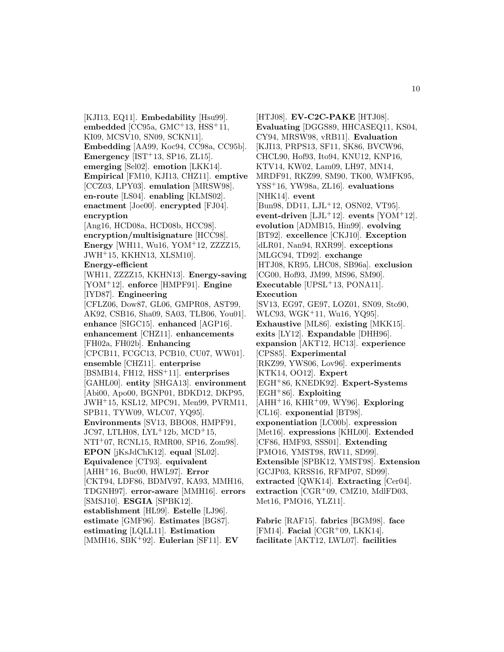[KJI13, EQ11]. **Embedability** [Hsu99]. **embedded** [CC95a, GMC<sup>+</sup>13, HSS<sup>+</sup>11, KI09, MCSV10, SN09, SCKN11]. **Embedding** [AA99, Koc94, CC98a, CC95b]. **Emergency** [IST<sup>+</sup>13, SP16, ZL15]. **emerging** [Sel02]. **emotion** [LKK14]. **Empirical** [FM10, KJI13, CHZ11]. **emptive** [CCZ03, LPY03]. **emulation** [MRSW98]. **en-route** [LS04]. **enabling** [KLMS02]. **enactment** [Joe00]. **encrypted** [FJ04]. **encryption** [Ang16, HCD08a, HCD08b, HCC98]. **encryption/multisignature** [HCC98]. **Energy** [WH11, Wu16, YOM<sup>+</sup>12, ZZZZ15, JWH<sup>+</sup>15, KKHN13, XLSM10]. **Energy-efficient** [WH11, ZZZZ15, KKHN13]. **Energy-saving** [YOM<sup>+</sup>12]. **enforce** [HMPF91]. **Engine** [IYD87]. **Engineering** [CFLZ06, Dow87, GL06, GMPR08, AST99, AK92, CSB16, Sha09, SA03, TLB06, You01]. **enhance** [SIGC15]. **enhanced** [AGP16]. **enhancement** [CHZ11]. **enhancements** [FH02a, FH02b]. **Enhancing** [CPCB11, FCGC13, PCB10, CU07, WW01]. **ensemble** [CHZ11]. **enterprise** [BSMB14, FH12, HSS<sup>+</sup>11]. **enterprises** [GAHL00]. **entity** [SHGA13]. **environment** [Abi00, Apo00, BGNP01, BDKD12, DKP95, JWH<sup>+</sup>15, KSL12, MPC91, Men99, PVRM11, SPB11, TYW09, WLC07, YQ95]. **Environments** [SV13, BBO08, HMPF91, JC97, LTLH08, LYL<sup>+</sup>12b, MCD<sup>+</sup>15, NTI<sup>+</sup>07, RCNL15, RMR00, SP16, Zom98]. **EPON** [jKsJdChK12]. **equal** [SL02]. **Equivalence** [CT93]. **equivalent** [AHH<sup>+</sup>16, Buc00, HWL97]. **Error** [CKT94, LDF86, BDMV97, KA93, MMH16, TDGNH97]. **error-aware** [MMH16]. **errors** [SMSJ10]. **ESGIA** [SPBK12]. **establishment** [HL99]. **Estelle** [LJ96]. **estimate** [GMF96]. **Estimates** [BG87]. **estimating** [LQLL11]. **Estimation**

[MMH16, SBK<sup>+</sup>92]. **Eulerian** [SF11]. **EV**

[HTJ08]. **EV-C2C-PAKE** [HTJ08]. **Evaluating** [DGGS89, HHCASEQ11, KS04, CY94, MRSW98, vRB11]. **Evaluation** [KJI13, PRPS13, SF11, SK86, BVCW96, CHCL90, Hof93, Ito94, KNU12, KNP16, KTV14, KW02, Lam09, LH97, MN14, MRDF91, RKZ99, SM90, TK00, WMFK95, YSS<sup>+</sup>16, YW98a, ZL16]. **evaluations** [NHK14]. **event** [Bun98, DD11, LJL<sup>+</sup>12, OSN02, VT95]. **event-driven** [LJL<sup>+</sup>12]. **events**  $[YOM<sup>+</sup>12]$ . **evolution** [ADMB15, Hin99]. **evolving** [BT92]. **excellence** [CKJ10]. **Exception** [dLR01, Nan94, RXR99]. **exceptions** [MLGC94, TD92]. **exchange** [HTJ08, KR95, LHC08, SB96a]. **exclusion** [CG00, Hof93, JM99, MS96, SM90]. **Executable** [UPSL<sup>+</sup>13, PONA11]. **Execution** [SV13, EG97, GE97, LOZ01, SN09, Sto90, WLC93, WGK<sup>+</sup>11, Wu16, YQ95]. **Exhaustive** [ML86]. **existing** [MKK15]. **exits** [LY12]. **Expandable** [DHH96]. **expansion** [AKT12, HC13]. **experience** [CPS85]. **Experimental** [RKZ99, YWS06, Lov96]. **experiments** [KTK14, OO12]. **Expert** [EGH<sup>+</sup>86, KNEDK92]. **Expert-Systems** [EGH<sup>+</sup>86]. **Exploiting** [AHH<sup>+</sup>16, KHR<sup>+</sup>09, WY96]. **Exploring** [CL16]. **exponential** [BT98]. **exponentiation** [LC00b]. **expression** [Met16]. **expressions** [KHL00]. **Extended** [CF86, HMF93, SSS01]. **Extending** [PMO16, YMST98, RW11, SD99]. **Extensible** [SPBK12, YMST98]. **Extension** [GCJP03, KRSS16, RFMP07, SD99]. **extracted** [QWK14]. **Extracting** [Cer04]. **extraction** [CGR<sup>+</sup>09, CMZ10, MdlFD03, Met16, PMO16, YLZ11].

**Fabric** [RAF15]. **fabrics** [BGM98]. **face** [FM14]. **Facial** [CGR<sup>+</sup>09, LKK14]. **facilitate** [AKT12, LWL07]. **facilities**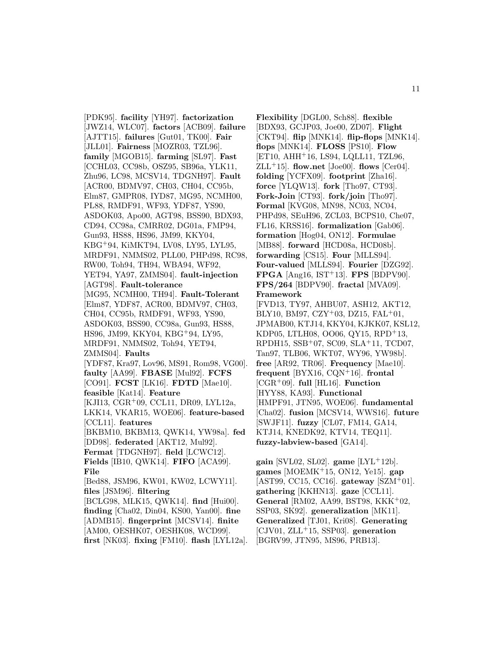[PDK95]. **facility** [YH97]. **factorization** [JWZ14, WLC07]. **factors** [ACB09]. **failure** [AJTT15]. **failures** [Gut01, TK00]. **Fair** [JLL01]. **Fairness** [MOZR03, TZL96]. **family** [MGOB15]. **farming** [SL97]. **Fast** [CCHL03, CC98b, OSZ95, SB96a, YLK11, Zhu96, LC98, MCSV14, TDGNH97]. **Fault** [ACR00, BDMV97, CH03, CH04, CC95b, Elm87, GMPR08, IYD87, MG95, NCMH00, PL88, RMDF91, WF93, YDF87, YS90, ASDOK03, Apo00, AGT98, BSS90, BDX93, CD94, CC98a, CMRR02, DG01a, FMP94, Gun93, HS88, HS96, JM99, KKY04, KBG<sup>+</sup>94, KiMKT94, LV08, LY95, LYL95, MRDF91, NMMS02, PLL00, PHPd98, RC98, RW00, Toh94, TH94, WBA94, WF92, YET94, YA97, ZMMS04]. **fault-injection** [AGT98]. **Fault-tolerance** [MG95, NCMH00, TH94]. **Fault-Tolerant** [Elm87, YDF87, ACR00, BDMV97, CH03, CH04, CC95b, RMDF91, WF93, YS90, ASDOK03, BSS90, CC98a, Gun93, HS88, HS96, JM99, KKY04, KBG<sup>+</sup>94, LY95, MRDF91, NMMS02, Toh94, YET94, ZMMS04]. **Faults** [YDF87, Kra97, Lov96, MS91, Rom98, VG00]. **faulty** [AA99]. **FBASE** [Mul92]. **FCFS** [CO91]. **FCST** [LK16]. **FDTD** [Mae10]. **feasible** [Kat14]. **Feature** [KJI13, CGR<sup>+</sup>09, CCL11, DR09, LYL12a, LKK14, VKAR15, WOE06]. **feature-based** [CCL11]. **features** [BKBM10, BKBM13, QWK14, YW98a]. **fed** [DD98]. **federated** [AKT12, Mul92]. **Fermat** [TDGNH97]. **field** [LCWC12]. **Fields** [IB10, QWK14]. **FIFO** [ACA99]. **File** [Bed88, JSM96, KW01, KW02, LCWY11]. **files** [JSM96]. **filtering** [BCLG98, MLK15, QWK14]. **find** [Hui00]. **finding** [Cha02, Din04, KS00, Yan00]. **fine** [ADMB15]. **fingerprint** [MCSV14]. **finite** [AM00, OESHK07, OESHK08, WCD99]. **first** [NK03]. **fixing** [FM10]. **flash** [LYL12a].

**Flexibility** [DGL00, Sch88]. **flexible** [BDX93, GCJP03, Joe00, ZD07]. **Flight** [CKT94]. **flip** [MNK14]. **flip-flops** [MNK14]. **flops** [MNK14]. **FLOSS** [PS10]. **Flow** [ET10, AHH<sup>+</sup>16, LS94, LQLL11, TZL96, ZLL<sup>+</sup>15]. **flow.net** [Joe00]. **flows** [Cer04]. **folding** [YCFX09]. **footprint** [Zha16]. **force** [YLQW13]. **fork** [Tho97, CT93]. **Fork-Join** [CT93]. **fork/join** [Tho97]. **Formal** [KVG08, MN98, NC03, NC04, PHPd98, SEuH96, ZCL03, BCPS10, Che07, FL16, KRSS16]. **formalization** [Gab06]. **formation** [Hog04, ON12]. **Formulae** [MB88]. **forward** [HCD08a, HCD08b]. **forwarding** [CS15]. **Four** [MLLS94]. **Four-valued** [MLLS94]. **Fourier** [DZG92]. **FPGA** [Ang16, IST<sup>+</sup>13]. **FPS** [BDPV90]. **FPS/264** [BDPV90]. **fractal** [MVA09]. **Framework**

[FVD13, TY97, AHBU07, ASH12, AKT12, BLY10, BM97, CZY<sup>+</sup>03, DZ15, FAL<sup>+</sup>01, JPMAB00, KTJ14, KKY04, KJKK07, KSL12, KDP05, LTLH08, OO06, QY15, RPD<sup>+</sup>13, RPDH15, SSB<sup>+</sup>07, SC09, SLA<sup>+</sup>11, TCD07, Tan97, TLB06, WKT07, WY96, YW98b]. **free** [AR92, TR06]. **Frequency** [Mae10]. **frequent** [BYX16, CQN<sup>+</sup>16]. **frontal** [CGR<sup>+</sup>09]. **full** [HL16]. **Function** [HYY88, KA93]. **Functional** [HMPF91, JTN95, WOE06]. **fundamental** [Cha02]. **fusion** [MCSV14, WWS16]. **future** [SWJF11]. **fuzzy** [CL07, FM14, GA14, KTJ14, KNEDK92, KTV14, TEQ11]. **fuzzy-labview-based** [GA14].

**gain** [SVL02, SL02]. **game** [LYL<sup>+</sup>12b]. **games** [MOEMK<sup>+</sup>15, ON12, Ye15]. **gap** [AST99, CC15, CC16]. **gateway** [SZM<sup>+</sup>01]. **gathering** [KKHN13]. **gaze** [CCL11]. **General** [RM02, AA99, BST98, KKK<sup>+</sup>02, SSP03, SK92]. **generalization** [MK11]. **Generalized** [TJ01, Kri08]. **Generating** [CJV01, ZLL<sup>+</sup>15, SSP03]. **generation** [BGRV99, JTN95, MS96, PRB13].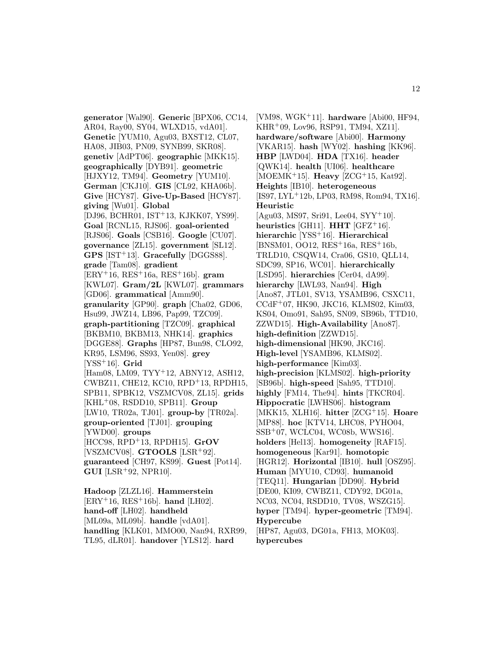**generator** [Wal90]. **Generic** [BPX06, CC14, AR04, Ray00, SY04, WLXD15, vdA01]. **Genetic** [YUM10, Agu03, BXST12, CL07, HA08, JIB03, PN09, SYNB99, SKR08]. **genetiv** [AdPT06]. **geographic** [MKK15]. **geographically** [DYB91]. **geometric** [HJXY12, TM94]. **Geometry** [YUM10]. **German** [CKJ10]. **GIS** [CL92, KHA06b]. **Give** [HCY87]. **Give-Up-Based** [HCY87]. **giving** [Wu01]. **Global** [DJ96, BCHR01, IST<sup>+</sup>13, KJKK07, YS99]. **Goal** [RCNL15, RJS06]. **goal-oriented** [RJS06]. **Goals** [CSB16]. **Google** [CU07]. **governance** [ZL15]. **government** [SL12]. **GPS** [IST<sup>+</sup>13]. **Gracefully** [DGGS88]. **grade** [Tam08]. **gradient** [ERY<sup>+</sup>16, RES<sup>+</sup>16a, RES<sup>+</sup>16b]. **gram** [KWL07]. **Gram/2L** [KWL07]. **grammars** [GD06]. **grammatical** [Amm90]. **granularity** [GP90]. **graph** [Cha02, GD06, Hsu99, JWZ14, LB96, Pap99, TZC09]. **graph-partitioning** [TZC09]. **graphical** [BKBM10, BKBM13, NHK14]. **graphics** [DGGE88]. **Graphs** [HP87, Bun98, CLO92, KR95, LSM96, SS93, Yen08]. **grey** [YSS<sup>+</sup>16]. **Grid** [Ham08, LM09, TYY<sup>+</sup>12, ABNY12, ASH12, CWBZ11, CHE12, KC10, RPD<sup>+</sup>13, RPDH15, SPB11, SPBK12, VSZMCV08, ZL15]. **grids** [KHL<sup>+</sup>08, RSDD10, SPB11]. **Group** [LW10, TR02a, TJ01]. **group-by** [TR02a]. **group-oriented** [TJ01]. **grouping** [YWD00]. **groups** [HCC98, RPD<sup>+</sup>13, RPDH15]. **GrOV** [VSZMCV08]. **GTOOLS** [LSR<sup>+</sup>92]. **guaranteed** [CH97, KS99]. **Guest** [Pot14]. **GUI** [LSR<sup>+</sup>92, NPR10]. **Hadoop** [ZLZL16]. **Hammerstein** [ERY<sup>+</sup>16, RES<sup>+</sup>16b]. **hand** [LH02].

**hand-off** [LH02]. **handheld** [ML09a, ML09b]. **handle** [vdA01]. **handling** [KLK01, MMO00, Nan94, RXR99, TL95, dLR01]. **handover** [YLS12]. **hard**

[VM98, WGK<sup>+</sup>11]. **hardware** [Abi00, HF94, KHR<sup>+</sup>09, Lov96, RSP91, TM94, XZ11]. **hardware/software** [Abi00]. **Harmony** [VKAR15]. **hash** [WY02]. **hashing** [KK96]. **HBP** [LWD04]. **HDA** [TX16]. **header** [QWK14]. **health** [UI06]. **healthcare** [MOEMK<sup>+</sup>15]. **Heavy** [ZCG<sup>+</sup>15, Kat92]. **Heights** [IB10]. **heterogeneous** [IS97, LYL<sup>+</sup>12b, LP03, RM98, Rom94, TX16]. **Heuristic** [Agu03, MS97, Sri91, Lee04, SYY<sup>+</sup>10]. **heuristics** [GH11]. **HHT** [GFZ<sup>+</sup>16]. **hierarchic** [YSS<sup>+</sup>16]. **Hierarchical** [BNSM01, OO12, RES<sup>+</sup>16a, RES<sup>+</sup>16b, TRLD10, CSQW14, Cra06, GS10, QLL14, SDC99, SP16, WC01]. **hierarchically** [LSD95]. **hierarchies** [Cer04, dA99]. **hierarchy** [LWL93, Nan94]. **High** [Ano87, JTL01, SV13, YSAMB96, CSXC11, CCdF<sup>+</sup>07, HK90, JKC16, KLMS02, Kim03, KS04, Omo91, Sah95, SN09, SB96b, TTD10, ZZWD15]. **High-Availability** [Ano87]. **high-definition** [ZZWD15]. **high-dimensional** [HK90, JKC16]. **High-level** [YSAMB96, KLMS02]. **high-performance** [Kim03]. **high-precision** [KLMS02]. **high-priority** [SB96b]. **high-speed** [Sah95, TTD10]. **highly** [FM14, The94]. **hints** [TKCR04]. **Hippocratic** [LWHS06]. **histogram** [MKK15, XLH16]. **hitter** [ZCG<sup>+</sup>15]. **Hoare** [MP88]. **hoc** [KTV14, LHC08, PYHO04, SSB<sup>+</sup>07, WCLC04, WC08b, WWS16]. **holders** [Hel13]. **homogeneity** [RAF15]. **homogeneous** [Kar91]. **homotopic** [HGR12]. **Horizontal** [IB10]. **hull** [OSZ95]. **Human** [MYU10, CD93]. **humanoid** [TEQ11]. **Hungarian** [DD90]. **Hybrid** [DE00, KI09, CWBZ11, CDY92, DG01a, NC03, NC04, RSDD10, TV08, WSZG15]. **hyper** [TM94]. **hyper-geometric** [TM94]. **Hypercube** [HP87, Agu03, DG01a, FH13, MOK03]. **hypercubes**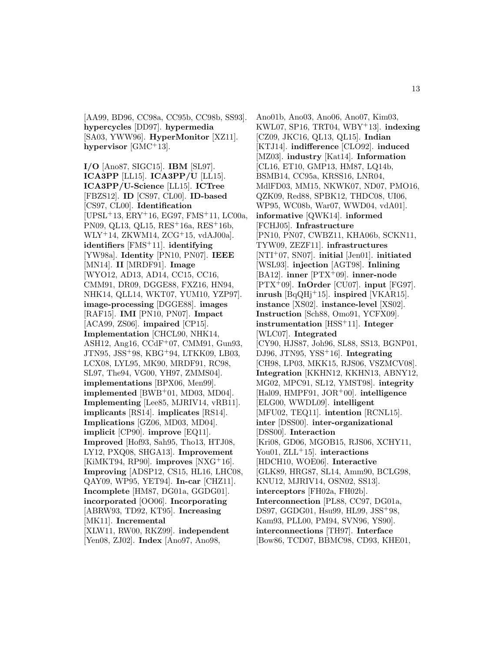[AA99, BD96, CC98a, CC95b, CC98b, SS93]. **hypercycles** [DD97]. **hypermedia** [SA03, YWW96]. **HyperMonitor** [XZ11]. **hypervisor** [GMC<sup>+</sup>13].

**I/O** [Ano87, SIGC15]. **IBM** [SL97]. **ICA3PP** [LL15]. **ICA3PP/U** [LL15]. **ICA3PP/U-Science** [LL15]. **ICTree** [FBZS12]. **ID** [CS97, CL00]. **ID-based** [CS97, CL00]. **Identification** [UPSL<sup>+</sup>13, ERY<sup>+</sup>16, EG97, FMS<sup>+</sup>11, LC00a, PN09, QL13, QL15, RES<sup>+</sup>16a, RES<sup>+</sup>16b, WLY<sup>+</sup>14, ZKWM14, ZCG<sup>+</sup>15, vdAJ00a]. **identifiers** [FMS<sup>+</sup>11]. **identifying** [YW98a]. **Identity** [PN10, PN07]. **IEEE** [MN14]. **II** [MRDF91]. **Image** [WYO12, AD13, AD14, CC15, CC16, CMM91, DR09, DGGE88, FXZ16, HN94, NHK14, QLL14, WKT07, YUM10, YZP97]. **image-processing** [DGGE88]. **images** [RAF15]. **IMI** [PN10, PN07]. **Impact** [ACA99, ZS06]. **impaired** [CP15]. **Implementation** [CHCL90, NHK14, ASH12, Ang16, CCdF<sup>+</sup>07, CMM91, Gun93, JTN95, JSS<sup>+</sup>98, KBG<sup>+</sup>94, LTKK09, LB03, LCX08, LYL95, MK90, MRDF91, RC98, SL97, The94, VG00, YH97, ZMMS04]. **implementations** [BPX06, Men99]. **implemented** [BWB<sup>+</sup>01, MD03, MD04]. **Implementing** [Lee85, MJRIV14, vRB11]. **implicants** [RS14]. **implicates** [RS14]. **Implications** [GZ06, MD03, MD04]. **implicit** [CP90]. **improve** [EQ11]. **Improved** [Hof93, Sah95, Tho13, HTJ08, LY12, PXQ08, SHGA13]. **Improvement** [KiMKT94, RP90]. **improves** [NXG<sup>+</sup>16]. **Improving** [ADSP12, CS15, HL16, LHC08, QAY09, WP95, YET94]. **In-car** [CHZ11]. **Incomplete** [HM87, DG01a, GGDG01]. **incorporated** [OO06]. **Incorporating** [ABRW93, TD92, KT95]. **Increasing** [MK11]. **Incremental** [XLW11, RW00, RKZ99]. **independent** [Yen08, ZJ02]. **Index** [Ano97, Ano98,

Ano01b, Ano03, Ano06, Ano07, Kim03, KWL07, SP16, TRT04, WBY<sup>+</sup>13]. **indexing** [CZ09, JKC16, QL13, QL15]. **Indian** [KTJ14]. **indifference** [CLO92]. **induced** [MZ03]. **industry** [Kat14]. **Information** [CL16, ET10, GMP13, HM87, LQ14b, BSMB14, CC95a, KRSS16, LNR04, MdlFD03, MM15, NKWK07, ND07, PMO16, QZK09, Red88, SPBK12, THDC08, UI06, WP95, WC08b, War07, WWD04, vdA01]. **informative** [QWK14]. **informed** [FCHJ05]. **Infrastructure** [PN10, PN07, CWBZ11, KHA06b, SCKN11, TYW09, ZEZF11]. **infrastructures** [NTI<sup>+</sup>07, SN07]. **initial** [Jen01]. **initiated** [WSL93]. **injection** [AGT98]. **Inlining** [BA12]. **inner** [PTX<sup>+</sup>09]. **inner-node** [PTX<sup>+</sup>09]. **InOrder** [CU07]. **input** [FG97]. **inrush** [BqQHj<sup>+</sup>15]. **inspired** [VKAR15]. **instance** [XS02]. **instance-level** [XS02]. **Instruction** [Sch88, Omo91, YCFX09]. **instrumentation** [HSS<sup>+</sup>11]. **Integer** [WLC07]. **Integrated** [CY90, HJS87, Joh96, SL88, SS13, BGNP01, DJ96, JTN95, YSS<sup>+</sup>16]. **Integrating** [CH98, LP03, MKK15, RJS06, VSZMCV08]. **Integration** [KKHN12, KKHN13, ABNY12, MG02, MPC91, SL12, YMST98]. **integrity** [Hal09, HMPF91, JOR<sup>+</sup>00]. **intelligence** [ELG00, WWDL09]. **intelligent** [MFU02, TEQ11]. **intention** [RCNL15]. **inter** [DSS00]. **inter-organizational** [DSS00]. **Interaction** [Kri08, GD06, MGOB15, RJS06, XCHY11, You01, ZLL<sup>+</sup>15]. **interactions** [HDCH10, WOE06]. **Interactive** [GLK89, HRG87, SL14, Amm90, BCLG98, KNU12, MJRIV14, OSN02, SS13]. **interceptors** [FH02a, FH02b]. **Interconnection** [PL88, CC97, DG01a, DS97, GGDG01, Hsu99, HL99, JSS<sup>+</sup>98, Kam93, PLL00, PM94, SVN96, YS90]. **interconnections** [TH97]. **Interface** [Bow86, TCD07, BBMC98, CD93, KHE01,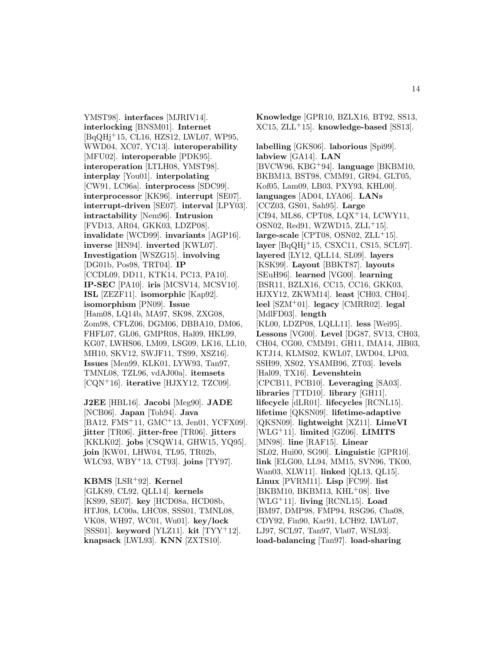YMST98]. **interfaces** [MJRIV14]. **interlocking** [BNSM01]. **Internet** [BqQHj<sup>+</sup>15, CL16, HZS12, LWL07, WP95, WWD04, XC07, YC13]. **interoperability** [MFU02]. **interoperable** [PDK95]. **interoperation** [LTLH08, YMST98]. **interplay** [You01]. **interpolating** [CW91, LC96a]. **interprocess** [SDC99]. **interprocessor** [KK96]. **interrupt** [SE07]. **interrupt-driven** [SE07]. **interval** [LPY03]. **intractability** [Nem96]. **Intrusion** [FVD13, AR04, GKK03, LDZP08]. **invalidate** [WCD99]. **invariants** [AGP16]. **inverse** [HN94]. **inverted** [KWL07]. **Investigation** [WSZG15]. **involving** [DG01b, Pos98, TRT04]. **IP** [CCDL09, DD11, KTK14, PC13, PA10]. **IP-SEC** [PA10]. **iris** [MCSV14, MCSV10]. **ISL** [ZEZF11]. **isomorphic** [Kap92]. **isomorphism** [PN09]. **Issue** [Ham08, LQ14b, MA97, SK98, ZXG08, Zom98, CFLZ06, DGM06, DBBA10, DM06, FHFL07, GL06, GMPR08, Hal09, HKL99, KG07, LWHS06, LM09, LSG09, LK16, LL10, MH10, SKV12, SWJF11, TS99, XSZ16]. **Issues** [Men99, KLK01, LYW93, Tan97, TMNL08, TZL96, vdAJ00a]. **itemsets** [CQN<sup>+</sup>16]. **iterative** [HJXY12, TZC09].

**J2EE** [HBL16]. **Jacobi** [Meg90]. **JADE** [NCB06]. **Japan** [Toh94]. **Java** [BA12, FMS<sup>+</sup>11, GMC<sup>+</sup>13, Jen01, YCFX09]. **jitter** [TR06]. **jitter-free** [TR06]. **jitters** [KKLK02]. **jobs** [CSQW14, GHW15, YQ95]. **join** [KW01, LHW04, TL95, TR02b, WLC93, WBY<sup>+</sup>13, CT93]. **joins** [TY97].

**KBMS** [LSR<sup>+</sup>92]. **Kernel** [GLK89, CL92, QLL14]. **kernels** [KS99, SE07]. **key** [HCD08a, HCD08b, HTJ08, LC00a, LHC08, SSS01, TMNL08, VK08, WH97, WC01, Wu01]. **key/lock** [SSS01]. **keyword** [YLZ11]. **kit** [TYY<sup>+</sup>12]. **knapsack** [LWL93]. **KNN** [ZXTS10].

**Knowledge** [GPR10, BZLX16, BT92, SS13, XC15, ZLL<sup>+</sup>15]. **knowledge-based** [SS13].

**labelling** [GKS06]. **laborious** [Spi99]. **labview** [GA14]. **LAN** [BVCW96, KBG<sup>+</sup>94]. **language** [BKBM10, BKBM13, BST98, CMM91, GR94, GLT05, Kof05, Lam09, LB03, PXY93, KHL00]. **languages** [AD04, LYA06]. **LANs** [CCZ03, GS01, Sah95]. **Large** [CI94, ML86, CPT08, LQX<sup>+</sup>14, LCWY11, OSN02, Red91, WZWD15, ZLL<sup>+</sup>15].  $large-scale [CPT08, OSN02, ZLL+15].$ **layer** [BqQHj<sup>+</sup>15, CSXC11, CS15, SCL97]. **layered** [LY12, QLL14, SL09]. **layers** [KSK99]. **Layout** [BBKT87]. **layouts** [SEuH96]. **learned** [VG00]. **learning** [BSR11, BZLX16, CC15, CC16, GKK03, HJXY12, ZKWM14]. **least** [CH03, CH04]. **leel** [SZM<sup>+</sup>01]. **legacy** [CMRR02]. **legal** [MdlFD03]. **length** [KL00, LDZP08, LQLL11]. **less** [Wei95]. **Lessons** [VG00]. **Level** [DG87, SV13, CH03, CH04, CG00, CMM91, GH11, IMA14, JIB03, KTJ14, KLMS02, KWL07, LWD04, LP03, SSH99, XS02, YSAMB96, ZT03]. **levels** [Hal09, TX16]. **Levenshtein** [CPCB11, PCB10]. **Leveraging** [SA03]. **libraries** [TTD10]. **library** [GH11]. **lifecycle** [dLR01]. **lifecycles** [RCNL15]. **lifetime** [QKSN09]. **lifetime-adaptive** [QKSN09]. **lightweight** [XZ11]. **LimeVI** [WLG<sup>+</sup>11]. **limited** [GZ06]. **LIMITS** [MN98]. **line** [RAF15]. **Linear** [SL02, Hui00, SG90]. **Linguistic** [GPR10]. **link** [ELG00, LL94, MM15, SVN96, TK00, Wan03, XLW11]. **linked** [QL13, QL15]. **Linux** [PVRM11]. **Lisp** [FC99]. **list** [BKBM10, BKBM13, KHL<sup>+</sup>08]. **live** [WLG<sup>+</sup>11]. **living** [RCNL15]. **Load** [BM97, DMP98, FMP94, RSG96, Cha08, CDY92, Fin90, Kar91, LCH92, LWL07, LJ97, SCL97, Tan97, Vla07, WSL93]. **load-balancing** [Tan97]. **load-sharing**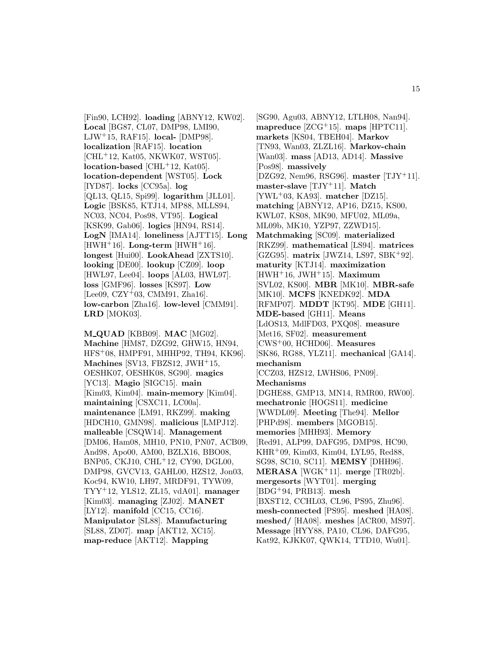[Fin90, LCH92]. **loading** [ABNY12, KW02]. **Local** [BG87, CL07, DMP98, LMI90, LJW<sup>+</sup>15, RAF15]. **local-** [DMP98]. **localization** [RAF15]. **location** [CHL<sup>+</sup>12, Kat05, NKWK07, WST05]. **location-based** [CHL<sup>+</sup>12, Kat05]. **location-dependent** [WST05]. **Lock** [IYD87]. **locks** [CC95a]. **log** [QL13, QL15, Spi99]. **logarithm** [JLL01]. **Logic** [BSK85, KTJ14, MP88, MLLS94, NC03, NC04, Pos98, VT95]. **Logical** [KSK99, Gab06]. **logics** [HN94, RS14]. **LogN** [IMA14]. **loneliness** [AJTT15]. **Long**  $[HWH<sup>+</sup>16]$ . **Long-term**  $[HWH<sup>+</sup>16]$ . **longest** [Hui00]. **LookAhead** [ZXTS10]. **looking** [DE00]. **lookup** [CZ09]. **loop** [HWL97, Lee04]. **loops** [AL03, HWL97]. **loss** [GMF96]. **losses** [KS97]. **Low** [Lee09, CZY<sup>+</sup>03, CMM91, Zha16]. **low-carbon** [Zha16]. **low-level** [CMM91]. **LRD** [MOK03].

**M QUAD** [KBB09]. **MAC** [MG02]. **Machine** [HM87, DZG92, GHW15, HN94, HFS<sup>+</sup>08, HMPF91, MHHP92, TH94, KK96]. **Machines** [SV13, FBZS12, JWH<sup>+</sup>15, OESHK07, OESHK08, SG90]. **magics** [YC13]. **Magio** [SIGC15]. **main** [Kim03, Kim04]. **main-memory** [Kim04]. **maintaining** [CSXC11, LC00a]. **maintenance** [LM91, RKZ99]. **making** [HDCH10, GMN98]. **malicious** [LMPJ12]. **malleable** [CSQW14]. **Management** [DM06, Ham08, MH10, PN10, PN07, ACB09, And98, Apo00, AM00, BZLX16, BBO08, BNP05, CKJ10, CHL<sup>+</sup>12, CY90, DGL00, DMP98, GVCV13, GAHL00, HZS12, Jon03, Koc94, KW10, LH97, MRDF91, TYW09, TYY<sup>+</sup>12, YLS12, ZL15, vdA01]. **manager** [Kim03]. **managing** [ZJ02]. **MANET** [LY12]. **manifold** [CC15, CC16]. **Manipulator** [SL88]. **Manufacturing** [SL88, ZD07]. **map** [AKT12, XC15]. **map-reduce** [AKT12]. **Mapping**

[SG90, Agu03, ABNY12, LTLH08, Nan94]. **mapreduce** [ZCG<sup>+</sup>15]. **maps** [HPTC11]. **markets** [KS04, TBEH04]. **Markov** [TN93, Wan03, ZLZL16]. **Markov-chain** [Wan03]. **mass** [AD13, AD14]. **Massive** [Pos98]. **massively** [DZG92, Nem96, RSG96]. **master** [TJY<sup>+</sup>11]. **master-slave** [TJY<sup>+</sup>11]. **Match** [YWL<sup>+</sup>03, KA93]. **matcher** [DZ15]. **matching** [ABNY12, AP16, DZ15, KS00, KWL07, KS08, MK90, MFU02, ML09a, ML09b, MK10, YZP97, ZZWD15]. **Matchmaking** [SC09]. **materialized** [RKZ99]. **mathematical** [LS94]. **matrices** [GZG95]. **matrix** [JWZ14, LS97, SBK<sup>+</sup>92]. **maturity** [KTJ14]. **maximization** [HWH<sup>+</sup>16, JWH<sup>+</sup>15]. **Maximum** [SVL02, KS00]. **MBR** [MK10]. **MBR-safe** [MK10]. **MCFS** [KNEDK92]. **MDA** [RFMP07]. **MDDT** [KT95]. **MDE** [GH11]. **MDE-based** [GH11]. **Means** [LdOS13, MdlFD03, PXQ08]. **measure** [Met16, SF02]. **measurement** [CWS<sup>+</sup>00, HCHD06]. **Measures** [SK86, RG88, YLZ11]. **mechanical** [GA14]. **mechanism** [CCZ03, HZS12, LWHS06, PN09]. **Mechanisms** [DGHE88, GMP13, MN14, RMR00, RW00]. **mechatronic** [HOGS11]. **medicine** [WWDL09]. **Meeting** [The94]. **Mellor** [PHPd98]. **members** [MGOB15]. **memories** [MHH93]. **Memory** [Red91, ALP99, DAFG95, DMP98, HC90, KHR<sup>+</sup>09, Kim03, Kim04, LYL95, Red88, SG98, SC10, SC11]. **MEMSY** [DHH96]. **MERASA** [WGK<sup>+</sup>11]. **merge** [TR02b]. **mergesorts** [WYT01]. **merging** [BDG<sup>+</sup>94, PRB13]. **mesh** [BXST12, CCHL03, CL96, PS95, Zhu96]. **mesh-connected** [PS95]. **meshed** [HA08]. **meshed/** [HA08]. **meshes** [ACR00, MS97]. **Message** [HYY88, PA10, CL96, DAFG95, Kat92, KJKK07, QWK14, TTD10, Wu01].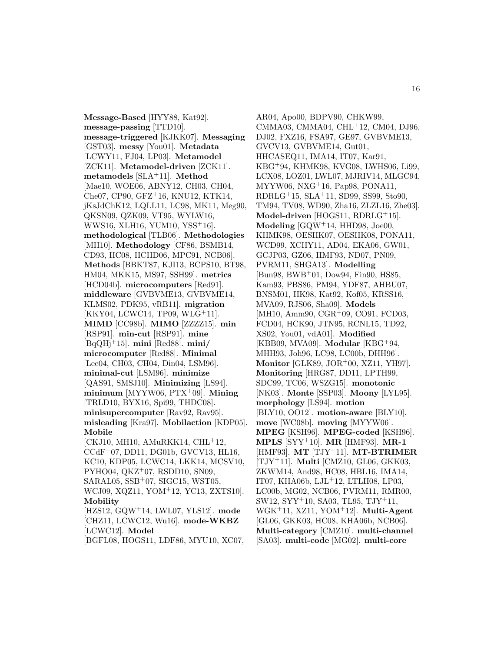**Message-Based** [HYY88, Kat92]. **message-passing** [TTD10]. **message-triggered** [KJKK07]. **Messaging** [GST03]. **messy** [You01]. **Metadata** [LCWY11, FJ04, LP03]. **Metamodel** [ZCK11]. **Metamodel-driven** [ZCK11]. **metamodels** [SLA<sup>+</sup>11]. **Method** [Mae10, WOE06, ABNY12, CH03, CH04, Che07, CP90, GFZ<sup>+</sup>16, KNU12, KTK14, jKsJdChK12, LQLL11, LC98, MK11, Meg90, QKSN09, QZK09, VT95, WYLW16, WWS16, XLH16, YUM10, YSS<sup>+</sup>16]. **methodological** [TLB06]. **Methodologies** [MH10]. **Methodology** [CF86, BSMB14, CD93, HC08, HCHD06, MPC91, NCB06]. **Methods** [BBKT87, KJI13, BCPS10, BT98, HM04, MKK15, MS97, SSH99]. **metrics** [HCD04b]. **microcomputers** [Red91]. **middleware** [GVBVME13, GVBVME14, KLMS02, PDK95, vRB11]. **migration** [KKY04, LCWC14, TP09, WLG<sup>+</sup>11]. **MIMD** [CC98b]. **MIMO** [ZZZZ15]. **min** [RSP91]. **min-cut** [RSP91]. **mine** [BqQHj<sup>+</sup>15]. **mini** [Red88]. **mini/ microcomputer** [Red88]. **Minimal** [Lee04, CH03, CH04, Din04, LSM96]. **minimal-cut** [LSM96]. **minimize** [QAS91, SMSJ10]. **Minimizing** [LS94]. **minimum** [MYYW06, PTX<sup>+</sup>09]. **Mining** [TRLD10, BYX16, Spi99, THDC08]. **minisupercomputer** [Rav92, Rav95]. **misleading** [Kra97]. **Mobilaction** [KDP05]. **Mobile** [CKJ10, MH10, AMuRKK14, CHL<sup>+</sup>12, CCdF<sup>+</sup>07, DD11, DG01b, GVCV13, HL16, KC10, KDP05, LCWC14, LKK14, MCSV10, PYHO04, QKZ<sup>+</sup>07, RSDD10, SN09, SARAL05, SSB<sup>+</sup>07, SIGC15, WST05, WCJ09, XQZ11, YOM<sup>+</sup>12, YC13, ZXTS10]. **Mobility** [HZS12, GQW<sup>+</sup>14, LWL07, YLS12]. **mode**

[CHZ11, LCWC12, Wu16]. **mode-WKBZ** [LCWC12]. **Model** [BGFL08, HOGS11, LDF86, MYU10, XC07,

AR04, Apo00, BDPV90, CHKW99, CMMA03, CMMA04, CHL<sup>+</sup>12, CM04, DJ96, DJ02, FXZ16, FSA97, GE97, GVBVME13, GVCV13, GVBVME14, Gut01, HHCASEQ11, IMA14, IT07, Kar91, KBG<sup>+</sup>94, KHMK98, KVG08, LWHS06, Li99, LCX08, LOZ01, LWL07, MJRIV14, MLGC94, MYYW06, NXG<sup>+</sup>16, Pap98, PONA11, RDRLG<sup>+</sup>15, SLA<sup>+</sup>11, SD99, SS99, Sto90, TM94, TV08, WD90, Zha16, ZLZL16, Zhe03]. **Model-driven** [HOGS11, RDRLG<sup>+</sup>15]. **Modeling** [GQW<sup>+</sup>14, HHD98, Joe00, KHMK98, OESHK07, OESHK08, PONA11, WCD99, XCHY11, AD04, EKA06, GW01, GCJP03, GZ06, HMF93, ND07, PN09, PVRM11, SHGA13]. **Modelling** [Bun98, BWB<sup>+</sup>01, Dow94, Fin90, HS85, Kam93, PBS86, PM94, YDF87, AHBU07, BNSM01, HK98, Kat92, Kof05, KRSS16, MVA09, RJS06, Sha09]. **Models** [MH10, Amm90, CGR<sup>+</sup>09, CO91, FCD03, FCD04, HCK90, JTN95, RCNL15, TD92, XS02, You01, vdA01]. **Modified** [KBB09, MVA09]. **Modular** [KBG<sup>+</sup>94, MHH93, Joh96, LC98, LC00b, DHH96]. **Monitor** [GLK89, JOR<sup>+</sup>00, XZ11, YH97]. **Monitoring** [HRG87, DD11, LPTH99, SDC99, TC06, WSZG15]. **monotonic** [NK03]. **Monte** [SSP03]. **Moony** [LYL95]. **morphology** [LS94]. **motion** [BLY10, OO12]. **motion-aware** [BLY10]. **move** [WC08b]. **moving** [MYYW06]. **MPEG** [KSH96]. **MPEG-coded** [KSH96]. **MPLS** [SYY<sup>+</sup>10]. **MR** [HMF93]. **MR-1** [HMF93]. **MT** [TJY<sup>+</sup>11]. **MT-BTRIMER** [TJY<sup>+</sup>11]. **Multi** [CMZ10, GL06, GKK03, ZKWM14, And98, HC08, HBL16, IMA14, IT07, KHA06b, LJL<sup>+</sup>12, LTLH08, LP03, LC00b, MG02, NCB06, PVRM11, RMR00, SW12, SYY<sup>+</sup>10, SA03, TL95, TJY<sup>+</sup>11, WGK<sup>+</sup>11, XZ11, YOM<sup>+</sup>12]. **Multi-Agent** [GL06, GKK03, HC08, KHA06b, NCB06]. **Multi-category** [CMZ10]. **multi-channel** [SA03]. **multi-code** [MG02]. **multi-core**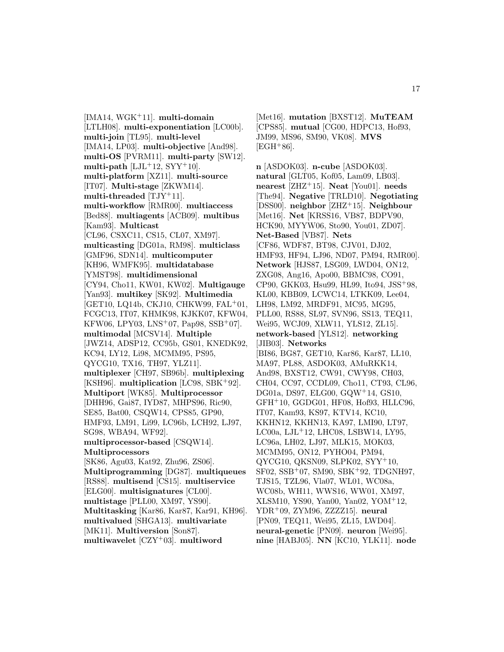[IMA14, WGK<sup>+</sup>11]. **multi-domain** [LTLH08]. **multi-exponentiation** [LC00b]. **multi-join** [TL95]. **multi-level** [IMA14, LP03]. **multi-objective** [And98]. **multi-OS** [PVRM11]. **multi-party** [SW12]. multi-path  $[LJL+12, SYY+10]$ . **multi-platform** [XZ11]. **multi-source** [IT07]. **Multi-stage** [ZKWM14]. **multi-threaded** [TJY<sup>+</sup>11]. **multi-workflow** [RMR00]. **multiaccess** [Bed88]. **multiagents** [ACB09]. **multibus** [Kam93]. **Multicast** [CL96, CSXC11, CS15, CL07, XM97]. **multicasting** [DG01a, RM98]. **multiclass** [GMF96, SDN14]. **multicomputer** [KH96, WMFK95]. **multidatabase** [YMST98]. **multidimensional** [CY94, Cho11, KW01, KW02]. **Multigauge** [Yan93]. **multikey** [SK92]. **Multimedia** [GET10, LQ14b, CKJ10, CHKW99, FAL<sup>+</sup>01, FCGC13, IT07, KHMK98, KJKK07, KFW04, KFW06, LPY03, LNS<sup>+</sup>07, Pap98, SSB<sup>+</sup>07]. **multimodal** [MCSV14]. **Multiple** [JWZ14, ADSP12, CC95b, GS01, KNEDK92, KC94, LY12, Li98, MCMM95, PS95, QYCG10, TX16, TH97, YLZ11]. **multiplexer** [CH97, SB96b]. **multiplexing** [KSH96]. **multiplication** [LC98, SBK<sup>+</sup>92]. **Multiport** [WK85]. **Multiprocessor** [DHH96, Gai87, IYD87, MHPS96, Ric90, SE85, Bat00, CSQW14, CPS85, GP90, HMF93, LM91, Li99, LC96b, LCH92, LJ97, SG98, WBA94, WF92]. **multiprocessor-based** [CSQW14]. **Multiprocessors** [SK86, Agu03, Kat92, Zhu96, ZS06]. **Multiprogramming** [DG87]. **multiqueues** [RS88]. **multisend** [CS15]. **multiservice** [ELG00]. **multisignatures** [CL00]. **multistage** [PLL00, XM97, YS90]. **Multitasking** [Kar86, Kar87, Kar91, KH96]. **multivalued** [SHGA13]. **multivariate** [MK11]. **Multiversion** [Son87]. **multiwavelet** [CZY<sup>+</sup>03]. **multiword**

[Met16]. **mutation** [BXST12]. **MuTEAM** [CPS85]. **mutual** [CG00, HDPC13, Hof93, JM99, MS96, SM90, VK08]. **MVS**  $[EGH+86]$ .

**n** [ASDOK03]. **n-cube** [ASDOK03]. **natural** [GLT05, Kof05, Lam09, LB03]. **nearest** [ZHZ<sup>+</sup>15]. **Neat** [You01]. **needs** [The94]. **Negative** [TRLD10]. **Negotiating** [DSS00]. **neighbor** [ZHZ<sup>+</sup>15]. **Neighbour** [Met16]. **Net** [KRSS16, VB87, BDPV90, HCK90, MYYW06, Sto90, You01, ZD07]. **Net-Based** [VB87]. **Nets** [CF86, WDF87, BT98, CJV01, DJ02, HMF93, HF94, LJ96, ND07, PM94, RMR00]. **Network** [HJS87, LSG09, LWD04, ON12, ZXG08, Ang16, Apo00, BBMC98, CO91, CP90, GKK03, Hsu99, HL99, Ito94, JSS<sup>+</sup>98, KL00, KBB09, LCWC14, LTKK09, Lee04, LH98, LM92, MRDF91, MC95, MG95, PLL00, RS88, SL97, SVN96, SS13, TEQ11, Wei95, WCJ09, XLW11, YLS12, ZL15]. **network-based** [YLS12]. **networking** [JIB03]. **Networks** [BI86, BG87, GET10, Kar86, Kar87, LL10, MA97, PL88, ASDOK03, AMuRKK14, And98, BXST12, CW91, CWY98, CH03, CH04, CC97, CCDL09, Cho11, CT93, CL96, DG01a, DS97, ELG00, GQW<sup>+</sup>14, GS10, GFH<sup>+</sup>10, GGDG01, HF08, Hof93, HLLC96, IT07, Kam93, KS97, KTV14, KC10, KKHN12, KKHN13, KA97, LMI90, LT97, LC00a, LJL<sup>+</sup>12, LHC08, LSBW14, LY95, LC96a, LH02, LJ97, MLK15, MOK03, MCMM95, ON12, PYHO04, PM94, QYCG10, QKSN09, SLPK02, SYY<sup>+</sup>10, SF02, SSB<sup>+</sup>07, SM90, SBK<sup>+</sup>92, TDGNH97, TJS15, TZL96, Vla07, WL01, WC08a, WC08b, WH11, WWS16, WW01, XM97, XLSM10, YS90, Yan00, Yan02, YOM<sup>+</sup>12, YDR<sup>+</sup>09, ZYM96, ZZZZ15]. **neural** [PN09, TEQ11, Wei95, ZL15, LWD04]. **neural-genetic** [PN09]. **neuron** [Wei95]. **nine** [HABJ05]. **NN** [KC10, YLK11]. **node**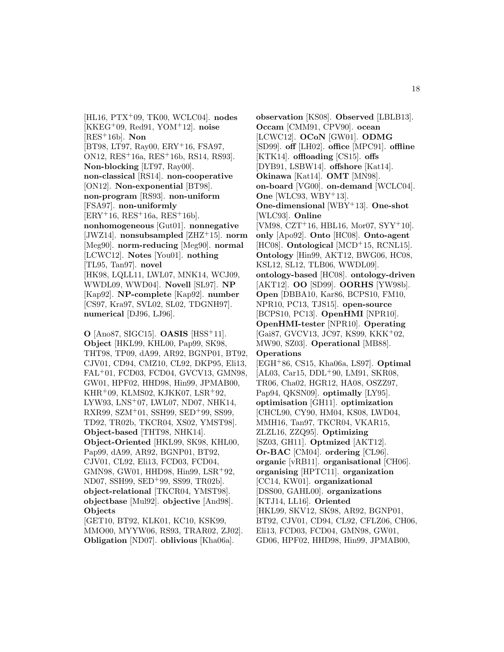[HL16, PTX<sup>+</sup>09, TK00, WCLC04]. **nodes** [KKEG<sup>+</sup>09, Red91, YOM<sup>+</sup>12]. **noise** [RES<sup>+</sup>16b]. **Non** [BT98, LT97, Ray00, ERY<sup>+</sup>16, FSA97, ON12, RES<sup>+</sup>16a, RES<sup>+</sup>16b, RS14, RS93]. **Non-blocking** [LT97, Ray00]. **non-classical** [RS14]. **non-cooperative** [ON12]. **Non-exponential** [BT98]. **non-program** [RS93]. **non-uniform** [FSA97]. **non-uniformly**  $[ERY + 16, RES + 16a, RES + 16b].$ **nonhomogeneous** [Gut01]. **nonnegative** [JWZ14]. **nonsubsampled** [ZHZ<sup>+</sup>15]. **norm** [Meg90]. **norm-reducing** [Meg90]. **normal** [LCWC12]. **Notes** [You01]. **nothing** [TL95, Tan97]. **novel** [HK98, LQLL11, LWL07, MNK14, WCJ09, WWDL09, WWD04]. **Novell** [SL97]. **NP** [Kap92]. **NP-complete** [Kap92]. **number** [CS97, Kra97, SVL02, SL02, TDGNH97]. **numerical** [DJ96, LJ96].

**O** [Ano87, SIGC15]. **OASIS** [HSS<sup>+</sup>11]. **Object** [HKL99, KHL00, Pap99, SK98, THT98, TP09, dA99, AR92, BGNP01, BT92, CJV01, CD94, CMZ10, CL92, DKP95, Eli13, FAL<sup>+</sup>01, FCD03, FCD04, GVCV13, GMN98, GW01, HPF02, HHD98, Hin99, JPMAB00, KHR<sup>+</sup>09, KLMS02, KJKK07, LSR<sup>+</sup>92, LYW93, LNS<sup>+</sup>07, LWL07, ND07, NHK14, RXR99, SZM<sup>+</sup>01, SSH99, SED<sup>+</sup>99, SS99, TD92, TR02b, TKCR04, XS02, YMST98]. **Object-based** [THT98, NHK14]. **Object-Oriented** [HKL99, SK98, KHL00, Pap99, dA99, AR92, BGNP01, BT92, CJV01, CL92, Eli13, FCD03, FCD04, GMN98, GW01, HHD98, Hin99, LSR<sup>+</sup>92, ND07, SSH99, SED<sup>+</sup>99, SS99, TR02b]. **object-relational** [TKCR04, YMST98]. **objectbase** [Mul92]. **objective** [And98]. **Objects**

[GET10, BT92, KLK01, KC10, KSK99, MMO00, MYYW06, RS93, TRAR02, ZJ02]. **Obligation** [ND07]. **oblivious** [Kha06a].

**observation** [KS08]. **Observed** [LBLB13]. **Occam** [CMM91, CPV90]. **ocean** [LCWC12]. **OCoN** [GW01]. **ODMG** [SD99]. **off** [LH02]. **office** [MPC91]. **offline** [KTK14]. **offloading** [CS15]. **offs** [DYB91, LSBW14]. **offshore** [Kat14]. **Okinawa** [Kat14]. **OMT** [MN98]. **on-board** [VG00]. **on-demand** [WCLC04]. **One** [WLC93, WBY+13]. **One-dimensional** [WBY<sup>+</sup>13]. **One-shot** [WLC93]. **Online** [VM98, CZT<sup>+</sup>16, HBL16, Mor07, SYY<sup>+</sup>10]. **only** [Apo92]. **Onto** [HC08]. **Onto-agent** [HC08]. **Ontological** [MCD<sup>+</sup>15, RCNL15]. **Ontology** [Hin99, AKT12, BWG06, HC08, KSL12, SL12, TLB06, WWDL09]. **ontology-based** [HC08]. **ontology-driven** [AKT12]. **OO** [SD99]. **OORHS** [YW98b]. **Open** [DBBA10, Kar86, BCPS10, FM10, NPR10, PC13, TJS15]. **open-source** [BCPS10, PC13]. **OpenHMI** [NPR10]. **OpenHMI-tester** [NPR10]. **Operating** [Gai87, GVCV13, JC97, KS99, KKK<sup>+</sup>02, MW90, SZ03]. **Operational** [MB88]. **Operations** [EGH<sup>+</sup>86, CS15, Kha06a, LS97]. **Optimal** [AL03, Car15, DDL<sup>+</sup>90, LM91, SKR08, TR06, Cha02, HGR12, HA08, OSZZ97, Pap94, QKSN09]. **optimally** [LY95]. **optimisation** [GH11]. **optimization** [CHCL90, CY90, HM04, KS08, LWD04, MMH16, Tan97, TKCR04, VKAR15, ZLZL16, ZZQ95]. **Optimizing** [SZ03, GH11]. **Optmized** [AKT12]. **Or-BAC** [CM04]. **ordering** [CL96]. **organic** [vRB11]. **organisational** [CH06]. **organising** [HPTC11]. **organization** [CC14, KW01]. **organizational** [DSS00, GAHL00]. **organizations** [KTJ14, LL16]. **Oriented** [HKL99, SKV12, SK98, AR92, BGNP01, BT92, CJV01, CD94, CL92, CFLZ06, CH06, Eli13, FCD03, FCD04, GMN98, GW01, GD06, HPF02, HHD98, Hin99, JPMAB00,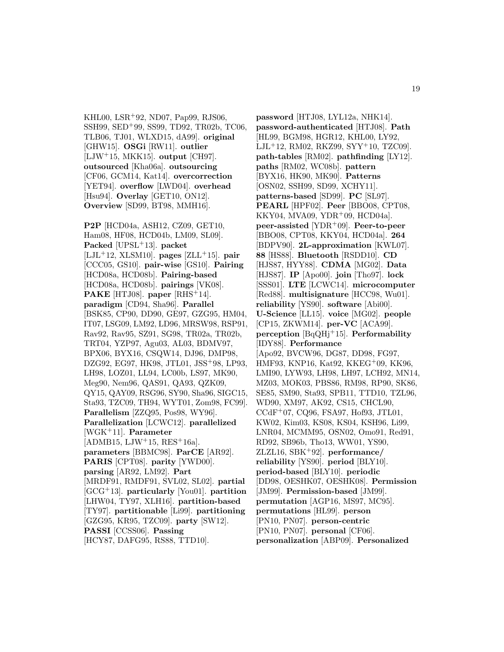KHL00, LSR<sup>+</sup>92, ND07, Pap99, RJS06, SSH99, SED<sup>+</sup>99, SS99, TD92, TR02b, TC06, TLB06, TJ01, WLXD15, dA99]. **original** [GHW15]. **OSGi** [RW11]. **outlier** [LJW<sup>+</sup>15, MKK15]. **output** [CH97]. **outsourced** [Kha06a]. **outsourcing** [CF06, GCM14, Kat14]. **overcorrection** [YET94]. **overflow** [LWD04]. **overhead** [Hsu94]. **Overlay** [GET10, ON12]. **Overview** [SD99, BT98, MMH16].

**P2P** [HCD04a, ASH12, CZ09, GET10, Ham08, HF08, HCD04b, LM09, SL09]. **Packed** [UPSL<sup>+</sup>13]. **packet** [LJL<sup>+</sup>12, XLSM10]. **pages** [ZLL<sup>+</sup>15]. **pair** [CCC05, GS10]. **pair-wise** [GS10]. **Pairing** [HCD08a, HCD08b]. **Pairing-based** [HCD08a, HCD08b]. **pairings** [VK08]. **PAKE** [HTJ08]. **paper** [RHS<sup>+</sup>14]. **paradigm** [CD94, Sha96]. **Parallel** [BSK85, CP90, DD90, GE97, GZG95, HM04, IT07, LSG09, LM92, LD96, MRSW98, RSP91, Rav92, Rav95, SZ91, SG98, TR02a, TR02b, TRT04, YZP97, Agu03, AL03, BDMV97, BPX06, BYX16, CSQW14, DJ96, DMP98, DZG92, EG97, HK98, JTL01, JSS<sup>+</sup>98, LP93, LH98, LOZ01, LL94, LC00b, LS97, MK90, Meg90, Nem96, QAS91, QA93, QZK09, QY15, QAY09, RSG96, SY90, Sha96, SIGC15, Sta93, TZC09, TH94, WYT01, Zom98, FC99]. **Parallelism** [ZZQ95, Pos98, WY96]. **Parallelization** [LCWC12]. **parallelized** [WGK<sup>+</sup>11]. **Parameter**  $[ADMB15, LJW+15, RES+16a].$ **parameters** [BBMC98]. **ParCE** [AR92]. **PARIS** [CPT08]. **parity** [YWD00]. **parsing** [AR92, LM92]. **Part** [MRDF91, RMDF91, SVL02, SL02]. **partial** [GCG<sup>+</sup>13]. **particularly** [You01]. **partition** [LHW04, TY97, XLH16]. **partition-based** [TY97]. **partitionable** [Li99]. **partitioning** [GZG95, KR95, TZC09]. **party** [SW12]. **PASSI** [CCSS06]. **Passing** [HCY87, DAFG95, RS88, TTD10].

**password** [HTJ08, LYL12a, NHK14]. **password-authenticated** [HTJ08]. **Path** [HL99, BGM98, HGR12, KHL00, LY92, LJL<sup>+</sup>12, RM02, RKZ99, SYY<sup>+</sup>10, TZC09]. **path-tables** [RM02]. **pathfinding** [LY12]. **paths** [RM02, WC08b]. **pattern** [BYX16, HK90, MK90]. **Patterns** [OSN02, SSH99, SD99, XCHY11]. **patterns-based** [SD99]. **PC** [SL97]. **PEARL** [HPF02]. **Peer** [BBO08, CPT08, KKY04, MVA09, YDR<sup>+</sup>09, HCD04a]. **peer-assisted** [YDR<sup>+</sup>09]. **Peer-to-peer** [BBO08, CPT08, KKY04, HCD04a]. **264** [BDPV90]. **2L-approximation** [KWL07]. **88** [HS88]. **Bluetooth** [RSDD10]. **CD** [HJS87, HYY88]. **CDMA** [MG02]. **Data** [HJS87]. **IP** [Apo00]. **join** [Tho97]. **lock** [SSS01]. **LTE** [LCWC14]. **microcomputer** [Red88]. **multisignature** [HCC98, Wu01]. **reliability** [YS90]. **software** [Abi00]. **U-Science** [LL15]. **voice** [MG02]. **people** [CP15, ZKWM14]. **per-VC** [ACA99]. **perception** [BqQHj<sup>+</sup>15]. **Performability** [IDY88]. **Performance** [Apo92, BVCW96, DG87, DD98, FG97, HMF93, KNP16, Kat92, KKEG<sup>+</sup>09, KK96, LMI90, LYW93, LH98, LH97, LCH92, MN14, MZ03, MOK03, PBS86, RM98, RP90, SK86, SE85, SM90, Sta93, SPB11, TTD10, TZL96, WD90, XM97, AK92, CS15, CHCL90, CCdF<sup>+</sup>07, CQ96, FSA97, Hof93, JTL01, KW02, Kim03, KS08, KS04, KSH96, Li99, LNR04, MCMM95, OSN02, Omo91, Red91, RD92, SB96b, Tho13, WW01, YS90, ZLZL16, SBK<sup>+</sup>92]. **performance/ reliability** [YS90]. **period** [BLY10]. **period-based** [BLY10]. **periodic** [DD98, OESHK07, OESHK08]. **Permission** [JM99]. **Permission-based** [JM99]. **permutation** [AGP16, MS97, MC95]. **permutations** [HL99]. **person** [PN10, PN07]. **person-centric** [PN10, PN07]. **personal** [CF06]. **personalization** [ABP09]. **Personalized**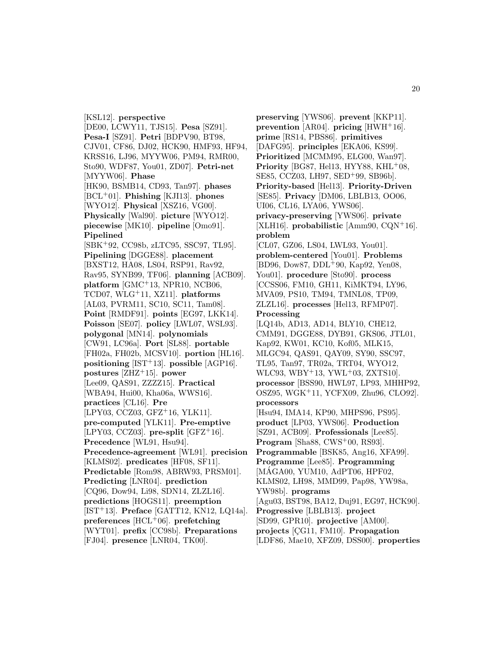[KSL12]. **perspective** [DE00, LCWY11, TJS15]. **Pesa** [SZ91]. **Pesa-I** [SZ91]. **Petri** [BDPV90, BT98, CJV01, CF86, DJ02, HCK90, HMF93, HF94, KRSS16, LJ96, MYYW06, PM94, RMR00, Sto90, WDF87, You01, ZD07]. **Petri-net** [MYYW06]. **Phase** [HK90, BSMB14, CD93, Tan97]. **phases** [BCL<sup>+</sup>01]. **Phishing** [KJI13]. **phones** [WYO12]. **Physical** [XSZ16, VG00]. **Physically** [Wal90]. **picture** [WYO12]. **piecewise** [MK10]. **pipeline** [Omo91]. **Pipelined** [SBK<sup>+</sup>92, CC98b, zLTC95, SSC97, TL95]. **Pipelining** [DGGE88]. **placement** [BXST12, HA08, LS04, RSP91, Rav92, Rav95, SYNB99, TF06]. **planning** [ACB09]. **platform** [GMC<sup>+</sup>13, NPR10, NCB06, TCD07, WLG<sup>+</sup>11, XZ11]. **platforms** [AL03, PVRM11, SC10, SC11, Tam08]. **Point** [RMDF91]. **points** [EG97, LKK14]. **Poisson** [SE07]. **policy** [LWL07, WSL93]. **polygonal** [MN14]. **polynomials** [CW91, LC96a]. **Port** [SL88]. **portable** [FH02a, FH02b, MCSV10]. **portion** [HL16]. **positioning** [IST<sup>+</sup>13]. **possible** [AGP16]. **postures** [ZHZ<sup>+</sup>15]. **power** [Lee09, QAS91, ZZZZ15]. **Practical** [WBA94, Hui00, Kha06a, WWS16]. **practices** [CL16]. **Pre** [LPY03, CCZ03, GFZ<sup>+</sup>16, YLK11]. **pre-computed** [YLK11]. **Pre-emptive** [LPY03, CCZ03].  $pre-split$  [GFZ<sup>+</sup>16]. **Precedence** [WL91, Hsu94]. **Precedence-agreement** [WL91]. **precision** [KLMS02]. **predicates** [HF08, SF11]. **Predictable** [Rom98, ABRW93, PRSM01]. **Predicting** [LNR04]. **prediction** [CQ96, Dow94, Li98, SDN14, ZLZL16]. **predictions** [HOGS11]. **preemption** [IST<sup>+</sup>13]. **Preface** [GATT12, KN12, LQ14a]. **preferences** [HCL<sup>+</sup>06]. **prefetching** [WYT01]. **prefix** [CC98b]. **Preparations**

[FJ04]. **presence** [LNR04, TK00].

**preserving** [YWS06]. **prevent** [KKP11]. **prevention** [AR04]. **pricing** [HWH<sup>+</sup>16]. **prime** [RS14, PBS86]. **primitives** [DAFG95]. **principles** [EKA06, KS99]. **Prioritized** [MCMM95, ELG00, Wan97]. **Priority** [BG87, Hel13, HYY88, KHL<sup>+</sup>08, SE85, CCZ03, LH97, SED<sup>+</sup>99, SB96b]. **Priority-based** [Hel13]. **Priority-Driven** [SE85]. **Privacy** [DM06, LBLB13, OO06, UI06, CL16, LYA06, YWS06]. **privacy-preserving** [YWS06]. **private** [XLH16]. **probabilistic** [Amm90, CQN<sup>+</sup>16]. **problem** [CL07, GZ06, LS04, LWL93, You01]. **problem-centered** [You01]. **Problems** [BD96, Dow87, DDL<sup>+</sup>90, Kap92, Yen08, You01]. **procedure** [Sto90]. **process** [CCSS06, FM10, GH11, KiMKT94, LY96, MVA09, PS10, TM94, TMNL08, TP09, ZLZL16]. **processes** [Hel13, RFMP07]. **Processing** [LQ14b, AD13, AD14, BLY10, CHE12, CMM91, DGGE88, DYB91, GKS06, JTL01, Kap92, KW01, KC10, Kof05, MLK15, MLGC94, QAS91, QAY09, SY90, SSC97, TL95, Tan97, TR02a, TRT04, WYO12, WLC93,  $WBY+13$ ,  $YWL+03$ ,  $ZXTS10$ . **processor** [BSS90, HWL97, LP93, MHHP92, OSZ95, WGK<sup>+</sup>11, YCFX09, Zhu96, CLO92]. **processors** [Hsu94, IMA14, KP90, MHPS96, PS95]. **product** [LP03, YWS06]. **Production** [SZ91, ACB09]. **Professionals** [Lee85]. **Program** [Sha88, CWS<sup>+</sup>00, RS93]. **Programmable** [BSK85, Ang16, XFA99]. **Programme** [Lee85]. **Programming** [MÁGA00, YUM10, AdPT06, HPF02, KLMS02, LH98, MMD99, Pap98, YW98a, YW98b]. **programs** [Agu03, BST98, BA12, Duj91, EG97, HCK90]. **Progressive** [LBLB13]. **project** [SD99, GPR10]. **projective** [AM00]. projects [CG11, FM10]. **Propagation** [LDF86, Mae10, XFZ09, DSS00]. **properties**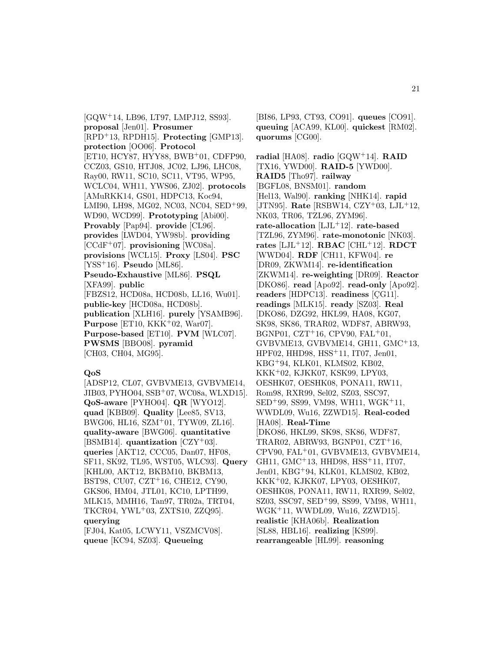[GQW<sup>+</sup>14, LB96, LT97, LMPJ12, SS93]. **proposal** [Jen01]. **Prosumer** [RPD<sup>+</sup>13, RPDH15]. **Protecting** [GMP13]. **protection** [OO06]. **Protocol** [ET10, HCY87, HYY88, BWB<sup>+</sup>01, CDFP90, CCZ03, GS10, HTJ08, JC02, LJ96, LHC08, Ray00, RW11, SC10, SC11, VT95, WP95, WCLC04, WH11, YWS06, ZJ02]. **protocols** [AMuRKK14, GS01, HDPC13, Koc94, LMI90, LH98, MG02, NC03, NC04, SED<sup>+</sup>99, WD90, WCD99]. **Prototyping** [Abi00]. **Provably** [Pap94]. **provide** [CL96]. **provides** [LWD04, YW98b]. **providing** [CCdF<sup>+</sup>07]. **provisioning** [WC08a]. **provisions** [WCL15]. **Proxy** [LS04]. **PSC** [YSS<sup>+</sup>16]. **Pseudo** [ML86]. **Pseudo-Exhaustive** [ML86]. **PSQL** [XFA99]. **public** [FBZS12, HCD08a, HCD08b, LL16, Wu01]. **public-key** [HCD08a, HCD08b]. **publication** [XLH16]. **purely** [YSAMB96]. **Purpose** [ET10, KKK<sup>+</sup>02, War07]. **Purpose-based** [ET10]. **PVM** [WLC07]. **PWSMS** [BBO08]. **pyramid** [CH03, CH04, MG95].

#### **QoS**

[ADSP12, CL07, GVBVME13, GVBVME14, JIB03, PYHO04, SSB<sup>+</sup>07, WC08a, WLXD15]. **QoS-aware** [PYHO04]. **QR** [WYO12]. **quad** [KBB09]. **Quality** [Lee85, SV13, BWG06, HL16, SZM<sup>+</sup>01, TYW09, ZL16]. **quality-aware** [BWG06]. **quantitative** [BSMB14]. **quantization** [CZY<sup>+</sup>03]. **queries** [AKT12, CCC05, Dan07, HF08, SF11, SK92, TL95, WST05, WLC93]. **Query** [KHL00, AKT12, BKBM10, BKBM13, BST98, CU07, CZT<sup>+</sup>16, CHE12, CY90, GKS06, HM04, JTL01, KC10, LPTH99, MLK15, MMH16, Tan97, TR02a, TRT04, TKCR04, YWL<sup>+</sup>03, ZXTS10, ZZQ95]. **querying** [FJ04, Kat05, LCWY11, VSZMCV08].

**queue** [KC94, SZ03]. **Queueing**

[BI86, LP93, CT93, CO91]. **queues** [CO91]. **queuing** [ACA99, KL00]. **quickest** [RM02]. **quorums** [CG00].

**radial** [HA08]. **radio** [GQW<sup>+</sup>14]. **RAID** [TX16, YWD00]. **RAID-5** [YWD00]. **RAID5** [Tho97]. **railway** [BGFL08, BNSM01]. **random** [Hel13, Wal90]. **ranking** [NHK14]. **rapid** [JTN95]. **Rate** [RSBW14, CZY<sup>+</sup>03, LJL<sup>+</sup>12, NK03, TR06, TZL96, ZYM96]. **rate-allocation** [LJL<sup>+</sup>12]. **rate-based** [TZL96, ZYM96]. **rate-monotonic** [NK03]. **rates** [LJL<sup>+</sup>12]. **RBAC** [CHL<sup>+</sup>12]. **RDCT** [WWD04]. **RDF** [CH11, KFW04]. **re** [DR09, ZKWM14]. **re-identification** [ZKWM14]. **re-weighting** [DR09]. **Reactor** [DKO86]. **read** [Apo92]. **read-only** [Apo92]. **readers** [HDPC13]. **readiness** [CG11]. **readings** [MLK15]. **ready** [SZ03]. **Real** [DKO86, DZG92, HKL99, HA08, KG07, SK98, SK86, TRAR02, WDF87, ABRW93, BGNP01, CZT<sup>+</sup>16, CPV90, FAL<sup>+</sup>01,  $GVBVME13, GVBVME14, GHI1, GMC<sup>+</sup>13,$ HPF02, HHD98, HSS<sup>+</sup>11, IT07, Jen01, KBG<sup>+</sup>94, KLK01, KLMS02, KB02, KKK<sup>+</sup>02, KJKK07, KSK99, LPY03, OESHK07, OESHK08, PONA11, RW11, Rom98, RXR99, Sel02, SZ03, SSC97, SED<sup>+</sup>99, SS99, VM98, WH11, WGK<sup>+</sup>11, WWDL09, Wu16, ZZWD15]. **Real-coded** [HA08]. **Real-Time** [DKO86, HKL99, SK98, SK86, WDF87, TRAR02, ABRW93, BGNP01,  $CZT+16$ , CPV90, FAL<sup>+</sup>01, GVBVME13, GVBVME14, GH11, GMC<sup>+</sup>13, HHD98, HSS<sup>+</sup>11, IT07, Jen01, KBG<sup>+</sup>94, KLK01, KLMS02, KB02, KKK<sup>+</sup>02, KJKK07, LPY03, OESHK07, OESHK08, PONA11, RW11, RXR99, Sel02, SZ03, SSC97, SED<sup>+</sup>99, SS99, VM98, WH11, WGK<sup>+</sup>11, WWDL09, Wu16, ZZWD15]. **realistic** [KHA06b]. **Realization** [SL88, HBL16]. **realizing** [KS99]. **rearrangeable** [HL99]. **reasoning**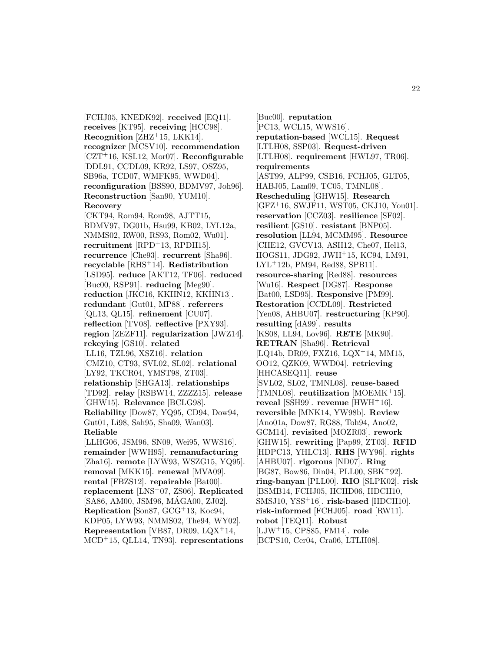[FCHJ05, KNEDK92]. **received** [EQ11]. **receives** [KT95]. **receiving** [HCC98]. **Recognition** [ZHZ<sup>+</sup>15, LKK14]. **recognizer** [MCSV10]. **recommendation** [CZT<sup>+</sup>16, KSL12, Mor07]. **Reconfigurable** [DDL91, CCDL09, KR92, LS97, OSZ95, SB96a, TCD07, WMFK95, WWD04]. **reconfiguration** [BSS90, BDMV97, Joh96]. **Reconstruction** [San90, YUM10]. **Recovery** [CKT94, Rom94, Rom98, AJTT15, BDMV97, DG01b, Hsu99, KB02, LYL12a, NMMS02, RW00, RS93, Rom02, Wu01]. **recruitment** [RPD<sup>+</sup>13, RPDH15]. **recurrence** [Che93]. **recurrent** [Sha96]. **recyclable** [RHS<sup>+</sup>14]. **Redistribution** [LSD95]. **reduce** [AKT12, TF06]. **reduced** [Buc00, RSP91]. **reducing** [Meg90]. **reduction** [JKC16, KKHN12, KKHN13]. **redundant** [Gut01, MP88]. **referrers** [QL13, QL15]. **refinement** [CU07]. **reflection** [TV08]. **reflective** [PXY93]. **region** [ZEZF11]. **regularization** [JWZ14]. **rekeying** [GS10]. **related** [LL16, TZL96, XSZ16]. **relation** [CMZ10, CT93, SVL02, SL02]. **relational** [LY92, TKCR04, YMST98, ZT03]. **relationship** [SHGA13]. **relationships** [TD92]. **relay** [RSBW14, ZZZZ15]. **release** [GHW15]. **Relevance** [BCLG98]. **Reliability** [Dow87, YQ95, CD94, Dow94, Gut01, Li98, Sah95, Sha09, Wan03]. **Reliable** [LLHG06, JSM96, SN09, Wei95, WWS16]. **remainder** [WWH95]. **remanufacturing** [Zha16]. **remote** [LYW93, WSZG15, YQ95]. **removal** [MKK15]. **renewal** [MVA09]. **rental** [FBZS12]. **repairable** [Bat00]. **replacement** [LNS<sup>+</sup>07, ZS06]. **Replicated** [SA86, AM00, JSM96, MAGA00, ZJ02]. ´ **Replication** [Son87, GCG<sup>+</sup>13, Koc94, KDP05, LYW93, NMMS02, The94, WY02]. **Representation** [VB87, DR09, LQX<sup>+</sup>14,

MCD<sup>+</sup>15, QLL14, TN93]. **representations**

[Buc00]. **reputation** [PC13, WCL15, WWS16]. **reputation-based** [WCL15]. **Request** [LTLH08, SSP03]. **Request-driven** [LTLH08]. **requirement** [HWL97, TR06]. **requirements** [AST99, ALP99, CSB16, FCHJ05, GLT05, HABJ05, Lam09, TC05, TMNL08]. **Rescheduling** [GHW15]. **Research** [GFZ<sup>+</sup>16, SWJF11, WST05, CKJ10, You01]. **reservation** [CCZ03]. **resilience** [SF02]. **resilient** [GS10]. **resistant** [BNP05]. **resolution** [LL94, MCMM95]. **Resource** [CHE12, GVCV13, ASH12, Che07, Hel13, HOGS11, JDG92, JWH<sup>+</sup>15, KC94, LM91, LYL<sup>+</sup>12b, PM94, Red88, SPB11]. **resource-sharing** [Red88]. **resources** [Wu16]. **Respect** [DG87]. **Response** [Bat00, LSD95]. **Responsive** [PM99]. **Restoration** [CCDL09]. **Restricted** [Yen08, AHBU07]. **restructuring** [KP90]. **resulting** [dA99]. **results** [KS08, LL94, Lov96]. **RETE** [MK90]. **RETRAN** [Sha96]. **Retrieval** [LQ14b, DR09, FXZ16, LQX<sup>+</sup>14, MM15, OO12, QZK09, WWD04]. **retrieving** [HHCASEQ11]. **reuse** [SVL02, SL02, TMNL08]. **reuse-based** [TMNL08]. **reutilization** [MOEMK<sup>+</sup>15]. **reveal** [SSH99]. **revenue** [HWH<sup>+</sup>16]. **reversible** [MNK14, YW98b]. **Review** [Ano01a, Dow87, RG88, Toh94, Ano02, GCM14]. **revisited** [MOZR03]. **rework** [GHW15]. **rewriting** [Pap99, ZT03]. **RFID** [HDPC13, YHLC13]. **RHS** [WY96]. **rights** [AHBU07]. **rigorous** [ND07]. **Ring** [BG87, Bow86, Din04, PLL00, SBK<sup>+</sup>92]. **ring-banyan** [PLL00]. **RIO** [SLPK02]. **risk** [BSMB14, FCHJ05, HCHD06, HDCH10, SMSJ10, YSS<sup>+</sup>16]. **risk-based** [HDCH10]. **risk-informed** [FCHJ05]. **road** [RW11]. **robot** [TEQ11]. **Robust** [LJW<sup>+</sup>15, CPS85, FM14]. **role** [BCPS10, Cer04, Cra06, LTLH08].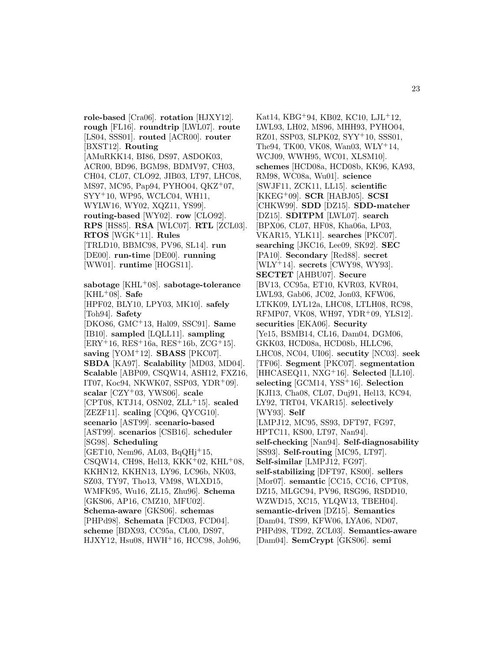**role-based** [Cra06]. **rotation** [HJXY12]. **rough** [FL16]. **roundtrip** [LWL07]. **route** [LS04, SSS01]. **routed** [ACR00]. **router** [BXST12]. **Routing** [AMuRKK14, BI86, DS97, ASDOK03, ACR00, BD96, BGM98, BDMV97, CH03, CH04, CL07, CLO92, JIB03, LT97, LHC08, MS97, MC95, Pap94, PYHO04, QKZ<sup>+</sup>07, SYY<sup>+</sup>10, WP95, WCLC04, WH11, WYLW16, WY02, XQZ11, YS99]. **routing-based** [WY02]. **row** [CLO92]. **RPS** [HS85]. **RSA** [WLC07]. **RTL** [ZCL03]. **RTOS** [WGK<sup>+</sup>11]. **Rules** [TRLD10, BBMC98, PV96, SL14]. **run** [DE00]. **run-time** [DE00]. **running** [WW01]. **runtime** [HOGS11]. **sabotage** [KHL<sup>+</sup>08]. **sabotage-tolerance** [KHL<sup>+</sup>08]. **Safe** [HPF02, BLY10, LPY03, MK10]. **safely** [Toh94]. **Safety** [DKO86, GMC<sup>+</sup>13, Hal09, SSC91]. **Same** [IB10]. **sampled** [LQLL11]. **sampling**  $[ERY + 16, RES + 16a, RES + 16b, ZCG + 15].$ **saving** [YOM<sup>+</sup>12]. **SBASS** [PKC07]. **SBDA** [KA97]. **Scalability** [MD03, MD04]. **Scalable** [ABP09, CSQW14, ASH12, FXZ16, IT07, Koc94, NKWK07, SSP03, YDR<sup>+</sup>09]. **scalar** [CZY<sup>+</sup>03, YWS06]. **scale** [CPT08, KTJ14, OSN02, ZLL<sup>+</sup>15]. **scaled** [ZEZF11]. **scaling** [CQ96, QYCG10]. **scenario** [AST99]. **scenario-based** [AST99]. **scenarios** [CSB16]. **scheduler** [SG98]. **Scheduling**  $[GET10, Nem96, AL03, BqQHj+15,$ CSQW14, CH98, Hel13, KKK<sup>+</sup>02, KHL<sup>+</sup>08, KKHN12, KKHN13, LY96, LC96b, NK03, SZ03, TY97, Tho13, VM98, WLXD15, WMFK95, Wu16, ZL15, Zhu96]. **Schema** [GKS06, AP16, CMZ10, MFU02]. **Schema-aware** [GKS06]. **schemas** [PHPd98]. **Schemata** [FCD03, FCD04]. **scheme** [BDX93, CC95a, CL00, DS97, HJXY12, Hsu08, HWH<sup>+</sup>16, HCC98, Joh96,

Kat14, KBG<sup>+</sup>94, KB02, KC10, LJL<sup>+</sup>12, LWL93, LH02, MS96, MHH93, PYHO04, RZ01, SSP03, SLPK02, SYY<sup>+</sup>10, SSS01, The94, TK00, VK08, Wan03, WLY<sup>+</sup>14, WCJ09, WWH95, WC01, XLSM10]. **schemes** [HCD08a, HCD08b, KK96, KA93, RM98, WC08a, Wu01]. **science** [SWJF11, ZCK11, LL15]. **scientific** [KKEG<sup>+</sup>09]. **SCR** [HABJ05]. **SCSI** [CHKW99]. **SDD** [DZ15]. **SDD-matcher** [DZ15]. **SDITPM** [LWL07]. **search** [BPX06, CL07, HF08, Kha06a, LP03, VKAR15, YLK11]. **searches** [PKC07]. **searching** [JKC16, Lee09, SK92]. **SEC** [PA10]. **Secondary** [Red88]. **secret** [WLY<sup>+</sup>14]. **secrets** [CWY98, WY93]. **SECTET** [AHBU07]. **Secure** [BV13, CC95a, ET10, KVR03, KVR04, LWL93, Gab06, JC02, Jon03, KFW06, LTKK09, LYL12a, LHC08, LTLH08, RC98, RFMP07, VK08, WH97, YDR<sup>+</sup>09, YLS12]. **securities** [EKA06]. **Security** [Ye15, BSMB14, CL16, Dam04, DGM06, GKK03, HCD08a, HCD08b, HLLC96, LHC08, NC04, UI06]. **secutity** [NC03]. **seek** [TF06]. **Segment** [PKC07]. **segmentation** [HHCASEQ11, NXG<sup>+</sup>16]. **Selected** [LL10]. **selecting** [GCM14, YSS<sup>+</sup>16]. **Selection** [KJI13, Cha08, CL07, Duj91, Hel13, KC94, LY92, TRT04, VKAR15]. **selectively** [WY93]. **Self** [LMPJ12, MC95, SS93, DFT97, FG97, HPTC11, KS00, LT97, Nan94]. **self-checking** [Nan94]. **Self-diagnosability** [SS93]. **Self-routing** [MC95, LT97]. **Self-similar** [LMPJ12, FG97]. **self-stabilizing** [DFT97, KS00]. **sellers** [Mor07]. **semantic** [CC15, CC16, CPT08, DZ15, MLGC94, PV96, RSG96, RSDD10, WZWD15, XC15, YLQW13, TBEH04]. **semantic-driven** [DZ15]. **Semantics** [Dam04, TS99, KFW06, LYA06, ND07, PHPd98, TD92, ZCL03]. **Semantics-aware** [Dam04]. **SemCrypt** [GKS06]. **semi**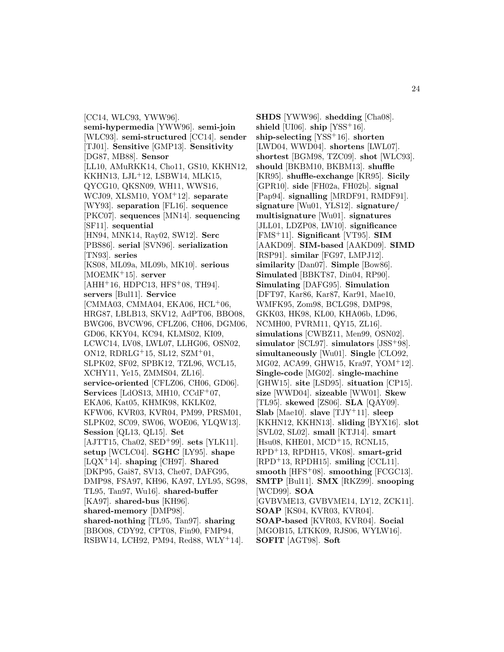[CC14, WLC93, YWW96]. **semi-hypermedia** [YWW96]. **semi-join** [WLC93]. **semi-structured** [CC14]. **sender** [TJ01]. **Sensitive** [GMP13]. **Sensitivity** [DG87, MB88]. **Sensor** [LL10, AMuRKK14, Cho11, GS10, KKHN12, KKHN13, LJL<sup>+</sup>12, LSBW14, MLK15, QYCG10, QKSN09, WH11, WWS16, WCJ09, XLSM10, YOM<sup>+</sup>12]. **separate** [WY93]. **separation** [FL16]. **sequence** [PKC07]. **sequences** [MN14]. **sequencing** [SF11]. **sequential** [HN94, MNK14, Ray02, SW12]. **Serc** [PBS86]. **serial** [SVN96]. **serialization** [TN93]. **series** [KS08, ML09a, ML09b, MK10]. **serious** [MOEMK<sup>+</sup>15]. **server**  $[AHH<sup>+</sup>16, HDPC13, HFS<sup>+</sup>08, TH94].$ **servers** [Bul11]. **Service**  $[CMMA03, CMMA04, EKA06, HCL<sup>+</sup>06,$ HRG87, LBLB13, SKV12, AdPT06, BBO08, BWG06, BVCW96, CFLZ06, CH06, DGM06, GD06, KKY04, KC94, KLMS02, KI09, LCWC14, LV08, LWL07, LLHG06, OSN02, ON12, RDRLG<sup>+</sup>15, SL12, SZM<sup>+</sup>01, SLPK02, SF02, SPBK12, TZL96, WCL15, XCHY11, Ye15, ZMMS04, ZL16]. **service-oriented** [CFLZ06, CH06, GD06]. **Services** [LdOS13, MH10, CCdF<sup>+</sup>07, EKA06, Kat05, KHMK98, KKLK02, KFW06, KVR03, KVR04, PM99, PRSM01, SLPK02, SC09, SW06, WOE06, YLQW13]. **Session** [QL13, QL15]. **Set** [AJTT15, Cha02, SED<sup>+</sup>99]. **sets** [YLK11]. **setup** [WCLC04]. **SGHC** [LY95]. **shape** [LQX<sup>+</sup>14]. **shaping** [CH97]. **Shared** [DKP95, Gai87, SV13, Che07, DAFG95, DMP98, FSA97, KH96, KA97, LYL95, SG98, TL95, Tan97, Wu16]. **shared-buffer** [KA97]. **shared-bus** [KH96]. **shared-memory** [DMP98]. **shared-nothing** [TL95, Tan97]. **sharing** [BBO08, CDY92, CPT08, Fin90, FMP94, RSBW14, LCH92, PM94, Red88, WLY<sup>+</sup>14].

**SHDS** [YWW96]. **shedding** [Cha08]. **shield** [UI06]. **ship** [YSS<sup>+</sup>16]. **ship-selecting** [YSS<sup>+</sup>16]. **shorten** [LWD04, WWD04]. **shortens** [LWL07]. **shortest** [BGM98, TZC09]. **shot** [WLC93]. **should** [BKBM10, BKBM13]. **shuffle** [KR95]. **shuffle-exchange** [KR95]. **Sicily** [GPR10]. **side** [FH02a, FH02b]. **signal** [Pap94]. **signalling** [MRDF91, RMDF91]. **signature** [Wu01, YLS12]. **signature/ multisignature** [Wu01]. **signatures** [JLL01, LDZP08, LW10]. **significance** [FMS<sup>+</sup>11]. **Significant** [VT95]. **SIM** [AAKD09]. **SIM-based** [AAKD09]. **SIMD** [RSP91]. **similar** [FG97, LMPJ12]. **similarity** [Dan07]. **Simple** [Bow86]. **Simulated** [BBKT87, Din04, RP90]. **Simulating** [DAFG95]. **Simulation** [DFT97, Kar86, Kar87, Kar91, Mae10, WMFK95, Zom98, BCLG98, DMP98, GKK03, HK98, KL00, KHA06b, LD96, NCMH00, PVRM11, QY15, ZL16]. **simulations** [CWBZ11, Men99, OSN02]. **simulator** [SCL97]. **simulators** [JSS<sup>+</sup>98]. **simultaneously** [Wu01]. **Single** [CLO92, MG02, ACA99, GHW15, Kra97, YOM<sup>+</sup>12]. **Single-code** [MG02]. **single-machine** [GHW15]. **site** [LSD95]. **situation** [CP15]. **size** [WWD04]. **sizeable** [WW01]. **Skew** [TL95]. **skewed** [ZS06]. **SLA** [QAY09]. **Slab** [Mae10]. **slave** [TJY<sup>+</sup>11]. **sleep** [KKHN12, KKHN13]. **sliding** [BYX16]. **slot** [SVL02, SL02]. **small** [KTJ14]. **smart** [Hsu08, KHE01, MCD<sup>+</sup>15, RCNL15, RPD<sup>+</sup>13, RPDH15, VK08]. **smart-grid** [RPD<sup>+</sup>13, RPDH15]. **smiling** [CCL11]. **smooth** [HFS<sup>+</sup>08]. **smoothing** [FCGC13]. **SMTP** [Bul11]. **SMX** [RKZ99]. **snooping** [WCD99]. **SOA** [GVBVME13, GVBVME14, LY12, ZCK11]. **SOAP** [KS04, KVR03, KVR04]. **SOAP-based** [KVR03, KVR04]. **Social** [MGOB15, LTKK09, RJS06, WYLW16]. **SOFIT** [AGT98]. **Soft**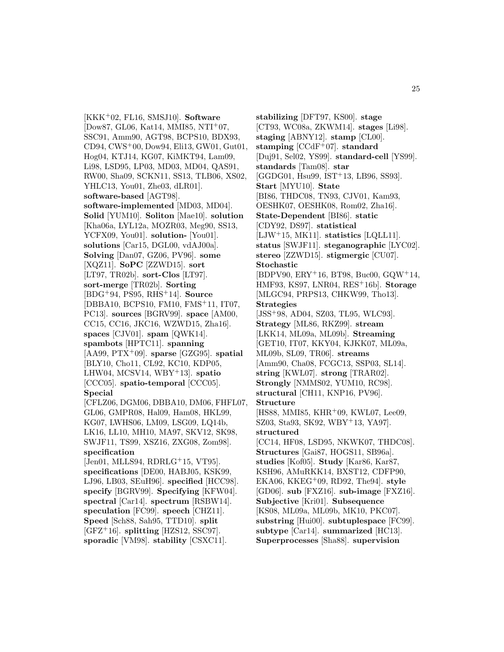[KKK<sup>+</sup>02, FL16, SMSJ10]. **Software** [Dow87, GL06, Kat14, MMI85, NTI<sup>+</sup>07, SSC91, Amm90, AGT98, BCPS10, BDX93, CD94, CWS<sup>+</sup>00, Dow94, Eli13, GW01, Gut01, Hog04, KTJ14, KG07, KiMKT94, Lam09, Li98, LSD95, LP03, MD03, MD04, QAS91, RW00, Sha09, SCKN11, SS13, TLB06, XS02, YHLC13, You01, Zhe03, dLR01]. **software-based** [AGT98]. **software-implemented** [MD03, MD04]. **Solid** [YUM10]. **Soliton** [Mae10]. **solution** [Kha06a, LYL12a, MOZR03, Meg90, SS13, YCFX09, You01]. **solution-** [You01]. **solutions** [Car15, DGL00, vdAJ00a]. **Solving** [Dan07, GZ06, PV96]. **some** [XQZ11]. **SoPC** [ZZWD15]. **sort** [LT97, TR02b]. **sort-Clos** [LT97]. **sort-merge** [TR02b]. **Sorting** [BDG<sup>+</sup>94, PS95, RHS<sup>+</sup>14]. **Source** [DBBA10, BCPS10, FM10, FMS<sup>+</sup>11, IT07, PC13]. **sources** [BGRV99]. **space** [AM00, CC15, CC16, JKC16, WZWD15, Zha16]. **spaces** [CJV01]. **spam** [QWK14]. **spambots** [HPTC11]. **spanning** [AA99, PTX<sup>+</sup>09]. **sparse** [GZG95]. **spatial** [BLY10, Cho11, CL92, KC10, KDP05, LHW04, MCSV14, WBY<sup>+</sup>13]. **spatio** [CCC05]. **spatio-temporal** [CCC05]. **Special** [CFLZ06, DGM06, DBBA10, DM06, FHFL07, GL06, GMPR08, Hal09, Ham08, HKL99, KG07, LWHS06, LM09, LSG09, LQ14b, LK16, LL10, MH10, MA97, SKV12, SK98, SWJF11, TS99, XSZ16, ZXG08, Zom98]. **specification** [Jen01, MLLS94, RDRLG<sup>+</sup>15, VT95]. **specifications** [DE00, HABJ05, KSK99, LJ96, LB03, SEuH96]. **specified** [HCC98]. **specify** [BGRV99]. **Specifying** [KFW04]. **spectral** [Car14]. **spectrum** [RSBW14]. **speculation** [FC99]. **speech** [CHZ11]. **Speed** [Sch88, Sah95, TTD10]. **split** [GFZ<sup>+</sup>16]. **splitting** [HZS12, SSC97].

**sporadic** [VM98]. **stability** [CSXC11].

**stabilizing** [DFT97, KS00]. **stage** [CT93, WC08a, ZKWM14]. **stages** [Li98]. **staging** [ABNY12]. **stamp** [CL00]. **stamping** [CCdF<sup>+</sup>07]. **standard** [Duj91, Sel02, YS99]. **standard-cell** [YS99]. **standards** [Tam08]. **star** [GGDG01, Hsu99, IST<sup>+</sup>13, LB96, SS93]. **Start** [MYU10]. **State** [BI86, THDC08, TN93, CJV01, Kam93, OESHK07, OESHK08, Rom02, Zha16]. **State-Dependent** [BI86]. **static** [CDY92, DS97]. **statistical** [LJW<sup>+</sup>15, MK11]. **statistics** [LQLL11]. **status** [SWJF11]. **steganographic** [LYC02]. **stereo** [ZZWD15]. **stigmergic** [CU07]. **Stochastic** [BDPV90, ERY<sup>+</sup>16, BT98, Buc00, GQW<sup>+</sup>14, HMF93, KS97, LNR04, RES<sup>+</sup>16b]. **Storage** [MLGC94, PRPS13, CHKW99, Tho13]. **Strategies** [JSS<sup>+</sup>98, AD04, SZ03, TL95, WLC93]. **Strategy** [ML86, RKZ99]. **stream** [LKK14, ML09a, ML09b]. **Streaming** [GET10, IT07, KKY04, KJKK07, ML09a, ML09b, SL09, TR06]. **streams** [Amm90, Cha08, FCGC13, SSP03, SL14]. **string** [KWL07]. **strong** [TRAR02]. **Strongly** [NMMS02, YUM10, RC98]. **structural** [CH11, KNP16, PV96]. **Structure** [HS88, MMI85, KHR<sup>+</sup>09, KWL07, Lee09, SZ03, Sta93, SK92, WBY<sup>+</sup>13, YA97]. **structured** [CC14, HF08, LSD95, NKWK07, THDC08]. **Structures** [Gai87, HOGS11, SB96a]. **studies** [Kof05]. **Study** [Kar86, Kar87, KSH96, AMuRKK14, BXST12, CDFP90, EKA06, KKEG<sup>+</sup>09, RD92, The94]. **style** [GD06]. **sub** [FXZ16]. **sub-image** [FXZ16]. **Subjective** [Kri01]. **Subsequence** [KS08, ML09a, ML09b, MK10, PKC07]. **substring** [Hui00]. **subtuplespace** [FC99]. **subtype** [Car14]. **summarized** [HC13]. **Superprocesses** [Sha88]. **supervision**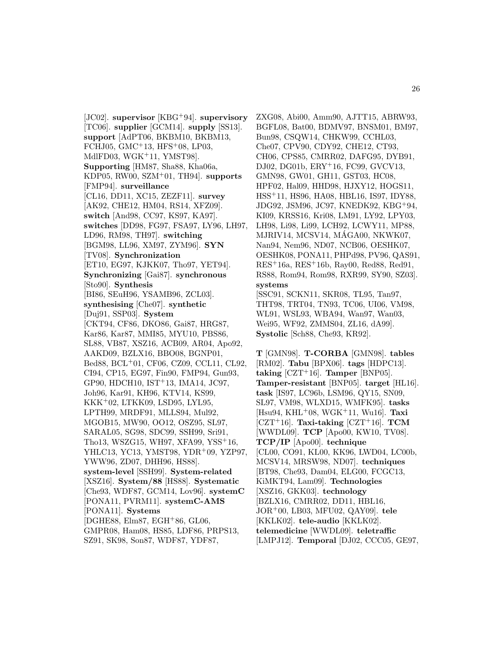[JC02]. **supervisor** [KBG<sup>+</sup>94]. **supervisory** [TC06]. **supplier** [GCM14]. **supply** [SS13]. **support** [AdPT06, BKBM10, BKBM13, FCHJ05, GMC<sup>+</sup>13, HFS<sup>+</sup>08, LP03, MdlFD03, WGK<sup>+</sup>11, YMST98]. **Supporting** [HM87, Sha88, Kha06a, KDP05, RW00, SZM<sup>+</sup>01, TH94]. **supports** [FMP94]. **surveillance** [CL16, DD11, XC15, ZEZF11]. **survey** [AK92, CHE12, HM04, RS14, XFZ09]. **switch** [And98, CC97, KS97, KA97]. **switches** [DD98, FG97, FSA97, LY96, LH97, LD96, RM98, TH97]. **switching** [BGM98, LL96, XM97, ZYM96]. **SYN** [TV08]. **Synchronization** [ET10, EG97, KJKK07, Tho97, YET94]. **Synchronizing** [Gai87]. **synchronous** [Sto90]. **Synthesis** [BI86, SEuH96, YSAMB96, ZCL03]. **synthesising** [Che07]. **synthetic** [Duj91, SSP03]. **System** [CKT94, CF86, DKO86, Gai87, HRG87, Kar86, Kar87, MMI85, MYU10, PBS86, SL88, VB87, XSZ16, ACB09, AR04, Apo92, AAKD09, BZLX16, BBO08, BGNP01, Bed88, BCL<sup>+</sup>01, CF06, CZ09, CCL11, CL92, CI94, CP15, EG97, Fin90, FMP94, Gun93, GP90, HDCH10, IST<sup>+</sup>13, IMA14, JC97, Joh96, Kar91, KH96, KTV14, KS99, KKK<sup>+</sup>02, LTKK09, LSD95, LYL95, LPTH99, MRDF91, MLLS94, Mul92, MGOB15, MW90, OO12, OSZ95, SL97, SARAL05, SG98, SDC99, SSH99, Sri91, Tho13, WSZG15, WH97, XFA99, YSS<sup>+</sup>16, YHLC13, YC13, YMST98, YDR<sup>+</sup>09, YZP97, YWW96, ZD07, DHH96, HS88]. **system-level** [SSH99]. **System-related** [XSZ16]. **System/88** [HS88]. **Systematic** [Che93, WDF87, GCM14, Lov96]. **systemC** [PONA11, PVRM11]. **systemC-AMS** [PONA11]. **Systems** [DGHE88, Elm87, EGH<sup>+</sup>86, GL06, GMPR08, Ham08, HS85, LDF86, PRPS13, SZ91, SK98, Son87, WDF87, YDF87,

ZXG08, Abi00, Amm90, AJTT15, ABRW93, BGFL08, Bat00, BDMV97, BNSM01, BM97, Bun98, CSQW14, CHKW99, CCHL03, Che07, CPV90, CDY92, CHE12, CT93, CH06, CPS85, CMRR02, DAFG95, DYB91, DJ02, DG01b, ERY<sup>+</sup>16, FC99, GVCV13, GMN98, GW01, GH11, GST03, HC08, HPF02, Hal09, HHD98, HJXY12, HOGS11, HSS<sup>+</sup>11, HS96, HA08, HBL16, IS97, IDY88, JDG92, JSM96, JC97, KNEDK92, KBG<sup>+</sup>94, KI09, KRSS16, Kri08, LM91, LY92, LPY03, LH98, Li98, Li99, LCH92, LCWY11, MP88, MJRIV14, MCSV14, MÁGA00, NKWK07, Nan94, Nem96, ND07, NCB06, OESHK07, OESHK08, PONA11, PHPd98, PV96, QAS91, RES<sup>+</sup>16a, RES<sup>+</sup>16b, Ray00, Red88, Red91, RS88, Rom94, Rom98, RXR99, SY90, SZ03]. **systems** [SSC91, SCKN11, SKR08, TL95, Tan97, THT98, TRT04, TN93, TC06, UI06, VM98, WL91, WSL93, WBA94, Wan97, Wan03, Wei95, WF92, ZMMS04, ZL16, dA99]. **Systolic** [Sch88, Che93, KR92].

**T** [GMN98]. **T-CORBA** [GMN98]. **tables** [RM02]. **Tabu** [BPX06]. **tags** [HDPC13].  $\text{taking } [CZT^+16]$ . **Tamper** [BNP05]. **Tamper-resistant** [BNP05]. **target** [HL16]. **task** [IS97, LC96b, LSM96, QY15, SN09, SL97, VM98, WLXD15, WMFK95]. **tasks** [Hsu94, KHL<sup>+</sup>08, WGK<sup>+</sup>11, Wu16]. **Taxi** [CZT<sup>+</sup>16]. **Taxi-taking** [CZT<sup>+</sup>16]. **TCM** [WWDL09]. **TCP** [Apo00, KW10, TV08]. **TCP/IP** [Apo00]. **technique** [CL00, CO91, KL00, KK96, LWD04, LC00b, MCSV14, MRSW98, ND07]. **techniques** [BT98, Che93, Dam04, ELG00, FCGC13, KiMKT94, Lam09]. **Technologies** [XSZ16, GKK03]. **technology** [BZLX16, CMRR02, DD11, HBL16, JOR<sup>+</sup>00, LB03, MFU02, QAY09]. **tele** [KKLK02]. **tele-audio** [KKLK02]. **telemedicine** [WWDL09]. **teletraffic** [LMPJ12]. **Temporal** [DJ02, CCC05, GE97,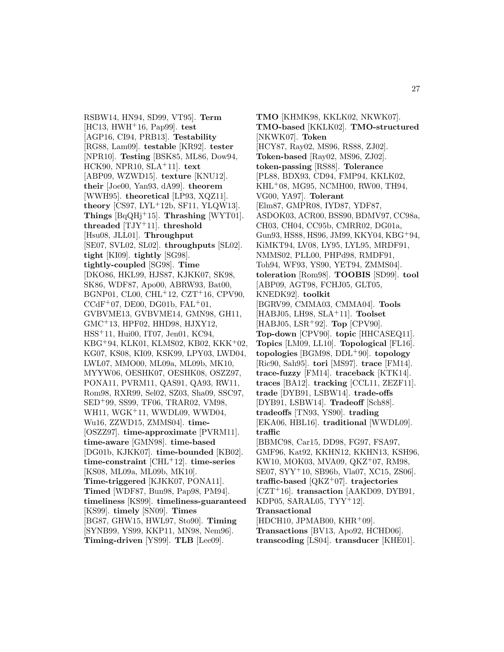RSBW14, HN94, SD99, VT95]. **Term** [HC13, HWH<sup>+</sup>16, Pap99]. **test** [AGP16, CI94, PRB13]. **Testability** [RG88, Lam09]. **testable** [KR92]. **tester** [NPR10]. **Testing** [BSK85, ML86, Dow94, HCK90, NPR10, SLA<sup>+</sup>11]. **text** [ABP09, WZWD15]. **texture** [KNU12]. **their** [Joe00, Yan93, dA99]. **theorem** [WWH95]. **theoretical** [LP93, XQZ11]. **theory** [CS97, LYL<sup>+</sup>12b, SF11, YLQW13]. **Things** [BqQHj<sup>+</sup>15]. **Thrashing** [WYT01]. **threaded** [TJY<sup>+</sup>11]. **threshold** [Hsu08, JLL01]. **Throughput** [SE07, SVL02, SL02]. **throughputs** [SL02]. **tight** [KI09]. **tightly** [SG98]. **tightly-coupled** [SG98]. **Time** [DKO86, HKL99, HJS87, KJKK07, SK98, SK86, WDF87, Apo00, ABRW93, Bat00, BGNP01, CL00, CHL<sup>+</sup>12, CZT<sup>+</sup>16, CPV90,  $CCdF+07$ , DE00, DG01b, FAL $+01$ , GVBVME13, GVBVME14, GMN98, GH11, GMC<sup>+</sup>13, HPF02, HHD98, HJXY12, HSS<sup>+</sup>11, Hui00, IT07, Jen01, KC94, KBG<sup>+</sup>94, KLK01, KLMS02, KB02, KKK<sup>+</sup>02, KG07, KS08, KI09, KSK99, LPY03, LWD04, LWL07, MMO00, ML09a, ML09b, MK10, MYYW06, OESHK07, OESHK08, OSZZ97, PONA11, PVRM11, QAS91, QA93, RW11, Rom98, RXR99, Sel02, SZ03, Sha09, SSC97, SED<sup>+</sup>99, SS99, TF06, TRAR02, VM98, WH11, WGK<sup>+</sup>11, WWDL09, WWD04, Wu16, ZZWD15, ZMMS04]. **time-** [OSZZ97]. **time-approximate** [PVRM11]. **time-aware** [GMN98]. **time-based** [DG01b, KJKK07]. **time-bounded** [KB02]. **time-constraint** [CHL<sup>+</sup>12]. **time-series** [KS08, ML09a, ML09b, MK10]. **Time-triggered** [KJKK07, PONA11]. **Timed** [WDF87, Bun98, Pap98, PM94]. **timeliness** [KS99]. **timeliness-guaranteed** [KS99]. **timely** [SN09]. **Times** [BG87, GHW15, HWL97, Sto90]. **Timing** [SYNB99, YS99, KKP11, MN98, Nem96]. **Timing-driven** [YS99]. **TLB** [Lee09].

**TMO** [KHMK98, KKLK02, NKWK07]. **TMO-based** [KKLK02]. **TMO-structured** [NKWK07]. **Token** [HCY87, Ray02, MS96, RS88, ZJ02]. **Token-based** [Ray02, MS96, ZJ02]. **token-passing** [RS88]. **Tolerance** [PL88, BDX93, CD94, FMP94, KKLK02, KHL<sup>+</sup>08, MG95, NCMH00, RW00, TH94, VG00, YA97]. **Tolerant** [Elm87, GMPR08, IYD87, YDF87, ASDOK03, ACR00, BSS90, BDMV97, CC98a, CH03, CH04, CC95b, CMRR02, DG01a, Gun93, HS88, HS96, JM99, KKY04, KBG<sup>+</sup>94, KiMKT94, LV08, LY95, LYL95, MRDF91, NMMS02, PLL00, PHPd98, RMDF91, Toh94, WF93, YS90, YET94, ZMMS04]. **toleration** [Rom98]. **TOOBIS** [SD99]. **tool** [ABP09, AGT98, FCHJ05, GLT05, KNEDK92]. **toolkit** [BGRV99, CMMA03, CMMA04]. **Tools** [HABJ05, LH98, SLA<sup>+</sup>11]. **Toolset** [HABJ05, LSR<sup>+</sup>92]. **Top** [CPV90]. **Top-down** [CPV90]. **topic** [HHCASEQ11]. **Topics** [LM09, LL10]. **Topological** [FL16]. **topologies** [BGM98, DDL<sup>+</sup>90]. **topology** [Ric90, Sah95]. **tori** [MS97]. **trace** [FM14]. **trace-fuzzy** [FM14]. **traceback** [KTK14]. **traces** [BA12]. **tracking** [CCL11, ZEZF11]. **trade** [DYB91, LSBW14]. **trade-offs** [DYB91, LSBW14]. **Tradeoff** [Sch88]. **tradeoffs** [TN93, YS90]. **trading** [EKA06, HBL16]. **traditional** [WWDL09]. **traffic** [BBMC98, Car15, DD98, FG97, FSA97, GMF96, Kat92, KKHN12, KKHN13, KSH96, KW10, MOK03, MVA09, QKZ<sup>+</sup>07, RM98, SE07, SYY<sup>+</sup>10, SB96b, Vla07, XC15, ZS06]. **traffic-based** [QKZ<sup>+</sup>07]. **trajectories** [CZT<sup>+</sup>16]. **transaction** [AAKD09, DYB91, KDP05, SARAL05, TYY<sup>+</sup>12]. **Transactional**  $[HDCH10, JPMAB00, KHR<sup>+</sup>09].$ **Transactions** [BV13, Apo92, HCHD06]. **transcoding** [LS04]. **transducer** [KHE01].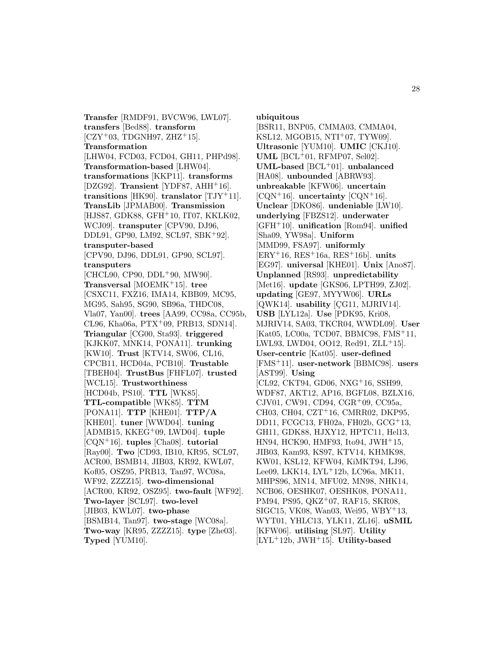**Transfer** [RMDF91, BVCW96, LWL07]. **transfers** [Bed88]. **transform**  $[CZY<sup>+</sup>03, TDGNH97, ZHZ<sup>+</sup>15].$ **Transformation** [LHW04, FCD03, FCD04, GH11, PHPd98]. **Transformation-based** [LHW04]. **transformations** [KKP11]. **transforms** [DZG92]. **Transient** [YDF87, AHH<sup>+</sup>16]. **transitions** [HK90]. **translator** [TJY<sup>+</sup>11]. **TransLib** [JPMAB00]. **Transmission** [HJS87, GDK88, GFH<sup>+</sup>10, IT07, KKLK02, WCJ09]. **transputer** [CPV90, DJ96, DDL91, GP90, LM92, SCL97, SBK<sup>+</sup>92]. **transputer-based** [CPV90, DJ96, DDL91, GP90, SCL97]. **transputers** [CHCL90, CP90, DDL+90, MW90]. **Transversal** [MOEMK<sup>+</sup>15]. **tree** [CSXC11, FXZ16, IMA14, KBB09, MC95, MG95, Sah95, SG90, SB96a, THDC08, Vla07, Yan00]. **trees** [AA99, CC98a, CC95b, CL96, Kha06a,  $PTX+09$ , PRB13, SDN14. **Triangular** [CG00, Sta93]. **triggered** [KJKK07, MNK14, PONA11]. **trunking** [KW10]. **Trust** [KTV14, SW06, CL16, CPCB11, HCD04a, PCB10]. **Trustable** [TBEH04]. **TrustBus** [FHFL07]. **trusted** [WCL15]. **Trustworthiness** [HCD04b, PS10]. **TTL** [WK85]. **TTL-compatible** [WK85]. **TTM** [PONA11]. **TTP** [KHE01]. **TTP/A** [KHE01]. **tuner** [WWD04]. **tuning** [ADMB15, KKEG<sup>+</sup>09, LWD04]. **tuple** [CQN<sup>+</sup>16]. **tuples** [Cha08]. **tutorial** [Ray00]. **Two** [CD93, IB10, KR95, SCL97, ACR00, BSMB14, JIB03, KR92, KWL07, Kof05, OSZ95, PRB13, Tan97, WC08a, WF92, ZZZZ15]. **two-dimensional** [ACR00, KR92, OSZ95]. **two-fault** [WF92]. **Two-layer** [SCL97]. **two-level** [JIB03, KWL07]. **two-phase** [BSMB14, Tan97]. **two-stage** [WC08a]. **Two-way** [KR95, ZZZZ15]. **type** [Zhe03]. **Typed** [YUM10].

**ubiquitous**

[BSR11, BNP05, CMMA03, CMMA04, KSL12, MGOB15, NTI<sup>+</sup>07, TYW09]. **Ultrasonic** [YUM10]. **UMIC** [CKJ10]. **UML** [BCL<sup>+</sup>01, RFMP07, Sel02]. **UML-based** [BCL<sup>+</sup>01]. **unbalanced** [HA08]. **unbounded** [ABRW93]. **unbreakable** [KFW06]. **uncertain**  $[CQN+16]$ . **uncertainty**  $[CQN+16]$ . **Unclear** [DKO86]. **undeniable** [LW10]. **underlying** [FBZS12]. **underwater** [GFH<sup>+</sup>10]. **unification** [Rom94]. **unified** [Sha09, YW98a]. **Uniform** [MMD99, FSA97]. **uniformly** [ERY<sup>+</sup>16, RES<sup>+</sup>16a, RES<sup>+</sup>16b]. **units** [EG97]. **universal** [KHE01]. **Unix** [Ano87]. **Unplanned** [RS93]. **unpredictability** [Met16]. **update** [GKS06, LPTH99, ZJ02]. **updating** [GE97, MYYW06]. **URLs** [QWK14]. **usability** [CG11, MJRIV14]. **USB** [LYL12a]. **Use** [PDK95, Kri08, MJRIV14, SA03, TKCR04, WWDL09]. **User** [Kat05, LC00a, TCD07, BBMC98, FMS<sup>+</sup>11, LWL93, LWD04, OO12, Red91,  $ZLL+15$ . **User-centric** [Kat05]. **user-defined** [FMS<sup>+</sup>11]. **user-network** [BBMC98]. **users** [AST99]. **Using** [CL92, CKT94, GD06, NXG<sup>+</sup>16, SSH99, WDF87, AKT12, AP16, BGFL08, BZLX16, CJV01, CW91, CD94, CGR<sup>+</sup>09, CC95a, CH03, CH04, CZT<sup>+</sup>16, CMRR02, DKP95, DD11, FCGC13, FH02a, FH02b, GCG<sup>+</sup>13, GH11, GDK88, HJXY12, HPTC11, Hel13, HN94, HCK90, HMF93, Ito94, JWH<sup>+</sup>15, JIB03, Kam93, KS97, KTV14, KHMK98, KW01, KSL12, KFW04, KiMKT94, LJ96, Lee09, LKK14, LYL<sup>+</sup>12b, LC96a, MK11, MHPS96, MN14, MFU02, MN98, NHK14, NCB06, OESHK07, OESHK08, PONA11, PM94, PS95, QKZ<sup>+</sup>07, RAF15, SKR08, SIGC15, VK08, Wan03, Wei95, WBY<sup>+</sup>13, WYT01, YHLC13, YLK11, ZL16]. **uSMIL** [KFW06]. **utilising** [SL97]. **Utility** [LYL<sup>+</sup>12b, JWH<sup>+</sup>15]. **Utility-based**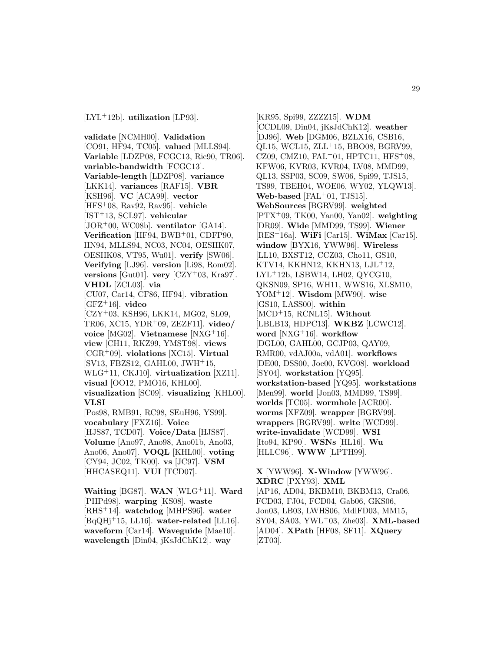**validate** [NCMH00]. **Validation** [CO91, HF94, TC05]. **valued** [MLLS94]. **Variable** [LDZP08, FCGC13, Ric90, TR06]. **variable-bandwidth** [FCGC13]. **Variable-length** [LDZP08]. **variance** [LKK14]. **variances** [RAF15]. **VBR** [KSH96]. **VC** [ACA99]. **vector** [HFS<sup>+</sup>08, Rav92, Rav95]. **vehicle** [IST<sup>+</sup>13, SCL97]. **vehicular** [JOR<sup>+</sup>00, WC08b]. **ventilator** [GA14]. **Verification** [HF94, BWB<sup>+</sup>01, CDFP90, HN94, MLLS94, NC03, NC04, OESHK07, OESHK08, VT95, Wu01]. **verify** [SW06]. **Verifying** [LJ96]. **version** [Li98, Rom02]. **versions** [Gut01]. **very** [CZY<sup>+</sup>03, Kra97]. **VHDL** [ZCL03]. **via** [CU07, Car14, CF86, HF94]. **vibration** [GFZ<sup>+</sup>16]. **video** [CZY<sup>+</sup>03, KSH96, LKK14, MG02, SL09, TR06, XC15, YDR<sup>+</sup>09, ZEZF11]. **video/ voice** [MG02]. **Vietnamese** [NXG<sup>+</sup>16]. **view** [CH11, RKZ99, YMST98]. **views** [CGR<sup>+</sup>09]. **violations** [XC15]. **Virtual** [SV13, FBZS12, GAHL00, JWH<sup>+</sup>15, WLG<sup>+</sup>11, CKJ10]. **virtualization** [XZ11]. **visual** [OO12, PMO16, KHL00]. **visualization** [SC09]. **visualizing** [KHL00]. **VLSI** [Pos98, RMB91, RC98, SEuH96, YS99]. **vocabulary** [FXZ16]. **Voice** [HJS87, TCD07]. **Voice/Data** [HJS87]. **Volume** [Ano97, Ano98, Ano01b, Ano03, Ano06, Ano07]. **VOQL** [KHL00]. **voting** [CY94, JC02, TK00]. **vs** [JC97]. **VSM** [HHCASEQ11]. **VUI** [TCD07].

**Waiting** [BG87]. **WAN** [WLG<sup>+</sup>11]. **Ward** [PHPd98]. **warping** [KS08]. **waste** [RHS<sup>+</sup>14]. **watchdog** [MHPS96]. **water** [BqQHj<sup>+</sup>15, LL16]. **water-related** [LL16]. **waveform** [Car14]. **Waveguide** [Mae10]. **wavelength** [Din04, jKsJdChK12]. **way**

[KR95, Spi99, ZZZZ15]. **WDM** [CCDL09, Din04, jKsJdChK12]. **weather** [DJ96]. **Web** [DGM06, BZLX16, CSB16, QL15, WCL15, ZLL<sup>+</sup>15, BBO08, BGRV99, CZ09, CMZ10, FAL<sup>+</sup>01, HPTC11, HFS<sup>+</sup>08, KFW06, KVR03, KVR04, LV08, MMD99, QL13, SSP03, SC09, SW06, Spi99, TJS15, TS99, TBEH04, WOE06, WY02, YLQW13]. **Web-based** [FAL<sup>+</sup>01, TJS15]. **WebSources** [BGRV99]. **weighted** [PTX<sup>+</sup>09, TK00, Yan00, Yan02]. **weighting** [DR09]. **Wide** [MMD99, TS99]. **Wiener** [RES<sup>+</sup>16a]. **WiFi** [Car15]. **WiMax** [Car15]. **window** [BYX16, YWW96]. **Wireless** [LL10, BXST12, CCZ03, Cho11, GS10, KTV14, KKHN12, KKHN13, LJL<sup>+</sup>12, LYL<sup>+</sup>12b, LSBW14, LH02, QYCG10, QKSN09, SP16, WH11, WWS16, XLSM10, YOM<sup>+</sup>12]. **Wisdom** [MW90]. **wise** [GS10, LASS00]. **within** [MCD<sup>+</sup>15, RCNL15]. **Without** [LBLB13, HDPC13]. **WKBZ** [LCWC12]. **word** [NXG<sup>+</sup>16]. **workflow** [DGL00, GAHL00, GCJP03, QAY09, RMR00, vdAJ00a, vdA01]. **workflows** [DE00, DSS00, Joe00, KVG08]. **workload** [SY04]. **workstation** [YQ95]. **workstation-based** [YQ95]. **workstations** [Men99]. **world** [Jon03, MMD99, TS99]. **worlds** [TC05]. **wormhole** [ACR00]. **worms** [XFZ09]. **wrapper** [BGRV99]. **wrappers** [BGRV99]. **write** [WCD99]. **write-invalidate** [WCD99]. **WSI** [Ito94, KP90]. **WSNs** [HL16]. **Wu** [HLLC96]. **WWW** [LPTH99].

**X** [YWW96]. **X-Window** [YWW96]. **XDRC** [PXY93]. **XML** [AP16, AD04, BKBM10, BKBM13, Cra06, FCD03, FJ04, FCD04, Gab06, GKS06, Jon03, LB03, LWHS06, MdlFD03, MM15, SY04, SA03, YWL<sup>+</sup>03, Zhe03]. **XML-based** [AD04]. **XPath** [HF08, SF11]. **XQuery** [ZT03].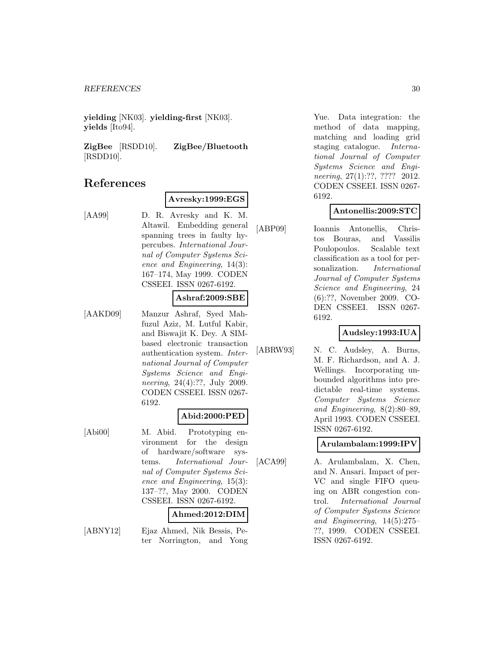**yielding** [NK03]. **yielding-first** [NK03]. **yields** [Ito94].

**ZigBee** [RSDD10]. **ZigBee/Bluetooth** [RSDD10].

## **References**

#### **Avresky:1999:EGS**

[AA99] D. R. Avresky and K. M. Altawil. Embedding general spanning trees in faulty hypercubes. International Journal of Computer Systems Science and Engineering, 14(3): 167–174, May 1999. CODEN CSSEEI. ISSN 0267-6192.

#### **Ashraf:2009:SBE**

[AAKD09] Manzur Ashraf, Syed Mahfuzul Aziz, M. Lutful Kabir, and Biswajit K. Dey. A SIMbased electronic transaction authentication system. International Journal of Computer Systems Science and Engineering, 24(4):??, July 2009. CODEN CSSEEI. ISSN 0267- 6192.

## **Abid:2000:PED**

[Abi00] M. Abid. Prototyping environment for the design of hardware/software systems. International Journal of Computer Systems Science and Engineering, 15(3): 137–??, May 2000. CODEN CSSEEI. ISSN 0267-6192.

## **Ahmed:2012:DIM**

[ABNY12] Ejaz Ahmed, Nik Bessis, Peter Norrington, and Yong

Yue. Data integration: the method of data mapping, matching and loading grid staging catalogue. International Journal of Computer Systems Science and Engineering, 27(1):??, ???? 2012. CODEN CSSEEI. ISSN 0267- 6192.

#### **Antonellis:2009:STC**

[ABP09] Ioannis Antonellis, Christos Bouras, and Vassilis Poulopoulos. Scalable text classification as a tool for personalization. International Journal of Computer Systems Science and Engineering, 24 (6):??, November 2009. CO-DEN CSSEEI. ISSN 0267- 6192.

#### **Audsley:1993:IUA**

[ABRW93] N. C. Audsley, A. Burns, M. F. Richardson, and A. J. Wellings. Incorporating unbounded algorithms into predictable real-time systems. Computer Systems Science and Engineering, 8(2):80–89, April 1993. CODEN CSSEEI. ISSN 0267-6192.

#### **Arulambalam:1999:IPV**

[ACA99] A. Arulambalam, X. Chen, and N. Ansari. Impact of per-VC and single FIFO queuing on ABR congestion control. International Journal of Computer Systems Science and Engineering, 14(5):275– ??, 1999. CODEN CSSEEI. ISSN 0267-6192.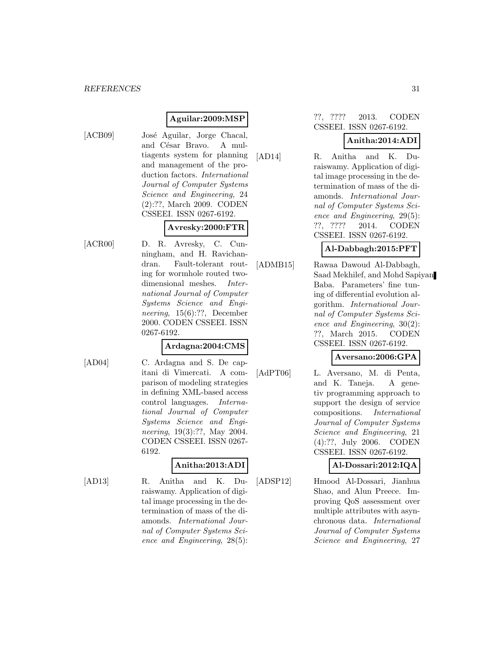#### **Aguilar:2009:MSP**

- 
- [ACB09] José Aguilar, Jorge Chacal, and César Bravo. A multiagents system for planning and management of the production factors. International Journal of Computer Systems Science and Engineering, 24 (2):??, March 2009. CODEN CSSEEI. ISSN 0267-6192.

## **Avresky:2000:FTR**

[ACR00] D. R. Avresky, C. Cunningham, and H. Ravichandran. Fault-tolerant routing for wormhole routed twodimensional meshes. International Journal of Computer Systems Science and Engineering, 15(6):??, December 2000. CODEN CSSEEI. ISSN 0267-6192.

#### **Ardagna:2004:CMS**

[AD04] C. Ardagna and S. De capitani di Vimercati. A comparison of modeling strategies in defining XML-based access control languages. International Journal of Computer Systems Science and Engineering, 19(3):??, May 2004. CODEN CSSEEI. ISSN 0267- 6192.

#### **Anitha:2013:ADI**

[AD13] R. Anitha and K. Duraiswamy. Application of digital image processing in the determination of mass of the diamonds. International Journal of Computer Systems Science and Engineering, 28(5): ??, ???? 2013. CODEN CSSEEI. ISSN 0267-6192.

## **Anitha:2014:ADI**

[AD14] R. Anitha and K. Duraiswamy. Application of digital image processing in the determination of mass of the diamonds. International Journal of Computer Systems Science and Engineering, 29(5): ??, ???? 2014. CODEN CSSEEI. ISSN 0267-6192.

#### **Al-Dabbagh:2015:PFT**

[ADMB15] Rawaa Dawoud Al-Dabbagh, Saad Mekhilef, and Mohd Sapiyan Baba. Parameters' fine tuning of differential evolution algorithm. International Journal of Computer Systems Science and Engineering, 30(2): ??, March 2015. CODEN CSSEEI. ISSN 0267-6192.

#### **Aversano:2006:GPA**

[AdPT06] L. Aversano, M. di Penta, and K. Taneja. A genetiv programming approach to support the design of service compositions. International Journal of Computer Systems Science and Engineering, 21 (4):??, July 2006. CODEN CSSEEI. ISSN 0267-6192.

#### **Al-Dossari:2012:IQA**

[ADSP12] Hmood Al-Dossari, Jianhua Shao, and Alun Preece. Improving QoS assessment over multiple attributes with asynchronous data. International Journal of Computer Systems Science and Engineering, 27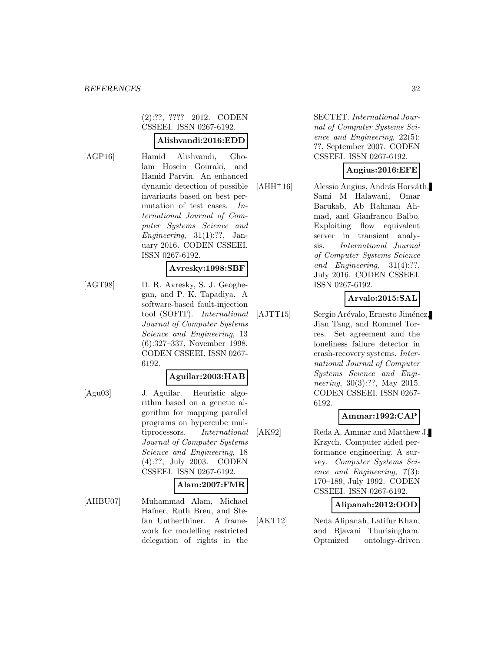#### (2):??, ???? 2012. CODEN CSSEEI. ISSN 0267-6192.

#### **Alishvandi:2016:EDD**

[AGP16] Hamid Alishvandi, Gholam Hosein Gouraki, and Hamid Parvin. An enhanced dynamic detection of possible invariants based on best permutation of test cases. International Journal of Computer Systems Science and Engineering,  $31(1):?$ ?, January 2016. CODEN CSSEEI. ISSN 0267-6192.

#### **Avresky:1998:SBF**

[AGT98] D. R. Avresky, S. J. Geoghegan, and P. K. Tapadiya. A software-based fault-injection tool (SOFIT). International Journal of Computer Systems Science and Engineering, 13 (6):327–337, November 1998. CODEN CSSEEI. ISSN 0267- 6192.

#### **Aguilar:2003:HAB**

[Agu03] J. Aguilar. Heuristic algorithm based on a genetic algorithm for mapping parallel programs on hypercube multiprocessors. International Journal of Computer Systems Science and Engineering, 18 (4):??, July 2003. CODEN CSSEEI. ISSN 0267-6192.

#### **Alam:2007:FMR**

[AHBU07] Muhammad Alam, Michael Hafner, Ruth Breu, and Stefan Untherthiner. A framework for modelling restricted delegation of rights in the

SECTET. International Journal of Computer Systems Science and Engineering, 22(5): ??, September 2007. CODEN CSSEEI. ISSN 0267-6192.

## **Angius:2016:EFE**

 $[AHH<sup>+</sup>16]$  Alessio Angius, András Horváth, Sami M Halawani, Omar Barukab, Ab Rahman Ahmad, and Gianfranco Balbo. Exploiting flow equivalent server in transient analysis. International Journal of Computer Systems Science and Engineering,  $31(4):??$ July 2016. CODEN CSSEEI. ISSN 0267-6192.

## **Arvalo:2015:SAL**

[AJTT15] Sergio Arévalo, Ernesto Jiménez, Jian Tang, and Rommel Torres. Set agreement and the loneliness failure detector in crash-recovery systems. International Journal of Computer Systems Science and Engineering, 30(3):??, May 2015. CODEN CSSEEI. ISSN 0267- 6192.

#### **Ammar:1992:CAP**

[AK92] Reda A. Ammar and Matthew J. Krzych. Computer aided performance engineering. A survey. Computer Systems Science and Engineering, 7(3): 170–189, July 1992. CODEN CSSEEI. ISSN 0267-6192.

#### **Alipanah:2012:OOD**

[AKT12] Neda Alipanah, Latifur Khan, and Bjavani Thurisingham. Optmized ontology-driven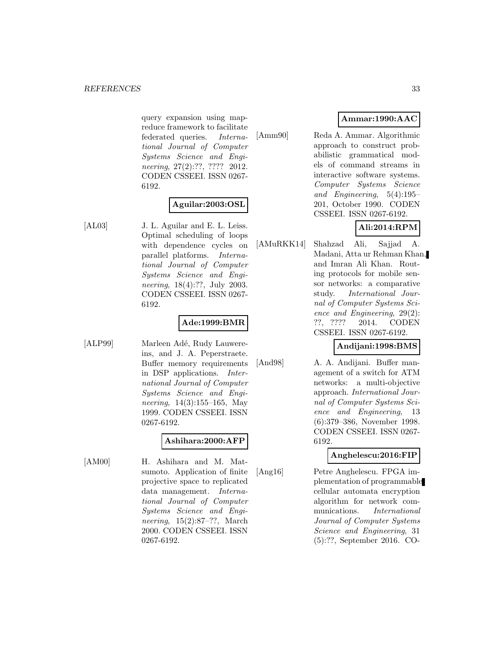query expansion using mapreduce framework to facilitate federated queries. International Journal of Computer Systems Science and Engineering, 27(2):??, ???? 2012. CODEN CSSEEI. ISSN 0267- 6192.

## **Aguilar:2003:OSL**

[AL03] J. L. Aguilar and E. L. Leiss. Optimal scheduling of loops with dependence cycles on parallel platforms. International Journal of Computer Systems Science and Engineering, 18(4):??, July 2003. CODEN CSSEEI. ISSN 0267- 6192.

## **Ade:1999:BMR**

[ALP99] Marleen Adé, Rudy Lauwereins, and J. A. Peperstraete. Buffer memory requirements in DSP applications. International Journal of Computer Systems Science and Engineering, 14(3):155–165, May 1999. CODEN CSSEEI. ISSN 0267-6192.

## **Ashihara:2000:AFP**

[AM00] H. Ashihara and M. Matsumoto. Application of finite projective space to replicated data management. International Journal of Computer Systems Science and Engineering, 15(2):87–??, March 2000. CODEN CSSEEI. ISSN 0267-6192.

## **Ammar:1990:AAC**

[Amm90] Reda A. Ammar. Algorithmic approach to construct probabilistic grammatical models of command streams in interactive software systems. Computer Systems Science and Engineering, 5(4):195– 201, October 1990. CODEN CSSEEI. ISSN 0267-6192.

## **Ali:2014:RPM**

[AMuRKK14] Shahzad Ali, Sajjad A. Madani, Atta ur Rehman Khan, and Imran Ali Khan. Routing protocols for mobile sensor networks: a comparative study. International Journal of Computer Systems Science and Engineering, 29(2): ??, ???? 2014. CODEN CSSEEI. ISSN 0267-6192.

#### **Andijani:1998:BMS**

[And98] A. A. Andijani. Buffer management of a switch for ATM networks: a multi-objective approach. International Journal of Computer Systems Science and Engineering, 13 (6):379–386, November 1998. CODEN CSSEEI. ISSN 0267- 6192.

## **Anghelescu:2016:FIP**

[Ang16] Petre Anghelescu. FPGA implementation of programmable cellular automata encryption algorithm for network communications. International Journal of Computer Systems Science and Engineering, 31 (5):??, September 2016. CO-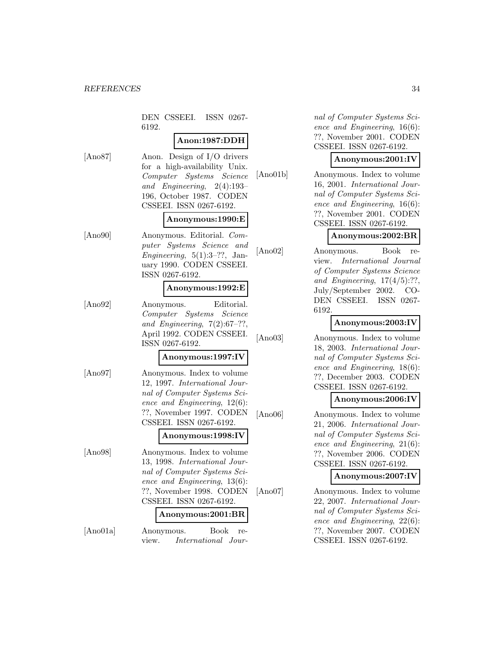DEN CSSEEI. ISSN 0267- 6192.

## **Anon:1987:DDH**

[Ano87] Anon. Design of I/O drivers for a high-availability Unix. Computer Systems Science and Engineering, 2(4):193– 196, October 1987. CODEN CSSEEI. ISSN 0267-6192.

#### **Anonymous:1990:E**

[Ano90] Anonymous. Editorial. Computer Systems Science and Engineering,  $5(1):3-??$ , January 1990. CODEN CSSEEI. ISSN 0267-6192.

#### **Anonymous:1992:E**

[Ano92] Anonymous. Editorial. Computer Systems Science and Engineering,  $7(2):67-??$ , April 1992. CODEN CSSEEI. ISSN 0267-6192.

#### **Anonymous:1997:IV**

[Ano97] Anonymous. Index to volume 12, 1997. International Journal of Computer Systems Science and Engineering, 12(6): ??, November 1997. CODEN CSSEEI. ISSN 0267-6192.

#### **Anonymous:1998:IV**

[Ano98] Anonymous. Index to volume 13, 1998. International Journal of Computer Systems Science and Engineering, 13(6): ??, November 1998. CODEN CSSEEI. ISSN 0267-6192.

#### **Anonymous:2001:BR**

[Ano01a] Anonymous. Book review. International Jour-

nal of Computer Systems Science and Engineering, 16(6): ??, November 2001. CODEN CSSEEI. ISSN 0267-6192.

#### **Anonymous:2001:IV**

[Ano01b] Anonymous. Index to volume 16, 2001. International Journal of Computer Systems Science and Engineering, 16(6): ??, November 2001. CODEN CSSEEI. ISSN 0267-6192.

#### **Anonymous:2002:BR**

[Ano02] Anonymous. Book review. International Journal of Computer Systems Science and Engineering,  $17(4/5)$ :??, July/September 2002. CO-DEN CSSEEI. ISSN 0267- 6192.

## **Anonymous:2003:IV**

[Ano03] Anonymous. Index to volume 18, 2003. International Journal of Computer Systems Science and Engineering, 18(6): ??, December 2003. CODEN CSSEEI. ISSN 0267-6192.

#### **Anonymous:2006:IV**

[Ano06] Anonymous. Index to volume 21, 2006. International Journal of Computer Systems Science and Engineering, 21(6): ??, November 2006. CODEN CSSEEI. ISSN 0267-6192.

#### **Anonymous:2007:IV**

[Ano07] Anonymous. Index to volume 22, 2007. International Journal of Computer Systems Science and Engineering, 22(6): ??, November 2007. CODEN CSSEEI. ISSN 0267-6192.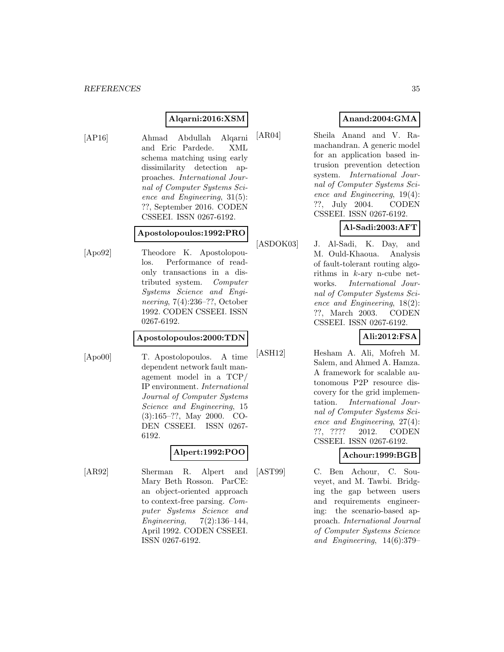## **Alqarni:2016:XSM**

[AP16] Ahmad Abdullah Alqarni and Eric Pardede. XML schema matching using early dissimilarity detection approaches. International Journal of Computer Systems Science and Engineering, 31(5): ??, September 2016. CODEN CSSEEI. ISSN 0267-6192.

#### **Apostolopoulos:1992:PRO**

[Apo92] Theodore K. Apostolopoulos. Performance of readonly transactions in a distributed system. Computer Systems Science and Engineering, 7(4):236–??, October 1992. CODEN CSSEEI. ISSN 0267-6192.

#### **Apostolopoulos:2000:TDN**

[Apo00] T. Apostolopoulos. A time dependent network fault management model in a TCP/ IP environment. International Journal of Computer Systems Science and Engineering, 15 (3):165–??, May 2000. CO-DEN CSSEEI. ISSN 0267- 6192.

## **Alpert:1992:POO**

[AR92] Sherman R. Alpert and Mary Beth Rosson. ParCE: an object-oriented approach to context-free parsing. Computer Systems Science and Engineering, 7(2):136–144, April 1992. CODEN CSSEEI. ISSN 0267-6192.

## **Anand:2004:GMA**

[AR04] Sheila Anand and V. Ramachandran. A generic model for an application based intrusion prevention detection system. International Journal of Computer Systems Science and Engineering, 19(4): ??, July 2004. CODEN CSSEEI. ISSN 0267-6192.

**Al-Sadi:2003:AFT**

[ASDOK03] J. Al-Sadi, K. Day, and M. Ould-Khaoua. Analysis of fault-tolerant routing algorithms in k-ary n-cube networks. International Journal of Computer Systems Science and Engineering, 18(2): ??, March 2003. CODEN CSSEEI. ISSN 0267-6192.

## **Ali:2012:FSA**

[ASH12] Hesham A. Ali, Mofreh M. Salem, and Ahmed A. Hamza. A framework for scalable autonomous P2P resource discovery for the grid implementation. International Journal of Computer Systems Science and Engineering, 27(4): ??, ???? 2012. CODEN CSSEEI. ISSN 0267-6192.

## **Achour:1999:BGB**

[AST99] C. Ben Achour, C. Souveyet, and M. Tawbi. Bridging the gap between users and requirements engineering: the scenario-based approach. International Journal of Computer Systems Science and Engineering, 14(6):379–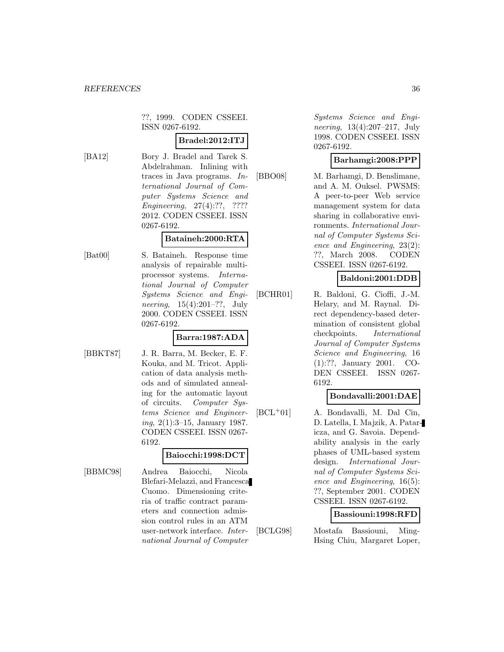??, 1999. CODEN CSSEEI. ISSN 0267-6192.

## **Bradel:2012:ITJ**

[BA12] Bory J. Bradel and Tarek S. Abdelrahman. Inlining with traces in Java programs. International Journal of Computer Systems Science and Engineering, 27(4):??, ???? 2012. CODEN CSSEEI. ISSN 0267-6192.

#### **Bataineh:2000:RTA**

[Bat00] S. Bataineh. Response time analysis of repairable multiprocessor systems. International Journal of Computer Systems Science and Engineering, 15(4):201–??, July 2000. CODEN CSSEEI. ISSN 0267-6192.

## **Barra:1987:ADA**

[BBKT87] J. R. Barra, M. Becker, E. F. Kouka, and M. Tricot. Application of data analysis methods and of simulated annealing for the automatic layout of circuits. Computer Systems Science and Engineering, 2(1):3–15, January 1987. CODEN CSSEEI. ISSN 0267- 6192.

#### **Baiocchi:1998:DCT**

[BBMC98] Andrea Baiocchi, Nicola Blefari-Melazzi, and Francesca Cuomo. Dimensioning criteria of traffic contract parameters and connection admission control rules in an ATM user-network interface. International Journal of Computer

Systems Science and Engineering, 13(4):207–217, July 1998. CODEN CSSEEI. ISSN 0267-6192.

#### **Barhamgi:2008:PPP**

[BBO08] M. Barhamgi, D. Benslimane, and A. M. Ouksel. PWSMS: A peer-to-peer Web service management system for data sharing in collaborative environments. International Journal of Computer Systems Science and Engineering, 23(2): ??, March 2008. CODEN CSSEEI. ISSN 0267-6192.

#### **Baldoni:2001:DDB**

[BCHR01] R. Baldoni, G. Cioffi, J.-M. Helary, and M. Raynal. Direct dependency-based determination of consistent global checkpoints. International Journal of Computer Systems Science and Engineering, 16 (1):??, January 2001. CO-DEN CSSEEI. ISSN 0267- 6192.

#### **Bondavalli:2001:DAE**

[BCL<sup>+</sup>01] A. Bondavalli, M. Dal Cin, D. Latella, I. Majzik, A. Pataricza, and G. Savoia. Dependability analysis in the early phases of UML-based system design. International Journal of Computer Systems Science and Engineering, 16(5): ??, September 2001. CODEN CSSEEI. ISSN 0267-6192.

#### **Bassiouni:1998:RFD**

[BCLG98] Mostafa Bassiouni, Ming-Hsing Chiu, Margaret Loper,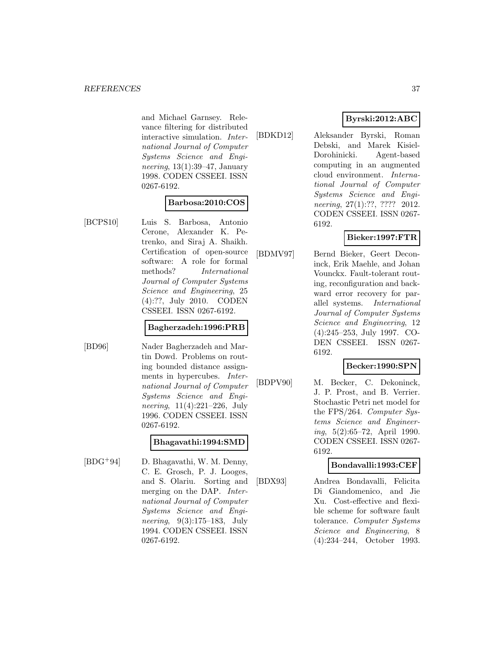and Michael Garnsey. Relevance filtering for distributed interactive simulation. International Journal of Computer Systems Science and Engineering, 13(1):39–47, January 1998. CODEN CSSEEI. ISSN 0267-6192.

### **Barbosa:2010:COS**

[BCPS10] Luis S. Barbosa, Antonio Cerone, Alexander K. Petrenko, and Siraj A. Shaikh. Certification of open-source software: A role for formal methods? International Journal of Computer Systems Science and Engineering, 25 (4):??, July 2010. CODEN CSSEEI. ISSN 0267-6192.

#### **Bagherzadeh:1996:PRB**

[BD96] Nader Bagherzadeh and Martin Dowd. Problems on routing bounded distance assignments in hypercubes. International Journal of Computer Systems Science and Engineering, 11(4):221–226, July 1996. CODEN CSSEEI. ISSN 0267-6192.

### **Bhagavathi:1994:SMD**

[BDG<sup>+</sup>94] D. Bhagavathi, W. M. Denny, C. E. Grosch, P. J. Looges, and S. Olariu. Sorting and merging on the DAP. International Journal of Computer Systems Science and Engineering, 9(3):175–183, July 1994. CODEN CSSEEI. ISSN 0267-6192.

# **Byrski:2012:ABC**

[BDKD12] Aleksander Byrski, Roman Debski, and Marek Kisiel-Dorohinicki. Agent-based computing in an augmented cloud environment. International Journal of Computer Systems Science and Engineering, 27(1):??, ???? 2012. CODEN CSSEEI. ISSN 0267- 6192.

## **Bieker:1997:FTR**

[BDMV97] Bernd Bieker, Geert Deconinck, Erik Maehle, and Johan Vounckx. Fault-tolerant routing, reconfiguration and back-

ward error recovery for parallel systems. International Journal of Computer Systems Science and Engineering, 12 (4):245–253, July 1997. CO-DEN CSSEEI. ISSN 0267- 6192.

## **Becker:1990:SPN**

[BDPV90] M. Becker, C. Dekoninck, J. P. Prost, and B. Verrier. Stochastic Petri net model for the FPS/264. Computer Systems Science and Engineering, 5(2):65–72, April 1990. CODEN CSSEEI. ISSN 0267- 6192.

### **Bondavalli:1993:CEF**

[BDX93] Andrea Bondavalli, Felicita Di Giandomenico, and Jie Xu. Cost-effective and flexible scheme for software fault tolerance. Computer Systems Science and Engineering, 8 (4):234–244, October 1993.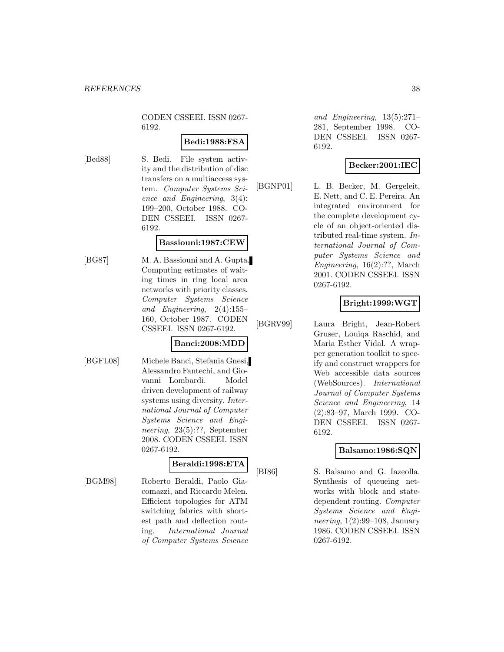CODEN CSSEEI. ISSN 0267- 6192.

## **Bedi:1988:FSA**

[Bed88] S. Bedi. File system activity and the distribution of disc transfers on a multiaccess system. Computer Systems Science and Engineering, 3(4): 199–200, October 1988. CO-DEN CSSEEI. ISSN 0267- 6192.

#### **Bassiouni:1987:CEW**

[BG87] M. A. Bassiouni and A. Gupta. Computing estimates of waiting times in ring local area networks with priority classes. Computer Systems Science and Engineering, 2(4):155– 160, October 1987. CODEN CSSEEI. ISSN 0267-6192.

## **Banci:2008:MDD**

[BGFL08] Michele Banci, Stefania Gnesi, Alessandro Fantechi, and Giovanni Lombardi. Model driven development of railway systems using diversity. International Journal of Computer Systems Science and Engineering, 23(5):??, September 2008. CODEN CSSEEI. ISSN 0267-6192.

## **Beraldi:1998:ETA**

[BGM98] Roberto Beraldi, Paolo Giacomazzi, and Riccardo Melen. Efficient topologies for ATM switching fabrics with shortest path and deflection routing. International Journal of Computer Systems Science

and Engineering, 13(5):271– 281, September 1998. CO-DEN CSSEEI. ISSN 0267- 6192.

## **Becker:2001:IEC**

[BGNP01] L. B. Becker, M. Gergeleit, E. Nett, and C. E. Pereira. An integrated environment for the complete development cycle of an object-oriented distributed real-time system. International Journal of Computer Systems Science and Engineering, 16(2):??, March 2001. CODEN CSSEEI. ISSN 0267-6192.

## **Bright:1999:WGT**

[BGRV99] Laura Bright, Jean-Robert Gruser, Louiqa Raschid, and Maria Esther Vidal. A wrapper generation toolkit to specify and construct wrappers for Web accessible data sources (WebSources). International Journal of Computer Systems Science and Engineering, 14 (2):83–97, March 1999. CO-DEN CSSEEI. ISSN 0267- 6192.

## **Balsamo:1986:SQN**

[BI86] S. Balsamo and G. Iazeolla. Synthesis of queueing networks with block and statedependent routing. Computer Systems Science and Engineering, 1(2):99–108, January 1986. CODEN CSSEEI. ISSN 0267-6192.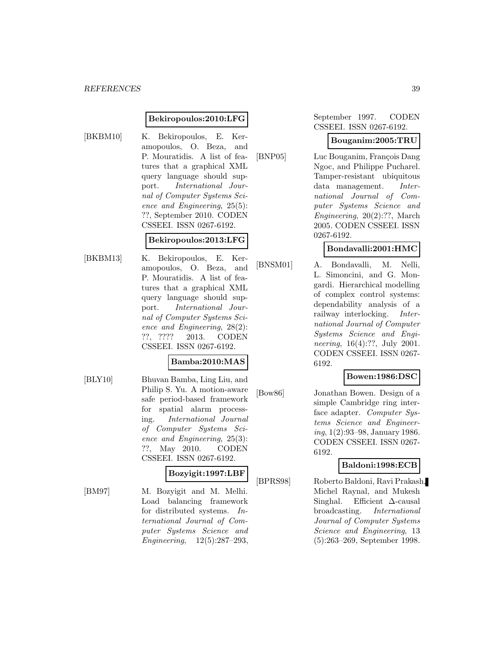#### **Bekiropoulos:2010:LFG**

[BKBM10] K. Bekiropoulos, E. Keramopoulos, O. Beza, and P. Mouratidis. A list of features that a graphical XML query language should support. International Journal of Computer Systems Science and Engineering, 25(5): ??, September 2010. CODEN CSSEEI. ISSN 0267-6192.

#### **Bekiropoulos:2013:LFG**

[BKBM13] K. Bekiropoulos, E. Keramopoulos, O. Beza, and P. Mouratidis. A list of features that a graphical XML query language should support. International Journal of Computer Systems Science and Engineering, 28(2): ??, ???? 2013. CODEN CSSEEI. ISSN 0267-6192.

### **Bamba:2010:MAS**

[BLY10] Bhuvan Bamba, Ling Liu, and Philip S. Yu. A motion-aware safe period-based framework for spatial alarm processing. International Journal of Computer Systems Science and Engineering, 25(3): ??, May 2010. CODEN CSSEEI. ISSN 0267-6192.

#### **Bozyigit:1997:LBF**

[BM97] M. Bozyigit and M. Melhi. Load balancing framework for distributed systems. International Journal of Computer Systems Science and Engineering, 12(5):287–293,

September 1997. CODEN CSSEEI. ISSN 0267-6192.

#### **Bouganim:2005:TRU**

[BNP05] Luc Bouganim, François Dang Ngoc, and Philippe Pucharel. Tamper-resistant ubiquitous data management. International Journal of Computer Systems Science and Engineering, 20(2):??, March 2005. CODEN CSSEEI. ISSN 0267-6192.

## **Bondavalli:2001:HMC**

[BNSM01] A. Bondavalli, M. Nelli, L. Simoncini, and G. Mongardi. Hierarchical modelling of complex control systems: dependability analysis of a railway interlocking. International Journal of Computer Systems Science and Engineering, 16(4):??, July 2001. CODEN CSSEEI. ISSN 0267- 6192.

## **Bowen:1986:DSC**

[Bow86] Jonathan Bowen. Design of a simple Cambridge ring interface adapter. Computer Systems Science and Engineering, 1(2):93–98, January 1986. CODEN CSSEEI. ISSN 0267- 6192.

#### **Baldoni:1998:ECB**

[BPRS98] Roberto Baldoni, Ravi Prakash, Michel Raynal, and Mukesh Singhal. Efficient ∆-causal broadcasting. International Journal of Computer Systems Science and Engineering, 13 (5):263–269, September 1998.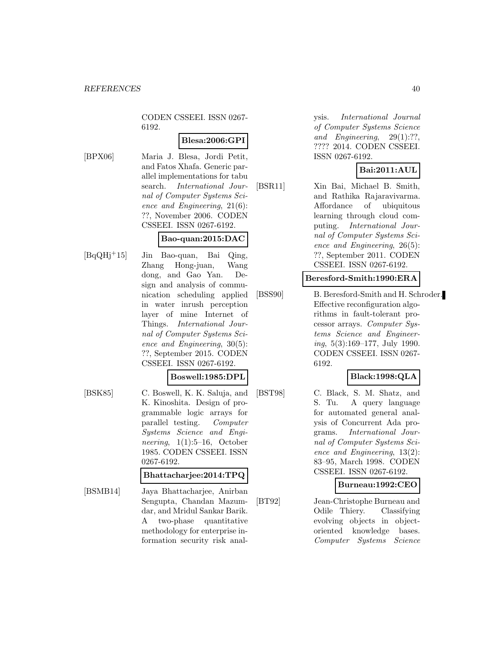CODEN CSSEEI. ISSN 0267- 6192.

## **Blesa:2006:GPI**

[BPX06] Maria J. Blesa, Jordi Petit, and Fatos Xhafa. Generic parallel implementations for tabu search. International Journal of Computer Systems Science and Engineering, 21(6): ??, November 2006. CODEN CSSEEI. ISSN 0267-6192.

### **Bao-quan:2015:DAC**

- 
- [BqQHj<sup>+</sup>15] Jin Bao-quan, Bai Qing, Zhang Hong-juan, Wang dong, and Gao Yan. Design and analysis of communication scheduling applied in water inrush perception layer of mine Internet of Things. International Journal of Computer Systems Science and Engineering, 30(5): ??, September 2015. CODEN CSSEEI. ISSN 0267-6192.

#### **Boswell:1985:DPL**

[BSK85] C. Boswell, K. K. Saluja, and K. Kinoshita. Design of programmable logic arrays for parallel testing. Computer Systems Science and Engineering,  $1(1):5-16$ , October 1985. CODEN CSSEEI. ISSN 0267-6192.

## **Bhattacharjee:2014:TPQ**

[BSMB14] Jaya Bhattacharjee, Anirban Sengupta, Chandan Mazumdar, and Mridul Sankar Barik. A two-phase quantitative methodology for enterprise information security risk anal-

ysis. International Journal of Computer Systems Science and Engineering, 29(1):??, ???? 2014. CODEN CSSEEI. ISSN 0267-6192.

## **Bai:2011:AUL**

[BSR11] Xin Bai, Michael B. Smith, and Rathika Rajaravivarma. Affordance of ubiquitous learning through cloud computing. International Journal of Computer Systems Science and Engineering, 26(5): ??, September 2011. CODEN CSSEEI. ISSN 0267-6192.

#### **Beresford-Smith:1990:ERA**

[BSS90] B. Beresford-Smith and H. Schroder. Effective reconfiguration algorithms in fault-tolerant processor arrays. Computer Systems Science and Engineering, 5(3):169–177, July 1990. CODEN CSSEEI. ISSN 0267- 6192.

### **Black:1998:QLA**

[BST98] C. Black, S. M. Shatz, and S. Tu. A query language for automated general analysis of Concurrent Ada programs. International Journal of Computer Systems Science and Engineering, 13(2): 83–95, March 1998. CODEN CSSEEI. ISSN 0267-6192.

### **Burneau:1992:CEO**

[BT92] Jean-Christophe Burneau and Odile Thiery. Classifying evolving objects in objectoriented knowledge bases. Computer Systems Science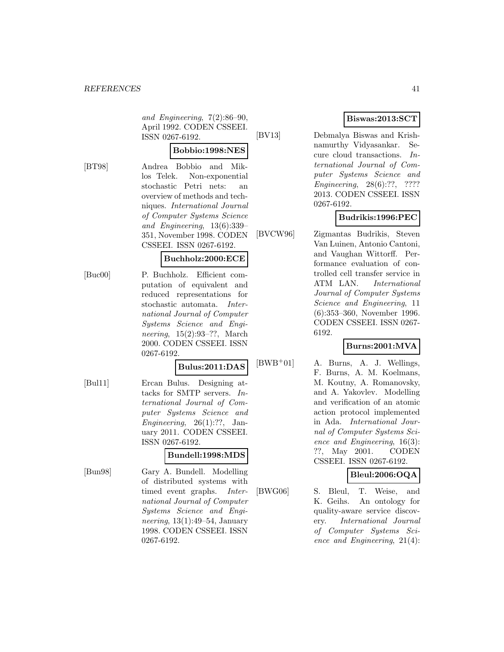and Engineering, 7(2):86–90, April 1992. CODEN CSSEEI. ISSN 0267-6192.

#### **Bobbio:1998:NES**

[BT98] Andrea Bobbio and Miklos Telek. Non-exponential stochastic Petri nets: an overview of methods and techniques. International Journal of Computer Systems Science and Engineering, 13(6):339– 351, November 1998. CODEN CSSEEI. ISSN 0267-6192.

#### **Buchholz:2000:ECE**

[Buc00] P. Buchholz. Efficient computation of equivalent and reduced representations for stochastic automata. International Journal of Computer Systems Science and Engineering, 15(2):93–??, March 2000. CODEN CSSEEI. ISSN 0267-6192.

## **Bulus:2011:DAS**

[Bul11] Ercan Bulus. Designing attacks for SMTP servers. International Journal of Computer Systems Science and Engineering,  $26(1)$ :??, January 2011. CODEN CSSEEI. ISSN 0267-6192.

## **Bundell:1998:MDS**

[Bun98] Gary A. Bundell. Modelling of distributed systems with timed event graphs. International Journal of Computer Systems Science and Engineering, 13(1):49–54, January 1998. CODEN CSSEEI. ISSN 0267-6192.

## **Biswas:2013:SCT**

[BV13] Debmalya Biswas and Krishnamurthy Vidyasankar. Secure cloud transactions. International Journal of Computer Systems Science and Engineering, 28(6):??, ???? 2013. CODEN CSSEEI. ISSN 0267-6192.

## **Budrikis:1996:PEC**

[BVCW96] Zigmantas Budrikis, Steven Van Luinen, Antonio Cantoni, and Vaughan Wittorff. Performance evaluation of controlled cell transfer service in ATM LAN. International Journal of Computer Systems Science and Engineering, 11 (6):353–360, November 1996. CODEN CSSEEI. ISSN 0267- 6192.

### **Burns:2001:MVA**

 $[BWB<sup>+</sup>01]$  A. Burns, A. J. Wellings, F. Burns, A. M. Koelmans, M. Koutny, A. Romanovsky, and A. Yakovlev. Modelling and verification of an atomic action protocol implemented in Ada. International Journal of Computer Systems Science and Engineering, 16(3): ??, May 2001. CODEN CSSEEI. ISSN 0267-6192.

# **Bleul:2006:OQA**

[BWG06] S. Bleul, T. Weise, and K. Geihs. An ontology for quality-aware service discovery. International Journal of Computer Systems Science and Engineering, 21(4):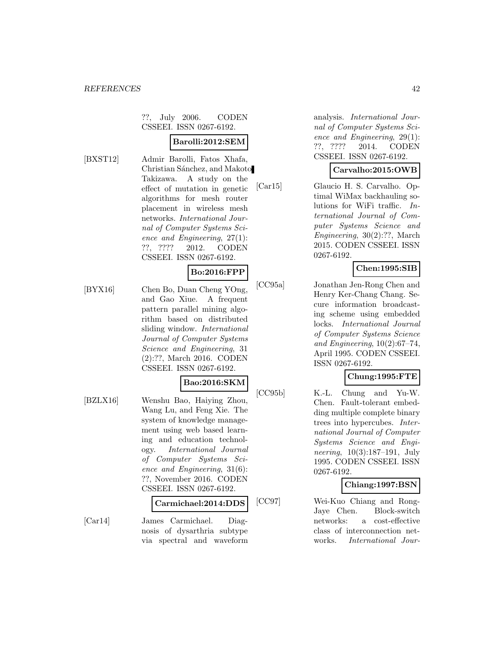??, July 2006. CODEN CSSEEI. ISSN 0267-6192.

## **Barolli:2012:SEM**

[BXST12] Admir Barolli, Fatos Xhafa, Christian Sánchez, and Makoto Takizawa. A study on the effect of mutation in genetic algorithms for mesh router placement in wireless mesh networks. International Journal of Computer Systems Science and Engineering, 27(1): ??, ???? 2012. CODEN CSSEEI. ISSN 0267-6192.

## **Bo:2016:FPP**

[BYX16] Chen Bo, Duan Cheng YOng, and Gao Xiue. A frequent pattern parallel mining algorithm based on distributed sliding window. International Journal of Computer Systems Science and Engineering, 31 (2):??, March 2016. CODEN CSSEEI. ISSN 0267-6192.

### **Bao:2016:SKM**

[BZLX16] Wenshu Bao, Haiying Zhou, Wang Lu, and Feng Xie. The system of knowledge management using web based learning and education technology. International Journal of Computer Systems Science and Engineering, 31(6): ??, November 2016. CODEN CSSEEI. ISSN 0267-6192.

#### **Carmichael:2014:DDS**

[Car14] James Carmichael. Diagnosis of dysarthria subtype via spectral and waveform analysis. International Journal of Computer Systems Science and Engineering, 29(1): ??, ???? 2014. CODEN CSSEEI. ISSN 0267-6192.

## **Carvalho:2015:OWB**

[Car15] Glaucio H. S. Carvalho. Optimal WiMax backhauling solutions for WiFi traffic. International Journal of Computer Systems Science and Engineering, 30(2):??, March 2015. CODEN CSSEEI. ISSN 0267-6192.

## **Chen:1995:SIB**

[CC95a] Jonathan Jen-Rong Chen and Henry Ker-Chang Chang. Secure information broadcasting scheme using embedded locks. International Journal of Computer Systems Science and Engineering, 10(2):67–74, April 1995. CODEN CSSEEI. ISSN 0267-6192.

## **Chung:1995:FTE**

[CC95b] K.-L. Chung and Yu-W. Chen. Fault-tolerant embedding multiple complete binary trees into hypercubes. International Journal of Computer Systems Science and Engineering, 10(3):187–191, July 1995. CODEN CSSEEI. ISSN 0267-6192.

## **Chiang:1997:BSN**

[CC97] Wei-Kuo Chiang and Rong-Jaye Chen. Block-switch networks: a cost-effective class of interconnection networks. International Jour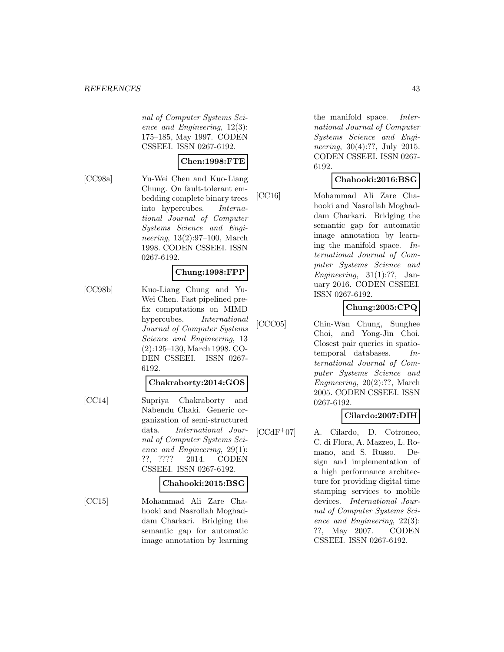nal of Computer Systems Science and Engineering, 12(3): 175–185, May 1997. CODEN CSSEEI. ISSN 0267-6192.

#### **Chen:1998:FTE**

[CC98a] Yu-Wei Chen and Kuo-Liang Chung. On fault-tolerant embedding complete binary trees into hypercubes. International Journal of Computer Systems Science and Engineering, 13(2):97–100, March 1998. CODEN CSSEEI. ISSN 0267-6192.

#### **Chung:1998:FPP**

[CC98b] Kuo-Liang Chung and Yu-Wei Chen. Fast pipelined prefix computations on MIMD hypercubes. International Journal of Computer Systems Science and Engineering, 13 (2):125–130, March 1998. CO-DEN CSSEEI. ISSN 0267- 6192.

#### **Chakraborty:2014:GOS**

[CC14] Supriya Chakraborty and Nabendu Chaki. Generic organization of semi-structured data. International Journal of Computer Systems Science and Engineering, 29(1): ??, ???? 2014. CODEN CSSEEI. ISSN 0267-6192.

#### **Chahooki:2015:BSG**

[CC15] Mohammad Ali Zare Chahooki and Nasrollah Moghaddam Charkari. Bridging the semantic gap for automatic image annotation by learning the manifold space. International Journal of Computer Systems Science and Engineering, 30(4):??, July 2015. CODEN CSSEEI. ISSN 0267- 6192.

## **Chahooki:2016:BSG**

[CC16] Mohammad Ali Zare Chahooki and Nasrollah Moghaddam Charkari. Bridging the semantic gap for automatic image annotation by learning the manifold space. International Journal of Computer Systems Science and Engineering,  $31(1):$ ??, January 2016. CODEN CSSEEI. ISSN 0267-6192.

# **Chung:2005:CPQ**

[CCC05] Chin-Wan Chung, Sunghee Choi, and Yong-Jin Choi. Closest pair queries in spatiotemporal databases. International Journal of Computer Systems Science and Engineering, 20(2):??, March 2005. CODEN CSSEEI. ISSN 0267-6192.

## **Cilardo:2007:DIH**

 $[CCdF<sup>+</sup>07]$  A. Cilardo, D. Cotroneo, C. di Flora, A. Mazzeo, L. Romano, and S. Russo. Design and implementation of a high performance architecture for providing digital time stamping services to mobile devices. International Journal of Computer Systems Science and Engineering, 22(3): ??, May 2007. CODEN CSSEEI. ISSN 0267-6192.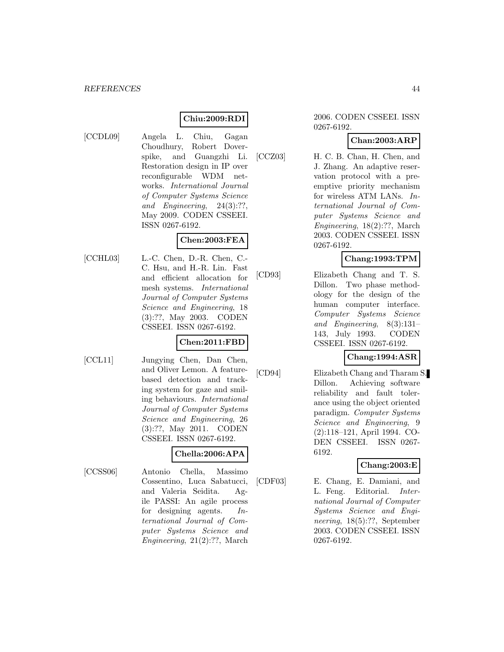## **Chiu:2009:RDI**

- 
- [CCDL09] Angela L. Chiu, Gagan Choudhury, Robert Doverspike, and Guangzhi Li. Restoration design in IP over reconfigurable WDM networks. International Journal of Computer Systems Science and Engineering, 24(3):??, May 2009. CODEN CSSEEI. ISSN 0267-6192.

## **Chen:2003:FEA**

[CCHL03] L.-C. Chen, D.-R. Chen, C.- C. Hsu, and H.-R. Lin. Fast and efficient allocation for mesh systems. International Journal of Computer Systems Science and Engineering, 18 (3):??, May 2003. CODEN CSSEEI. ISSN 0267-6192.

## **Chen:2011:FBD**

[CCL11] Jungying Chen, Dan Chen, and Oliver Lemon. A featurebased detection and tracking system for gaze and smiling behaviours. International Journal of Computer Systems Science and Engineering, 26 (3):??, May 2011. CODEN CSSEEI. ISSN 0267-6192.

### **Chella:2006:APA**

[CCSS06] Antonio Chella, Massimo Cossentino, Luca Sabatucci, and Valeria Seidita. Agile PASSI: An agile process for designing agents. International Journal of Computer Systems Science and Engineering, 21(2):??, March

#### 2006. CODEN CSSEEI. ISSN 0267-6192.

## **Chan:2003:ARP**

[CCZ03] H. C. B. Chan, H. Chen, and J. Zhang. An adaptive reservation protocol with a preemptive priority mechanism for wireless ATM LANs. International Journal of Computer Systems Science and Engineering, 18(2):??, March 2003. CODEN CSSEEI. ISSN 0267-6192.

## **Chang:1993:TPM**

[CD93] Elizabeth Chang and T. S. Dillon. Two phase methodology for the design of the human computer interface. Computer Systems Science and Engineering, 8(3):131– 143, July 1993. CODEN CSSEEI. ISSN 0267-6192.

### **Chang:1994:ASR**

[CD94] Elizabeth Chang and Tharam S. Dillon. Achieving software reliability and fault tolerance using the object oriented paradigm. Computer Systems Science and Engineering, 9 (2):118–121, April 1994. CO-DEN CSSEEI. ISSN 0267- 6192.

### **Chang:2003:E**

[CDF03] E. Chang, E. Damiani, and L. Feng. Editorial. International Journal of Computer Systems Science and Engineering, 18(5):??, September 2003. CODEN CSSEEI. ISSN 0267-6192.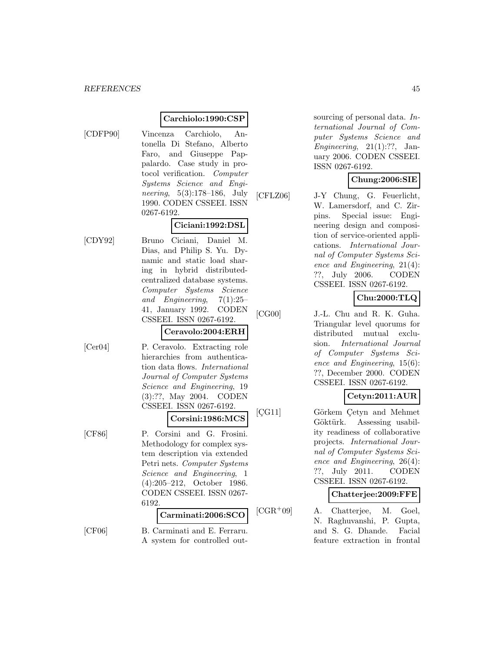#### **Carchiolo:1990:CSP**

[CDFP90] Vincenza Carchiolo, Antonella Di Stefano, Alberto Faro, and Giuseppe Pappalardo. Case study in protocol verification. Computer Systems Science and Engineering, 5(3):178–186, July 1990. CODEN CSSEEI. ISSN 0267-6192.

## **Ciciani:1992:DSL**

[CDY92] Bruno Ciciani, Daniel M. Dias, and Philip S. Yu. Dynamic and static load sharing in hybrid distributedcentralized database systems. Computer Systems Science and Engineering, 7(1):25– 41, January 1992. CODEN CSSEEI. ISSN 0267-6192.

#### **Ceravolo:2004:ERH**

[Cer04] P. Ceravolo. Extracting role hierarchies from authentication data flows. International Journal of Computer Systems Science and Engineering, 19 (3):??, May 2004. CODEN CSSEEI. ISSN 0267-6192.

# **Corsini:1986:MCS**

[CF86] P. Corsini and G. Frosini. Methodology for complex system description via extended Petri nets. Computer Systems Science and Engineering, 1 (4):205–212, October 1986. CODEN CSSEEI. ISSN 0267- 6192.

## **Carminati:2006:SCO**

[CF06] B. Carminati and E. Ferraru. A system for controlled out-

sourcing of personal data. International Journal of Computer Systems Science and Engineering,  $21(1):??$ , January 2006. CODEN CSSEEI. ISSN 0267-6192.

# **Chung:2006:SIE**

[CFLZ06] J-Y Chung, G. Feuerlicht, W. Lamersdorf, and C. Zirpins. Special issue: Engineering design and composition of service-oriented applications. International Journal of Computer Systems Science and Engineering, 21(4): ??, July 2006. CODEN CSSEEI. ISSN 0267-6192.

# **Chu:2000:TLQ**

[CG00] J.-L. Chu and R. K. Guha. Triangular level quorums for distributed mutual exclusion. International Journal of Computer Systems Science and Engineering, 15(6): ??, December 2000. CODEN CSSEEI. ISSN 0267-6192.

## **Cetyn:2011:AUR**

[CG11] Görkem Cetyn and Mehmet Göktürk. Assessing usability readiness of collaborative projects. International Journal of Computer Systems Science and Engineering, 26(4): ??, July 2011. CODEN CSSEEI. ISSN 0267-6192.

### **Chatterjee:2009:FFE**

[CGR<sup>+</sup>09] A. Chatterjee, M. Goel, N. Raghuvanshi, P. Gupta, and S. G. Dhande. Facial feature extraction in frontal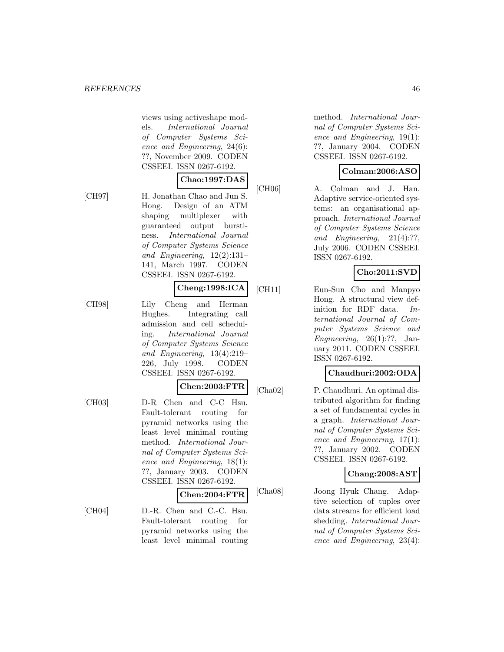views using activeshape models. International Journal of Computer Systems Science and Engineering, 24(6): ??, November 2009. CODEN CSSEEI. ISSN 0267-6192.

141, March 1997. CODEN CSSEEI. ISSN 0267-6192.

# **Chao:1997:DAS**

[CH97] H. Jonathan Chao and Jun S. Hong. Design of an ATM shaping multiplexer with guaranteed output burstiness. International Journal of Computer Systems Science and Engineering, 12(2):131–

# **Cheng:1998:ICA**

[CH98] Lily Cheng and Herman Hughes. Integrating call admission and cell scheduling. International Journal of Computer Systems Science and Engineering, 13(4):219– 226, July 1998. CODEN CSSEEI. ISSN 0267-6192.

#### **Chen:2003:FTR**

[CH03] D-R Chen and C-C Hsu. Fault-tolerant routing for pyramid networks using the least level minimal routing method. International Journal of Computer Systems Science and Engineering, 18(1): ??, January 2003. CODEN CSSEEI. ISSN 0267-6192.

#### **Chen:2004:FTR**

[CH04] D.-R. Chen and C.-C. Hsu. Fault-tolerant routing for pyramid networks using the least level minimal routing method. International Journal of Computer Systems Science and Engineering, 19(1): ??, January 2004. CODEN CSSEEI. ISSN 0267-6192.

### **Colman:2006:ASO**

[CH06] A. Colman and J. Han. Adaptive service-oriented systems: an organisational approach. International Journal of Computer Systems Science and Engineering, 21(4):??, July 2006. CODEN CSSEEI. ISSN 0267-6192.

# **Cho:2011:SVD**

[CH11] Eun-Sun Cho and Manpyo Hong. A structural view definition for RDF data. International Journal of Computer Systems Science and Engineering,  $26(1)$ :??, January 2011. CODEN CSSEEI. ISSN 0267-6192.

### **Chaudhuri:2002:ODA**

[Cha02] P. Chaudhuri. An optimal distributed algorithm for finding a set of fundamental cycles in a graph. International Journal of Computer Systems Science and Engineering, 17(1): ??, January 2002. CODEN CSSEEI. ISSN 0267-6192.

### **Chang:2008:AST**

[Cha08] Joong Hyuk Chang. Adaptive selection of tuples over data streams for efficient load shedding. International Journal of Computer Systems Science and Engineering, 23(4):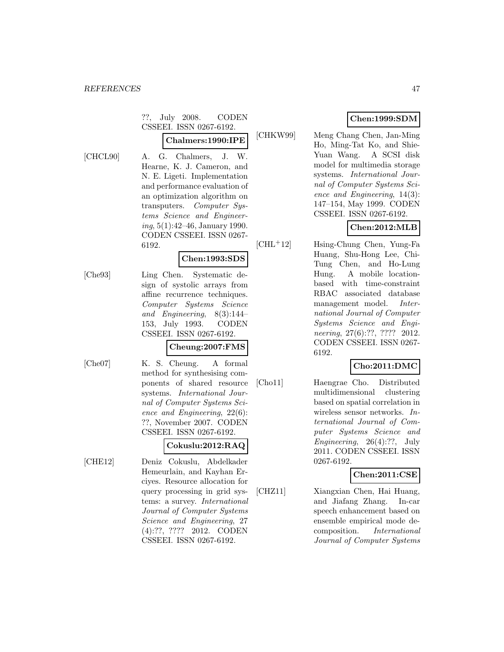??, July 2008. CODEN CSSEEI. ISSN 0267-6192.

## **Chalmers:1990:IPE**

- 
- [CHCL90] A. G. Chalmers, J. W. Hearne, K. J. Cameron, and N. E. Ligeti. Implementation and performance evaluation of an optimization algorithm on transputers. Computer Systems Science and Engineering, 5(1):42–46, January 1990. CODEN CSSEEI. ISSN 0267- 6192.

#### **Chen:1993:SDS**

[Che93] Ling Chen. Systematic design of systolic arrays from affine recurrence techniques. Computer Systems Science and Engineering, 8(3):144– 153, July 1993. CODEN CSSEEI. ISSN 0267-6192.

### **Cheung:2007:FMS**

[Che07] K. S. Cheung. A formal method for synthesising components of shared resource systems. International Journal of Computer Systems Science and Engineering, 22(6): ??, November 2007. CODEN CSSEEI. ISSN 0267-6192.

### **Cokuslu:2012:RAQ**

[CHE12] Deniz Cokuslu, Abdelkader Hemeurlain, and Kayhan Erciyes. Resource allocation for query processing in grid systems: a survey. International Journal of Computer Systems Science and Engineering, 27 (4):??, ???? 2012. CODEN CSSEEI. ISSN 0267-6192.

# **Chen:1999:SDM**

[CHKW99] Meng Chang Chen, Jan-Ming Ho, Ming-Tat Ko, and Shie-Yuan Wang. A SCSI disk model for multimedia storage systems. International Journal of Computer Systems Science and Engineering, 14(3): 147–154, May 1999. CODEN CSSEEI. ISSN 0267-6192.

# **Chen:2012:MLB**

[CHL<sup>+</sup>12] Hsing-Chung Chen, Yung-Fa Huang, Shu-Hong Lee, Chi-Tung Chen, and Ho-Lung Hung. A mobile locationbased with time-constraint RBAC associated database management model. International Journal of Computer Systems Science and Engineering, 27(6):??, ???? 2012. CODEN CSSEEI. ISSN 0267- 6192.

## **Cho:2011:DMC**

[Cho11] Haengrae Cho. Distributed multidimensional clustering based on spatial correlation in wireless sensor networks. International Journal of Computer Systems Science and Engineering, 26(4):??, July 2011. CODEN CSSEEI. ISSN 0267-6192.

## **Chen:2011:CSE**

[CHZ11] Xiangxian Chen, Hai Huang, and Jiafang Zhang. In-car speech enhancement based on ensemble empirical mode decomposition. International Journal of Computer Systems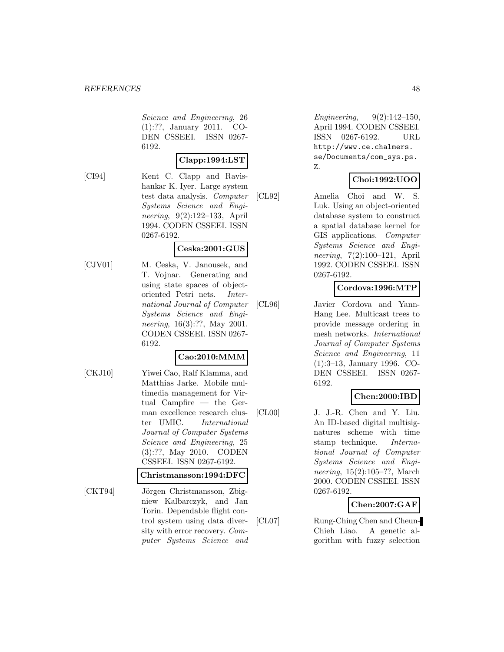Science and Engineering, 26 (1):??, January 2011. CO-DEN CSSEEI. ISSN 0267- 6192.

#### **Clapp:1994:LST**

[CI94] Kent C. Clapp and Ravishankar K. Iyer. Large system test data analysis. Computer Systems Science and Engineering, 9(2):122–133, April 1994. CODEN CSSEEI. ISSN 0267-6192.

## **Ceska:2001:GUS**

[CJV01] M. Ceska, V. Janousek, and T. Vojnar. Generating and using state spaces of objectoriented Petri nets. International Journal of Computer Systems Science and Engineering, 16(3):??, May 2001. CODEN CSSEEI. ISSN 0267- 6192.

### **Cao:2010:MMM**

[CKJ10] Yiwei Cao, Ralf Klamma, and Matthias Jarke. Mobile multimedia management for Virtual Campfire — the German excellence research cluster UMIC. International Journal of Computer Systems Science and Engineering, 25 (3):??, May 2010. CODEN CSSEEI. ISSN 0267-6192.

#### **Christmansson:1994:DFC**

[CKT94] Jörgen Christmansson, Zbigniew Kalbarczyk, and Jan Torin. Dependable flight control system using data diversity with error recovery. Computer Systems Science and

Engineering, 9(2):142–150, April 1994. CODEN CSSEEI. ISSN 0267-6192. URL http://www.ce.chalmers. se/Documents/com\_sys.ps. Z.

## **Choi:1992:UOO**

[CL92] Amelia Choi and W. S. Luk. Using an object-oriented database system to construct a spatial database kernel for GIS applications. Computer Systems Science and Engineering, 7(2):100–121, April 1992. CODEN CSSEEI. ISSN 0267-6192.

## **Cordova:1996:MTP**

[CL96] Javier Cordova and Yann-Hang Lee. Multicast trees to provide message ordering in mesh networks. International Journal of Computer Systems Science and Engineering, 11 (1):3–13, January 1996. CO-DEN CSSEEI. ISSN 0267- 6192.

## **Chen:2000:IBD**

[CL00] J. J.-R. Chen and Y. Liu. An ID-based digital multisignatures scheme with time stamp technique. International Journal of Computer Systems Science and Engineering, 15(2):105–??, March 2000. CODEN CSSEEI. ISSN 0267-6192.

## **Chen:2007:GAF**

[CL07] Rung-Ching Chen and Cheun-Chieh Liao. A genetic algorithm with fuzzy selection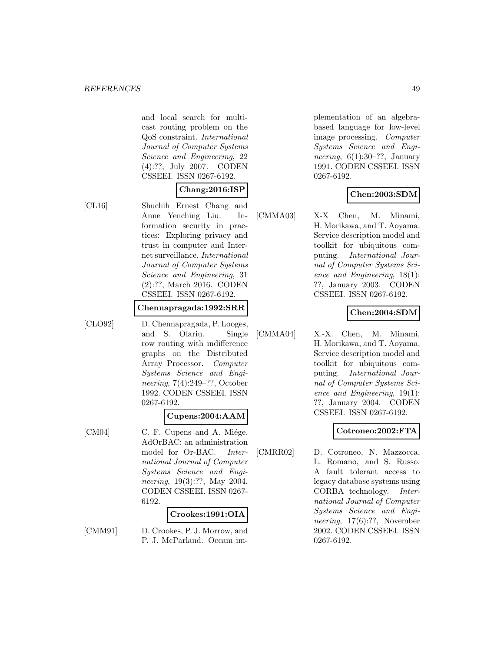and local search for multicast routing problem on the QoS constraint. International Journal of Computer Systems Science and Engineering, 22 (4):??, July 2007. CODEN CSSEEI. ISSN 0267-6192.

#### **Chang:2016:ISP**

[CL16] Shuchih Ernest Chang and Anne Yenching Liu. Information security in practices: Exploring privacy and trust in computer and Internet surveillance. International Journal of Computer Systems Science and Engineering, 31 (2):??, March 2016. CODEN CSSEEI. ISSN 0267-6192.

#### **Chennapragada:1992:SRR**

[CLO92] D. Chennapragada, P. Looges, and S. Olariu. Single row routing with indifference graphs on the Distributed Array Processor. Computer Systems Science and Engineering, 7(4):249–??, October 1992. CODEN CSSEEI. ISSN 0267-6192.

### **Cupens:2004:AAM**

[CM04] C. F. Cupens and A. Miége. AdOrBAC: an administration model for Or-BAC. International Journal of Computer Systems Science and Engineering, 19(3):??, May 2004. CODEN CSSEEI. ISSN 0267- 6192.

#### **Crookes:1991:OIA**

[CMM91] D. Crookes, P. J. Morrow, and P. J. McParland. Occam im-

plementation of an algebrabased language for low-level image processing. Computer Systems Science and Engineering,  $6(1):30-??$ , January 1991. CODEN CSSEEI. ISSN 0267-6192.

## **Chen:2003:SDM**

[CMMA03] X-X Chen, M. Minami, H. Morikawa, and T. Aoyama. Service description model and toolkit for ubiquitous computing. International Journal of Computer Systems Science and Engineering, 18(1): ??, January 2003. CODEN CSSEEI. ISSN 0267-6192.

### **Chen:2004:SDM**

[CMMA04] X.-X. Chen, M. Minami, H. Morikawa, and T. Aoyama. Service description model and toolkit for ubiquitous computing. International Journal of Computer Systems Science and Engineering, 19(1): ??, January 2004. CODEN CSSEEI. ISSN 0267-6192.

### **Cotroneo:2002:FTA**

[CMRR02] D. Cotroneo, N. Mazzocca, L. Romano, and S. Russo. A fault tolerant access to legacy database systems using CORBA technology. International Journal of Computer Systems Science and Engineering, 17(6):??, November 2002. CODEN CSSEEI. ISSN 0267-6192.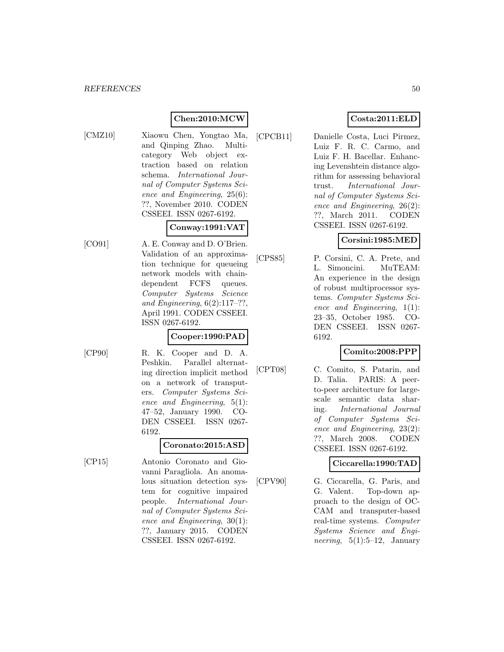## **Chen:2010:MCW**

- 
- [CMZ10] Xiaowu Chen, Yongtao Ma, and Qinping Zhao. Multicategory Web object extraction based on relation schema. International Journal of Computer Systems Science and Engineering, 25(6): ??, November 2010. CODEN CSSEEI. ISSN 0267-6192.

## **Conway:1991:VAT**

[CO91] A. E. Conway and D. O'Brien. Validation of an approximation technique for queueing network models with chaindependent FCFS queues. Computer Systems Science and Engineering,  $6(2):117-??$ , April 1991. CODEN CSSEEI. ISSN 0267-6192.

## **Cooper:1990:PAD**

- 
- [CP90] R. K. Cooper and D. A. Peshkin. Parallel alternating direction implicit method on a network of transputers. Computer Systems Science and Engineering, 5(1): 47–52, January 1990. CO-DEN CSSEEI. ISSN 0267- 6192.

## **Coronato:2015:ASD**

[CP15] Antonio Coronato and Giovanni Paragliola. An anomalous situation detection system for cognitive impaired people. International Journal of Computer Systems Science and Engineering, 30(1): ??, January 2015. CODEN CSSEEI. ISSN 0267-6192.

## **Costa:2011:ELD**

[CPCB11] Danielle Costa, Luci Pirmez, Luiz F. R. C. Carmo, and Luiz F. H. Bacellar. Enhancing Levenshtein distance algorithm for assessing behavioral trust. International Journal of Computer Systems Science and Engineering, 26(2): ??, March 2011. CODEN CSSEEI. ISSN 0267-6192.

## **Corsini:1985:MED**

[CPS85] P. Corsini, C. A. Prete, and L. Simoncini. MuTEAM: An experience in the design of robust multiprocessor systems. Computer Systems Science and Engineering, 1(1): 23–35, October 1985. CO-DEN CSSEEI. ISSN 0267- 6192.

## **Comito:2008:PPP**

[CPT08] C. Comito, S. Patarin, and D. Talia. PARIS: A peerto-peer architecture for largescale semantic data sharing. International Journal of Computer Systems Science and Engineering, 23(2): ??, March 2008. CODEN CSSEEI. ISSN 0267-6192.

### **Ciccarella:1990:TAD**

[CPV90] G. Ciccarella, G. Paris, and G. Valent. Top-down approach to the design of OC-CAM and transputer-based real-time systems. Computer Systems Science and Engi*neering*,  $5(1):5-12$ , January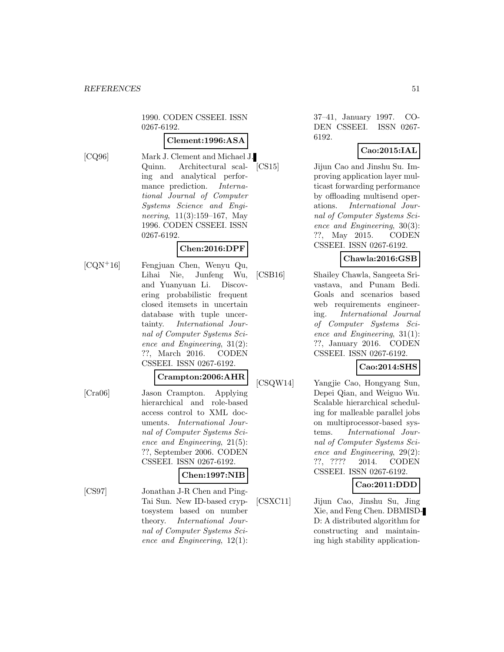1990. CODEN CSSEEI. ISSN 0267-6192.

#### **Clement:1996:ASA**

[CQ96] Mark J. Clement and Michael J. Quinn. Architectural scaling and analytical performance prediction. International Journal of Computer Systems Science and Engineering, 11(3):159–167, May 1996. CODEN CSSEEI. ISSN

# 0267-6192. **Chen:2016:DPF**

[CQN<sup>+</sup>16] Fengjuan Chen, Wenyu Qu, Lihai Nie, Junfeng Wu, and Yuanyuan Li. Discovering probabilistic frequent closed itemsets in uncertain database with tuple uncertainty. International Journal of Computer Systems Science and Engineering, 31(2): ??, March 2016. CODEN CSSEEI. ISSN 0267-6192.

## **Crampton:2006:AHR**

[Cra06] Jason Crampton. Applying hierarchical and role-based access control to XML documents. International Journal of Computer Systems Science and Engineering, 21(5): ??, September 2006. CODEN CSSEEI. ISSN 0267-6192.

## **Chen:1997:NIB**

[CS97] Jonathan J-R Chen and Ping-Tai Sun. New ID-based cryptosystem based on number theory. International Journal of Computer Systems Science and Engineering, 12(1):

37–41, January 1997. CO-DEN CSSEEI. ISSN 0267- 6192.

## **Cao:2015:IAL**

[CS15] Jijun Cao and Jinshu Su. Improving application layer multicast forwarding performance by offloading multisend operations. International Journal of Computer Systems Science and Engineering, 30(3): ??, May 2015. CODEN CSSEEI. ISSN 0267-6192.

## **Chawla:2016:GSB**

[CSB16] Shailey Chawla, Sangeeta Srivastava, and Punam Bedi. Goals and scenarios based web requirements engineering. International Journal of Computer Systems Science and Engineering, 31(1): ??, January 2016. CODEN CSSEEI. ISSN 0267-6192.

## **Cao:2014:SHS**

[CSQW14] Yangjie Cao, Hongyang Sun, Depei Qian, and Weiguo Wu. Scalable hierarchical scheduling for malleable parallel jobs on multiprocessor-based systems. International Journal of Computer Systems Science and Engineering, 29(2): ??, ???? 2014. CODEN CSSEEI. ISSN 0267-6192.

**Cao:2011:DDD**

[CSXC11] Jijun Cao, Jinshu Su, Jing Xie, and Feng Chen. DBMISD-D: A distributed algorithm for constructing and maintaining high stability application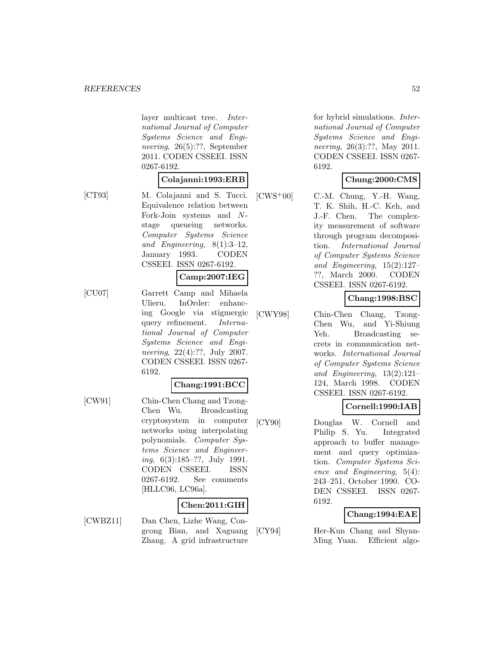layer multicast tree. International Journal of Computer Systems Science and Engineering, 26(5):??, September 2011. CODEN CSSEEI. ISSN 0267-6192.

## **Colajanni:1993:ERB**

[CT93] M. Colajanni and S. Tucci. Equivalence relation between Fork-Join systems and Nstage queueing networks. Computer Systems Science and Engineering, 8(1):3–12, January 1993. CODEN CSSEEI. ISSN 0267-6192.

#### **Camp:2007:IEG**

[CU07] Garrett Camp and Mihaela Ulieru. InOrder: enhancing Google via stigmergic query refinement. International Journal of Computer Systems Science and Engineering, 22(4):??, July 2007. CODEN CSSEEI. ISSN 0267- 6192.

#### **Chang:1991:BCC**

[CW91] Chin-Chen Chang and Tzong-Chen Wu. Broadcasting cryptosystem in computer networks using interpolating polynomials. Computer Systems Science and Engineering, 6(3):185–??, July 1991. CODEN CSSEEI. ISSN 0267-6192. See comments [HLLC96, LC96a].

### **Chen:2011:GIH**

[CWBZ11] Dan Chen, Lizhe Wang, Congcong Bian, and Xuguang Zhang. A grid infrastructure

for hybrid simulations. International Journal of Computer Systems Science and Engineering, 26(3):??, May 2011. CODEN CSSEEI. ISSN 0267- 6192.

## **Chung:2000:CMS**

 $[CWS^+00]$  C.-M. Chung, Y.-H. Wang, T. K. Shih, H.-C. Keh, and J.-F. Chen. The complexity measurement of software through program decomposition. International Journal of Computer Systems Science and Engineering, 15(2):127– ??, March 2000. CODEN CSSEEI. ISSN 0267-6192.

# **Chang:1998:BSC**

[CWY98] Chin-Chen Chang, Tzong-Chen Wu, and Yi-Shiung Yeh. Broadcasting secrets in communication networks. International Journal of Computer Systems Science and Engineering, 13(2):121– 124, March 1998. CODEN CSSEEI. ISSN 0267-6192.

### **Cornell:1990:IAB**

[CY90] Douglas W. Cornell and Philip S. Yu. Integrated approach to buffer management and query optimization. Computer Systems Science and Engineering, 5(4): 243–251, October 1990. CO-DEN CSSEEI. ISSN 0267- 6192.

### **Chang:1994:EAE**

[CY94] Her-Kun Chang and Shyan-Ming Yuan. Efficient algo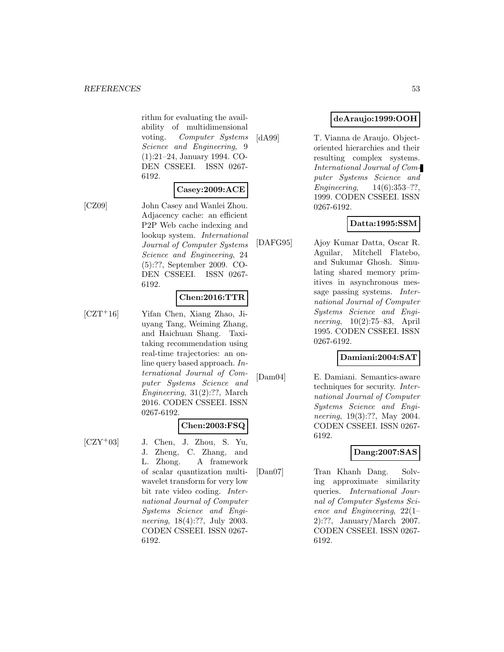rithm for evaluating the availability of multidimensional voting. Computer Systems Science and Engineering, 9 (1):21–24, January 1994. CO-DEN CSSEEI. ISSN 0267- 6192.

#### **Casey:2009:ACE**

[CZ09] John Casey and Wanlei Zhou. Adjacency cache: an efficient P2P Web cache indexing and lookup system. International Journal of Computer Systems Science and Engineering, 24 (5):??, September 2009. CO-DEN CSSEEI. ISSN 0267- 6192.

#### **Chen:2016:TTR**

[CZT<sup>+</sup>16] Yifan Chen, Xiang Zhao, Jiuyang Tang, Weiming Zhang, and Haichuan Shang. Taxitaking recommendation using real-time trajectories: an online query based approach. International Journal of Computer Systems Science and Engineering, 31(2):??, March 2016. CODEN CSSEEI. ISSN 0267-6192.

## **Chen:2003:FSQ**

 $[CZY<sup>+</sup>03]$  J. Chen, J. Zhou, S. Yu, J. Zheng, C. Zhang, and L. Zhong. A framework of scalar quantization multiwavelet transform for very low bit rate video coding. International Journal of Computer Systems Science and Engineering, 18(4):??, July 2003. CODEN CSSEEI. ISSN 0267- 6192.

# **deAraujo:1999:OOH**

[dA99] T. Vianna de Araujo. Objectoriented hierarchies and their resulting complex systems. International Journal of Computer Systems Science and Engineering, 14(6):353–??, 1999. CODEN CSSEEI. ISSN 0267-6192.

## **Datta:1995:SSM**

[DAFG95] Ajoy Kumar Datta, Oscar R. Aguilar, Mitchell Flatebo, and Sukumar Ghosh. Simulating shared memory primitives in asynchronous message passing systems. International Journal of Computer Systems Science and Engineering, 10(2):75–83, April 1995. CODEN CSSEEI. ISSN 0267-6192.

### **Damiani:2004:SAT**

[Dam04] E. Damiani. Semantics-aware techniques for security. International Journal of Computer Systems Science and Engineering, 19(3):??, May 2004. CODEN CSSEEI. ISSN 0267- 6192.

## **Dang:2007:SAS**

[Dan07] Tran Khanh Dang. Solving approximate similarity queries. International Journal of Computer Systems Science and Engineering, 22(1– 2):??, January/March 2007. CODEN CSSEEI. ISSN 0267- 6192.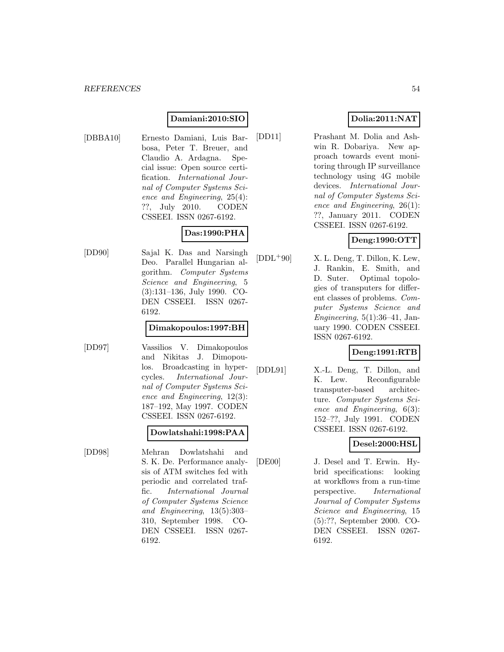#### **Damiani:2010:SIO**

[DBBA10] Ernesto Damiani, Luis Barbosa, Peter T. Breuer, and Claudio A. Ardagna. Special issue: Open source certification. International Journal of Computer Systems Science and Engineering, 25(4): ??, July 2010. CODEN CSSEEI. ISSN 0267-6192.

## **Das:1990:PHA**

[DD90] Sajal K. Das and Narsingh Deo. Parallel Hungarian algorithm. Computer Systems Science and Engineering, 5 (3):131–136, July 1990. CO-DEN CSSEEI. ISSN 0267- 6192.

#### **Dimakopoulos:1997:BH**

[DD97] Vassilios V. Dimakopoulos and Nikitas J. Dimopoulos. Broadcasting in hypercycles. International Journal of Computer Systems Science and Engineering, 12(3): 187–192, May 1997. CODEN CSSEEI. ISSN 0267-6192.

### **Dowlatshahi:1998:PAA**

[DD98] Mehran Dowlatshahi and S. K. De. Performance analysis of ATM switches fed with periodic and correlated traffic. International Journal of Computer Systems Science and Engineering, 13(5):303– 310, September 1998. CO-DEN CSSEEI. ISSN 0267- 6192.

## **Dolia:2011:NAT**

[DD11] Prashant M. Dolia and Ashwin R. Dobariya. New approach towards event monitoring through IP surveillance technology using 4G mobile devices. International Journal of Computer Systems Science and Engineering, 26(1): ??, January 2011. CODEN CSSEEI. ISSN 0267-6192.

## **Deng:1990:OTT**

 $[DDL<sup>+</sup>90]$  X. L. Deng, T. Dillon, K. Lew, J. Rankin, E. Smith, and D. Suter. Optimal topologies of transputers for different classes of problems. Computer Systems Science and Engineering,  $5(1):36-41$ , January 1990. CODEN CSSEEI. ISSN 0267-6192.

## **Deng:1991:RTB**

[DDL91] X.-L. Deng, T. Dillon, and K. Lew. Reconfigurable transputer-based architecture. Computer Systems Science and Engineering, 6(3): 152–??, July 1991. CODEN CSSEEI. ISSN 0267-6192.

## **Desel:2000:HSL**

[DE00] J. Desel and T. Erwin. Hybrid specifications: looking at workflows from a run-time perspective. International Journal of Computer Systems Science and Engineering, 15 (5):??, September 2000. CO-DEN CSSEEI. ISSN 0267- 6192.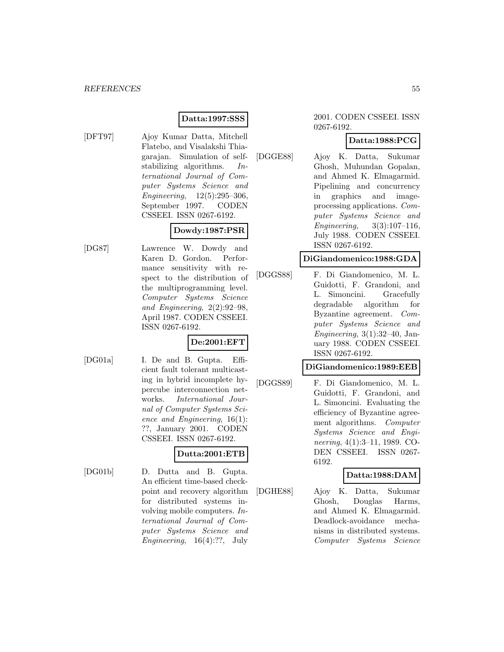## **Datta:1997:SSS**

- 
- [DFT97] Ajoy Kumar Datta, Mitchell Flatebo, and Visalakshi Thiagarajan. Simulation of selfstabilizing algorithms. International Journal of Computer Systems Science and Engineering, 12(5):295–306, September 1997. CODEN CSSEEI. ISSN 0267-6192.

# **Dowdy:1987:PSR**

[DG87] Lawrence W. Dowdy and Karen D. Gordon. Performance sensitivity with respect to the distribution of the multiprogramming level. Computer Systems Science and Engineering, 2(2):92–98, April 1987. CODEN CSSEEI. ISSN 0267-6192.

## **De:2001:EFT**

[DG01a] I. De and B. Gupta. Efficient fault tolerant multicasting in hybrid incomplete hypercube interconnection networks. International Journal of Computer Systems Science and Engineering, 16(1): ??, January 2001. CODEN CSSEEI. ISSN 0267-6192.

## **Dutta:2001:ETB**

[DG01b] D. Dutta and B. Gupta. An efficient time-based checkpoint and recovery algorithm for distributed systems involving mobile computers. International Journal of Computer Systems Science and Engineering,  $16(4)$ :??, July

#### 2001. CODEN CSSEEI. ISSN 0267-6192.

## **Datta:1988:PCG**

[DGGE88] Ajoy K. Datta, Sukumar Ghosh, Muhundan Gopalan, and Ahmed K. Elmagarmid. Pipelining and concurrency in graphics and imageprocessing applications. Computer Systems Science and Engineering, 3(3):107–116, July 1988. CODEN CSSEEI. ISSN 0267-6192.

#### **DiGiandomenico:1988:GDA**

[DGGS88] F. Di Giandomenico, M. L. Guidotti, F. Grandoni, and L. Simoncini. Gracefully degradable algorithm for Byzantine agreement. Computer Systems Science and Engineering,  $3(1):32-40$ , January 1988. CODEN CSSEEI. ISSN 0267-6192.

#### **DiGiandomenico:1989:EEB**

[DGGS89] F. Di Giandomenico, M. L. Guidotti, F. Grandoni, and L. Simoncini. Evaluating the efficiency of Byzantine agreement algorithms. Computer Systems Science and Engineering, 4(1):3–11, 1989. CO-DEN CSSEEI. ISSN 0267- 6192.

### **Datta:1988:DAM**

[DGHE88] Ajoy K. Datta, Sukumar Ghosh, Douglas Harms, and Ahmed K. Elmagarmid. Deadlock-avoidance mechanisms in distributed systems. Computer Systems Science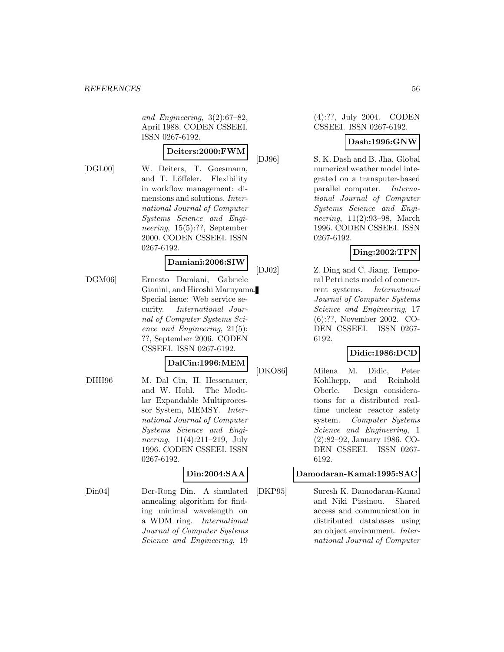and Engineering, 3(2):67–82, April 1988. CODEN CSSEEI. ISSN 0267-6192.

# **Deiters:2000:FWM**

[DGL00] W. Deiters, T. Goesmann, and T. Löffeler. Flexibility in workflow management: dimensions and solutions. International Journal of Computer Systems Science and Engineering, 15(5):??, September 2000. CODEN CSSEEI. ISSN 0267-6192.

# **Damiani:2006:SIW**

[DGM06] Ernesto Damiani, Gabriele Gianini, and Hiroshi Maruyama. Special issue: Web service security. International Journal of Computer Systems Science and Engineering, 21(5): ??, September 2006. CODEN CSSEEI. ISSN 0267-6192.

#### **DalCin:1996:MEM**

[DHH96] M. Dal Cin, H. Hessenauer, and W. Hohl. The Modular Expandable Multiprocessor System, MEMSY. International Journal of Computer Systems Science and Engineering, 11(4):211–219, July 1996. CODEN CSSEEI. ISSN 0267-6192.

### **Din:2004:SAA**

[Din04] Der-Rong Din. A simulated annealing algorithm for finding minimal wavelength on a WDM ring. International Journal of Computer Systems Science and Engineering, 19

#### (4):??, July 2004. CODEN CSSEEI. ISSN 0267-6192.

#### **Dash:1996:GNW**

[DJ96] S. K. Dash and B. Jha. Global numerical weather model integrated on a transputer-based parallel computer. International Journal of Computer Systems Science and Engineering, 11(2):93–98, March 1996. CODEN CSSEEI. ISSN 0267-6192.

## **Ding:2002:TPN**

[DJ02] Z. Ding and C. Jiang. Temporal Petri nets model of concurrent systems. International Journal of Computer Systems Science and Engineering, 17 (6):??, November 2002. CO-DEN CSSEEI. ISSN 0267- 6192.

## **Didic:1986:DCD**

[DKO86] Milena M. Didic, Peter Kohlhepp, and Reinhold Oberle. Design considerations for a distributed realtime unclear reactor safety system. Computer Systems Science and Engineering, 1 (2):82–92, January 1986. CO-DEN CSSEEI. ISSN 0267- 6192.

### **Damodaran-Kamal:1995:SAC**

[DKP95] Suresh K. Damodaran-Kamal and Niki Pissinou. Shared access and communication in distributed databases using an object environment. International Journal of Computer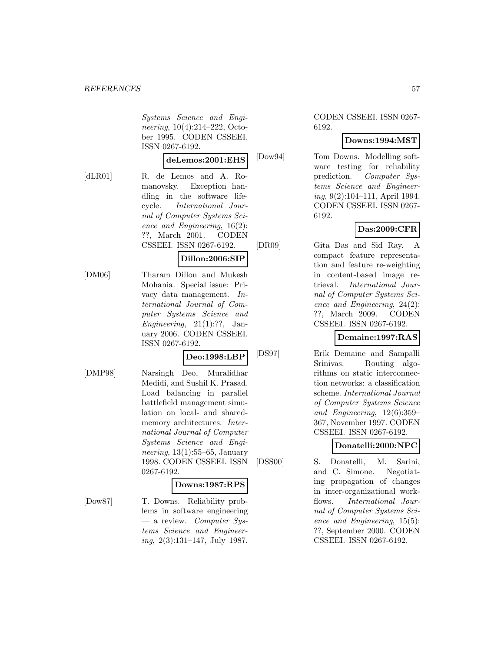Systems Science and Engineering, 10(4):214–222, October 1995. CODEN CSSEEI. ISSN 0267-6192.

#### **deLemos:2001:EHS**

[dLR01] R. de Lemos and A. Romanovsky. Exception handling in the software lifecycle. International Journal of Computer Systems Science and Engineering, 16(2): ??, March 2001. CODEN CSSEEI. ISSN 0267-6192.

#### **Dillon:2006:SIP**

[DM06] Tharam Dillon and Mukesh Mohania. Special issue: Privacy data management. International Journal of Computer Systems Science and Engineering,  $21(1):??$ , January 2006. CODEN CSSEEI. ISSN 0267-6192.

#### **Deo:1998:LBP**

- 
- [DMP98] Narsingh Deo, Muralidhar Medidi, and Sushil K. Prasad. Load balancing in parallel battlefield management simulation on local- and sharedmemory architectures. International Journal of Computer Systems Science and Engineering,  $13(1):55-65$ , January 1998. CODEN CSSEEI. ISSN 0267-6192.

#### **Downs:1987:RPS**

[Dow87] T. Downs. Reliability problems in software engineering  $-$  a review. Computer Systems Science and Engineer $ing, 2(3):131-147, July 1987.$ 

#### CODEN CSSEEI. ISSN 0267- 6192.

## **Downs:1994:MST**

[Dow94] Tom Downs. Modelling software testing for reliability prediction. Computer Systems Science and Engineering, 9(2):104–111, April 1994. CODEN CSSEEI. ISSN 0267- 6192.

### **Das:2009:CFR**

[DR09] Gita Das and Sid Ray. A compact feature representation and feature re-weighting in content-based image retrieval. International Journal of Computer Systems Science and Engineering, 24(2): ??, March 2009. CODEN CSSEEI. ISSN 0267-6192.

### **Demaine:1997:RAS**

[DS97] Erik Demaine and Sampalli Srinivas. Routing algorithms on static interconnection networks: a classification scheme. International Journal of Computer Systems Science and Engineering, 12(6):359– 367, November 1997. CODEN CSSEEI. ISSN 0267-6192.

### **Donatelli:2000:NPC**

[DSS00] S. Donatelli, M. Sarini, and C. Simone. Negotiating propagation of changes in inter-organizational workflows. International Journal of Computer Systems Science and Engineering, 15(5): ??, September 2000. CODEN CSSEEI. ISSN 0267-6192.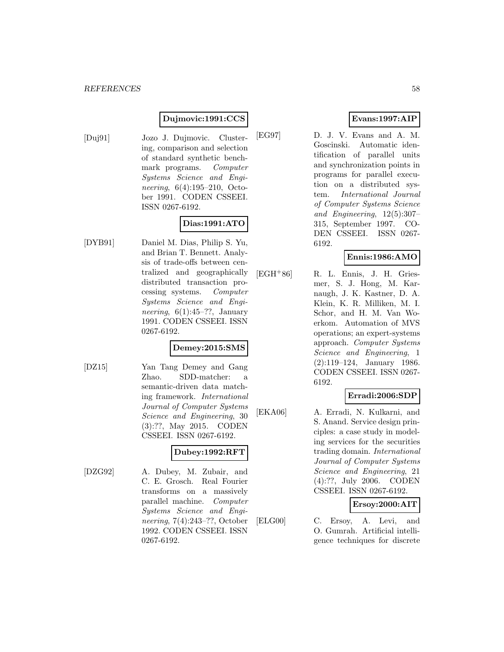### **Dujmovic:1991:CCS**

[Duj91] Jozo J. Dujmovic. Clustering, comparison and selection of standard synthetic benchmark programs. Computer Systems Science and Engineering, 6(4):195–210, October 1991. CODEN CSSEEI. ISSN 0267-6192.

# **Dias:1991:ATO**

[DYB91] Daniel M. Dias, Philip S. Yu, and Brian T. Bennett. Analysis of trade-offs between centralized and geographically distributed transaction processing systems. Computer Systems Science and Engineering,  $6(1):45-??$ , January 1991. CODEN CSSEEI. ISSN 0267-6192.

## **Demey:2015:SMS**

[DZ15] Yan Tang Demey and Gang Zhao. SDD-matcher: a semantic-driven data matching framework. International Journal of Computer Systems Science and Engineering, 30 (3):??, May 2015. CODEN CSSEEI. ISSN 0267-6192.

## **Dubey:1992:RFT**

[DZG92] A. Dubey, M. Zubair, and C. E. Grosch. Real Fourier transforms on a massively parallel machine. Computer Systems Science and Engineering, 7(4):243–??, October 1992. CODEN CSSEEI. ISSN 0267-6192.

# **Evans:1997:AIP**

[EG97] D. J. V. Evans and A. M. Goscinski. Automatic identification of parallel units and synchronization points in programs for parallel execution on a distributed system. International Journal of Computer Systems Science and Engineering, 12(5):307– 315, September 1997. CO-DEN CSSEEI. ISSN 0267- 6192.

## **Ennis:1986:AMO**

[EGH<sup>+</sup>86] R. L. Ennis, J. H. Griesmer, S. J. Hong, M. Karnaugh, J. K. Kastner, D. A. Klein, K. R. Milliken, M. I. Schor, and H. M. Van Woerkom. Automation of MVS operations; an expert-systems approach. Computer Systems Science and Engineering, 1 (2):119–124, January 1986. CODEN CSSEEI. ISSN 0267- 6192.

### **Erradi:2006:SDP**

[EKA06] A. Erradi, N. Kulkarni, and S. Anand. Service design principles: a case study in modeling services for the securities trading domain. International Journal of Computer Systems Science and Engineering, 21 (4):??, July 2006. CODEN CSSEEI. ISSN 0267-6192.

### **Ersoy:2000:AIT**

[ELG00] C. Ersoy, A. Levi, and O. Gumrah. Artificial intelligence techniques for discrete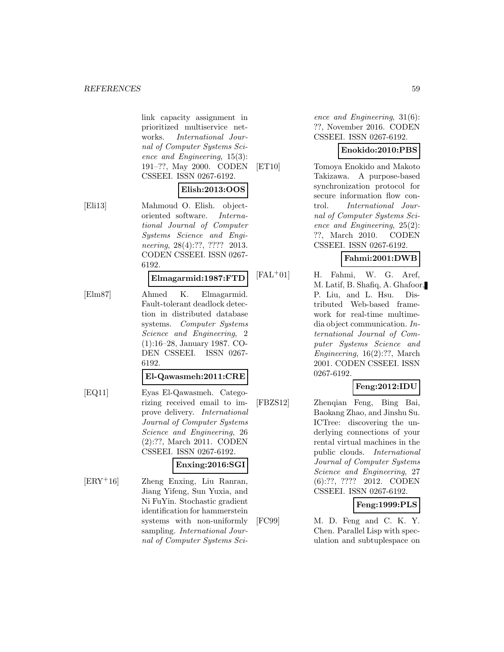link capacity assignment in prioritized multiservice networks. International Journal of Computer Systems Science and Engineering, 15(3): 191–??, May 2000. CODEN CSSEEI. ISSN 0267-6192.

## **Elish:2013:OOS**

[Eli13] Mahmoud O. Elish. objectoriented software. International Journal of Computer Systems Science and Engineering, 28(4):??, ???? 2013. CODEN CSSEEI. ISSN 0267- 6192.

#### **Elmagarmid:1987:FTD**

[Elm87] Ahmed K. Elmagarmid. Fault-tolerant deadlock detection in distributed database systems. Computer Systems Science and Engineering, 2 (1):16–28, January 1987. CO-DEN CSSEEI. ISSN 0267- 6192.

**El-Qawasmeh:2011:CRE**

[EQ11] Eyas El-Qawasmeh. Categorizing received email to improve delivery. International Journal of Computer Systems Science and Engineering, 26 (2):??, March 2011. CODEN CSSEEI. ISSN 0267-6192.

#### **Enxing:2016:SGI**

[ERY<sup>+</sup>16] Zheng Enxing, Liu Ranran, Jiang Yifeng, Sun Yuxia, and Ni FuYin. Stochastic gradient identification for hammerstein systems with non-uniformly sampling. International Journal of Computer Systems Science and Engineering, 31(6): ??, November 2016. CODEN CSSEEI. ISSN 0267-6192.

## **Enokido:2010:PBS**

[ET10] Tomoya Enokido and Makoto Takizawa. A purpose-based synchronization protocol for secure information flow control. International Journal of Computer Systems Science and Engineering, 25(2): ??, March 2010. CODEN CSSEEI. ISSN 0267-6192.

## **Fahmi:2001:DWB**

[FAL<sup>+</sup>01] H. Fahmi, W. G. Aref, M. Latif, B. Shafiq, A. Ghafoor, P. Liu, and L. Hsu. Distributed Web-based framework for real-time multimedia object communication. International Journal of Computer Systems Science and Engineering, 16(2):??, March 2001. CODEN CSSEEI. ISSN 0267-6192.

## **Feng:2012:IDU**

[FBZS12] Zhenqian Feng, Bing Bai, Baokang Zhao, and Jinshu Su. ICTree: discovering the underlying connections of your rental virtual machines in the public clouds. International Journal of Computer Systems Science and Engineering, 27 (6):??, ???? 2012. CODEN CSSEEI. ISSN 0267-6192.

## **Feng:1999:PLS**

[FC99] M. D. Feng and C. K. Y. Chen. Parallel Lisp with speculation and subtuplespace on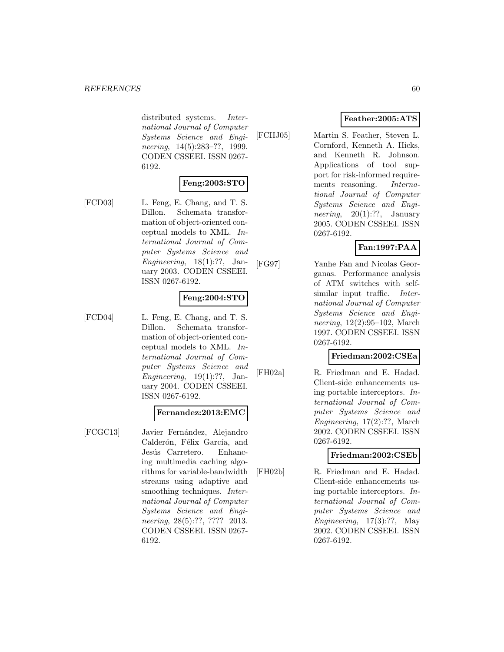distributed systems. International Journal of Computer Systems Science and Engineering, 14(5):283–??, 1999. CODEN CSSEEI. ISSN 0267- 6192.

## **Feng:2003:STO**

[FCD03] L. Feng, E. Chang, and T. S. Dillon. Schemata transformation of object-oriented conceptual models to XML. International Journal of Computer Systems Science and Engineering,  $18(1)$ :??, January 2003. CODEN CSSEEI. ISSN 0267-6192.

## **Feng:2004:STO**

[FCD04] L. Feng, E. Chang, and T. S. Dillon. Schemata transformation of object-oriented conceptual models to XML. International Journal of Computer Systems Science and Engineering,  $19(1)$ :??, January 2004. CODEN CSSEEI. ISSN 0267-6192.

#### **Fernandez:2013:EMC**

[FCGC13] Javier Fernández, Alejandro Calderón, Félix García, and Jesús Carretero. Enhancing multimedia caching algorithms for variable-bandwidth streams using adaptive and smoothing techniques. *Inter*national Journal of Computer Systems Science and Engineering, 28(5):??, ???? 2013. CODEN CSSEEI. ISSN 0267- 6192.

# **Feather:2005:ATS**

[FCHJ05] Martin S. Feather, Steven L. Cornford, Kenneth A. Hicks, and Kenneth R. Johnson. Applications of tool support for risk-informed requirements reasoning. International Journal of Computer Systems Science and Engineering,  $20(1)$ :??, January 2005. CODEN CSSEEI. ISSN 0267-6192.

## **Fan:1997:PAA**

[FG97] Yanhe Fan and Nicolas Georganas. Performance analysis of ATM switches with selfsimilar input traffic. *Inter*national Journal of Computer Systems Science and Engineering, 12(2):95–102, March 1997. CODEN CSSEEI. ISSN 0267-6192.

### **Friedman:2002:CSEa**

[FH02a] R. Friedman and E. Hadad. Client-side enhancements using portable interceptors. International Journal of Computer Systems Science and Engineering, 17(2):??, March 2002. CODEN CSSEEI. ISSN 0267-6192.

### **Friedman:2002:CSEb**

[FH02b] R. Friedman and E. Hadad. Client-side enhancements using portable interceptors. International Journal of Computer Systems Science and Engineering, 17(3):??, May 2002. CODEN CSSEEI. ISSN 0267-6192.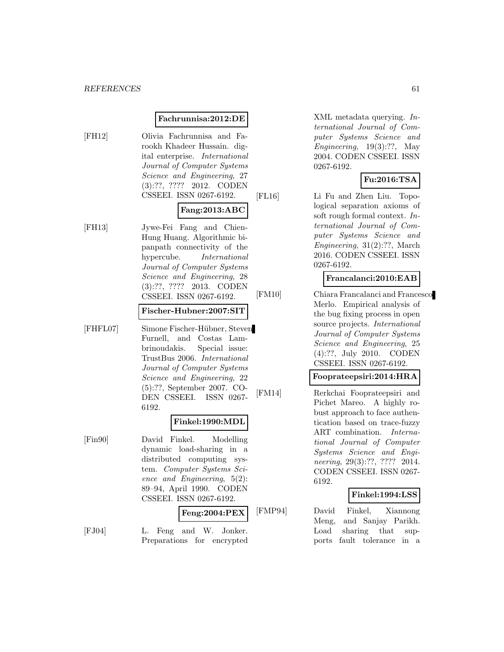#### **Fachrunnisa:2012:DE**

[FH12] Olivia Fachrunnisa and Farookh Khadeer Hussain. digital enterprise. International Journal of Computer Systems Science and Engineering, 27 (3):??, ???? 2012. CODEN CSSEEI. ISSN 0267-6192.

#### **Fang:2013:ABC**

[FH13] Jywe-Fei Fang and Chien-Hung Huang. Algorithmic bipanpath connectivity of the hypercube. International Journal of Computer Systems Science and Engineering, 28 (3):??, ???? 2013. CODEN CSSEEI. ISSN 0267-6192.

## **Fischer-Hubner:2007:SIT**

[FHFL07] Simone Fischer-H¨ubner, Steven Furnell, and Costas Lambrinoudakis. Special issue: TrustBus 2006. International Journal of Computer Systems Science and Engineering, 22 (5):??, September 2007. CO-DEN CSSEEI. ISSN 0267- 6192.

#### **Finkel:1990:MDL**

[Fin90] David Finkel. Modelling dynamic load-sharing in a distributed computing system. Computer Systems Science and Engineering, 5(2): 89–94, April 1990. CODEN CSSEEI. ISSN 0267-6192.

### **Feng:2004:PEX**

[FJ04] L. Feng and W. Jonker. Preparations for encrypted

XML metadata querying. International Journal of Computer Systems Science and Engineering,  $19(3)$ :??, May 2004. CODEN CSSEEI. ISSN 0267-6192.

### **Fu:2016:TSA**

[FL16] Li Fu and Zhen Liu. Topological separation axioms of soft rough formal context. International Journal of Computer Systems Science and Engineering, 31(2):??, March 2016. CODEN CSSEEI. ISSN 0267-6192.

#### **Francalanci:2010:EAB**

[FM10] Chiara Francalanci and Francesco Merlo. Empirical analysis of the bug fixing process in open source projects. International Journal of Computer Systems Science and Engineering, 25 (4):??, July 2010. CODEN CSSEEI. ISSN 0267-6192.

#### **Fooprateepsiri:2014:HRA**

[FM14] Rerkchai Fooprateepsiri and Pichet Mareo. A highly robust approach to face authentication based on trace-fuzzy ART combination. International Journal of Computer Systems Science and Engineering, 29(3):??, ???? 2014. CODEN CSSEEI. ISSN 0267- 6192.

#### **Finkel:1994:LSS**

[FMP94] David Finkel, Xiannong Meng, and Sanjay Parikh. Load sharing that supports fault tolerance in a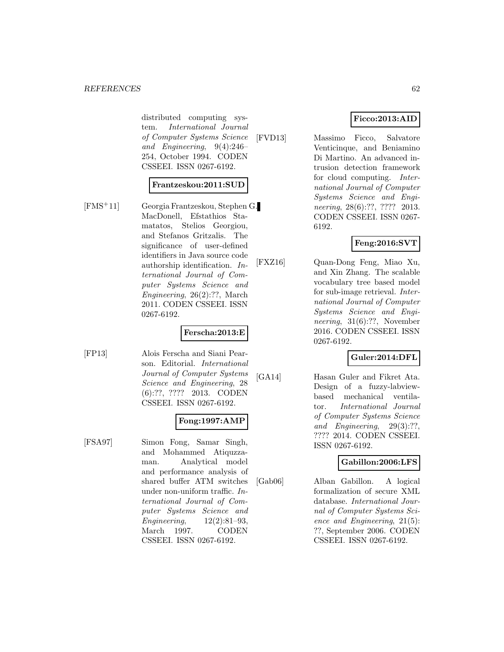#### *REFERENCES* 62

distributed computing system. International Journal of Computer Systems Science and Engineering, 9(4):246– 254, October 1994. CODEN CSSEEI. ISSN 0267-6192.

### **Frantzeskou:2011:SUD**

[FMS<sup>+</sup>11] Georgia Frantzeskou, Stephen G. MacDonell, Efstathios Stamatatos, Stelios Georgiou, and Stefanos Gritzalis. The significance of user-defined identifiers in Java source code authorship identification. International Journal of Computer Systems Science and Engineering, 26(2):??, March 2011. CODEN CSSEEI. ISSN 0267-6192.

### **Ferscha:2013:E**

[FP13] Alois Ferscha and Siani Pearson. Editorial. International Journal of Computer Systems Science and Engineering, 28 (6):??, ???? 2013. CODEN CSSEEI. ISSN 0267-6192.

### **Fong:1997:AMP**

[FSA97] Simon Fong, Samar Singh, and Mohammed Atiquzzaman. Analytical model and performance analysis of shared buffer ATM switches under non-uniform traffic. International Journal of Computer Systems Science and Engineering, 12(2):81–93, March 1997. CODEN CSSEEI. ISSN 0267-6192.

## **Ficco:2013:AID**

[FVD13] Massimo Ficco, Salvatore Venticinque, and Beniamino Di Martino. An advanced intrusion detection framework for cloud computing. International Journal of Computer Systems Science and Engineering, 28(6):??, ???? 2013. CODEN CSSEEI. ISSN 0267- 6192.

## **Feng:2016:SVT**

[FXZ16] Quan-Dong Feng, Miao Xu, and Xin Zhang. The scalable vocabulary tree based model for sub-image retrieval. International Journal of Computer Systems Science and Engineering, 31(6):??, November 2016. CODEN CSSEEI. ISSN 0267-6192.

### **Guler:2014:DFL**

[GA14] Hasan Guler and Fikret Ata. Design of a fuzzy-labviewbased mechanical ventilator. International Journal of Computer Systems Science and Engineering, 29(3):??, ???? 2014. CODEN CSSEEI. ISSN 0267-6192.

#### **Gabillon:2006:LFS**

[Gab06] Alban Gabillon. A logical formalization of secure XML database. International Journal of Computer Systems Science and Engineering, 21(5): ??, September 2006. CODEN CSSEEI. ISSN 0267-6192.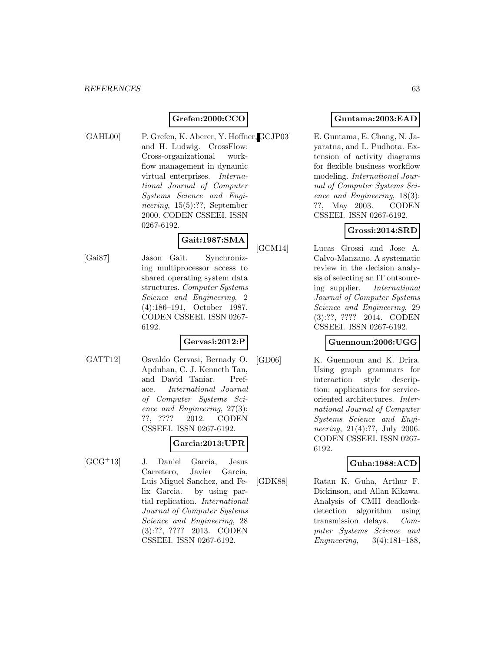## **Grefen:2000:CCO**

[GAHL00] P. Grefen, K. Aberer, Y. Hoffner, GCJP03] and H. Ludwig. CrossFlow: Cross-organizational workflow management in dynamic virtual enterprises. International Journal of Computer Systems Science and Engineering, 15(5):??, September 2000. CODEN CSSEEI. ISSN 0267-6192.

## **Gait:1987:SMA**

[Gai87] Jason Gait. Synchronizing multiprocessor access to shared operating system data structures. Computer Systems Science and Engineering, 2 (4):186–191, October 1987. CODEN CSSEEI. ISSN 0267- 6192.

## **Gervasi:2012:P**

[GATT12] Osvaldo Gervasi, Bernady O. Apduhan, C. J. Kenneth Tan, and David Taniar. Preface. International Journal of Computer Systems Science and Engineering, 27(3): ??, ???? 2012. CODEN CSSEEI. ISSN 0267-6192.

# **Garcia:2013:UPR**

[GCG<sup>+</sup>13] J. Daniel Garcia, Jesus Carretero, Javier Garcia, Luis Miguel Sanchez, and Felix Garcia. by using partial replication. International Journal of Computer Systems Science and Engineering, 28 (3):??, ???? 2013. CODEN CSSEEI. ISSN 0267-6192.

## **Guntama:2003:EAD**

E. Guntama, E. Chang, N. Jayaratna, and L. Pudhota. Extension of activity diagrams for flexible business workflow modeling. International Journal of Computer Systems Science and Engineering, 18(3): ??, May 2003. CODEN CSSEEI. ISSN 0267-6192.

## **Grossi:2014:SRD**

[GCM14] Lucas Grossi and Jose A. Calvo-Manzano. A systematic review in the decision analysis of selecting an IT outsourcing supplier. International Journal of Computer Systems Science and Engineering, 29 (3):??, ???? 2014. CODEN CSSEEI. ISSN 0267-6192.

## **Guennoun:2006:UGG**

[GD06] K. Guennoun and K. Drira. Using graph grammars for interaction style description: applications for serviceoriented architectures. International Journal of Computer Systems Science and Engineering, 21(4):??, July 2006. CODEN CSSEEI. ISSN 0267- 6192.

### **Guha:1988:ACD**

[GDK88] Ratan K. Guha, Arthur F. Dickinson, and Allan Kikawa. Analysis of CMH deadlockdetection algorithm using transmission delays. Computer Systems Science and Engineering, 3(4):181–188,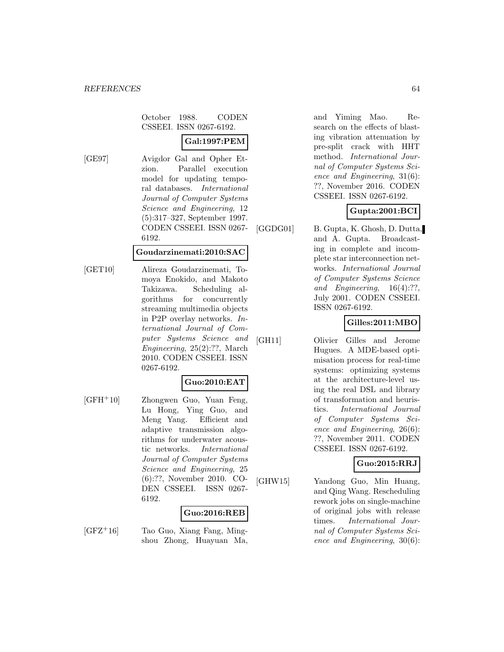October 1988. CODEN CSSEEI. ISSN 0267-6192.

# **Gal:1997:PEM**

[GE97] Avigdor Gal and Opher Etzion. Parallel execution model for updating temporal databases. International Journal of Computer Systems Science and Engineering, 12 (5):317–327, September 1997. CODEN CSSEEI. ISSN 0267- 6192.

#### **Goudarzinemati:2010:SAC**

[GET10] Alireza Goudarzinemati, Tomoya Enokido, and Makoto Takizawa. Scheduling algorithms for concurrently streaming multimedia objects in P2P overlay networks. International Journal of Computer Systems Science and Engineering, 25(2):??, March 2010. CODEN CSSEEI. ISSN 0267-6192.

## **Guo:2010:EAT**

 $[GFH<sup>+</sup>10]$  Zhongwen Guo, Yuan Feng, Lu Hong, Ying Guo, and Meng Yang. Efficient and adaptive transmission algorithms for underwater acoustic networks. International Journal of Computer Systems Science and Engineering, 25 (6):??, November 2010. CO-DEN CSSEEI. ISSN 0267- 6192.

## **Guo:2016:REB**

 $[GFZ^+16]$  Tao Guo, Xiang Fang, Mingshou Zhong, Huayuan Ma,

and Yiming Mao. Research on the effects of blasting vibration attenuation by pre-split crack with HHT method. International Journal of Computer Systems Science and Engineering, 31(6): ??, November 2016. CODEN CSSEEI. ISSN 0267-6192.

## **Gupta:2001:BCI**

[GGDG01] B. Gupta, K. Ghosh, D. Dutta, and A. Gupta. Broadcasting in complete and incomplete star interconnection networks. International Journal of Computer Systems Science and Engineering, 16(4):??, July 2001. CODEN CSSEEI. ISSN 0267-6192.

## **Gilles:2011:MBO**

[GH11] Olivier Gilles and Jerome Hugues. A MDE-based optimisation process for real-time systems: optimizing systems at the architecture-level using the real DSL and library of transformation and heuristics. International Journal of Computer Systems Science and Engineering, 26(6): ??, November 2011. CODEN CSSEEI. ISSN 0267-6192.

### **Guo:2015:RRJ**

[GHW15] Yandong Guo, Min Huang, and Qing Wang. Rescheduling rework jobs on single-machine of original jobs with release times. International Journal of Computer Systems Science and Engineering, 30(6):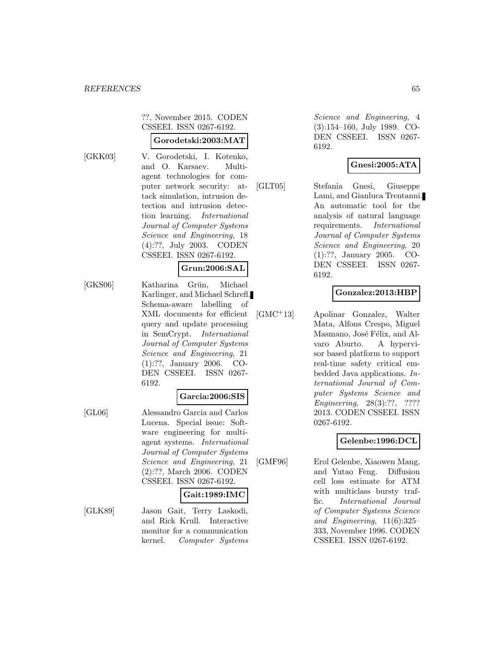??, November 2015. CODEN CSSEEI. ISSN 0267-6192.

#### **Gorodetski:2003:MAT**

- 
- [GKK03] V. Gorodetski, I. Kotenko, and O. Karsaev. Multiagent technologies for computer network security: attack simulation, intrusion detection and intrusion detection learning. International Journal of Computer Systems Science and Engineering, 18 (4):??, July 2003. CODEN CSSEEI. ISSN 0267-6192.

#### **Grun:2006:SAL**

[GKS06] Katharina Grün, Michael Karlinger, and Michael Schrefl. Schema-aware labelling of XML documents for efficient query and update processing in SemCrypt. International Journal of Computer Systems Science and Engineering, 21 (1):??, January 2006. CO-DEN CSSEEI. ISSN 0267- 6192.

#### **Garcia:2006:SIS**

[GL06] Alessandro Garcia and Carlos Lucena. Special issue: Software engineering for multiagent systems. International Journal of Computer Systems Science and Engineering, 21 (2):??, March 2006. CODEN CSSEEI. ISSN 0267-6192.

### **Gait:1989:IMC**

[GLK89] Jason Gait, Terry Laskodi, and Rick Krull. Interactive monitor for a communication kernel. Computer Systems

Science and Engineering, 4 (3):154–160, July 1989. CO-DEN CSSEEI. ISSN 0267- 6192.

## **Gnesi:2005:ATA**

[GLT05] Stefania Gnesi, Giuseppe Lami, and Gianluca Trentanni. An automatic tool for the analysis of natural language requirements. International Journal of Computer Systems Science and Engineering, 20 (1):??, January 2005. CO-DEN CSSEEI. ISSN 0267- 6192.

### **Gonzalez:2013:HBP**

[GMC<sup>+</sup>13] Apolinar Gonzalez, Walter Mata, Alfons Crespo, Miguel Masmano, José Félix, and Alvaro Aburto. A hypervisor based platform to support real-time safety critical embedded Java applications. International Journal of Computer Systems Science and Engineering, 28(3):??, ???? 2013. CODEN CSSEEI. ISSN 0267-6192.

### **Gelenbe:1996:DCL**

[GMF96] Erol Gelenbe, Xiaowen Mang, and Yutao Feng. Diffusion cell loss estimate for ATM with multiclass bursty traffic. International Journal of Computer Systems Science and Engineering, 11(6):325– 333, November 1996. CODEN CSSEEI. ISSN 0267-6192.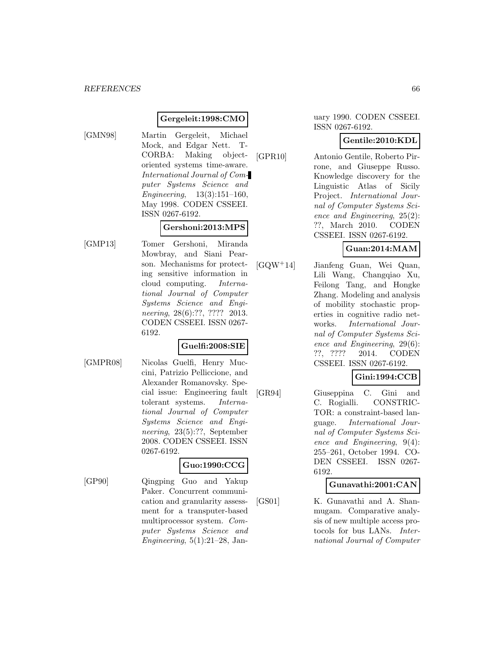#### **Gergeleit:1998:CMO**

[GMN98] Martin Gergeleit, Michael Mock, and Edgar Nett. T-CORBA: Making objectoriented systems time-aware. International Journal of Computer Systems Science and Engineering, 13(3):151–160, May 1998. CODEN CSSEEI. ISSN 0267-6192.

#### **Gershoni:2013:MPS**

[GMP13] Tomer Gershoni, Miranda Mowbray, and Siani Pearson. Mechanisms for protecting sensitive information in cloud computing. International Journal of Computer Systems Science and Engineering, 28(6):??, ???? 2013. CODEN CSSEEI. ISSN 0267- 6192.

### **Guelfi:2008:SIE**

- 
- [GMPR08] Nicolas Guelfi, Henry Muccini, Patrizio Pelliccione, and Alexander Romanovsky. Special issue: Engineering fault tolerant systems. International Journal of Computer Systems Science and Engineering, 23(5):??, September 2008. CODEN CSSEEI. ISSN 0267-6192.

### **Guo:1990:CCG**

[GP90] Qingping Guo and Yakup Paker. Concurrent communication and granularity assessment for a transputer-based multiprocessor system. Computer Systems Science and Engineering,  $5(1):21-28$ , Jan-

#### uary 1990. CODEN CSSEEI. ISSN 0267-6192.

### **Gentile:2010:KDL**

[GPR10] Antonio Gentile, Roberto Pirrone, and Giuseppe Russo. Knowledge discovery for the Linguistic Atlas of Sicily Project. International Journal of Computer Systems Science and Engineering, 25(2): ??, March 2010. CODEN CSSEEI. ISSN 0267-6192.

## **Guan:2014:MAM**

[GQW<sup>+</sup>14] Jianfeng Guan, Wei Quan, Lili Wang, Changqiao Xu, Feilong Tang, and Hongke Zhang. Modeling and analysis of mobility stochastic properties in cognitive radio networks. International Journal of Computer Systems Science and Engineering, 29(6): ??, ???? 2014. CODEN CSSEEI. ISSN 0267-6192.

## **Gini:1994:CCB**

[GR94] Giuseppina C. Gini and C. Rogialli. CONSTRIC-TOR: a constraint-based language. International Journal of Computer Systems Science and Engineering, 9(4): 255–261, October 1994. CO-DEN CSSEEI. ISSN 0267- 6192.

### **Gunavathi:2001:CAN**

[GS01] K. Gunavathi and A. Shanmugam. Comparative analysis of new multiple access protocols for bus LANs. International Journal of Computer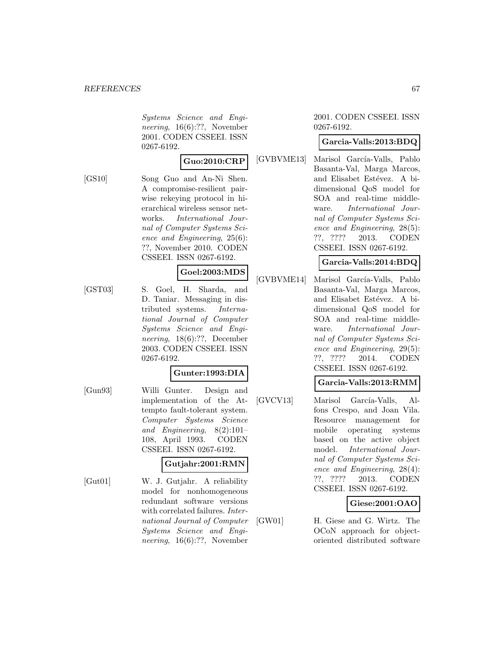Systems Science and Engineering, 16(6):??, November 2001. CODEN CSSEEI. ISSN 0267-6192.

#### **Guo:2010:CRP**

[GS10] Song Guo and An-Ni Shen. A compromise-resilient pairwise rekeying protocol in hierarchical wireless sensor networks. International Journal of Computer Systems Science and Engineering, 25(6): ??, November 2010. CODEN CSSEEI. ISSN 0267-6192.

## **Goel:2003:MDS**

[GST03] S. Goel, H. Sharda, and D. Taniar. Messaging in distributed systems. International Journal of Computer Systems Science and Engineering, 18(6):??, December 2003. CODEN CSSEEI. ISSN 0267-6192.

#### **Gunter:1993:DIA**

[Gun93] Willi Gunter. Design and implementation of the Attempto fault-tolerant system. Computer Systems Science and Engineering, 8(2):101– 108, April 1993. CODEN CSSEEI. ISSN 0267-6192.

#### **Gutjahr:2001:RMN**

[Gut01] W. J. Gutjahr. A reliability model for nonhomogeneous redundant software versions with correlated failures. *Inter*national Journal of Computer Systems Science and Engineering, 16(6):??, November

#### 2001. CODEN CSSEEI. ISSN 0267-6192.

#### **Garcia-Valls:2013:BDQ**

[GVBVME13] Marisol García-Valls, Pablo Basanta-Val, Marga Marcos, and Elisabet Estévez. A bidimensional QoS model for SOA and real-time middleware. International Journal of Computer Systems Science and Engineering, 28(5): ??, ???? 2013. CODEN CSSEEI. ISSN 0267-6192.

### **Garcia-Valls:2014:BDQ**

[GVBVME14] Marisol García-Valls, Pablo Basanta-Val, Marga Marcos, and Elisabet Estévez. A bidimensional QoS model for SOA and real-time middleware. International Journal of Computer Systems Science and Engineering, 29(5): ??, ???? 2014. CODEN CSSEEI. ISSN 0267-6192.

#### **Garcia-Valls:2013:RMM**

[GVCV13] Marisol García-Valls, Alfons Crespo, and Joan Vila. Resource management for mobile operating systems based on the active object model. International Journal of Computer Systems Science and Engineering, 28(4): ??, ???? 2013. CODEN CSSEEI. ISSN 0267-6192.

### **Giese:2001:OAO**

[GW01] H. Giese and G. Wirtz. The OCoN approach for objectoriented distributed software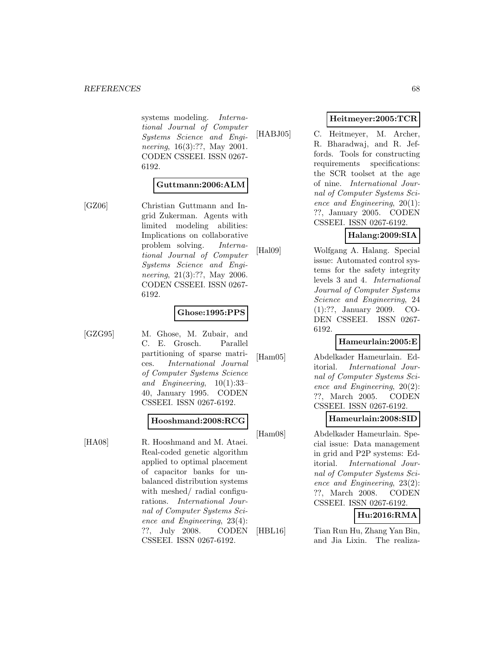systems modeling. International Journal of Computer Systems Science and Engineering, 16(3):??, May 2001. CODEN CSSEEI. ISSN 0267- 6192.

## **Guttmann:2006:ALM**

[GZ06] Christian Guttmann and Ingrid Zukerman. Agents with limited modeling abilities: Implications on collaborative problem solving. International Journal of Computer Systems Science and Engineering, 21(3):??, May 2006. CODEN CSSEEI. ISSN 0267- 6192.

## **Ghose:1995:PPS**

[GZG95] M. Ghose, M. Zubair, and C. E. Grosch. Parallel partitioning of sparse matrices. International Journal of Computer Systems Science and Engineering, 10(1):33– 40, January 1995. CODEN CSSEEI. ISSN 0267-6192.

### **Hooshmand:2008:RCG**

[HA08] R. Hooshmand and M. Ataei. Real-coded genetic algorithm applied to optimal placement of capacitor banks for unbalanced distribution systems with meshed/ radial configurations. International Journal of Computer Systems Science and Engineering, 23(4): ??, July 2008. CODEN CSSEEI. ISSN 0267-6192.

**Heitmeyer:2005:TCR**

[HABJ05] C. Heitmeyer, M. Archer, R. Bharadwaj, and R. Jeffords. Tools for constructing requirements specifications: the SCR toolset at the age of nine. International Journal of Computer Systems Science and Engineering, 20(1): ??, January 2005. CODEN CSSEEI. ISSN 0267-6192.

# **Halang:2009:SIA**

[Hal09] Wolfgang A. Halang. Special issue: Automated control systems for the safety integrity levels 3 and 4. International Journal of Computer Systems Science and Engineering, 24 (1):??, January 2009. CO-DEN CSSEEI. ISSN 0267- 6192.

## **Hameurlain:2005:E**

[Ham05] Abdelkader Hameurlain. Editorial. International Journal of Computer Systems Science and Engineering, 20(2): ??, March 2005. CODEN CSSEEI. ISSN 0267-6192.

### **Hameurlain:2008:SID**

[Ham08] Abdelkader Hameurlain. Special issue: Data management in grid and P2P systems: Editorial. International Journal of Computer Systems Science and Engineering, 23(2): ??, March 2008. CODEN CSSEEI. ISSN 0267-6192.

## **Hu:2016:RMA**

[HBL16] Tian Run Hu, Zhang Yan Bin, and Jia Lixin. The realiza-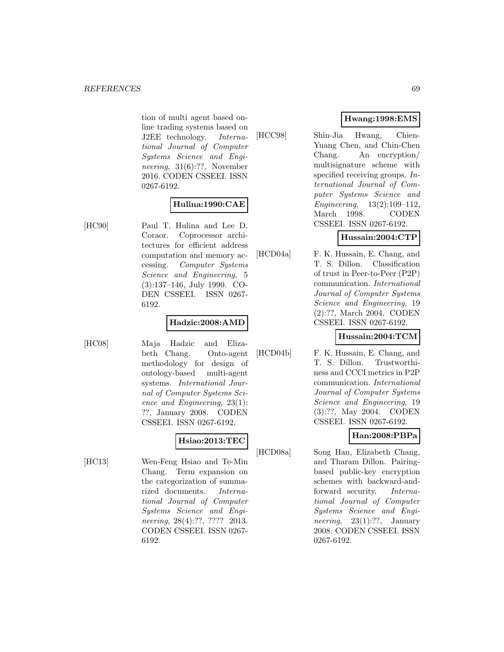tion of multi agent based online trading systems based on J2EE technology. International Journal of Computer Systems Science and Engineering, 31(6):??, November 2016. CODEN CSSEEI. ISSN 0267-6192.

## **Hulina:1990:CAE**

[HC90] Paul T. Hulina and Lee D. Coraor. Coprocessor architectures for efficient address computation and memory accessing. Computer Systems Science and Engineering, 5 (3):137–146, July 1990. CO-DEN CSSEEI. ISSN 0267- 6192.

## **Hadzic:2008:AMD**

[HC08] Maja Hadzic and Elizabeth Chang. Onto-agent methodology for design of ontology-based multi-agent systems. International Journal of Computer Systems Science and Engineering, 23(1): ??, January 2008. CODEN CSSEEI. ISSN 0267-6192.

## **Hsiao:2013:TEC**

[HC13] Wen-Feng Hsiao and Te-Min Chang. Term expansion on the categorization of summarized documents. International Journal of Computer Systems Science and Engineering, 28(4):??, ???? 2013. CODEN CSSEEI. ISSN 0267- 6192.

# **Hwang:1998:EMS**

[HCC98] Shin-Jia Hwang, Chien-Yuang Chen, and Chin-Chen Chang. An encryption/ multisignature scheme with specified receiving groups. International Journal of Computer Systems Science and Engineering, 13(2):109–112, March 1998. CODEN CSSEEI. ISSN 0267-6192.

## **Hussain:2004:CTP**

[HCD04a] F. K. Hussain, E. Chang, and T. S. Dillon. Classification of trust in Peer-to-Peer (P2P) communication. International Journal of Computer Systems Science and Engineering, 19 (2):??, March 2004. CODEN CSSEEI. ISSN 0267-6192.

## **Hussain:2004:TCM**

[HCD04b] F. K. Hussain, E. Chang, and T. S. Dillon. Trustworthiness and CCCI metrics in P2P communication. International Journal of Computer Systems Science and Engineering, 19 (3):??, May 2004. CODEN CSSEEI. ISSN 0267-6192.

# **Han:2008:PBPa**

[HCD08a] Song Han, Elizabeth Chang, and Tharam Dillon. Pairingbased public-key encryption schemes with backward-andforward security. International Journal of Computer Systems Science and Engineering, 23(1):??, January 2008. CODEN CSSEEI. ISSN 0267-6192.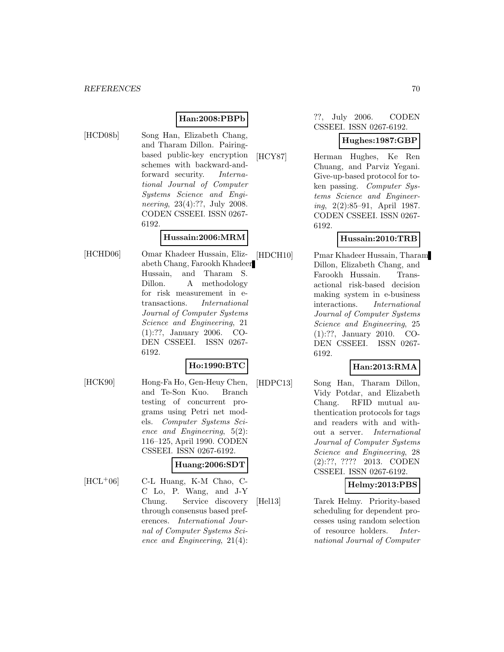## **Han:2008:PBPb**

[HCD08b] Song Han, Elizabeth Chang, and Tharam Dillon. Pairingbased public-key encryption schemes with backward-andforward security. International Journal of Computer Systems Science and Engineering, 23(4):??, July 2008. CODEN CSSEEI. ISSN 0267- 6192.

## **Hussain:2006:MRM**

[HCHD06] Omar Khadeer Hussain, Elizabeth Chang, Farookh Khadeer Hussain, and Tharam S. Dillon. A methodology for risk measurement in etransactions. International Journal of Computer Systems Science and Engineering, 21 (1):??, January 2006. CO-DEN CSSEEI. ISSN 0267- 6192.

## **Ho:1990:BTC**

[HCK90] Hong-Fa Ho, Gen-Heuy Chen, and Te-Son Kuo. Branch testing of concurrent programs using Petri net models. Computer Systems Science and Engineering, 5(2): 116–125, April 1990. CODEN CSSEEI. ISSN 0267-6192.

### **Huang:2006:SDT**

[HCL<sup>+</sup>06] C-L Huang, K-M Chao, C-C Lo, P. Wang, and J-Y Chung. Service discovery through consensus based preferences. International Journal of Computer Systems Science and Engineering, 21(4):

#### ??, July 2006. CODEN CSSEEI. ISSN 0267-6192.

## **Hughes:1987:GBP**

[HCY87] Herman Hughes, Ke Ren Chuang, and Parviz Yegani. Give-up-based protocol for token passing. Computer Systems Science and Engineering, 2(2):85–91, April 1987. CODEN CSSEEI. ISSN 0267- 6192.

## **Hussain:2010:TRB**

[HDCH10] Pmar Khadeer Hussain, Tharam Dillon, Elizabeth Chang, and Farookh Hussain. Transactional risk-based decision making system in e-business interactions. International Journal of Computer Systems Science and Engineering, 25 (1):??, January 2010. CO-DEN CSSEEI. ISSN 0267- 6192.

# **Han:2013:RMA**

[HDPC13] Song Han, Tharam Dillon, Vidy Potdar, and Elizabeth Chang. RFID mutual authentication protocols for tags and readers with and without a server. International Journal of Computer Systems Science and Engineering, 28 (2):??, ???? 2013. CODEN CSSEEI. ISSN 0267-6192.

## **Helmy:2013:PBS**

[Hel13] Tarek Helmy. Priority-based scheduling for dependent processes using random selection of resource holders. International Journal of Computer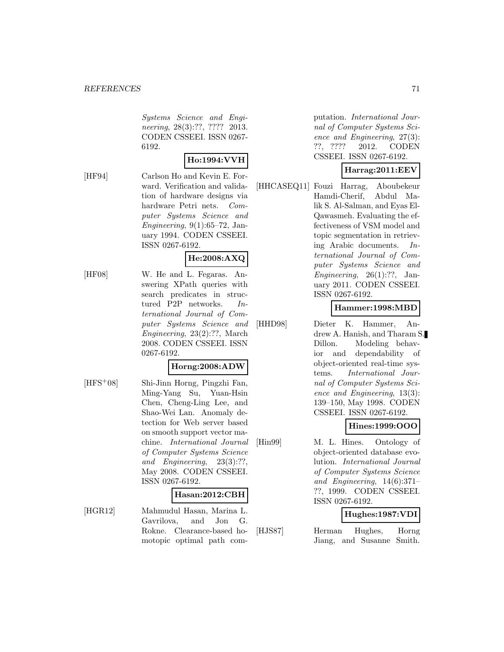Systems Science and Engineering, 28(3):??, ???? 2013. CODEN CSSEEI. ISSN 0267- 6192.

## **Ho:1994:VVH**

[HF94] Carlson Ho and Kevin E. Forward. Verification and validation of hardware designs via hardware Petri nets. Computer Systems Science and Engineering,  $9(1):65-72$ , January 1994. CODEN CSSEEI. ISSN 0267-6192.

## **He:2008:AXQ**

[HF08] W. He and L. Fegaras. Answering XPath queries with search predicates in structured P2P networks. International Journal of Computer Systems Science and Engineering, 23(2):??, March 2008. CODEN CSSEEI. ISSN 0267-6192.

## **Horng:2008:ADW**

[HFS<sup>+</sup>08] Shi-Jinn Horng, Pingzhi Fan, Ming-Yang Su, Yuan-Hsin Chen, Cheng-Ling Lee, and Shao-Wei Lan. Anomaly detection for Web server based on smooth support vector machine. International Journal of Computer Systems Science and Engineering, 23(3):??, May 2008. CODEN CSSEEI. ISSN 0267-6192.

#### **Hasan:2012:CBH**

[HGR12] Mahmudul Hasan, Marina L. Gavrilova, and Jon G. Rokne. Clearance-based homotopic optimal path computation. International Journal of Computer Systems Science and Engineering, 27(3): ??, ???? 2012. CODEN CSSEEI. ISSN 0267-6192.

## **Harrag:2011:EEV**

[HHCASEQ11] Fouzi Harrag, Aboubekeur Hamdi-Cherif, Abdul Malik S. Al-Salman, and Eyas El-Qawasmeh. Evaluating the effectiveness of VSM model and topic segmentation in retrieving Arabic documents. International Journal of Computer Systems Science and Engineering,  $26(1):?$ ?, January 2011. CODEN CSSEEI. ISSN 0267-6192.

#### **Hammer:1998:MBD**

[HHD98] Dieter K. Hammer, Andrew A. Hanish, and Tharam S. Dillon. Modeling behavior and dependability of object-oriented real-time systems. International Journal of Computer Systems Science and Engineering, 13(3): 139–150, May 1998. CODEN CSSEEI. ISSN 0267-6192.

### **Hines:1999:OOO**

[Hin99] M. L. Hines. Ontology of object-oriented database evolution. International Journal of Computer Systems Science and Engineering, 14(6):371– ??, 1999. CODEN CSSEEI. ISSN 0267-6192.

## **Hughes:1987:VDI**

[HJS87] Herman Hughes, Horng Jiang, and Susanne Smith.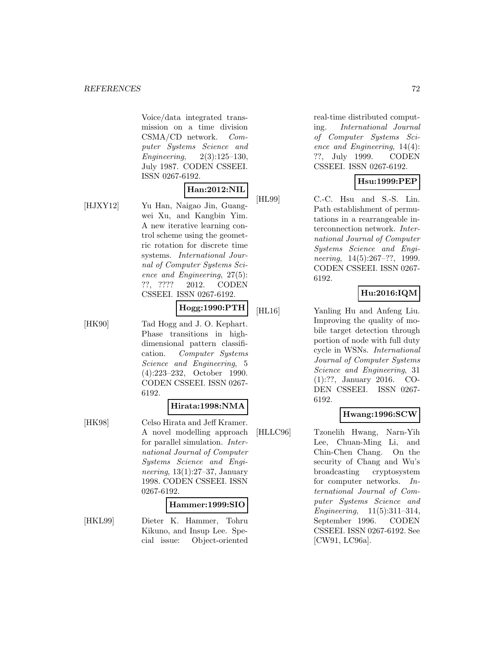Voice/data integrated transmission on a time division CSMA/CD network. Computer Systems Science and Engineering, 2(3):125–130, July 1987. CODEN CSSEEI. ISSN 0267-6192.

# **Han:2012:NIL**

[HJXY12] Yu Han, Naigao Jin, Guangwei Xu, and Kangbin Yim. A new iterative learning control scheme using the geometric rotation for discrete time systems. International Journal of Computer Systems Science and Engineering, 27(5): ??, ???? 2012. CODEN CSSEEI. ISSN 0267-6192.

## **Hogg:1990:PTH**

[HK90] Tad Hogg and J. O. Kephart. Phase transitions in highdimensional pattern classification. Computer Systems Science and Engineering, 5 (4):223–232, October 1990. CODEN CSSEEI. ISSN 0267- 6192.

#### **Hirata:1998:NMA**

[HK98] Celso Hirata and Jeff Kramer. A novel modelling approach for parallel simulation. International Journal of Computer Systems Science and Engineering, 13(1):27–37, January 1998. CODEN CSSEEI. ISSN 0267-6192.

#### **Hammer:1999:SIO**

[HKL99] Dieter K. Hammer, Tohru Kikuno, and Insup Lee. Special issue: Object-oriented

real-time distributed computing. International Journal of Computer Systems Science and Engineering, 14(4): ??, July 1999. CODEN CSSEEI. ISSN 0267-6192.

## **Hsu:1999:PEP**

[HL99] C.-C. Hsu and S.-S. Lin. Path establishment of permutations in a rearrangeable interconnection network. International Journal of Computer Systems Science and Engineering, 14(5):267–??, 1999. CODEN CSSEEI. ISSN 0267- 6192.

## **Hu:2016:IQM**

[HL16] Yanling Hu and Anfeng Liu. Improving the quality of mobile target detection through portion of node with full duty cycle in WSNs. International Journal of Computer Systems Science and Engineering, 31 (1):??, January 2016. CO-DEN CSSEEI. ISSN 0267- 6192.

### **Hwang:1996:SCW**

[HLLC96] Tzonelih Hwang, Narn-Yih Lee, Chuan-Ming Li, and Chin-Chen Chang. On the security of Chang and Wu's broadcasting cryptosystem for computer networks. International Journal of Computer Systems Science and Engineering, 11(5):311–314, September 1996. CODEN CSSEEI. ISSN 0267-6192. See [CW91, LC96a].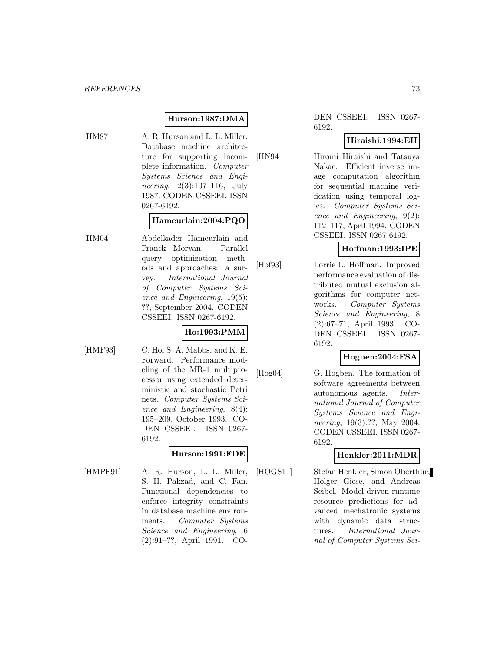### **Hurson:1987:DMA**

[HM87] A. R. Hurson and L. L. Miller. Database machine architecture for supporting incomplete information. Computer Systems Science and Engineering, 2(3):107–116, July 1987. CODEN CSSEEI. ISSN 0267-6192.

#### **Hameurlain:2004:PQO**

[HM04] Abdelkader Hameurlain and Franck Morvan. Parallel query optimization methods and approaches: a survey. International Journal of Computer Systems Science and Engineering, 19(5): ??, September 2004. CODEN CSSEEI. ISSN 0267-6192.

## **Ho:1993:PMM**

[HMF93] C. Ho, S. A. Mabbs, and K. E. Forward. Performance modeling of the MR-1 multiprocessor using extended deterministic and stochastic Petri nets. Computer Systems Science and Engineering, 8(4): 195–209, October 1993. CO-DEN CSSEEI. ISSN 0267- 6192.

## **Hurson:1991:FDE**

[HMPF91] A. R. Hurson, L. L. Miller, S. H. Pakzad, and C. Fan. Functional dependencies to enforce integrity constraints in database machine environments. Computer Systems Science and Engineering, 6 (2):91–??, April 1991. CO-

#### DEN CSSEEI. ISSN 0267- 6192.

### **Hiraishi:1994:EII**

[HN94] Hiromi Hiraishi and Tatsuya Nakae. Efficient inverse image computation algorithm for sequential machine verification using temporal logics. Computer Systems Science and Engineering, 9(2): 112–117, April 1994. CODEN CSSEEI. ISSN 0267-6192.

### **Hoffman:1993:IPE**

[Hof93] Lorrie L. Hoffman. Improved performance evaluation of distributed mutual exclusion algorithms for computer networks. Computer Systems Science and Engineering, 8 (2):67–71, April 1993. CO-DEN CSSEEI. ISSN 0267- 6192.

### **Hogben:2004:FSA**

[Hog04] G. Hogben. The formation of software agreements between autonomous agents. International Journal of Computer Systems Science and Engineering, 19(3):??, May 2004. CODEN CSSEEI. ISSN 0267- 6192.

## **Henkler:2011:MDR**

[HOGS11] Stefan Henkler, Simon Oberthür, Holger Giese, and Andreas Seibel. Model-driven runtime resource predictions for advanced mechatronic systems with dynamic data structures. International Journal of Computer Systems Sci-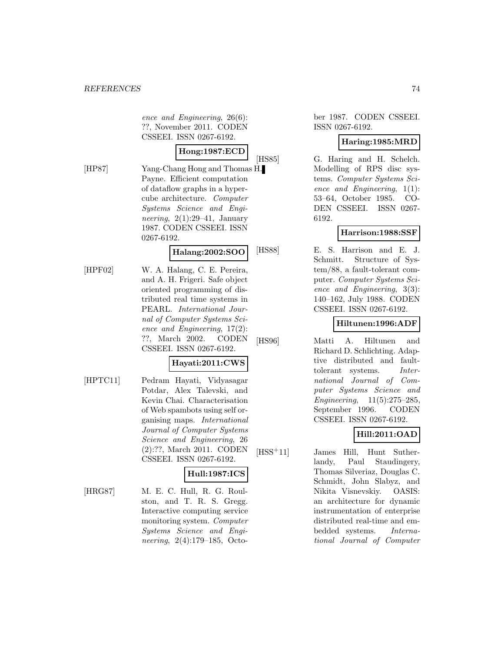ence and Engineering, 26(6): ??, November 2011. CODEN CSSEEI. ISSN 0267-6192.

# **Hong:1987:ECD**

[HP87] Yang-Chang Hong and Thomas H. Payne. Efficient computation of dataflow graphs in a hypercube architecture. Computer Systems Science and Engineering,  $2(1):29-41$ , January 1987. CODEN CSSEEI. ISSN 0267-6192.

### **Halang:2002:SOO**

[HPF02] W. A. Halang, C. E. Pereira, and A. H. Frigeri. Safe object oriented programming of distributed real time systems in PEARL. International Journal of Computer Systems Science and Engineering, 17(2): ??, March 2002. CODEN CSSEEI. ISSN 0267-6192.

## **Hayati:2011:CWS**

[HPTC11] Pedram Hayati, Vidyasagar Potdar, Alex Talevski, and Kevin Chai. Characterisation of Web spambots using self organising maps. International Journal of Computer Systems Science and Engineering, 26 (2):??, March 2011. CODEN CSSEEI. ISSN 0267-6192.

## **Hull:1987:ICS**

[HRG87] M. E. C. Hull, R. G. Roulston, and T. R. S. Gregg. Interactive computing service monitoring system. Computer Systems Science and Engineering, 2(4):179–185, Octo-

ber 1987. CODEN CSSEEI. ISSN 0267-6192.

### **Haring:1985:MRD**

[HS85] G. Haring and H. Schelch. Modelling of RPS disc systems. Computer Systems Science and Engineering, 1(1): 53–64, October 1985. CO-DEN CSSEEI. ISSN 0267- 6192.

### **Harrison:1988:SSF**

[HS88] E. S. Harrison and E. J. Schmitt. Structure of System/88, a fault-tolerant computer. Computer Systems Science and Engineering, 3(3): 140–162, July 1988. CODEN CSSEEI. ISSN 0267-6192.

### **Hiltunen:1996:ADF**

[HS96] Matti A. Hiltunen and Richard D. Schlichting. Adaptive distributed and faulttolerant systems. International Journal of Computer Systems Science and Engineering, 11(5):275–285, September 1996. CODEN CSSEEI. ISSN 0267-6192.

# **Hill:2011:OAD**

[HSS<sup>+</sup>11] James Hill, Hunt Sutherlandy, Paul Staudingery, Thomas Silveriaz, Douglas C. Schmidt, John Slabyz, and Nikita Visnevskiy. OASIS: an architecture for dynamic instrumentation of enterprise distributed real-time and embedded systems. International Journal of Computer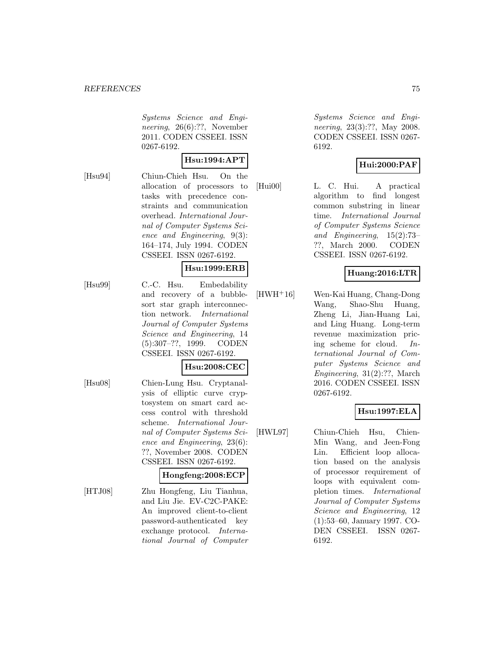Systems Science and Engineering, 26(6):??, November 2011. CODEN CSSEEI. ISSN 0267-6192.

#### **Hsu:1994:APT**

[Hsu94] Chiun-Chieh Hsu. On the allocation of processors to tasks with precedence constraints and communication overhead. International Journal of Computer Systems Science and Engineering, 9(3): 164–174, July 1994. CODEN CSSEEI. ISSN 0267-6192.

#### **Hsu:1999:ERB**

[Hsu99] C.-C. Hsu. Embedability and recovery of a bubblesort star graph interconnection network. International Journal of Computer Systems Science and Engineering, 14 (5):307–??, 1999. CODEN CSSEEI. ISSN 0267-6192.

### **Hsu:2008:CEC**

[Hsu08] Chien-Lung Hsu. Cryptanalysis of elliptic curve cryptosystem on smart card access control with threshold scheme. International Journal of Computer Systems Science and Engineering, 23(6): ??, November 2008. CODEN CSSEEI. ISSN 0267-6192.

#### **Hongfeng:2008:ECP**

[HTJ08] Zhu Hongfeng, Liu Tianhua, and Liu Jie. EV-C2C-PAKE: An improved client-to-client password-authenticated key exchange protocol. International Journal of Computer

Systems Science and Engineering, 23(3):??, May 2008. CODEN CSSEEI. ISSN 0267- 6192.

## **Hui:2000:PAF**

[Hui00] L. C. Hui. A practical algorithm to find longest common substring in linear time. International Journal of Computer Systems Science and Engineering, 15(2):73– ??, March 2000. CODEN CSSEEI. ISSN 0267-6192.

### **Huang:2016:LTR**

[HWH<sup>+</sup>16] Wen-Kai Huang, Chang-Dong Wang, Shao-Shu Huang, Zheng Li, Jian-Huang Lai, and Ling Huang. Long-term revenue maximization pricing scheme for cloud. International Journal of Computer Systems Science and Engineering, 31(2):??, March 2016. CODEN CSSEEI. ISSN 0267-6192.

### **Hsu:1997:ELA**

[HWL97] Chiun-Chieh Hsu, Chien-Min Wang, and Jeen-Fong Lin. Efficient loop allocation based on the analysis of processor requirement of loops with equivalent completion times. International Journal of Computer Systems Science and Engineering, 12 (1):53–60, January 1997. CO-DEN CSSEEI. ISSN 0267- 6192.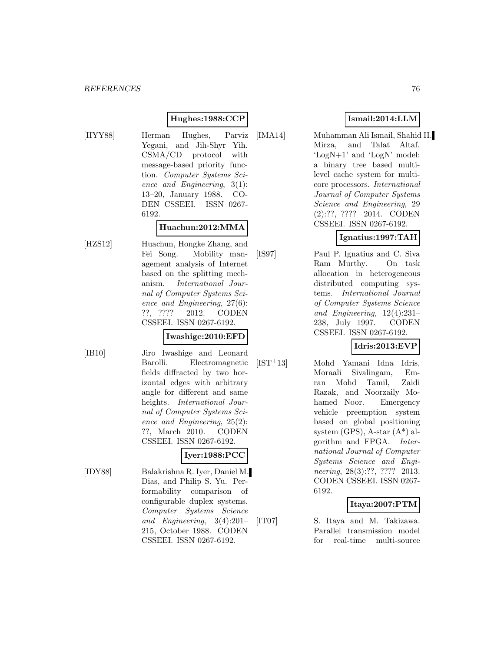### **Hughes:1988:CCP**

[HYY88] Herman Hughes, Parviz Yegani, and Jih-Shyr Yih. CSMA/CD protocol with message-based priority function. Computer Systems Science and Engineering, 3(1): 13–20, January 1988. CO-DEN CSSEEI. ISSN 0267- 6192.

#### **Huachun:2012:MMA**

[HZS12] Huachun, Hongke Zhang, and Fei Song. Mobility management analysis of Internet based on the splitting mechanism. International Journal of Computer Systems Science and Engineering, 27(6): ??, ???? 2012. CODEN CSSEEI. ISSN 0267-6192.

#### **Iwashige:2010:EFD**

- 
- [IB10] Jiro Iwashige and Leonard Barolli. Electromagnetic fields diffracted by two horizontal edges with arbitrary angle for different and same heights. International Journal of Computer Systems Science and Engineering, 25(2): ??, March 2010. CODEN CSSEEI. ISSN 0267-6192.

## **Iyer:1988:PCC**

[IDY88] Balakrishna R. Iyer, Daniel M. Dias, and Philip S. Yu. Performability comparison of configurable duplex systems. Computer Systems Science and Engineering, 3(4):201– 215, October 1988. CODEN CSSEEI. ISSN 0267-6192.

### **Ismail:2014:LLM**

[IMA14] Muhamman Ali Ismail, Shahid H. Mirza, and Talat Altaf. 'LogN+1' and 'LogN' model: a binary tree based multilevel cache system for multicore processors. International Journal of Computer Systems Science and Engineering, 29 (2):??, ???? 2014. CODEN CSSEEI. ISSN 0267-6192.

### **Ignatius:1997:TAH**

[IS97] Paul P. Ignatius and C. Siva Ram Murthy. On task allocation in heterogeneous distributed computing systems. International Journal of Computer Systems Science and Engineering, 12(4):231– 238, July 1997. CODEN CSSEEI. ISSN 0267-6192.

## **Idris:2013:EVP**

[IST<sup>+</sup>13] Mohd Yamani Idna Idris, Moraali Sivalingam, Emran Mohd Tamil, Zaidi Razak, and Noorzaily Mohamed Noor. Emergency vehicle preemption system based on global positioning system (GPS), A-star (A\*) algorithm and FPGA. International Journal of Computer Systems Science and Engineering, 28(3):??, ???? 2013. CODEN CSSEEI. ISSN 0267- 6192.

### **Itaya:2007:PTM**

[IT07] S. Itaya and M. Takizawa. Parallel transmission model for real-time multi-source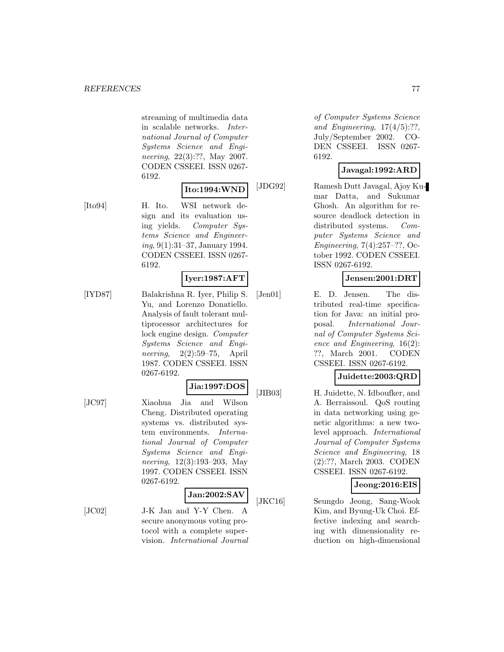streaming of multimedia data in scalable networks. International Journal of Computer Systems Science and Engineering, 22(3):??, May 2007. CODEN CSSEEI. ISSN 0267- 6192.

# **Ito:1994:WND**

[Ito94] H. Ito. WSI network design and its evaluation using yields. Computer Systems Science and Engineering, 9(1):31–37, January 1994. CODEN CSSEEI. ISSN 0267- 6192.

### **Iyer:1987:AFT**

[IYD87] Balakrishna R. Iyer, Philip S. Yu, and Lorenzo Donatiello. Analysis of fault tolerant multiprocessor architectures for lock engine design. Computer Systems Science and Engineering, 2(2):59–75, April 1987. CODEN CSSEEI. ISSN 0267-6192.

#### **Jia:1997:DOS**

[JC97] Xiaohua Jia and Wilson Cheng. Distributed operating systems vs. distributed system environments. International Journal of Computer Systems Science and Engineering, 12(3):193–203, May 1997. CODEN CSSEEI. ISSN 0267-6192.

#### **Jan:2002:SAV**

[JC02] J-K Jan and Y-Y Chen. A secure anonymous voting protocol with a complete supervision. International Journal

of Computer Systems Science and Engineering,  $17(4/5)$ :??, July/September 2002. CO-DEN CSSEEI. ISSN 0267- 6192.

# **Javagal:1992:ARD**

[JDG92] Ramesh Dutt Javagal, Ajoy Kumar Datta, and Sukumar Ghosh. An algorithm for resource deadlock detection in distributed systems. Computer Systems Science and Engineering, 7(4):257–??, October 1992. CODEN CSSEEI. ISSN 0267-6192.

### **Jensen:2001:DRT**

[Jen01] E. D. Jensen. The distributed real-time specification for Java: an initial proposal. International Journal of Computer Systems Science and Engineering, 16(2): ??, March 2001. CODEN CSSEEI. ISSN 0267-6192.

### **Juidette:2003:QRD**

[JIB03] H. Juidette, N. Idboufker, and A. Berraissoul. QoS routing in data networking using genetic algorithms: a new twolevel approach. International Journal of Computer Systems Science and Engineering, 18 (2):??, March 2003. CODEN CSSEEI. ISSN 0267-6192.

# **Jeong:2016:EIS**

[JKC16] Seungdo Jeong, Sang-Wook Kim, and Byung-Uk Choi. Effective indexing and searching with dimensionality reduction on high-dimensional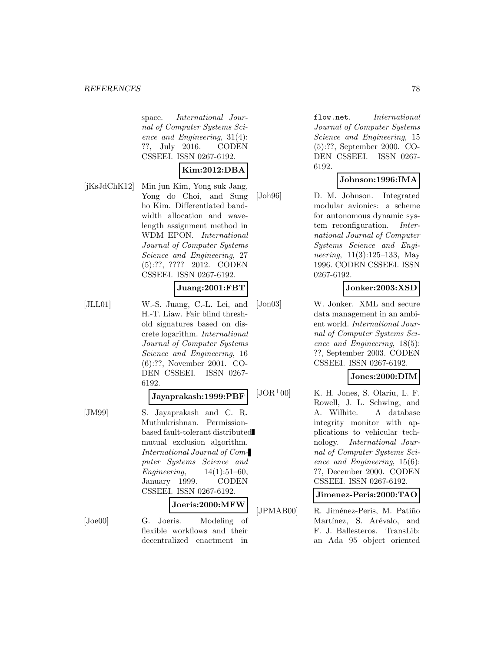space. International Journal of Computer Systems Science and Engineering, 31(4): ??, July 2016. CODEN CSSEEI. ISSN 0267-6192.

### **Kim:2012:DBA**

[jKsJdChK12] Min jun Kim, Yong suk Jang, Yong do Choi, and Sung ho Kim. Differentiated bandwidth allocation and wavelength assignment method in WDM EPON. International Journal of Computer Systems Science and Engineering, 27 (5):??, ???? 2012. CODEN CSSEEI. ISSN 0267-6192.

### **Juang:2001:FBT**

[JLL01] W.-S. Juang, C.-L. Lei, and H.-T. Liaw. Fair blind threshold signatures based on discrete logarithm. International Journal of Computer Systems Science and Engineering, 16 (6):??, November 2001. CO-DEN CSSEEI. ISSN 0267- 6192.

#### **Jayaprakash:1999:PBF**

[JM99] S. Jayaprakash and C. R. Muthukrishnan. Permissionbased fault-tolerant distributed mutual exclusion algorithm. International Journal of Computer Systems Science and Engineering, 14(1):51–60, January 1999. CODEN CSSEEI. ISSN 0267-6192. **Joeris:2000:MFW**

[Joe00] G. Joeris. Modeling of flexible workflows and their decentralized enactment in

flow.net. International Journal of Computer Systems Science and Engineering, 15 (5):??, September 2000. CO-DEN CSSEEI. ISSN 0267- 6192.

### **Johnson:1996:IMA**

[Joh96] D. M. Johnson. Integrated modular avionics: a scheme for autonomous dynamic system reconfiguration. International Journal of Computer Systems Science and Engineering, 11(3):125–133, May 1996. CODEN CSSEEI. ISSN 0267-6192.

### **Jonker:2003:XSD**

[Jon03] W. Jonker. XML and secure data management in an ambient world. International Journal of Computer Systems Science and Engineering, 18(5): ??, September 2003. CODEN CSSEEI. ISSN 0267-6192.

## **Jones:2000:DIM**

 $[JOR<sup>+</sup>00]$  K. H. Jones, S. Olariu, L. F. Rowell, J. L. Schwing, and A. Wilhite. A database integrity monitor with applications to vehicular technology. International Journal of Computer Systems Science and Engineering, 15(6): ??, December 2000. CODEN CSSEEI. ISSN 0267-6192.

#### **Jimenez-Peris:2000:TAO**

[JPMAB00] R. Jiménez-Peris, M. Patiño Martínez, S. Arévalo, and F. J. Ballesteros. TransLib: an Ada 95 object oriented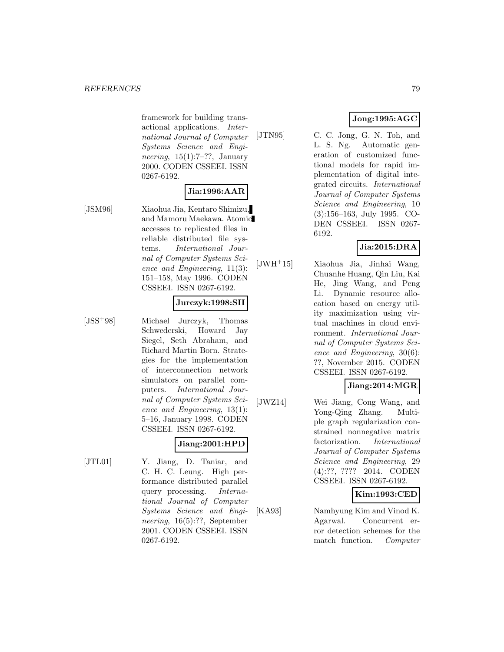framework for building transactional applications. International Journal of Computer Systems Science and Engineering,  $15(1):7-??$ , January 2000. CODEN CSSEEI. ISSN 0267-6192.

#### **Jia:1996:AAR**

[JSM96] Xiaohua Jia, Kentaro Shimizu, and Mamoru Maekawa. Atomic accesses to replicated files in reliable distributed file systems. International Journal of Computer Systems Science and Engineering, 11(3): 151–158, May 1996. CODEN CSSEEI. ISSN 0267-6192.

### **Jurczyk:1998:SII**

[JSS<sup>+</sup>98] Michael Jurczyk, Thomas Schwederski, Howard Jay Siegel, Seth Abraham, and Richard Martin Born. Strategies for the implementation of interconnection network simulators on parallel computers. International Journal of Computer Systems Science and Engineering, 13(1): 5–16, January 1998. CODEN CSSEEI. ISSN 0267-6192.

# **Jiang:2001:HPD**

[JTL01] Y. Jiang, D. Taniar, and C. H. C. Leung. High performance distributed parallel query processing. International Journal of Computer Systems Science and Engineering, 16(5):??, September 2001. CODEN CSSEEI. ISSN 0267-6192.

# **Jong:1995:AGC**

[JTN95] C. C. Jong, G. N. Toh, and L. S. Ng. Automatic generation of customized functional models for rapid implementation of digital integrated circuits. International Journal of Computer Systems Science and Engineering, 10 (3):156–163, July 1995. CO-DEN CSSEEI. ISSN 0267- 6192.

# **Jia:2015:DRA**

[JWH<sup>+</sup>15] Xiaohua Jia, Jinhai Wang, Chuanhe Huang, Qin Liu, Kai He, Jing Wang, and Peng Li. Dynamic resource allocation based on energy utility maximization using virtual machines in cloud environment. International Journal of Computer Systems Science and Engineering, 30(6): ??, November 2015. CODEN CSSEEI. ISSN 0267-6192.

# **Jiang:2014:MGR**

[JWZ14] Wei Jiang, Cong Wang, and Yong-Qing Zhang. Multiple graph regularization constrained nonnegative matrix factorization. International Journal of Computer Systems Science and Engineering, 29 (4):??, ???? 2014. CODEN CSSEEI. ISSN 0267-6192.

## **Kim:1993:CED**

[KA93] Namhyung Kim and Vinod K. Agarwal. Concurrent error detection schemes for the match function. Computer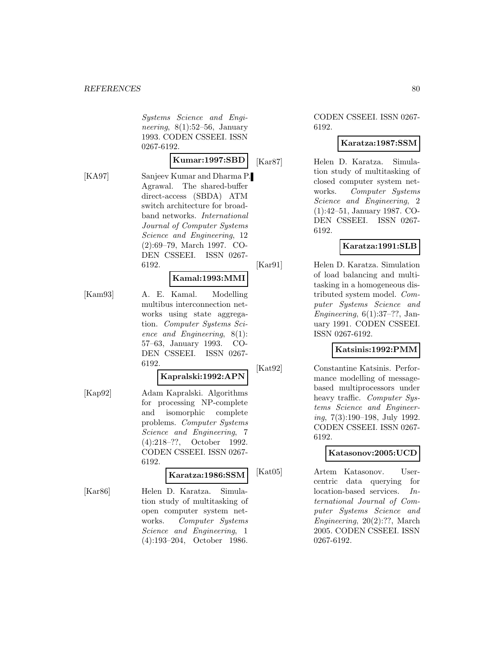Systems Science and Engineering,  $8(1):52-56$ , January 1993. CODEN CSSEEI. ISSN 0267-6192.

**Kumar:1997:SBD**

[KA97] Sanjeev Kumar and Dharma P. Agrawal. The shared-buffer direct-access (SBDA) ATM switch architecture for broadband networks. International Journal of Computer Systems Science and Engineering, 12 (2):69–79, March 1997. CO-DEN CSSEEI. ISSN 0267- 6192.

#### **Kamal:1993:MMI**

[Kam93] A. E. Kamal. Modelling multibus interconnection networks using state aggregation. Computer Systems Science and Engineering, 8(1): 57–63, January 1993. CO-DEN CSSEEI. ISSN 0267- 6192.

### **Kapralski:1992:APN**

[Kap92] Adam Kapralski. Algorithms for processing NP-complete and isomorphic complete problems. Computer Systems Science and Engineering, 7 (4):218–??, October 1992. CODEN CSSEEI. ISSN 0267- 6192.

### **Karatza:1986:SSM**

[Kar86] Helen D. Karatza. Simulation study of multitasking of open computer system networks. Computer Systems Science and Engineering, 1 (4):193–204, October 1986.

### CODEN CSSEEI. ISSN 0267- 6192.

### **Karatza:1987:SSM**

[Kar87] Helen D. Karatza. Simulation study of multitasking of closed computer system networks. Computer Systems Science and Engineering, 2 (1):42–51, January 1987. CO-DEN CSSEEI. ISSN 0267- 6192.

### **Karatza:1991:SLB**

[Kar91] Helen D. Karatza. Simulation of load balancing and multitasking in a homogeneous distributed system model. Computer Systems Science and Engineering,  $6(1):37-??$ , January 1991. CODEN CSSEEI. ISSN 0267-6192.

### **Katsinis:1992:PMM**

[Kat92] Constantine Katsinis. Performance modelling of messagebased multiprocessors under heavy traffic. Computer Systems Science and Engineering, 7(3):190–198, July 1992. CODEN CSSEEI. ISSN 0267- 6192.

### **Katasonov:2005:UCD**

[Kat05] Artem Katasonov. Usercentric data querying for location-based services. International Journal of Computer Systems Science and Engineering, 20(2):??, March 2005. CODEN CSSEEI. ISSN 0267-6192.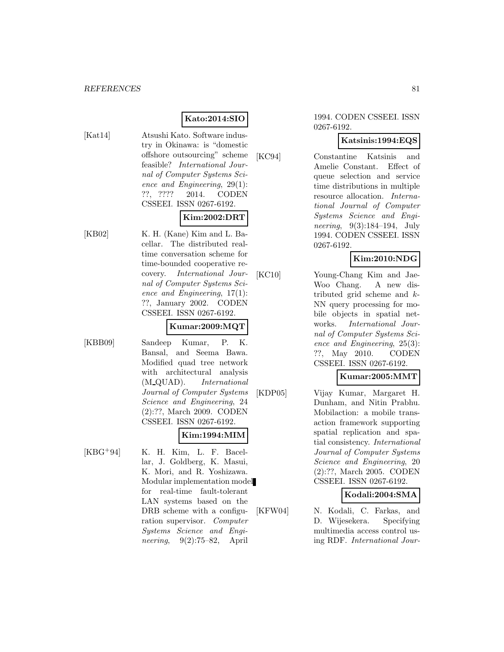# **Kato:2014:SIO**

[Kat14] Atsushi Kato. Software industry in Okinawa: is "domestic offshore outsourcing" scheme feasible? International Journal of Computer Systems Science and Engineering, 29(1): ??, ???? 2014. CODEN CSSEEI. ISSN 0267-6192.

### **Kim:2002:DRT**

[KB02] K. H. (Kane) Kim and L. Bacellar. The distributed realtime conversation scheme for time-bounded cooperative recovery. International Journal of Computer Systems Science and Engineering, 17(1): ??, January 2002. CODEN CSSEEI. ISSN 0267-6192.

### **Kumar:2009:MQT**

[KBB09] Sandeep Kumar, P. K. Bansal, and Seema Bawa. Modified quad tree network with architectural analysis (M QUAD). International Journal of Computer Systems Science and Engineering, 24 (2):??, March 2009. CODEN CSSEEI. ISSN 0267-6192.

# **Kim:1994:MIM**

 $[KBG<sup>+</sup>94]$  K. H. Kim, L. F. Bacellar, J. Goldberg, K. Masui, K. Mori, and R. Yoshizawa. Modular implementation model for real-time fault-tolerant LAN systems based on the DRB scheme with a configuration supervisor. Computer Systems Science and Engineering, 9(2):75–82, April

#### 1994. CODEN CSSEEI. ISSN 0267-6192.

### **Katsinis:1994:EQS**

[KC94] Constantine Katsinis and Amelie Constant. Effect of queue selection and service time distributions in multiple resource allocation. International Journal of Computer Systems Science and Engineering, 9(3):184–194, July 1994. CODEN CSSEEI. ISSN 0267-6192.

### **Kim:2010:NDG**

[KC10] Young-Chang Kim and Jae-Woo Chang. A new distributed grid scheme and k-NN query processing for mobile objects in spatial networks. International Journal of Computer Systems Science and Engineering, 25(3): ??, May 2010. CODEN CSSEEI. ISSN 0267-6192.

# **Kumar:2005:MMT**

[KDP05] Vijay Kumar, Margaret H. Dunham, and Nitin Prabhu. Mobilaction: a mobile transaction framework supporting spatial replication and spatial consistency. International Journal of Computer Systems Science and Engineering, 20 (2):??, March 2005. CODEN CSSEEI. ISSN 0267-6192.

### **Kodali:2004:SMA**

[KFW04] N. Kodali, C. Farkas, and D. Wijesekera. Specifying multimedia access control using RDF. International Jour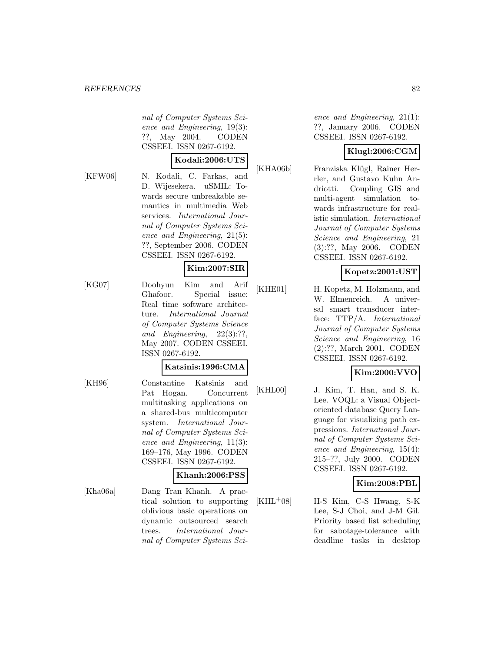nal of Computer Systems Science and Engineering, 19(3): ??, May 2004. CODEN CSSEEI. ISSN 0267-6192.

#### **Kodali:2006:UTS**

[KFW06] N. Kodali, C. Farkas, and D. Wijesekera. uSMIL: Towards secure unbreakable semantics in multimedia Web services. International Journal of Computer Systems Science and Engineering, 21(5): ??, September 2006. CODEN CSSEEI. ISSN 0267-6192.

### **Kim:2007:SIR**

[KG07] Doohyun Kim and Arif Ghafoor. Special issue: Real time software architecture. International Journal of Computer Systems Science and Engineering, 22(3):??, May 2007. CODEN CSSEEI. ISSN 0267-6192.

# **Katsinis:1996:CMA**

[KH96] Constantine Katsinis and Pat Hogan. Concurrent multitasking applications on a shared-bus multicomputer system. International Journal of Computer Systems Science and Engineering, 11(3): 169–176, May 1996. CODEN CSSEEI. ISSN 0267-6192.

### **Khanh:2006:PSS**

[Kha06a] Dang Tran Khanh. A practical solution to supporting oblivious basic operations on dynamic outsourced search trees. International Journal of Computer Systems Science and Engineering, 21(1): ??, January 2006. CODEN CSSEEI. ISSN 0267-6192.

### **Klugl:2006:CGM**

[KHA06b] Franziska Klügl, Rainer Herrler, and Gustavo Kuhn Andriotti. Coupling GIS and multi-agent simulation towards infrastructure for realistic simulation. International Journal of Computer Systems Science and Engineering, 21 (3):??, May 2006. CODEN CSSEEI. ISSN 0267-6192.

## **Kopetz:2001:UST**

[KHE01] H. Kopetz, M. Holzmann, and W. Elmenreich. A universal smart transducer interface: TTP/A. International Journal of Computer Systems Science and Engineering, 16 (2):??, March 2001. CODEN CSSEEI. ISSN 0267-6192.

## **Kim:2000:VVO**

[KHL00] J. Kim, T. Han, and S. K. Lee. VOQL: a Visual Objectoriented database Query Language for visualizing path expressions. International Journal of Computer Systems Science and Engineering, 15(4): 215–??, July 2000. CODEN CSSEEI. ISSN 0267-6192.

## **Kim:2008:PBL**

 $[KHL<sup>+</sup>08]$  H-S Kim, C-S Hwang, S-K Lee, S-J Choi, and J-M Gil. Priority based list scheduling for sabotage-tolerance with deadline tasks in desktop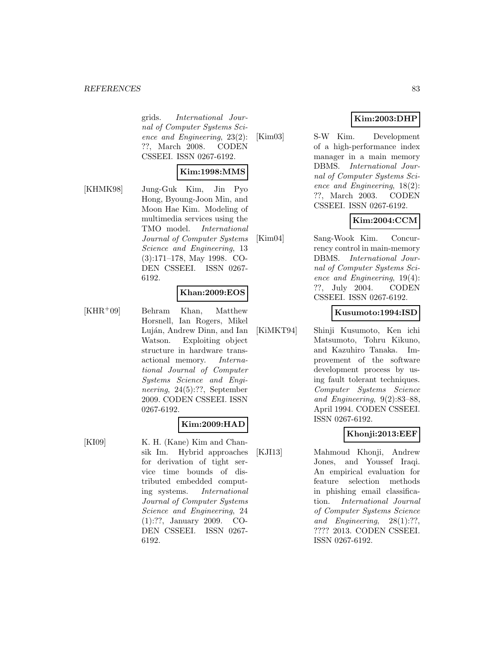#### *REFERENCES* 83

grids. International Journal of Computer Systems Science and Engineering, 23(2): ??, March 2008. CODEN CSSEEI. ISSN 0267-6192.

#### **Kim:1998:MMS**

[KHMK98] Jung-Guk Kim, Jin Pyo Hong, Byoung-Joon Min, and Moon Hae Kim. Modeling of multimedia services using the TMO model. International Journal of Computer Systems Science and Engineering, 13 (3):171–178, May 1998. CO-DEN CSSEEI. ISSN 0267- 6192.

#### **Khan:2009:EOS**

[KHR<sup>+</sup>09] Behram Khan, Matthew Horsnell, Ian Rogers, Mikel Luján, Andrew Dinn, and Ian Watson. Exploiting object structure in hardware transactional memory. International Journal of Computer Systems Science and Engineering, 24(5):??, September 2009. CODEN CSSEEI. ISSN 0267-6192.

### **Kim:2009:HAD**

[KI09] K. H. (Kane) Kim and Chansik Im. Hybrid approaches for derivation of tight service time bounds of distributed embedded computing systems. International Journal of Computer Systems Science and Engineering, 24 (1):??, January 2009. CO-DEN CSSEEI. ISSN 0267- 6192.

# **Kim:2003:DHP**

[Kim03] S-W Kim. Development of a high-performance index manager in a main memory DBMS. International Journal of Computer Systems Science and Engineering, 18(2): ??, March 2003. CODEN CSSEEI. ISSN 0267-6192.

### **Kim:2004:CCM**

[Kim04] Sang-Wook Kim. Concurrency control in main-memory DBMS. International Journal of Computer Systems Science and Engineering, 19(4): ??, July 2004. CODEN CSSEEI. ISSN 0267-6192.

#### **Kusumoto:1994:ISD**

[KiMKT94] Shinji Kusumoto, Ken ichi Matsumoto, Tohru Kikuno, and Kazuhiro Tanaka. Improvement of the software development process by using fault tolerant techniques. Computer Systems Science and Engineering, 9(2):83–88, April 1994. CODEN CSSEEI. ISSN 0267-6192.

### **Khonji:2013:EEF**

[KJI13] Mahmoud Khonji, Andrew Jones, and Youssef Iraqi. An empirical evaluation for feature selection methods in phishing email classification. International Journal of Computer Systems Science and Engineering, 28(1):??, ???? 2013. CODEN CSSEEI. ISSN 0267-6192.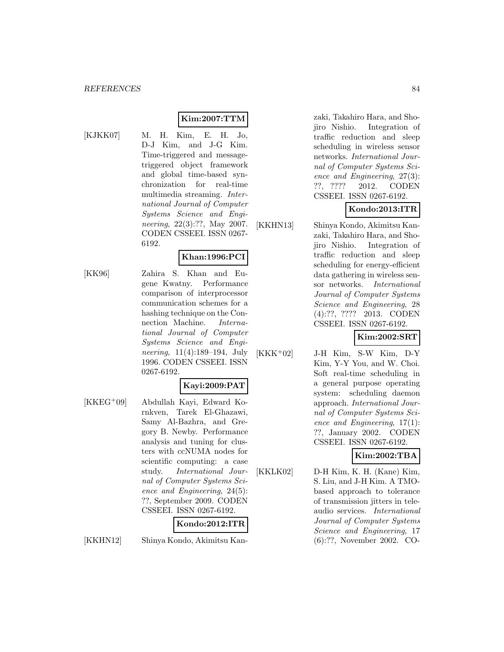# **Kim:2007:TTM**

- 
- [KJKK07] M. H. Kim, E. H. Jo, D-J Kim, and J-G Kim. Time-triggered and messagetriggered object framework and global time-based synchronization for real-time multimedia streaming. International Journal of Computer Systems Science and Engineering, 22(3):??, May 2007. CODEN CSSEEI. ISSN 0267- 6192.

# **Khan:1996:PCI**

[KK96] Zahira S. Khan and Eugene Kwatny. Performance comparison of interprocessor communication schemes for a hashing technique on the Connection Machine. International Journal of Computer Systems Science and Engineering, 11(4):189–194, July 1996. CODEN CSSEEI. ISSN 0267-6192.

### **Kayi:2009:PAT**

[KKEG<sup>+</sup>09] Abdullah Kayi, Edward Kornkven, Tarek El-Ghazawi, Samy Al-Bazhra, and Gregory B. Newby. Performance analysis and tuning for clusters with ccNUMA nodes for scientific computing: a case study. International Journal of Computer Systems Science and Engineering, 24(5): ??, September 2009. CODEN CSSEEI. ISSN 0267-6192.

## **Kondo:2012:ITR**

[KKHN12] Shinya Kondo, Akimitsu Kan-

zaki, Takahiro Hara, and Shojiro Nishio. Integration of traffic reduction and sleep scheduling in wireless sensor networks. International Journal of Computer Systems Science and Engineering, 27(3): ??, ???? 2012. CODEN CSSEEI. ISSN 0267-6192.

## **Kondo:2013:ITR**

[KKHN13] Shinya Kondo, Akimitsu Kanzaki, Takahiro Hara, and Shojiro Nishio. Integration of traffic reduction and sleep scheduling for energy-efficient data gathering in wireless sensor networks. International Journal of Computer Systems Science and Engineering, 28 (4):??, ???? 2013. CODEN CSSEEI. ISSN 0267-6192.

**Kim:2002:SRT**

[KKK<sup>+</sup>02] J-H Kim, S-W Kim, D-Y Kim, Y-Y You, and W. Choi. Soft real-time scheduling in a general purpose operating system: scheduling daemon approach. International Journal of Computer Systems Science and Engineering, 17(1): ??, January 2002. CODEN CSSEEI. ISSN 0267-6192.

## **Kim:2002:TBA**

[KKLK02] D-H Kim, K. H. (Kane) Kim, S. Liu, and J-H Kim. A TMObased approach to tolerance of transmission jitters in teleaudio services. International Journal of Computer Systems Science and Engineering, 17 (6):??, November 2002. CO-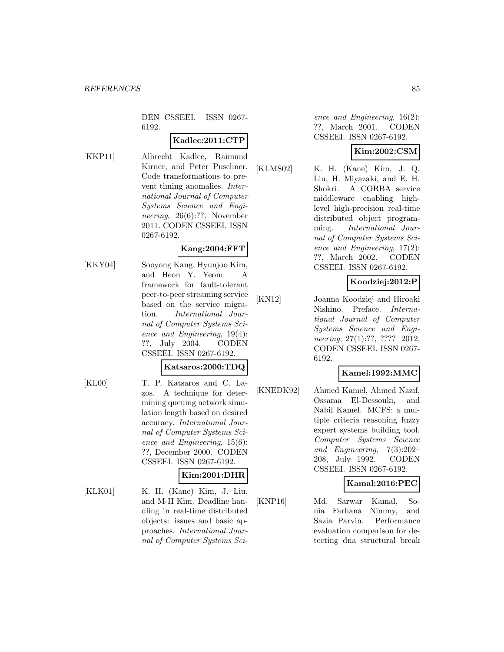DEN CSSEEI. ISSN 0267- 6192.

### **Kadlec:2011:CTP**

[KKP11] Albrecht Kadlec, Raimund Kirner, and Peter Puschner. Code transformations to prevent timing anomalies. International Journal of Computer Systems Science and Engineering, 26(6):??, November 2011. CODEN CSSEEI. ISSN 0267-6192.

#### **Kang:2004:FFT**

[KKY04] Sooyong Kang, Hyunjoo Kim, and Heon Y. Yeom. A framework for fault-tolerant peer-to-peer streaming service based on the service migration. International Journal of Computer Systems Science and Engineering, 19(4): ??, July 2004. CODEN CSSEEI. ISSN 0267-6192.

### **Katsaros:2000:TDQ**

[KL00] T. P. Katsaros and C. Lazos. A technique for determining queuing network simulation length based on desired accuracy. International Journal of Computer Systems Science and Engineering, 15(6): ??, December 2000. CODEN CSSEEI. ISSN 0267-6192.

## **Kim:2001:DHR**

[KLK01] K. H. (Kane) Kim, J. Liu, and M-H Kim. Deadline handling in real-time distributed objects: issues and basic approaches. International Journal of Computer Systems Science and Engineering, 16(2): ??, March 2001. CODEN CSSEEI. ISSN 0267-6192.

# **Kim:2002:CSM**

[KLMS02] K. H. (Kane) Kim, J. Q. Liu, H. Miyazaki, and E. H. Shokri. A CORBA service middleware enabling highlevel high-precision real-time distributed object programming. International Journal of Computer Systems Science and Engineering, 17(2): ??, March 2002. CODEN CSSEEI. ISSN 0267-6192.

# **Koodziej:2012:P**

[KN12] Joanna Koodziej and Hiroaki Nishino. Preface. International Journal of Computer Systems Science and Engineering, 27(1):??, ???? 2012. CODEN CSSEEI. ISSN 0267- 6192.

## **Kamel:1992:MMC**

[KNEDK92] Ahmed Kamel, Ahmed Nazif, Ossama El-Dessouki, and Nabil Kamel. MCFS: a multiple criteria reasoning fuzzy expert systems building tool. Computer Systems Science and Engineering, 7(3):202– 208, July 1992. CODEN CSSEEI. ISSN 0267-6192.

### **Kamal:2016:PEC**

[KNP16] Md. Sarwar Kamal, Sonia Farhana Nimmy, and Sazia Parvin. Performance evaluation comparison for detecting dna structural break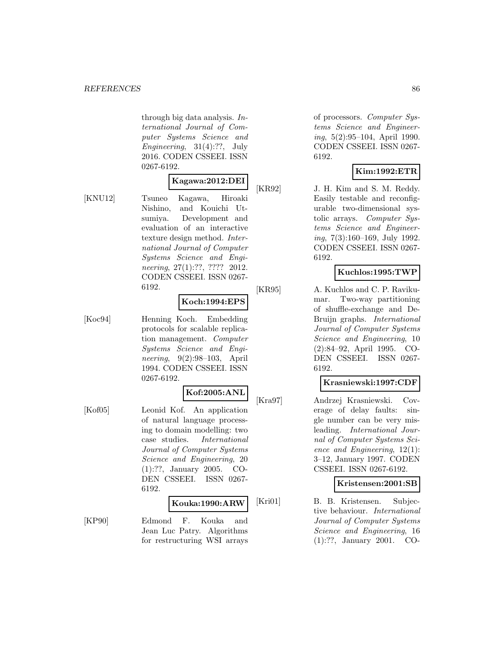through big data analysis. International Journal of Computer Systems Science and Engineering,  $31(4):$ ??, July 2016. CODEN CSSEEI. ISSN 0267-6192.

# **Kagawa:2012:DEI**

[KNU12] Tsuneo Kagawa, Hiroaki Nishino, and Kouichi Utsumiya. Development and evaluation of an interactive texture design method. International Journal of Computer Systems Science and Engineering, 27(1):??, ???? 2012. CODEN CSSEEI. ISSN 0267- 6192.

## **Koch:1994:EPS**

[Koc94] Henning Koch. Embedding protocols for scalable replication management. Computer Systems Science and Engineering, 9(2):98–103, April 1994. CODEN CSSEEI. ISSN 0267-6192.

### **Kof:2005:ANL**

[Kof05] Leonid Kof. An application of natural language processing to domain modelling: two case studies. International Journal of Computer Systems Science and Engineering, 20 (1):??, January 2005. CO-DEN CSSEEI. ISSN 0267- 6192.

#### **Kouka:1990:ARW**

[KP90] Edmond F. Kouka and Jean Luc Patry. Algorithms for restructuring WSI arrays

of processors. Computer Systems Science and Engineering, 5(2):95–104, April 1990. CODEN CSSEEI. ISSN 0267- 6192.

### **Kim:1992:ETR**

[KR92] J. H. Kim and S. M. Reddy. Easily testable and reconfigurable two-dimensional systolic arrays. Computer Systems Science and Engineering, 7(3):160–169, July 1992. CODEN CSSEEI. ISSN 0267- 6192.

# **Kuchlos:1995:TWP**

[KR95] A. Kuchlos and C. P. Ravikumar. Two-way partitioning of shuffle-exchange and De-Bruijn graphs. International Journal of Computer Systems Science and Engineering, 10 (2):84–92, April 1995. CO-DEN CSSEEI. ISSN 0267- 6192.

## **Krasniewski:1997:CDF**

[Kra97] Andrzej Krasniewski. Coverage of delay faults: single number can be very misleading. International Journal of Computer Systems Science and Engineering, 12(1): 3–12, January 1997. CODEN CSSEEI. ISSN 0267-6192.

## **Kristensen:2001:SB**

[Kri01] B. B. Kristensen. Subjective behaviour. International Journal of Computer Systems Science and Engineering, 16 (1):??, January 2001. CO-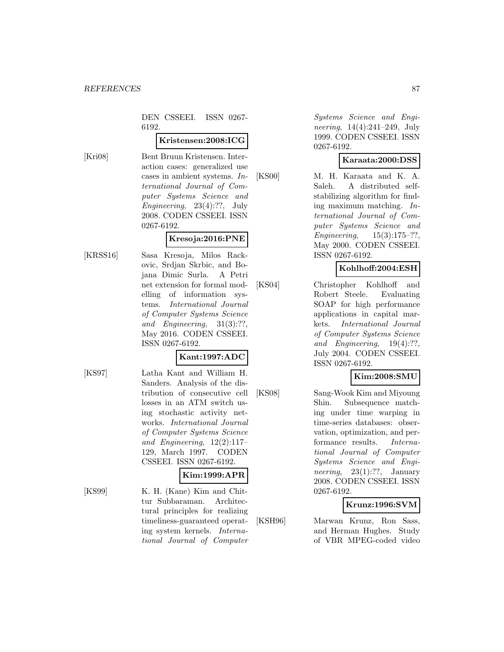DEN CSSEEI. ISSN 0267- 6192.

#### **Kristensen:2008:ICG**

[Kri08] Bent Bruun Kristensen. Interaction cases: generalized use cases in ambient systems. International Journal of Computer Systems Science and Engineering, 23(4):??, July 2008. CODEN CSSEEI. ISSN 0267-6192.

#### **Kresoja:2016:PNE**

[KRSS16] Sasa Kresoja, Milos Rackovic, Srdjan Skrbic, and Bojana Dimic Surla. A Petri net extension for formal modelling of information systems. International Journal of Computer Systems Science and Engineering, 31(3):??, May 2016. CODEN CSSEEI. ISSN 0267-6192.

### **Kant:1997:ADC**

[KS97] Latha Kant and William H. Sanders. Analysis of the distribution of consecutive cell losses in an ATM switch using stochastic activity networks. International Journal of Computer Systems Science and Engineering, 12(2):117– 129, March 1997. CODEN CSSEEI. ISSN 0267-6192.

# **Kim:1999:APR**

[KS99] K. H. (Kane) Kim and Chittur Subbaraman. Architectural principles for realizing timeliness-guaranteed operating system kernels. International Journal of Computer

Systems Science and Engineering, 14(4):241–249, July 1999. CODEN CSSEEI. ISSN 0267-6192.

### **Karaata:2000:DSS**

[KS00] M. H. Karaata and K. A. Saleh. A distributed selfstabilizing algorithm for finding maximum matching. International Journal of Computer Systems Science and Engineering, 15(3):175–??, May 2000. CODEN CSSEEI. ISSN 0267-6192.

# **Kohlhoff:2004:ESH**

[KS04] Christopher Kohlhoff and Robert Steele. Evaluating SOAP for high performance applications in capital markets. International Journal of Computer Systems Science and Engineering, 19(4):??, July 2004. CODEN CSSEEI. ISSN 0267-6192.

## **Kim:2008:SMU**

[KS08] Sang-Wook Kim and Miyoung Shin. Subsequence matching under time warping in time-series databases: observation, optimization, and performance results. International Journal of Computer Systems Science and Engineering,  $23(1)$ :??, January 2008. CODEN CSSEEI. ISSN 0267-6192.

## **Krunz:1996:SVM**

[KSH96] Marwan Krunz, Ron Sass, and Herman Hughes. Study of VBR MPEG-coded video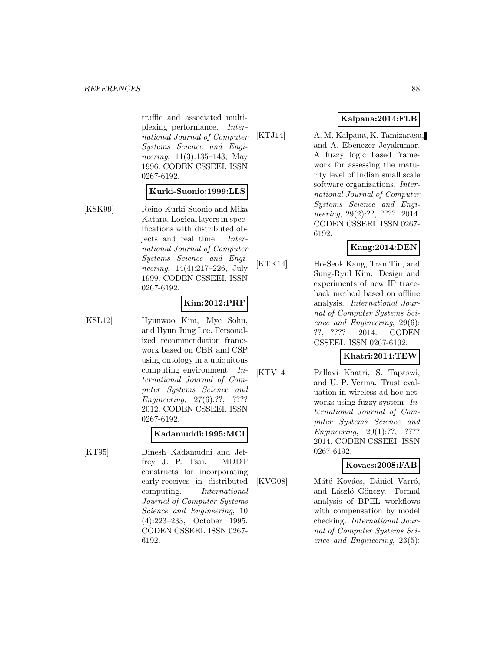traffic and associated multiplexing performance. International Journal of Computer Systems Science and Engineering, 11(3):135–143, May 1996. CODEN CSSEEI. ISSN 0267-6192.

#### **Kurki-Suonio:1999:LLS**

[KSK99] Reino Kurki-Suonio and Mika Katara. Logical layers in specifications with distributed objects and real time. International Journal of Computer Systems Science and Engineering, 14(4):217–226, July 1999. CODEN CSSEEI. ISSN 0267-6192.

### **Kim:2012:PRF**

[KSL12] Hyunwoo Kim, Mye Sohn, and Hyun Jung Lee. Personalized recommendation framework based on CBR and CSP using ontology in a ubiquitous computing environment. International Journal of Computer Systems Science and Engineering, 27(6):??, ???? 2012. CODEN CSSEEI. ISSN 0267-6192.

## **Kadamuddi:1995:MCI**

[KT95] Dinesh Kadamuddi and Jeffrey J. P. Tsai. MDDT constructs for incorporating early-receives in distributed computing. International Journal of Computer Systems Science and Engineering, 10 (4):223–233, October 1995. CODEN CSSEEI. ISSN 0267- 6192.

### **Kalpana:2014:FLB**

[KTJ14] A. M. Kalpana, K. Tamizarasu, and A. Ebenezer Jeyakumar. A fuzzy logic based framework for assessing the maturity level of Indian small scale software organizations. International Journal of Computer Systems Science and Engineering, 29(2):??, ???? 2014. CODEN CSSEEI. ISSN 0267- 6192.

## **Kang:2014:DEN**

[KTK14] Ho-Seok Kang, Tran Tin, and Sung-Ryul Kim. Design and experiments of new IP traceback method based on offline analysis. International Journal of Computer Systems Science and Engineering, 29(6): ??, ???? 2014. CODEN CSSEEI. ISSN 0267-6192.

## **Khatri:2014:TEW**

[KTV14] Pallavi Khatri, S. Tapaswi, and U. P. Verma. Trust evaluation in wireless ad-hoc networks using fuzzy system. International Journal of Computer Systems Science and Engineering, 29(1):??, ???? 2014. CODEN CSSEEI. ISSN 0267-6192.

### **Kovacs:2008:FAB**

[KVG08] Máté Kovács, Dániel Varró, and László Gönczy. Formal analysis of BPEL workflows with compensation by model checking. International Journal of Computer Systems Science and Engineering, 23(5):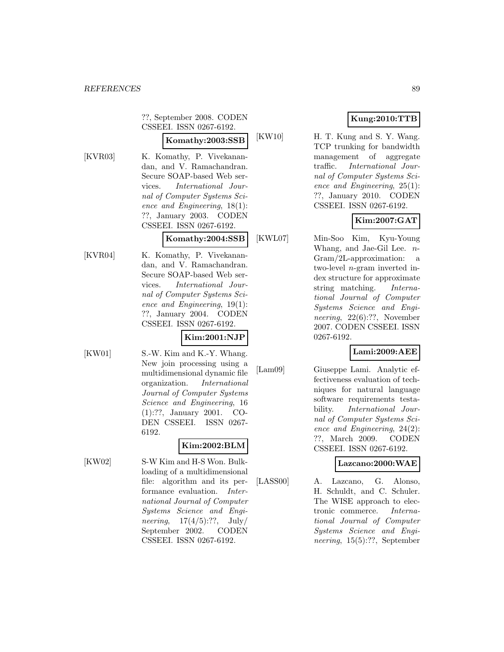??, September 2008. CODEN CSSEEI. ISSN 0267-6192.

# **Komathy:2003:SSB**

[KVR03] K. Komathy, P. Vivekanandan, and V. Ramachandran. Secure SOAP-based Web services. International Journal of Computer Systems Science and Engineering, 18(1): ??, January 2003. CODEN CSSEEI. ISSN 0267-6192.

#### **Komathy:2004:SSB**

[KVR04] K. Komathy, P. Vivekanandan, and V. Ramachandran. Secure SOAP-based Web services. International Journal of Computer Systems Science and Engineering, 19(1): ??, January 2004. CODEN CSSEEI. ISSN 0267-6192.

### **Kim:2001:NJP**

[KW01] S.-W. Kim and K.-Y. Whang. New join processing using a multidimensional dynamic file organization. International Journal of Computer Systems

6192.

**Kim:2002:BLM** [KW02] S-W Kim and H-S Won. Bulkloading of a multidimensional file: algorithm and its performance evaluation. International Journal of Computer Systems Science and Engineering,  $17(4/5)$ :??,  $\text{July}/$ September 2002. CODEN CSSEEI. ISSN 0267-6192.

Science and Engineering, 16 (1):??, January 2001. CO-DEN CSSEEI. ISSN 0267-

# **Kung:2010:TTB**

[KW10] H. T. Kung and S. Y. Wang. TCP trunking for bandwidth management of aggregate traffic. International Journal of Computer Systems Science and Engineering, 25(1): ??, January 2010. CODEN CSSEEI. ISSN 0267-6192.

# **Kim:2007:GAT**

[KWL07] Min-Soo Kim, Kyu-Young Whang, and Jae-Gil Lee. n-Gram/2L-approximation: a two-level n-gram inverted index structure for approximate string matching. International Journal of Computer Systems Science and Engineering, 22(6):??, November 2007. CODEN CSSEEI. ISSN 0267-6192.

## **Lami:2009:AEE**

[Lam09] Giuseppe Lami. Analytic effectiveness evaluation of techniques for natural language software requirements testability. International Journal of Computer Systems Science and Engineering, 24(2): ??, March 2009. CODEN CSSEEI. ISSN 0267-6192.

### **Lazcano:2000:WAE**

[LASS00] A. Lazcano, G. Alonso, H. Schuldt, and C. Schuler. The WISE approach to electronic commerce. International Journal of Computer Systems Science and Engineering, 15(5):??, September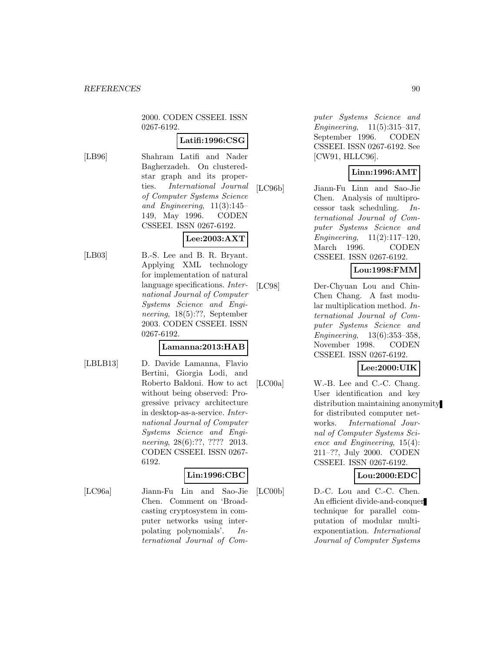2000. CODEN CSSEEI. ISSN 0267-6192.

### **Latifi:1996:CSG**

[LB96] Shahram Latifi and Nader Bagherzadeh. On clusteredstar graph and its properties. International Journal of Computer Systems Science and Engineering,  $11(3):145-$ 149, May 1996. CODEN CSSEEI. ISSN 0267-6192.

# **Lee:2003:AXT**

[LB03] B.-S. Lee and B. R. Bryant. Applying XML technology for implementation of natural language specifications. International Journal of Computer Systems Science and Engineering, 18(5):??, September 2003. CODEN CSSEEI. ISSN 0267-6192.

### **Lamanna:2013:HAB**

[LBLB13] D. Davide Lamanna, Flavio Bertini, Giorgia Lodi, and Roberto Baldoni. How to act without being observed: Progressive privacy architecture in desktop-as-a-service. International Journal of Computer Systems Science and Engineering, 28(6):??, ???? 2013. CODEN CSSEEI. ISSN 0267- 6192.

# **Lin:1996:CBC**

[LC96a] Jiann-Fu Lin and Sao-Jie Chen. Comment on 'Broadcasting cryptosystem in computer networks using interpolating polynomials'. In-

ternational Journal of Com-

puter Systems Science and Engineering, 11(5):315–317, September 1996. CODEN CSSEEI. ISSN 0267-6192. See [CW91, HLLC96].

## **Linn:1996:AMT**

[LC96b] Jiann-Fu Linn and Sao-Jie Chen. Analysis of multiprocessor task scheduling. International Journal of Computer Systems Science and Engineering, 11(2):117–120, March 1996. CODEN CSSEEI. ISSN 0267-6192.

# **Lou:1998:FMM**

[LC98] Der-Chyuan Lou and Chin-Chen Chang. A fast modular multiplication method. International Journal of Computer Systems Science and Engineering, 13(6):353–358, November 1998. CODEN CSSEEI. ISSN 0267-6192.

## **Lee:2000:UIK**

[LC00a] W.-B. Lee and C.-C. Chang. User identification and key distribution maintaining anonymity for distributed computer networks. International Journal of Computer Systems Science and Engineering, 15(4): 211–??, July 2000. CODEN CSSEEI. ISSN 0267-6192.

## **Lou:2000:EDC**

[LC00b] D.-C. Lou and C.-C. Chen. An efficient divide-and-conquer technique for parallel computation of modular multiexponentiation. International Journal of Computer Systems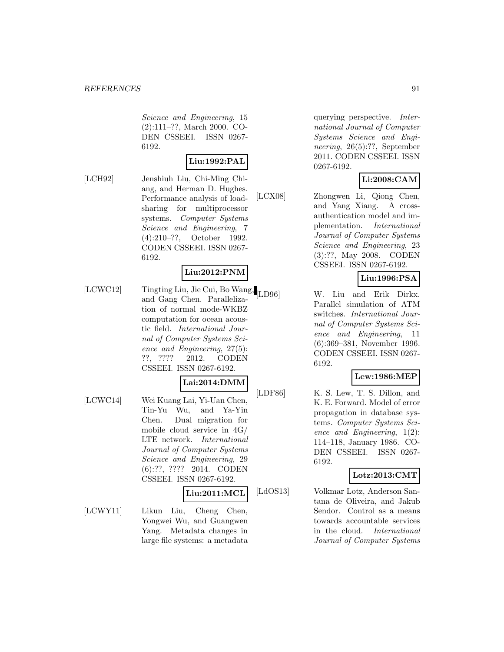Science and Engineering, 15 (2):111–??, March 2000. CO-DEN CSSEEI. ISSN 0267- 6192.

### **Liu:1992:PAL**

[LCH92] Jenshiuh Liu, Chi-Ming Chiang, and Herman D. Hughes. Performance analysis of loadsharing for multiprocessor systems. Computer Systems Science and Engineering, 7 (4):210–??, October 1992. CODEN CSSEEI. ISSN 0267- 6192.

### **Liu:2012:PNM**

[LCWC12] Tingting Liu, Jie Cui, Bo Wang, and Gang Chen. Parallelization of normal mode-WKBZ computation for ocean acoustic field. International Journal of Computer Systems Science and Engineering, 27(5): ??, ???? 2012. CODEN CSSEEI. ISSN 0267-6192.

### **Lai:2014:DMM**

[LCWC14] Wei Kuang Lai, Yi-Uan Chen, Tin-Yu Wu, and Ya-Yin Chen. Dual migration for mobile cloud service in 4G/ LTE network. International Journal of Computer Systems Science and Engineering, 29 (6):??, ???? 2014. CODEN CSSEEI. ISSN 0267-6192.

#### **Liu:2011:MCL**

[LCWY11] Likun Liu, Cheng Chen, Yongwei Wu, and Guangwen Yang. Metadata changes in large file systems: a metadata

querying perspective. International Journal of Computer Systems Science and Engineering, 26(5):??, September 2011. CODEN CSSEEI. ISSN 0267-6192.

## **Li:2008:CAM**

[LCX08] Zhongwen Li, Qiong Chen, and Yang Xiang. A crossauthentication model and implementation. International Journal of Computer Systems Science and Engineering, 23 (3):??, May 2008. CODEN CSSEEI. ISSN 0267-6192.

### **Liu:1996:PSA**

W. Liu and Erik Dirkx. Parallel simulation of ATM switches. International Journal of Computer Systems Science and Engineering, 11 (6):369–381, November 1996. CODEN CSSEEI. ISSN 0267- 6192.

### **Lew:1986:MEP**

[LDF86] K. S. Lew, T. S. Dillon, and K. E. Forward. Model of error propagation in database systems. Computer Systems Science and Engineering, 1(2): 114–118, January 1986. CO-DEN CSSEEI. ISSN 0267- 6192.

### **Lotz:2013:CMT**

[LdOS13] Volkmar Lotz, Anderson Santana de Oliveira, and Jakub Sendor. Control as a means towards accountable services in the cloud. International Journal of Computer Systems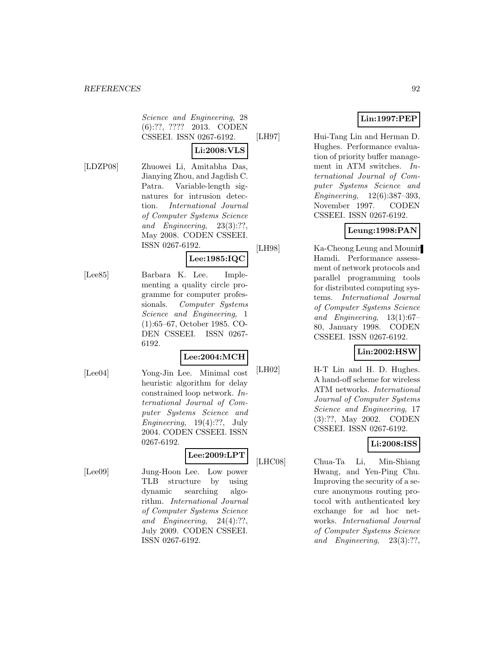Science and Engineering, 28 (6):??, ???? 2013. CODEN CSSEEI. ISSN 0267-6192.

### **Li:2008:VLS**

[LDZP08] Zhuowei Li, Amitabha Das, Jianying Zhou, and Jagdish C. Patra. Variable-length signatures for intrusion detection. International Journal of Computer Systems Science and Engineering, 23(3):??, May 2008. CODEN CSSEEI. ISSN 0267-6192.

#### **Lee:1985:IQC**

[Lee85] Barbara K. Lee. Implementing a quality circle programme for computer professionals. Computer Systems Science and Engineering, 1 (1):65–67, October 1985. CO-DEN CSSEEI. ISSN 0267- 6192.

### **Lee:2004:MCH**

[Lee04] Yong-Jin Lee. Minimal cost heuristic algorithm for delay constrained loop network. International Journal of Computer Systems Science and Engineering,  $19(4)$ :??, July 2004. CODEN CSSEEI. ISSN 0267-6192.

# **Lee:2009:LPT**

[Lee09] Jung-Hoon Lee. Low power TLB structure by using dynamic searching algorithm. International Journal of Computer Systems Science and Engineering, 24(4):??, July 2009. CODEN CSSEEI. ISSN 0267-6192.

# **Lin:1997:PEP**

[LH97] Hui-Tang Lin and Herman D. Hughes. Performance evaluation of priority buffer management in ATM switches. International Journal of Computer Systems Science and Engineering, 12(6):387–393, November 1997. CODEN CSSEEI. ISSN 0267-6192.

# **Leung:1998:PAN**

[LH98] Ka-Cheong Leung and Mounir Hamdi. Performance assessment of network protocols and parallel programming tools for distributed computing systems. International Journal of Computer Systems Science and Engineering, 13(1):67– 80, January 1998. CODEN CSSEEI. ISSN 0267-6192.

## **Lin:2002:HSW**

[LH02] H-T Lin and H. D. Hughes. A hand-off scheme for wireless ATM networks. International Journal of Computer Systems Science and Engineering, 17 (3):??, May 2002. CODEN CSSEEI. ISSN 0267-6192.

## **Li:2008:ISS**

[LHC08] Chua-Ta Li, Min-Shiang Hwang, and Yen-Ping Chu. Improving the security of a secure anonymous routing protocol with authenticated key exchange for ad hoc networks. International Journal of Computer Systems Science and Engineering, 23(3):??,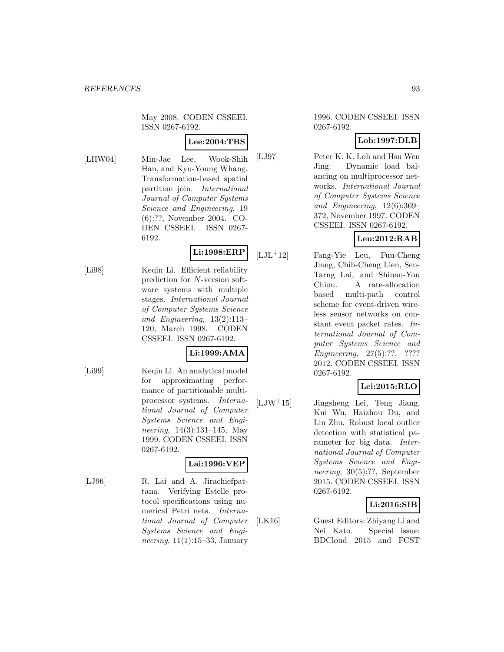May 2008. CODEN CSSEEI. ISSN 0267-6192.

### **Lee:2004:TBS**

[LHW04] Min-Jae Lee, Wook-Shih Han, and Kyu-Young Whang. Transformation-based spatial partition join. International Journal of Computer Systems Science and Engineering, 19 (6):??, November 2004. CO-DEN CSSEEI. ISSN 0267- 6192.

# **Li:1998:ERP**

[Li98] Keqin Li. Efficient reliability prediction for N-version software systems with multiple stages. International Journal of Computer Systems Science and Engineering, 13(2):113– 120, March 1998. CODEN CSSEEI. ISSN 0267-6192.

## **Li:1999:AMA**

[Li99] Keqin Li. An analytical model for approximating performance of partitionable multiprocessor systems. International Journal of Computer Systems Science and Engineering, 14(3):131–145, May 1999. CODEN CSSEEI. ISSN 0267-6192.

## **Lai:1996:VEP**

[LJ96] R. Lai and A. Jirachiefpattana. Verifying Estelle protocol specifications using numerical Petri nets. International Journal of Computer Systems Science and Engineering,  $11(1):15-33$ , January

#### 1996. CODEN CSSEEI. ISSN 0267-6192.

# **Loh:1997:DLB**

[LJ97] Peter K. K. Loh and Hsu Wen Jing. Dynamic load balancing on multiprocessor networks. International Journal of Computer Systems Science and Engineering, 12(6):369– 372, November 1997. CODEN CSSEEI. ISSN 0267-6192.

# **Leu:2012:RAB**

[LJL<sup>+</sup>12] Fang-Yie Leu, Fuu-Cheng Jiang, Chih-Cheng Lien, Sen-Tarng Lai, and Shiuan-You Chiou. A rate-allocation based multi-path control scheme for event-driven wireless sensor networks on constant event packet rates. International Journal of Computer Systems Science and Engineering, 27(5):??, ???? 2012. CODEN CSSEEI. ISSN 0267-6192.

# **Lei:2015:RLO**

[LJW<sup>+</sup>15] Jingsheng Lei, Teng Jiang, Kui Wu, Haizhou Du, and Lin Zhu. Robust local outlier detection with statistical parameter for big data. International Journal of Computer Systems Science and Engineering, 30(5):??, September 2015. CODEN CSSEEI. ISSN 0267-6192.

# **Li:2016:SIB**

[LK16] Guest Editors: Zhiyang Li and Nei Kato. Special issue: BDCloud 2015 and FCST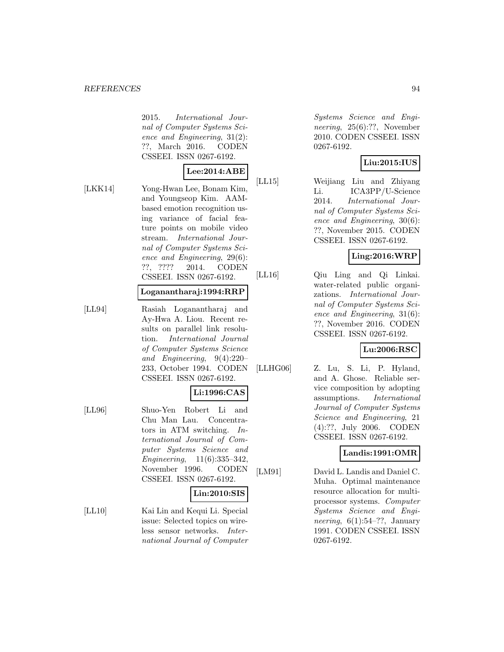#### *REFERENCES* 94

2015. International Journal of Computer Systems Science and Engineering, 31(2): ??, March 2016. CODEN CSSEEI. ISSN 0267-6192.

# **Lee:2014:ABE**

[LKK14] Yong-Hwan Lee, Bonam Kim, and Youngseop Kim. AAMbased emotion recognition using variance of facial feature points on mobile video stream. International Journal of Computer Systems Science and Engineering, 29(6): ??, ???? 2014. CODEN CSSEEI. ISSN 0267-6192.

#### **Loganantharaj:1994:RRP**

[LL94] Rasiah Loganantharaj and Ay-Hwa A. Liou. Recent results on parallel link resolution. International Journal of Computer Systems Science and Engineering, 9(4):220– 233, October 1994. CODEN CSSEEI. ISSN 0267-6192.

# **Li:1996:CAS**

[LL96] Shuo-Yen Robert Li and Chu Man Lau. Concentrators in ATM switching. International Journal of Computer Systems Science and Engineering, 11(6):335–342, November 1996. CODEN CSSEEI. ISSN 0267-6192.

## **Lin:2010:SIS**

[LL10] Kai Lin and Kequi Li. Special issue: Selected topics on wireless sensor networks. International Journal of Computer

Systems Science and Engineering, 25(6):??, November 2010. CODEN CSSEEI. ISSN 0267-6192.

# **Liu:2015:IUS**

[LL15] Weijiang Liu and Zhiyang Li. ICA3PP/U-Science 2014. International Journal of Computer Systems Science and Engineering, 30(6): ??, November 2015. CODEN CSSEEI. ISSN 0267-6192.

## **Ling:2016:WRP**

[LL16] Qiu Ling and Qi Linkai. water-related public organizations. International Journal of Computer Systems Science and Engineering, 31(6): ??, November 2016. CODEN CSSEEI. ISSN 0267-6192.

## **Lu:2006:RSC**

[LLHG06] Z. Lu, S. Li, P. Hyland, and A. Ghose. Reliable service composition by adopting assumptions. International Journal of Computer Systems Science and Engineering, 21 (4):??, July 2006. CODEN CSSEEI. ISSN 0267-6192.

## **Landis:1991:OMR**

[LM91] David L. Landis and Daniel C. Muha. Optimal maintenance resource allocation for multiprocessor systems. Computer Systems Science and Engineering,  $6(1):54-??$ , January 1991. CODEN CSSEEI. ISSN 0267-6192.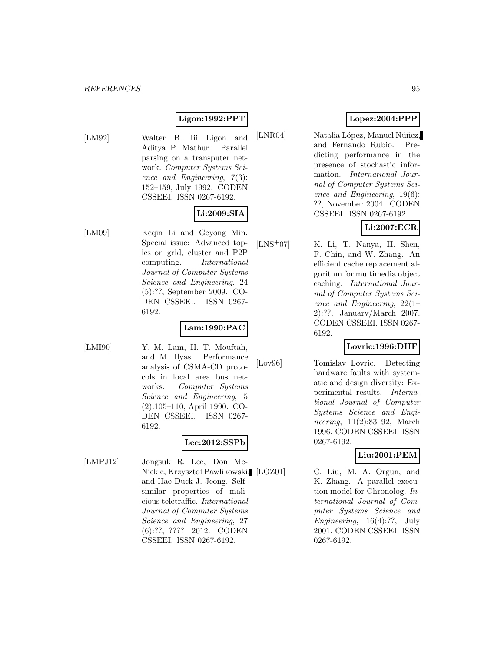# **Ligon:1992:PPT**

[LM92] Walter B. Iii Ligon and Aditya P. Mathur. Parallel parsing on a transputer network. Computer Systems Science and Engineering, 7(3): 152–159, July 1992. CODEN CSSEEI. ISSN 0267-6192.

### **Li:2009:SIA**

[LM09] Keqin Li and Geyong Min. Special issue: Advanced topics on grid, cluster and P2P computing. International Journal of Computer Systems Science and Engineering, 24 (5):??, September 2009. CO-DEN CSSEEI. ISSN 0267- 6192.

#### **Lam:1990:PAC**

[LMI90] Y. M. Lam, H. T. Mouftah, and M. Ilyas. Performance analysis of CSMA-CD protocols in local area bus networks. Computer Systems Science and Engineering, 5 (2):105–110, April 1990. CO-DEN CSSEEI. ISSN 0267- 6192.

### **Lee:2012:SSPb**

[LMPJ12] Jongsuk R. Lee, Don Mc-Nickle, Krzysztof Pawlikowski, and Hae-Duck J. Jeong. Selfsimilar properties of malicious teletraffic. International Journal of Computer Systems Science and Engineering, 27 (6):??, ???? 2012. CODEN CSSEEI. ISSN 0267-6192.

## **Lopez:2004:PPP**

[LNR04] Natalia López, Manuel Núñez, and Fernando Rubio. Predicting performance in the presence of stochastic information. International Journal of Computer Systems Science and Engineering, 19(6): ??, November 2004. CODEN CSSEEI. ISSN 0267-6192.

# **Li:2007:ECR**

[LNS<sup>+</sup>07] K. Li, T. Nanya, H. Shen, F. Chin, and W. Zhang. An efficient cache replacement algorithm for multimedia object caching. International Journal of Computer Systems Science and Engineering, 22(1– 2):??, January/March 2007. CODEN CSSEEI. ISSN 0267- 6192.

### **Lovric:1996:DHF**

[Lov96] Tomislav Lovric. Detecting hardware faults with systematic and design diversity: Experimental results. International Journal of Computer Systems Science and Engineering, 11(2):83–92, March 1996. CODEN CSSEEI. ISSN 0267-6192.

### **Liu:2001:PEM**

C. Liu, M. A. Orgun, and K. Zhang. A parallel execution model for Chronolog. International Journal of Computer Systems Science and Engineering, 16(4):??, July 2001. CODEN CSSEEI. ISSN 0267-6192.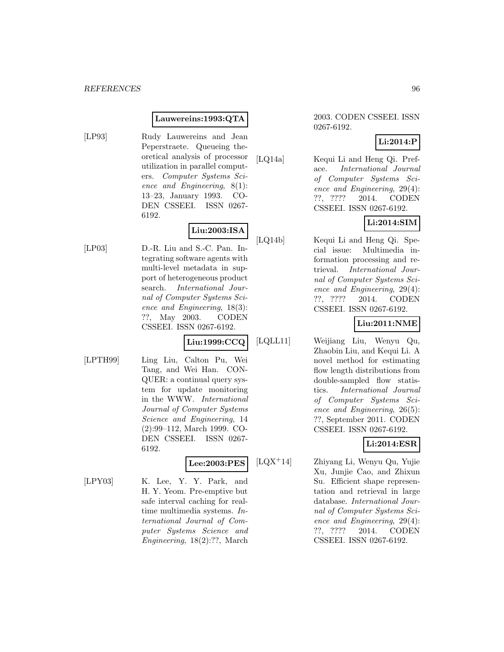#### **Lauwereins:1993:QTA**

[LP93] Rudy Lauwereins and Jean Peperstraete. Queueing theoretical analysis of processor utilization in parallel computers. Computer Systems Science and Engineering, 8(1): 13–23, January 1993. CO-DEN CSSEEI. ISSN 0267-

6192.

# **Liu:2003:ISA**

[LP03] D.-R. Liu and S.-C. Pan. Integrating software agents with multi-level metadata in support of heterogeneous product search. International Journal of Computer Systems Science and Engineering, 18(3): ??, May 2003. CODEN CSSEEI. ISSN 0267-6192.

## **Liu:1999:CCQ**

[LPTH99] Ling Liu, Calton Pu, Wei Tang, and Wei Han. CON-QUER: a continual query system for update monitoring in the WWW. International Journal of Computer Systems Science and Engineering, 14 (2):99–112, March 1999. CO-DEN CSSEEI. ISSN 0267- 6192.

### **Lee:2003:PES**

[LPY03] K. Lee, Y. Y. Park, and H. Y. Yeom. Pre-emptive but safe interval caching for realtime multimedia systems. International Journal of Computer Systems Science and Engineering, 18(2):??, March

#### 2003. CODEN CSSEEI. ISSN 0267-6192.

## **Li:2014:P**

[LQ14a] Kequi Li and Heng Qi. Preface. International Journal of Computer Systems Science and Engineering, 29(4): ??, ???? 2014. CODEN CSSEEI. ISSN 0267-6192.

# **Li:2014:SIM**

[LQ14b] Kequi Li and Heng Qi. Special issue: Multimedia information processing and retrieval. International Journal of Computer Systems Science and Engineering, 29(4): ??, ???? 2014. CODEN CSSEEI. ISSN 0267-6192.

# **Liu:2011:NME**

[LQLL11] Weijiang Liu, Wenyu Qu, Zhaobin Liu, and Kequi Li. A novel method for estimating flow length distributions from double-sampled flow statistics. International Journal of Computer Systems Science and Engineering, 26(5): ??, September 2011. CODEN CSSEEI. ISSN 0267-6192.

## **Li:2014:ESR**

[LQX<sup>+</sup>14] Zhiyang Li, Wenyu Qu, Yujie Xu, Junjie Cao, and Zhixun Su. Efficient shape representation and retrieval in large database. International Journal of Computer Systems Science and Engineering, 29(4): ??, ???? 2014. CODEN CSSEEI. ISSN 0267-6192.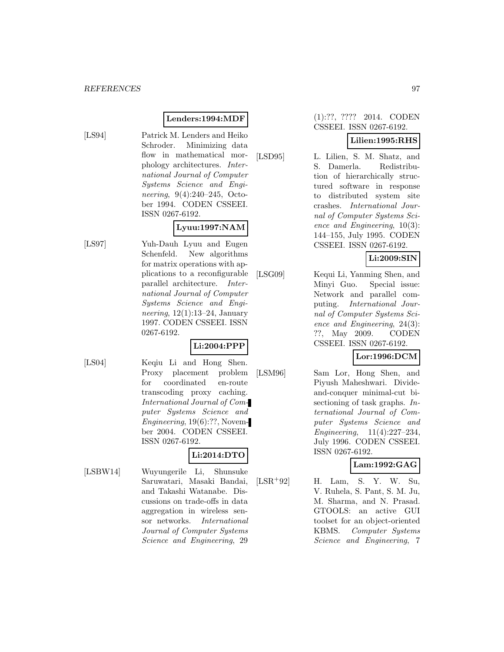### **Lenders:1994:MDF**

[LS94] Patrick M. Lenders and Heiko Schroder. Minimizing data flow in mathematical morphology architectures. International Journal of Computer Systems Science and Engineering, 9(4):240–245, October 1994. CODEN CSSEEI. ISSN 0267-6192.

**Lyuu:1997:NAM** [LS97] Yuh-Dauh Lyuu and Eugen Schenfeld. New algorithms for matrix operations with applications to a reconfigurable parallel architecture. International Journal of Computer Systems Science and Engineering,  $12(1):13-24$ , January 1997. CODEN CSSEEI. ISSN 0267-6192.

### **Li:2004:PPP**

- 
- [LS04] Keqiu Li and Hong Shen. Proxy placement problem for coordinated en-route transcoding proxy caching. International Journal of Computer Systems Science and Engineering, 19(6):??, November 2004. CODEN CSSEEI. ISSN 0267-6192.

## **Li:2014:DTO**

[LSBW14] Wuyungerile Li, Shunsuke Saruwatari, Masaki Bandai, and Takashi Watanabe. Discussions on trade-offs in data aggregation in wireless sensor networks. International Journal of Computer Systems Science and Engineering, 29

#### (1):??, ???? 2014. CODEN CSSEEI. ISSN 0267-6192.

### **Lilien:1995:RHS**

[LSD95] L. Lilien, S. M. Shatz, and S. Damerla. Redistribution of hierarchically structured software in response to distributed system site crashes. International Journal of Computer Systems Science and Engineering, 10(3): 144–155, July 1995. CODEN CSSEEI. ISSN 0267-6192.

# **Li:2009:SIN**

[LSG09] Kequi Li, Yanming Shen, and Minyi Guo. Special issue: Network and parallel computing. International Journal of Computer Systems Science and Engineering, 24(3): ??, May 2009. CODEN CSSEEI. ISSN 0267-6192.

## **Lor:1996:DCM**

[LSM96] Sam Lor, Hong Shen, and Piyush Maheshwari. Divideand-conquer minimal-cut bisectioning of task graphs. International Journal of Computer Systems Science and Engineering, 11(4):227–234, July 1996. CODEN CSSEEI. ISSN 0267-6192.

### **Lam:1992:GAG**

[LSR<sup>+</sup>92] H. Lam, S. Y. W. Su, V. Ruhela, S. Pant, S. M. Ju, M. Sharma, and N. Prasad. GTOOLS: an active GUI toolset for an object-oriented KBMS. Computer Systems Science and Engineering, 7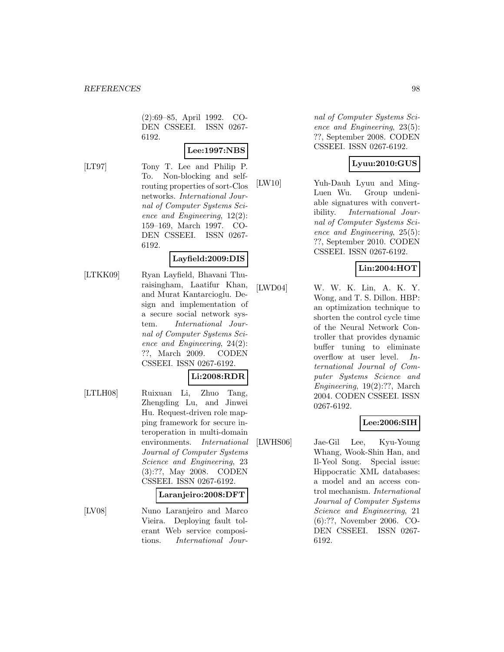(2):69–85, April 1992. CO-DEN CSSEEI. ISSN 0267- 6192.

# **Lee:1997:NBS**

[LT97] Tony T. Lee and Philip P. To. Non-blocking and selfrouting properties of sort-Clos networks. International Journal of Computer Systems Science and Engineering, 12(2): 159–169, March 1997. CO-DEN CSSEEI. ISSN 0267- 6192.

### **Layfield:2009:DIS**

[LTKK09] Ryan Layfield, Bhavani Thuraisingham, Laatifur Khan, and Murat Kantarcioglu. Design and implementation of a secure social network system. International Journal of Computer Systems Science and Engineering, 24(2): ??, March 2009. CODEN CSSEEI. ISSN 0267-6192.

### **Li:2008:RDR**

[LTLH08] Ruixuan Li, Zhuo Tang, Zhengding Lu, and Jinwei Hu. Request-driven role mapping framework for secure interoperation in multi-domain environments. International Journal of Computer Systems Science and Engineering, 23 (3):??, May 2008. CODEN CSSEEI. ISSN 0267-6192.

#### **Laranjeiro:2008:DFT**

[LV08] Nuno Laranjeiro and Marco Vieira. Deploying fault tolerant Web service compositions. International Journal of Computer Systems Science and Engineering, 23(5): ??, September 2008. CODEN CSSEEI. ISSN 0267-6192.

# **Lyuu:2010:GUS**

[LW10] Yuh-Dauh Lyuu and Ming-Luen Wu. Group undeniable signatures with convertibility. International Journal of Computer Systems Science and Engineering, 25(5): ??, September 2010. CODEN CSSEEI. ISSN 0267-6192.

## **Lin:2004:HOT**

[LWD04] W. W. K. Lin, A. K. Y. Wong, and T. S. Dillon. HBP: an optimization technique to shorten the control cycle time of the Neural Network Controller that provides dynamic buffer tuning to eliminate overflow at user level. International Journal of Computer Systems Science and Engineering, 19(2):??, March 2004. CODEN CSSEEI. ISSN 0267-6192.

## **Lee:2006:SIH**

[LWHS06] Jae-Gil Lee, Kyu-Young Whang, Wook-Shin Han, and Il-Yeol Song. Special issue: Hippocratic XML databases: a model and an access control mechanism. International Journal of Computer Systems Science and Engineering, 21 (6):??, November 2006. CO-DEN CSSEEI. ISSN 0267- 6192.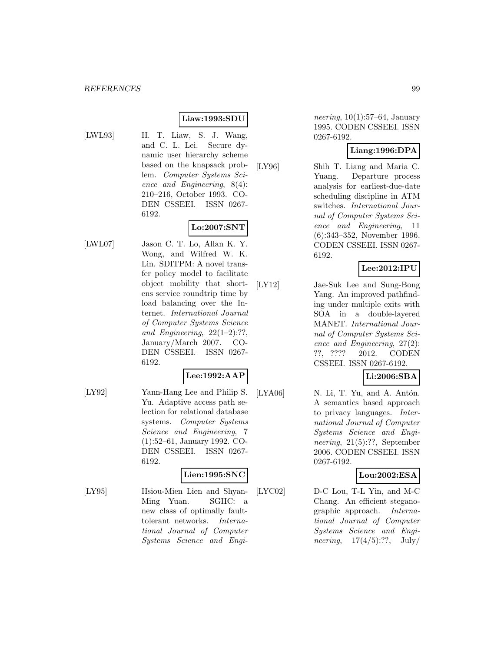### **Liaw:1993:SDU**

- 
- [LWL93] H. T. Liaw, S. J. Wang, and C. L. Lei. Secure dynamic user hierarchy scheme based on the knapsack problem. Computer Systems Science and Engineering, 8(4): 210–216, October 1993. CO-DEN CSSEEI. ISSN 0267- 6192.

# **Lo:2007:SNT**

[LWL07] Jason C. T. Lo, Allan K. Y. Wong, and Wilfred W. K. Lin. SDITPM: A novel transfer policy model to facilitate object mobility that shortens service roundtrip time by load balancing over the Internet. International Journal of Computer Systems Science and Engineering,  $22(1-2)$ :??, January/March 2007. CO-DEN CSSEEI. ISSN 0267- 6192.

### **Lee:1992:AAP**

[LY92] Yann-Hang Lee and Philip S. Yu. Adaptive access path selection for relational database systems. Computer Systems Science and Engineering, 7 (1):52–61, January 1992. CO-DEN CSSEEI. ISSN 0267- 6192.

## **Lien:1995:SNC**

[LY95] Hsiou-Mien Lien and Shyan-Ming Yuan. SGHC: a new class of optimally faulttolerant networks. International Journal of Computer Systems Science and Engi-

*neering*,  $10(1):57-64$ , January 1995. CODEN CSSEEI. ISSN 0267-6192.

### **Liang:1996:DPA**

[LY96] Shih T. Liang and Maria C. Yuang. Departure process analysis for earliest-due-date scheduling discipline in ATM switches. International Journal of Computer Systems Science and Engineering, 11 (6):343–352, November 1996. CODEN CSSEEI. ISSN 0267- 6192.

### **Lee:2012:IPU**

[LY12] Jae-Suk Lee and Sung-Bong Yang. An improved pathfinding under multiple exits with SOA in a double-layered MANET. International Journal of Computer Systems Science and Engineering, 27(2): ??, ???? 2012. CODEN CSSEEI. ISSN 0267-6192.

# **Li:2006:SBA**

[LYA06]  $N.$  Li, T. Yu, and A. Antón. A semantics based approach to privacy languages. International Journal of Computer Systems Science and Engineering, 21(5):??, September 2006. CODEN CSSEEI. ISSN 0267-6192.

### **Lou:2002:ESA**

[LYC02] D-C Lou, T-L Yin, and M-C Chang. An efficient steganographic approach. International Journal of Computer Systems Science and Engineering,  $17(4/5)$ :??,  $\text{July}/$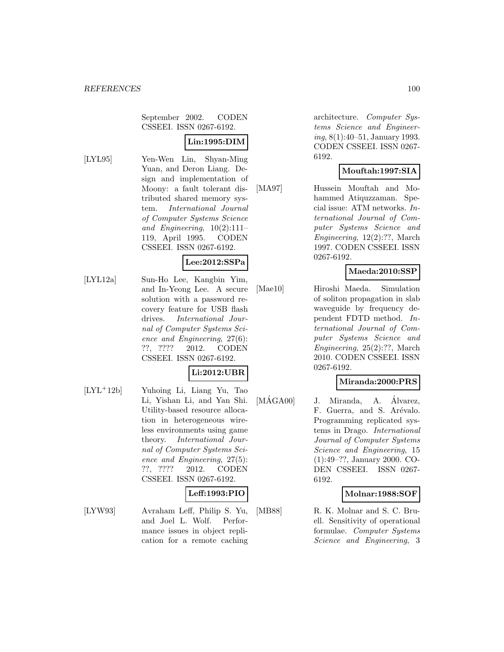September 2002. CODEN CSSEEI. ISSN 0267-6192.

# **Lin:1995:DIM**

[LYL95] Yen-Wen Lin, Shyan-Ming Yuan, and Deron Liang. Design and implementation of Moony: a fault tolerant distributed shared memory system. International Journal of Computer Systems Science and Engineering,  $10(2):111-$ 119, April 1995. CODEN CSSEEI. ISSN 0267-6192.

#### **Lee:2012:SSPa**

[LYL12a] Sun-Ho Lee, Kangbin Yim, and In-Yeong Lee. A secure solution with a password recovery feature for USB flash drives. International Journal of Computer Systems Science and Engineering, 27(6): ??, ???? 2012. CODEN CSSEEI. ISSN 0267-6192.

### **Li:2012:UBR**

[LYL<sup>+</sup>12b] Yuhoing Li, Liang Yu, Tao Li, Yishan Li, and Yan Shi. Utility-based resource allocation in heterogeneous wireless environments using game theory. International Journal of Computer Systems Science and Engineering, 27(5): ??, ???? 2012. CODEN CSSEEI. ISSN 0267-6192.

#### **Leff:1993:PIO**

[LYW93] Avraham Leff, Philip S. Yu, and Joel L. Wolf. Performance issues in object replication for a remote caching

architecture. Computer Systems Science and Engineering, 8(1):40–51, January 1993. CODEN CSSEEI. ISSN 0267- 6192.

## **Mouftah:1997:SIA**

[MA97] Hussein Mouftah and Mohammed Atiquzzaman. Special issue: ATM networks. International Journal of Computer Systems Science and Engineering, 12(2):??, March 1997. CODEN CSSEEI. ISSN 0267-6192.

### **Maeda:2010:SSP**

[Mae10] Hiroshi Maeda. Simulation of soliton propagation in slab waveguide by frequency dependent FDTD method. International Journal of Computer Systems Science and Engineering, 25(2):??, March 2010. CODEN CSSEEI. ISSN 0267-6192.

### **Miranda:2000:PRS**

 $[M\hat{A}G A00]$  J. Miranda, A.  $\hat{A}$ lvarez, F. Guerra, and S. Arévalo. Programming replicated systems in Drago. International Journal of Computer Systems Science and Engineering, 15 (1):49–??, January 2000. CO-DEN CSSEEI. ISSN 0267- 6192.

## **Molnar:1988:SOF**

[MB88] R. K. Molnar and S. C. Bruell. Sensitivity of operational formulae. Computer Systems Science and Engineering, 3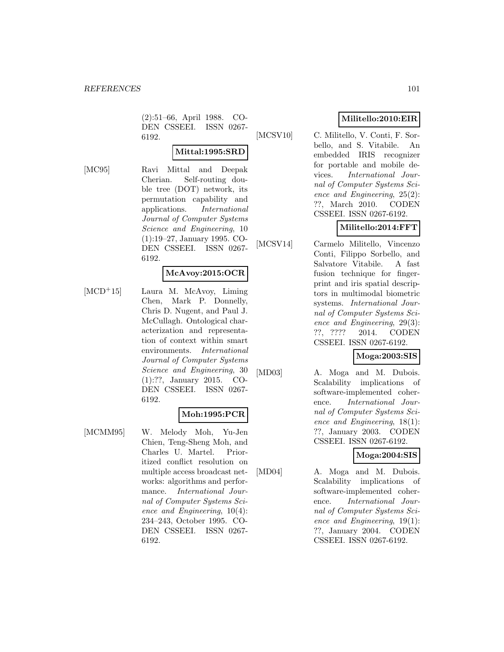(2):51–66, April 1988. CO-DEN CSSEEI. ISSN 0267- 6192.

# **Mittal:1995:SRD**

[MC95] Ravi Mittal and Deepak Cherian. Self-routing double tree (DOT) network, its permutation capability and applications. International Journal of Computer Systems Science and Engineering, 10 (1):19–27, January 1995. CO-DEN CSSEEI. ISSN 0267- 6192.

### **McAvoy:2015:OCR**

[MCD<sup>+</sup>15] Laura M. McAvoy, Liming Chen, Mark P. Donnelly, Chris D. Nugent, and Paul J. McCullagh. Ontological characterization and representation of context within smart environments. International Journal of Computer Systems Science and Engineering, 30 (1):??, January 2015. CO-DEN CSSEEI. ISSN 0267- 6192.

## **Moh:1995:PCR**

[MCMM95] W. Melody Moh, Yu-Jen Chien, Teng-Sheng Moh, and Charles U. Martel. Prioritized conflict resolution on multiple access broadcast networks: algorithms and performance. International Journal of Computer Systems Science and Engineering, 10(4): 234–243, October 1995. CO-DEN CSSEEI. ISSN 0267- 6192.

# **Militello:2010:EIR**

[MCSV10] C. Militello, V. Conti, F. Sorbello, and S. Vitabile. An embedded IRIS recognizer for portable and mobile devices. International Journal of Computer Systems Science and Engineering, 25(2): ??, March 2010. CODEN CSSEEI. ISSN 0267-6192.

# **Militello:2014:FFT**

[MCSV14] Carmelo Militello, Vincenzo Conti, Filippo Sorbello, and Salvatore Vitabile. A fast fusion technique for fingerprint and iris spatial descriptors in multimodal biometric systems. International Journal of Computer Systems Science and Engineering, 29(3): ??, ???? 2014. CODEN CSSEEI. ISSN 0267-6192.

## **Moga:2003:SIS**

[MD03] A. Moga and M. Dubois. Scalability implications of software-implemented coherence. International Journal of Computer Systems Science and Engineering, 18(1): ??, January 2003. CODEN CSSEEI. ISSN 0267-6192.

## **Moga:2004:SIS**

[MD04] A. Moga and M. Dubois. Scalability implications of software-implemented coherence. International Journal of Computer Systems Science and Engineering, 19(1): ??, January 2004. CODEN CSSEEI. ISSN 0267-6192.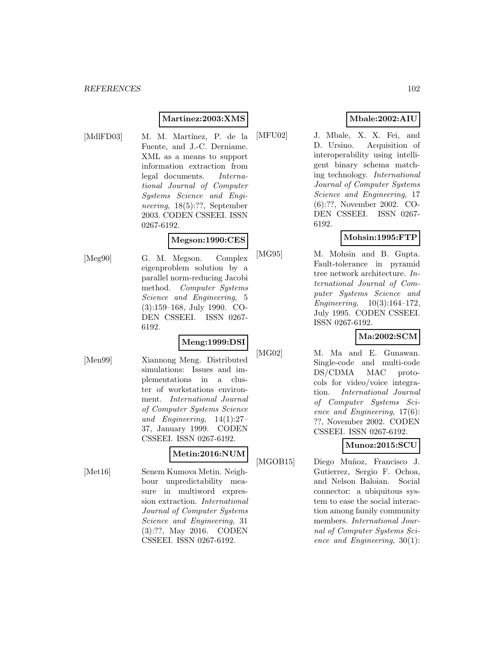### **Martinez:2003:XMS**

- 
- [MdlFD03] M. M. Martínez, P. de la Fuente, and J.-C. Derniame. XML as a means to support information extraction from legal documents. International Journal of Computer Systems Science and Engineering, 18(5):??, September 2003. CODEN CSSEEI. ISSN 0267-6192.

### **Megson:1990:CES**

[Meg90] G. M. Megson. Complex eigenproblem solution by a parallel norm-reducing Jacobi method. Computer Systems Science and Engineering, 5 (3):159–168, July 1990. CO-DEN CSSEEI. ISSN 0267- 6192.

# **Meng:1999:DSI**

[Men99] Xiannong Meng. Distributed simulations: Issues and implementations in a cluster of workstations environment. International Journal of Computer Systems Science and Engineering, 14(1):27– 37, January 1999. CODEN CSSEEI. ISSN 0267-6192.

# **Metin:2016:NUM**

[Met16] Senem Kumova Metin. Neighbour unpredictability measure in multiword expression extraction. International Journal of Computer Systems Science and Engineering, 31 (3):??, May 2016. CODEN CSSEEI. ISSN 0267-6192.

### **Mbale:2002:AIU**

[MFU02] J. Mbale, X. X. Fei, and D. Ursino. Acquisition of interoperability using intelligent binary schema matching technology. International Journal of Computer Systems Science and Engineering, 17 (6):??, November 2002. CO-DEN CSSEEI. ISSN 0267- 6192.

## **Mohsin:1995:FTP**

[MG95] M. Mohsin and B. Gupta. Fault-tolerance in pyramid tree network architecture. International Journal of Computer Systems Science and Engineering, 10(3):164–172, July 1995. CODEN CSSEEI. ISSN 0267-6192.

## **Ma:2002:SCM**

[MG02] M. Ma and E. Gunawan. Single-code and multi-code DS/CDMA MAC protocols for video/voice integration. International Journal of Computer Systems Science and Engineering, 17(6): ??, November 2002. CODEN CSSEEI. ISSN 0267-6192.

| $\mathrm{Muno}$ z:2015: $\mathrm{SCU}$ |
|----------------------------------------|
|----------------------------------------|

[MGOB15] Diego Muñoz, Francisco J. Gutierrez, Sergio F. Ochoa, and Nelson Baloian. Social connector: a ubiquitous system to ease the social interaction among family community members. International Journal of Computer Systems Science and Engineering, 30(1):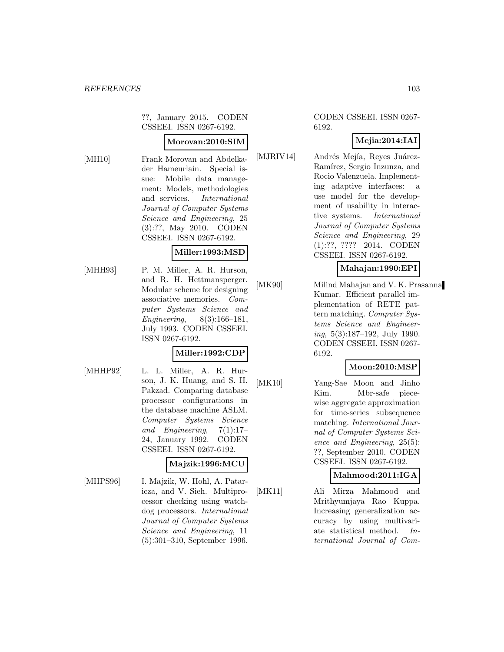??, January 2015. CODEN CSSEEI. ISSN 0267-6192.

#### **Morovan:2010:SIM**

[MH10] Frank Morovan and Abdelkader Hameurlain. Special issue: Mobile data management: Models, methodologies and services. International Journal of Computer Systems Science and Engineering, 25 (3):??, May 2010. CODEN CSSEEI. ISSN 0267-6192.

### **Miller:1993:MSD**

[MHH93] P. M. Miller, A. R. Hurson, and R. H. Hettmansperger. Modular scheme for designing associative memories. Computer Systems Science and Engineering, 8(3):166–181, July 1993. CODEN CSSEEI. ISSN 0267-6192.

### **Miller:1992:CDP**

[MHHP92] L. L. Miller, A. R. Hurson, J. K. Huang, and S. H. Pakzad. Comparing database processor configurations in the database machine ASLM. Computer Systems Science and Engineering,  $7(1):17-$ 24, January 1992. CODEN CSSEEI. ISSN 0267-6192.

#### **Majzik:1996:MCU**

[MHPS96] I. Majzik, W. Hohl, A. Pataricza, and V. Sieh. Multiprocessor checking using watchdog processors. International Journal of Computer Systems Science and Engineering, 11 (5):301–310, September 1996.

#### CODEN CSSEEI. ISSN 0267- 6192.

# **Mejia:2014:IAI**

[MJRIV14] Andrés Mejía, Reyes Juárez-Ramírez, Sergio Inzunza, and Rocio Valenzuela. Implementing adaptive interfaces: a use model for the development of usability in interactive systems. International Journal of Computer Systems Science and Engineering, 29 (1):??, ???? 2014. CODEN CSSEEI. ISSN 0267-6192.

#### **Mahajan:1990:EPI**

[MK90] Milind Mahajan and V. K. Prasanna Kumar. Efficient parallel implementation of RETE pattern matching. Computer Systems Science and Engineer $ing, 5(3):187-192, July 1990.$ CODEN CSSEEI. ISSN 0267- 6192.

### **Moon:2010:MSP**

[MK10] Yang-Sae Moon and Jinho Kim. Mbr-safe piecewise aggregate approximation for time-series subsequence matching. International Journal of Computer Systems Science and Engineering, 25(5): ??, September 2010. CODEN CSSEEI. ISSN 0267-6192.

### **Mahmood:2011:IGA**

[MK11] Ali Mirza Mahmood and Mrithyumjaya Rao Kuppa. Increasing generalization accuracy by using multivariate statistical method. International Journal of Com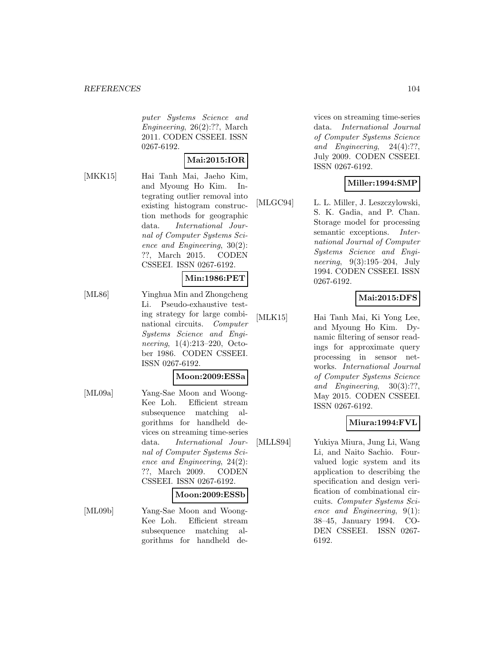puter Systems Science and Engineering, 26(2):??, March 2011. CODEN CSSEEI. ISSN 0267-6192.

### **Mai:2015:IOR**

[MKK15] Hai Tanh Mai, Jaeho Kim, and Myoung Ho Kim. Integrating outlier removal into existing histogram construction methods for geographic data. International Journal of Computer Systems Science and Engineering, 30(2): ??, March 2015. CODEN CSSEEI. ISSN 0267-6192.

#### **Min:1986:PET**

[ML86] Yinghua Min and Zhongcheng Li. Pseudo-exhaustive testing strategy for large combinational circuits. Computer Systems Science and Engineering, 1(4):213–220, October 1986. CODEN CSSEEI. ISSN 0267-6192.

#### **Moon:2009:ESSa**

[ML09a] Yang-Sae Moon and Woong-Kee Loh. Efficient stream subsequence matching algorithms for handheld devices on streaming time-series data. International Journal of Computer Systems Science and Engineering, 24(2): ??, March 2009. CODEN CSSEEI. ISSN 0267-6192.

#### **Moon:2009:ESSb**

[ML09b] Yang-Sae Moon and Woong-Kee Loh. Efficient stream subsequence matching algorithms for handheld de-

vices on streaming time-series data. International Journal of Computer Systems Science and Engineering, 24(4):??, July 2009. CODEN CSSEEI. ISSN 0267-6192.

### **Miller:1994:SMP**

[MLGC94] L. L. Miller, J. Leszczylowski, S. K. Gadia, and P. Chan. Storage model for processing semantic exceptions. *Inter*national Journal of Computer Systems Science and Engineering, 9(3):195–204, July 1994. CODEN CSSEEI. ISSN 0267-6192.

## **Mai:2015:DFS**

[MLK15] Hai Tanh Mai, Ki Yong Lee, and Myoung Ho Kim. Dynamic filtering of sensor readings for approximate query processing in sensor networks. International Journal of Computer Systems Science and Engineering, 30(3):??, May 2015. CODEN CSSEEI. ISSN 0267-6192.

### **Miura:1994:FVL**

[MLLS94] Yukiya Miura, Jung Li, Wang Li, and Naito Sachio. Fourvalued logic system and its application to describing the specification and design verification of combinational circuits. Computer Systems Science and Engineering, 9(1): 38–45, January 1994. CO-DEN CSSEEI. ISSN 0267- 6192.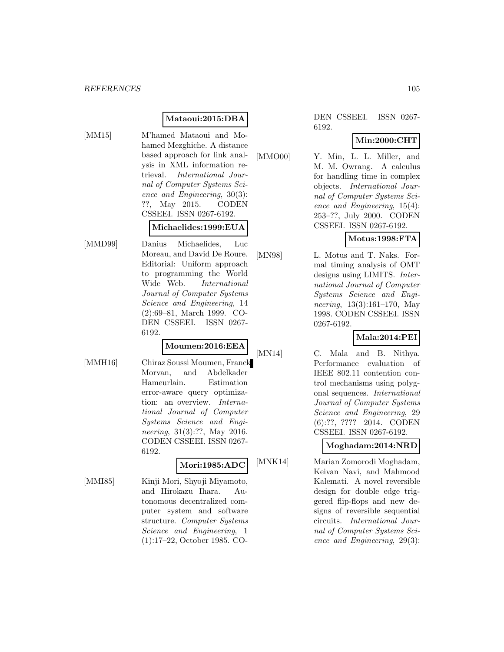### **Mataoui:2015:DBA**

[MM15] M'hamed Mataoui and Mohamed Mezghiche. A distance based approach for link analysis in XML information retrieval. International Journal of Computer Systems Science and Engineering, 30(3): ??, May 2015. CODEN CSSEEI. ISSN 0267-6192.

#### **Michaelides:1999:EUA**

[MMD99] Danius Michaelides, Luc Moreau, and David De Roure. Editorial: Uniform approach to programming the World Wide Web. International Journal of Computer Systems Science and Engineering, 14 (2):69–81, March 1999. CO-DEN CSSEEI. ISSN 0267- 6192.

# **Moumen:2016:EEA**

[MMH16] Chiraz Soussi Moumen, Franck Morvan, and Abdelkader Hameurlain. Estimation error-aware query optimization: an overview. International Journal of Computer Systems Science and Engineering, 31(3):??, May 2016. CODEN CSSEEI. ISSN 0267- 6192.

# **Mori:1985:ADC**

[MMI85] Kinji Mori, Shyoji Miyamoto, and Hirokazu Ihara. Autonomous decentralized computer system and software structure. Computer Systems Science and Engineering, 1 (1):17–22, October 1985. CO-

DEN CSSEEI. ISSN 0267- 6192.

# **Min:2000:CHT**

[MMO00] Y. Min, L. L. Miller, and M. M. Owrang. A calculus for handling time in complex objects. International Journal of Computer Systems Science and Engineering, 15(4): 253–??, July 2000. CODEN CSSEEI. ISSN 0267-6192.

# **Motus:1998:FTA**

[MN98] L. Motus and T. Naks. Formal timing analysis of OMT designs using LIMITS. International Journal of Computer Systems Science and Engineering, 13(3):161–170, May 1998. CODEN CSSEEI. ISSN 0267-6192.

# **Mala:2014:PEI**

[MN14] C. Mala and B. Nithya. Performance evaluation of IEEE 802.11 contention control mechanisms using polygonal sequences. International Journal of Computer Systems Science and Engineering, 29 (6):??, ???? 2014. CODEN CSSEEI. ISSN 0267-6192.

# **Moghadam:2014:NRD**

[MNK14] Marian Zomorodi Moghadam, Keivan Navi, and Mahmood Kalemati. A novel reversible design for double edge triggered flip-flops and new designs of reversible sequential circuits. International Journal of Computer Systems Science and Engineering, 29(3):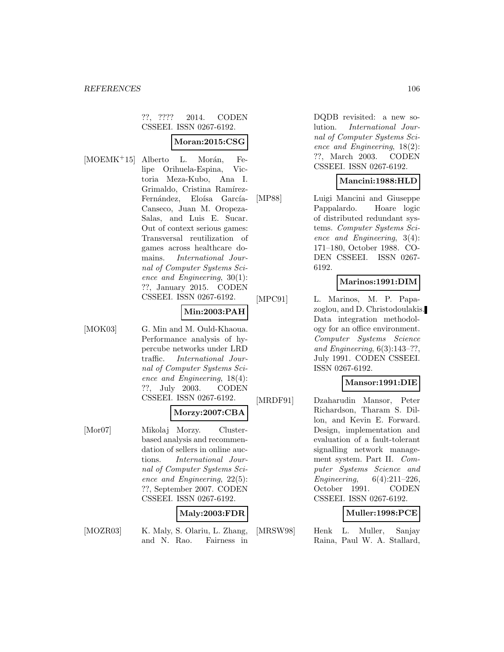### ??, ???? 2014. CODEN CSSEEI. ISSN 0267-6192.

### **Moran:2015:CSG**

[MOEMK<sup>+</sup>15] Alberto L. Morán, Felipe Orihuela-Espina, Victoria Meza-Kubo, Ana I. Grimaldo, Cristina Ramírez-Fernández, Eloísa García-Canseco, Juan M. Oropeza-Salas, and Luis E. Sucar. Out of context serious games: Transversal reutilization of games across healthcare domains. International Journal of Computer Systems Science and Engineering, 30(1): ??, January 2015. CODEN CSSEEI. ISSN 0267-6192.

### **Min:2003:PAH**

[MOK03] G. Min and M. Ould-Khaoua. Performance analysis of hypercube networks under LRD traffic. International Journal of Computer Systems Science and Engineering, 18(4): ??, July 2003. CODEN CSSEEI. ISSN 0267-6192.

### **Morzy:2007:CBA**

[Mor07] Mikolaj Morzy. Clusterbased analysis and recommendation of sellers in online auctions. International Journal of Computer Systems Science and Engineering, 22(5): ??, September 2007. CODEN CSSEEI. ISSN 0267-6192.

## **Maly:2003:FDR**

- 
- [MOZR03] K. Maly, S. Olariu, L. Zhang, and N. Rao. Fairness in

DQDB revisited: a new solution. International Journal of Computer Systems Science and Engineering, 18(2): ??, March 2003. CODEN CSSEEI. ISSN 0267-6192.

### **Mancini:1988:HLD**

[MP88] Luigi Mancini and Giuseppe Pappalardo. Hoare logic of distributed redundant systems. Computer Systems Science and Engineering, 3(4): 171–180, October 1988. CO-DEN CSSEEI. ISSN 0267- 6192.

### **Marinos:1991:DIM**

[MPC91] L. Marinos, M. P. Papazoglou, and D. Christodoulakis. Data integration methodology for an office environment. Computer Systems Science and Engineering,  $6(3):143-??$ , July 1991. CODEN CSSEEI. ISSN 0267-6192.

## **Mansor:1991:DIE**

[MRDF91] Dzaharudin Mansor, Peter Richardson, Tharam S. Dillon, and Kevin E. Forward. Design, implementation and evaluation of a fault-tolerant signalling network management system. Part II. Computer Systems Science and Engineering, 6(4):211–226, October 1991. CODEN CSSEEI. ISSN 0267-6192.

### **Muller:1998:PCE**

[MRSW98] Henk L. Muller, Sanjay Raina, Paul W. A. Stallard,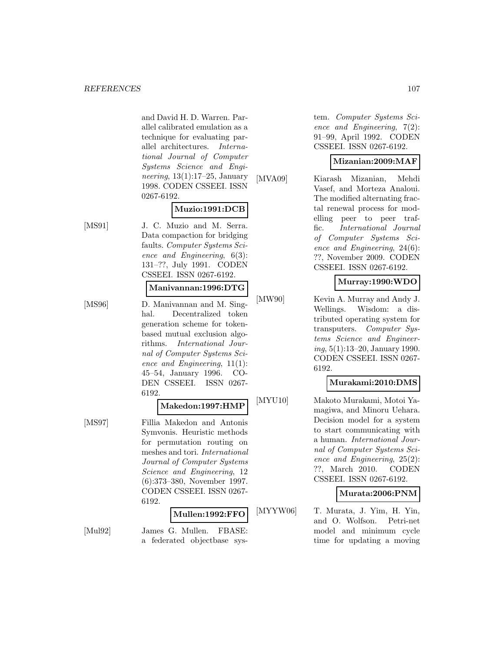and David H. D. Warren. Parallel calibrated emulation as a technique for evaluating parallel architectures. International Journal of Computer Systems Science and Engineering, 13(1):17–25, January 1998. CODEN CSSEEI. ISSN 0267-6192.

### **Muzio:1991:DCB**

- 
- [MS91] J. C. Muzio and M. Serra. Data compaction for bridging faults. Computer Systems Science and Engineering, 6(3): 131–??, July 1991. CODEN CSSEEI. ISSN 0267-6192.

#### **Manivannan:1996:DTG**

[MS96] D. Manivannan and M. Singhal. Decentralized token generation scheme for tokenbased mutual exclusion algorithms. International Journal of Computer Systems Science and Engineering, 11(1): 45–54, January 1996. CO-DEN CSSEEI. ISSN 0267- 6192.

#### **Makedon:1997:HMP**

[MS97] Fillia Makedon and Antonis Symvonis. Heuristic methods for permutation routing on meshes and tori. International Journal of Computer Systems Science and Engineering, 12 (6):373–380, November 1997. CODEN CSSEEI. ISSN 0267- 6192.

### **Mullen:1992:FFO**

[Mul92] James G. Mullen. FBASE: a federated objectbase system. Computer Systems Science and Engineering, 7(2): 91–99, April 1992. CODEN CSSEEI. ISSN 0267-6192.

### **Mizanian:2009:MAF**

[MVA09] Kiarash Mizanian, Mehdi Vasef, and Morteza Analoui. The modified alternating fractal renewal process for modelling peer to peer traffic. International Journal of Computer Systems Science and Engineering, 24(6): ??, November 2009. CODEN CSSEEI. ISSN 0267-6192.

### **Murray:1990:WDO**

[MW90] Kevin A. Murray and Andy J. Wellings. Wisdom: a distributed operating system for transputers. Computer Systems Science and Engineering, 5(1):13–20, January 1990. CODEN CSSEEI. ISSN 0267- 6192.

### **Murakami:2010:DMS**

[MYU10] Makoto Murakami, Motoi Yamagiwa, and Minoru Uehara. Decision model for a system to start communicating with a human. International Journal of Computer Systems Science and Engineering, 25(2): ??, March 2010. CODEN CSSEEI. ISSN 0267-6192.

## **Murata:2006:PNM**

[MYYW06] T. Murata, J. Yim, H. Yin, and O. Wolfson. Petri-net model and minimum cycle time for updating a moving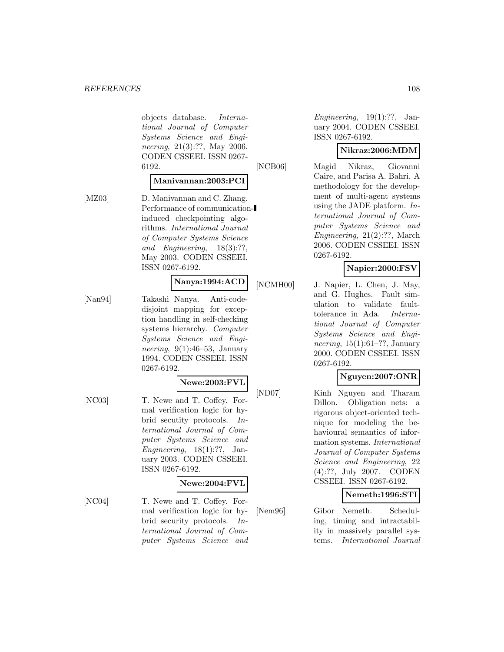objects database. International Journal of Computer Systems Science and Engineering, 21(3):??, May 2006. CODEN CSSEEI. ISSN 0267- 6192.

### **Manivannan:2003:PCI**

[MZ03] D. Manivannan and C. Zhang. Performance of communicationinduced checkpointing algorithms. International Journal of Computer Systems Science and Engineering, 18(3):??, May 2003. CODEN CSSEEI. ISSN 0267-6192.

### **Nanya:1994:ACD**

[Nan94] Takashi Nanya. Anti-codedisjoint mapping for exception handling in self-checking systems hierarchy. Computer Systems Science and Engineering,  $9(1):46-53$ , January 1994. CODEN CSSEEI. ISSN 0267-6192.

#### **Newe:2003:FVL**

[NC03] T. Newe and T. Coffey. Formal verification logic for hybrid secutity protocols. International Journal of Computer Systems Science and Engineering,  $18(1)$ :??, January 2003. CODEN CSSEEI. ISSN 0267-6192.

#### **Newe:2004:FVL**

[NC04] T. Newe and T. Coffey. Formal verification logic for hybrid security protocols. International Journal of Computer Systems Science and

Engineering,  $19(1):$ ??, January 2004. CODEN CSSEEI. ISSN 0267-6192.

### **Nikraz:2006:MDM**

[NCB06] Magid Nikraz, Giovanni Caire, and Parisa A. Bahri. A methodology for the development of multi-agent systems using the JADE platform. International Journal of Computer Systems Science and Engineering, 21(2):??, March 2006. CODEN CSSEEI. ISSN 0267-6192.

## **Napier:2000:FSV**

[NCMH00] J. Napier, L. Chen, J. May, and G. Hughes. Fault simulation to validate faulttolerance in Ada. International Journal of Computer Systems Science and Engineering, 15(1):61–??, January 2000. CODEN CSSEEI. ISSN 0267-6192.

## **Nguyen:2007:ONR**

[ND07] Kinh Nguyen and Tharam Dillon. Obligation nets: a rigorous object-oriented technique for modeling the behavioural semantics of information systems. International Journal of Computer Systems Science and Engineering, 22 (4):??, July 2007. CODEN CSSEEI. ISSN 0267-6192.

### **Nemeth:1996:STI**

[Nem96] Gibor Nemeth. Scheduling, timing and intractability in massively parallel systems. International Journal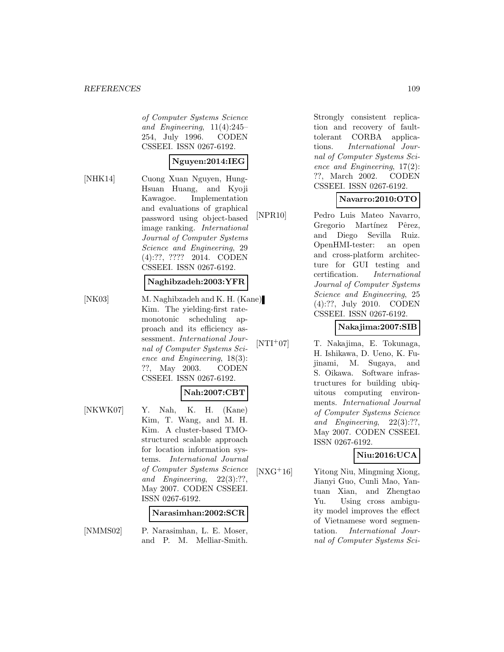of Computer Systems Science and Engineering, 11(4):245– 254, July 1996. CODEN CSSEEI. ISSN 0267-6192.

### **Nguyen:2014:IEG**

[NHK14] Cuong Xuan Nguyen, Hung-Hsuan Huang, and Kyoji Kawagoe. Implementation and evaluations of graphical password using object-based image ranking. International Journal of Computer Systems Science and Engineering, 29 (4):??, ???? 2014. CODEN CSSEEI. ISSN 0267-6192.

#### **Naghibzadeh:2003:YFR**

[NK03] M. Naghibzadeh and K. H. (Kane) Kim. The yielding-first ratemonotonic scheduling approach and its efficiency assessment. International Journal of Computer Systems Science and Engineering, 18(3): ??, May 2003. CODEN CSSEEI. ISSN 0267-6192.

### **Nah:2007:CBT**

[NKWK07] Y. Nah, K. H. (Kane) Kim, T. Wang, and M. H. Kim. A cluster-based TMOstructured scalable approach for location information systems. International Journal of Computer Systems Science and Engineering, 22(3):??, May 2007. CODEN CSSEEI. ISSN 0267-6192.

#### **Narasimhan:2002:SCR**

[NMMS02] P. Narasimhan, L. E. Moser, and P. M. Melliar-Smith.

Strongly consistent replication and recovery of faulttolerant CORBA applications. International Journal of Computer Systems Science and Engineering, 17(2): ??, March 2002. CODEN CSSEEI. ISSN 0267-6192.

### **Navarro:2010:OTO**

[NPR10] Pedro Luis Mateo Navarro, Gregorio Martínez Pêrez, and Diego Sevilla Ruiz. OpenHMI-tester: an open and cross-platform architecture for GUI testing and certification. International Journal of Computer Systems Science and Engineering, 25 (4):??, July 2010. CODEN CSSEEI. ISSN 0267-6192.

### **Nakajima:2007:SIB**

[NTI<sup>+</sup>07] T. Nakajima, E. Tokunaga, H. Ishikawa, D. Ueno, K. Fujinami, M. Sugaya, and S. Oikawa. Software infrastructures for building ubiquitous computing environments. International Journal of Computer Systems Science and Engineering, 22(3):??, May 2007. CODEN CSSEEI. ISSN 0267-6192.

### **Niu:2016:UCA**

[NXG<sup>+</sup>16] Yitong Niu, Mingming Xiong, Jianyi Guo, Cunli Mao, Yantuan Xian, and Zhengtao Yu. Using cross ambiguity model improves the effect of Vietnamese word segmentation. International Journal of Computer Systems Sci-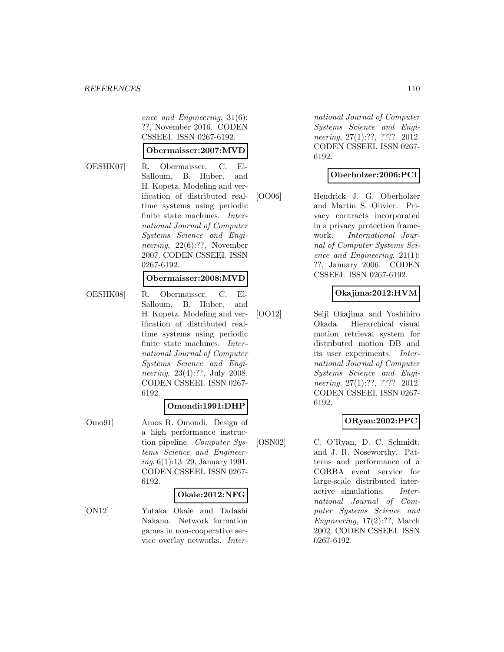ence and Engineering, 31(6): ??, November 2016. CODEN CSSEEI. ISSN 0267-6192.

#### **Obermaisser:2007:MVD**

[OESHK07] R. Obermaisser, C. El-Salloum, B. Huber, and H. Kopetz. Modeling and verification of distributed realtime systems using periodic finite state machines. International Journal of Computer Systems Science and Engineering, 22(6):??, November 2007. CODEN CSSEEI. ISSN 0267-6192.

#### **Obermaisser:2008:MVD**

[OESHK08] R. Obermaisser, C. El-Salloum, B. Huber, and H. Kopetz. Modeling and verification of distributed realtime systems using periodic finite state machines. International Journal of Computer Systems Science and Engineering, 23(4):??, July 2008. CODEN CSSEEI. ISSN 0267- 6192.

### **Omondi:1991:DHP**

[Omo91] Amos R. Omondi. Design of a high performance instruction pipeline. Computer Systems Science and Engineering, 6(1):13–29, January 1991. CODEN CSSEEI. ISSN 0267- 6192.

#### **Okaie:2012:NFG**

[ON12] Yutaka Okaie and Tadashi Nakano. Network formation games in non-cooperative service overlay networks. Inter-

national Journal of Computer Systems Science and Engineering, 27(1):??, ???? 2012. CODEN CSSEEI. ISSN 0267- 6192.

#### **Oberholzer:2006:PCI**

[OO06] Hendrick J. G. Oberholzer and Martin S. Olivier. Privacy contracts incorporated in a privacy protection framework. International Journal of Computer Systems Science and Engineering, 21(1): ??, January 2006. CODEN CSSEEI. ISSN 0267-6192.

### **Okajima:2012:HVM**

[OO12] Seiji Okajima and Yoshihiro Okada. Hierarchical visual motion retrieval system for distributed motion DB and its user experiments. International Journal of Computer Systems Science and Engineering, 27(1):??, ???? 2012. CODEN CSSEEI. ISSN 0267- 6192.

### **ORyan:2002:PPC**

[OSN02] C. O'Ryan, D. C. Schmidt, and J. R. Noseworthy. Patterns and performance of a CORBA event service for large-scale distributed interactive simulations. International Journal of Computer Systems Science and Engineering, 17(2):??, March 2002. CODEN CSSEEI. ISSN 0267-6192.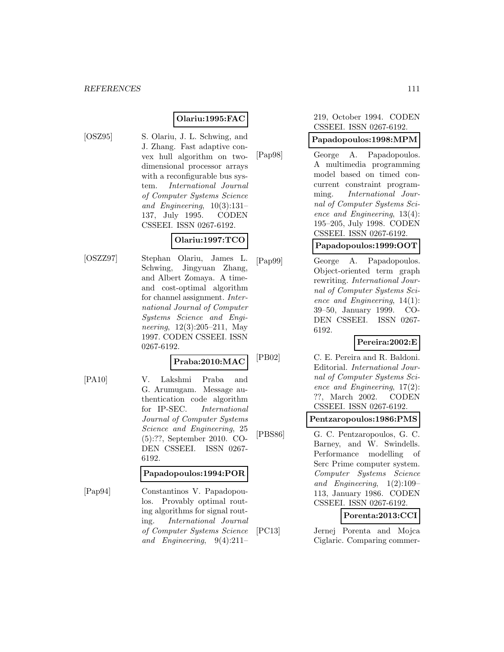### **Olariu:1995:FAC**

[OSZ95] S. Olariu, J. L. Schwing, and J. Zhang. Fast adaptive convex hull algorithm on twodimensional processor arrays with a reconfigurable bus system. International Journal of Computer Systems Science and Engineering, 10(3):131– 137, July 1995. CODEN CSSEEI. ISSN 0267-6192.

# **Olariu:1997:TCO**

[OSZZ97] Stephan Olariu, James L. Schwing, Jingyuan Zhang, and Albert Zomaya. A timeand cost-optimal algorithm for channel assignment. International Journal of Computer Systems Science and Engineering, 12(3):205–211, May 1997. CODEN CSSEEI. ISSN 0267-6192.

#### **Praba:2010:MAC**

[PA10] V. Lakshmi Praba and G. Arumugam. Message authentication code algorithm for IP-SEC. International Journal of Computer Systems Science and Engineering, 25 (5):??, September 2010. CO-DEN CSSEEI. ISSN 0267- 6192.

### **Papadopoulos:1994:POR**

[Pap94] Constantinos V. Papadopoulos. Provably optimal routing algorithms for signal routing. International Journal of Computer Systems Science and Engineering, 9(4):211–

#### 219, October 1994. CODEN CSSEEI. ISSN 0267-6192.

### **Papadopoulos:1998:MPM**

[Pap98] George A. Papadopoulos. A multimedia programming model based on timed concurrent constraint programming. International Journal of Computer Systems Science and Engineering, 13(4): 195–205, July 1998. CODEN CSSEEI. ISSN 0267-6192.

### **Papadopoulos:1999:OOT**

[Pap99] George A. Papadopoulos. Object-oriented term graph rewriting. International Journal of Computer Systems Science and Engineering, 14(1): 39–50, January 1999. CO-DEN CSSEEI. ISSN 0267- 6192.

### **Pereira:2002:E**

[PB02] C. E. Pereira and R. Baldoni. Editorial. International Journal of Computer Systems Science and Engineering, 17(2): ??, March 2002. CODEN CSSEEI. ISSN 0267-6192.

#### **Pentzaropoulos:1986:PMS**

[PBS86] G. C. Pentzaropoulos, G. C. Barney, and W. Swindells. Performance modelling of Serc Prime computer system. Computer Systems Science and Engineering, 1(2):109– 113, January 1986. CODEN CSSEEI. ISSN 0267-6192.

### **Porenta:2013:CCI**

[PC13] Jernej Porenta and Mojca Ciglaric. Comparing commer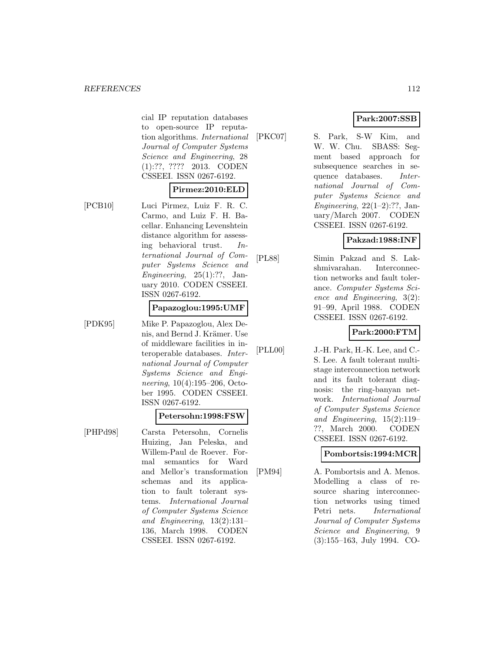cial IP reputation databases to open-source IP reputation algorithms. International Journal of Computer Systems Science and Engineering, 28 (1):??, ???? 2013. CODEN CSSEEI. ISSN 0267-6192.

#### **Pirmez:2010:ELD**

- 
- [PCB10] Luci Pirmez, Luiz F. R. C. Carmo, and Luiz F. H. Bacellar. Enhancing Levenshtein distance algorithm for assessing behavioral trust. International Journal of Computer Systems Science and Engineering,  $25(1):$ ??, January 2010. CODEN CSSEEI. ISSN 0267-6192.

#### **Papazoglou:1995:UMF**

[PDK95] Mike P. Papazoglou, Alex Denis, and Bernd J. Krämer. Use of middleware facilities in interoperable databases. International Journal of Computer Systems Science and Engineering, 10(4):195–206, October 1995. CODEN CSSEEI.

ISSN 0267-6192.

#### **Petersohn:1998:FSW**

[PHPd98] Carsta Petersohn, Cornelis Huizing, Jan Peleska, and Willem-Paul de Roever. Formal semantics for Ward and Mellor's transformation schemas and its application to fault tolerant systems. International Journal of Computer Systems Science and Engineering, 13(2):131– 136, March 1998. CODEN CSSEEI. ISSN 0267-6192.

### **Park:2007:SSB**

[PKC07] S. Park, S-W Kim, and W. W. Chu. SBASS: Segment based approach for subsequence searches in sequence databases. International Journal of Computer Systems Science and Engineering,  $22(1-2)$ :??, January/March 2007. CODEN CSSEEI. ISSN 0267-6192.

### **Pakzad:1988:INF**

[PL88] Simin Pakzad and S. Lakshmivarahan. Interconnection networks and fault tolerance. Computer Systems Science and Engineering, 3(2): 91–99, April 1988. CODEN CSSEEI. ISSN 0267-6192.

### **Park:2000:FTM**

[PLL00] J.-H. Park, H.-K. Lee, and C.- S. Lee. A fault tolerant multistage interconnection network and its fault tolerant diagnosis: the ring-banyan network. International Journal of Computer Systems Science and Engineering, 15(2):119– ??, March 2000. CODEN CSSEEI. ISSN 0267-6192.

### **Pombortsis:1994:MCR**

[PM94] A. Pombortsis and A. Menos. Modelling a class of resource sharing interconnection networks using timed Petri nets. International Journal of Computer Systems Science and Engineering, 9 (3):155–163, July 1994. CO-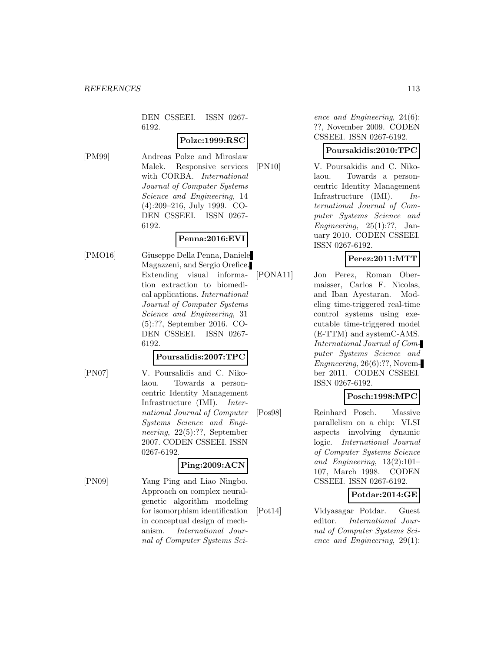DEN CSSEEI. ISSN 0267- 6192.

### **Polze:1999:RSC**

[PM99] Andreas Polze and Miroslaw Malek. Responsive services with CORBA. International Journal of Computer Systems Science and Engineering, 14 (4):209–216, July 1999. CO-DEN CSSEEI. ISSN 0267- 6192.

# **Penna:2016:EVI**

[PMO16] Giuseppe Della Penna, Daniele Magazzeni, and Sergio Orefice. Extending visual information extraction to biomedical applications. International Journal of Computer Systems Science and Engineering, 31 (5):??, September 2016. CO-DEN CSSEEI. ISSN 0267- 6192.

### **Poursalidis:2007:TPC**

[PN07] V. Poursalidis and C. Nikolaou. Towards a personcentric Identity Management Infrastructure (IMI). International Journal of Computer Systems Science and Engineering, 22(5):??, September 2007. CODEN CSSEEI. ISSN 0267-6192.

### **Ping:2009:ACN**

[PN09] Yang Ping and Liao Ningbo. Approach on complex neuralgenetic algorithm modeling for isomorphism identification in conceptual design of mechanism. International Journal of Computer Systems Science and Engineering, 24(6): ??, November 2009. CODEN CSSEEI. ISSN 0267-6192.

### **Poursakidis:2010:TPC**

[PN10] V. Poursakidis and C. Nikolaou. Towards a personcentric Identity Management Infrastructure (IMI). International Journal of Computer Systems Science and Engineering,  $25(1):?$ ?, January 2010. CODEN CSSEEI. ISSN 0267-6192.

### **Perez:2011:MTT**

[PONA11] Jon Perez, Roman Obermaisser, Carlos F. Nicolas, and Iban Ayestaran. Modeling time-triggered real-time control systems using executable time-triggered model (E-TTM) and systemC-AMS. International Journal of Computer Systems Science and Engineering, 26(6):??, November 2011. CODEN CSSEEI. ISSN 0267-6192.

### **Posch:1998:MPC**

[Pos98] Reinhard Posch. Massive parallelism on a chip: VLSI aspects involving dynamic logic. International Journal of Computer Systems Science and Engineering, 13(2):101– 107, March 1998. CODEN CSSEEI. ISSN 0267-6192.

### **Potdar:2014:GE**

[Pot14] Vidyasagar Potdar. Guest editor. International Journal of Computer Systems Science and Engineering, 29(1):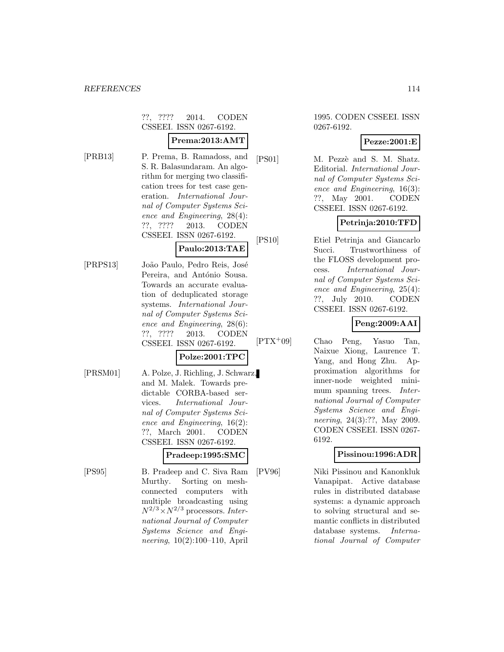??, ???? 2014. CODEN CSSEEI. ISSN 0267-6192.

### **Prema:2013:AMT**

- [PRB13] P. Prema, B. Ramadoss, and S. R. Balasundaram. An algorithm for merging two classification trees for test case generation. International Journal of Computer Systems Science and Engineering, 28(4): ??, ???? 2013. CODEN CSSEEI. ISSN 0267-6192. **Paulo:2013:TAE**
- [PRPS13] João Paulo, Pedro Reis, José Pereira, and António Sousa. Towards an accurate evaluation of deduplicated storage systems. International Journal of Computer Systems Science and Engineering, 28(6): ??, ???? 2013. CODEN CSSEEI. ISSN 0267-6192.

### **Polze:2001:TPC**

[PRSM01] A. Polze, J. Richling, J. Schwarz, and M. Malek. Towards predictable CORBA-based services. International Journal of Computer Systems Science and Engineering, 16(2): ??, March 2001. CODEN CSSEEI. ISSN 0267-6192.

### **Pradeep:1995:SMC**

[PS95] B. Pradeep and C. Siva Ram Murthy. Sorting on meshconnected computers with multiple broadcasting using  $N^{2/3} \times N^{2/3}$  processors. International Journal of Computer Systems Science and Engineering, 10(2):100–110, April

1995. CODEN CSSEEI. ISSN 0267-6192.

#### **Pezze:2001:E**

[PS01] M. Pezzè and S. M. Shatz. Editorial. International Journal of Computer Systems Science and Engineering, 16(3): ??, May 2001. CODEN CSSEEI. ISSN 0267-6192.

# **Petrinja:2010:TFD**

[PS10] Etiel Petrinja and Giancarlo Succi. Trustworthiness of the FLOSS development process. International Journal of Computer Systems Science and Engineering, 25(4): ??, July 2010. CODEN CSSEEI. ISSN 0267-6192.

# **Peng:2009:AAI**

[PTX<sup>+</sup>09] Chao Peng, Yasuo Tan, Naixue Xiong, Laurence T. Yang, and Hong Zhu. Approximation algorithms for inner-node weighted minimum spanning trees. *Inter*national Journal of Computer Systems Science and Engineering, 24(3):??, May 2009. CODEN CSSEEI. ISSN 0267- 6192.

### **Pissinou:1996:ADR**

[PV96] Niki Pissinou and Kanonkluk Vanapipat. Active database rules in distributed database systems: a dynamic approach to solving structural and semantic conflicts in distributed database systems. International Journal of Computer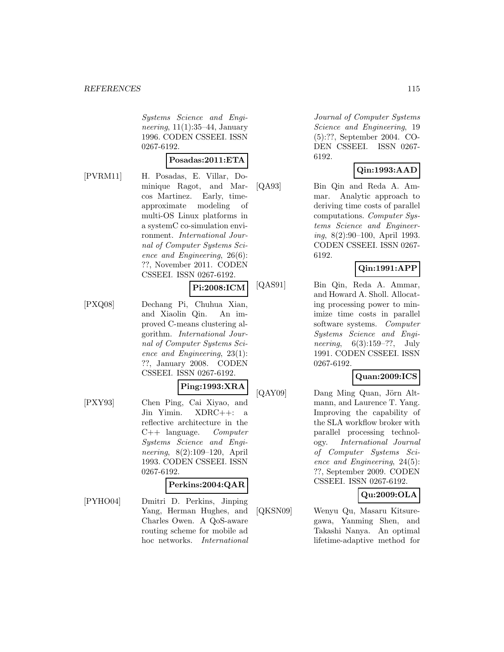Systems Science and Engineering,  $11(1):35-44$ , January 1996. CODEN CSSEEI. ISSN 0267-6192.

#### **Posadas:2011:ETA**

[PVRM11] H. Posadas, E. Villar, Dominique Ragot, and Marcos Martinez. Early, timeapproximate modeling of multi-OS Linux platforms in a systemC co-simulation environment. International Journal of Computer Systems Science and Engineering, 26(6): ??, November 2011. CODEN CSSEEI. ISSN 0267-6192.

#### **Pi:2008:ICM**

[PXQ08] Dechang Pi, Chuhua Xian, and Xiaolin Qin. An improved C-means clustering algorithm. International Journal of Computer Systems Science and Engineering, 23(1): ??, January 2008. CODEN CSSEEI. ISSN 0267-6192.

#### **Ping:1993:XRA**

[PXY93] Chen Ping, Cai Xiyao, and Jin Yimin. XDRC++: a reflective architecture in the  $C++$  language. Computer Systems Science and Engineering, 8(2):109–120, April 1993. CODEN CSSEEI. ISSN 0267-6192.

#### **Perkins:2004:QAR**

[PYHO04] Dmitri D. Perkins, Jinping Yang, Herman Hughes, and Charles Owen. A QoS-aware routing scheme for mobile ad hoc networks. International

Journal of Computer Systems Science and Engineering, 19 (5):??, September 2004. CO-DEN CSSEEI. ISSN 0267- 6192.

### **Qin:1993:AAD**

[QA93] Bin Qin and Reda A. Ammar. Analytic approach to deriving time costs of parallel computations. Computer Systems Science and Engineering, 8(2):90–100, April 1993. CODEN CSSEEI. ISSN 0267- 6192.

### **Qin:1991:APP**

[QAS91] Bin Qin, Reda A. Ammar, and Howard A. Sholl. Allocating processing power to minimize time costs in parallel software systems. Computer Systems Science and Engineering, 6(3):159–??, July 1991. CODEN CSSEEI. ISSN 0267-6192.

### **Quan:2009:ICS**

[QAY09] Dang Ming Quan, Jörn Altmann, and Laurence T. Yang. Improving the capability of the SLA workflow broker with parallel processing technology. International Journal of Computer Systems Science and Engineering, 24(5): ??, September 2009. CODEN CSSEEI. ISSN 0267-6192.

### **Qu:2009:OLA**

[QKSN09] Wenyu Qu, Masaru Kitsuregawa, Yanming Shen, and Takashi Nanya. An optimal lifetime-adaptive method for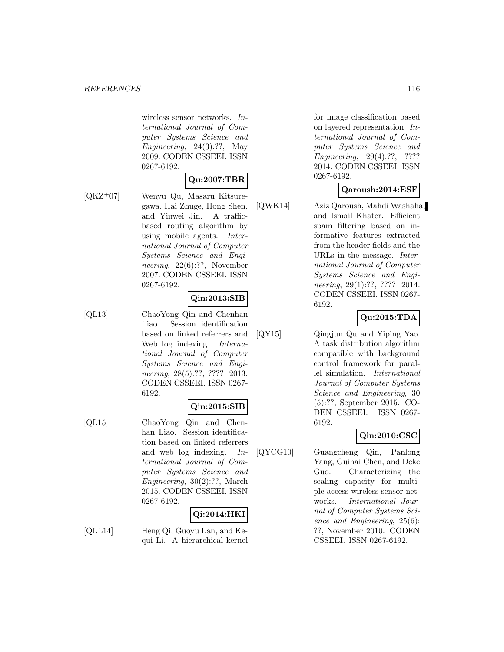wireless sensor networks. International Journal of Computer Systems Science and Engineering,  $24(3):?$ ?, May 2009. CODEN CSSEEI. ISSN 0267-6192.

### **Qu:2007:TBR**

[QKZ<sup>+</sup>07] Wenyu Qu, Masaru Kitsuregawa, Hai Zhuge, Hong Shen, and Yinwei Jin. A trafficbased routing algorithm by using mobile agents. International Journal of Computer Systems Science and Engineering, 22(6):??, November 2007. CODEN CSSEEI. ISSN 0267-6192.

### **Qin:2013:SIB**

[QL13] ChaoYong Qin and Chenhan Liao. Session identification based on linked referrers and Web log indexing. International Journal of Computer Systems Science and Engineering, 28(5):??, ???? 2013. CODEN CSSEEI. ISSN 0267- 6192.

### **Qin:2015:SIB**

[QL15] ChaoYong Qin and Chenhan Liao. Session identification based on linked referrers and web log indexing. International Journal of Computer Systems Science and Engineering, 30(2):??, March 2015. CODEN CSSEEI. ISSN 0267-6192.

# **Qi:2014:HKI**

[QLL14] Heng Qi, Guoyu Lan, and Kequi Li. A hierarchical kernel

for image classification based on layered representation. International Journal of Computer Systems Science and Engineering, 29(4):??, ???? 2014. CODEN CSSEEI. ISSN 0267-6192.

### **Qaroush:2014:ESF**

[QWK14] Aziz Qaroush, Mahdi Washaha, and Ismail Khater. Efficient spam filtering based on informative features extracted from the header fields and the URLs in the message. International Journal of Computer Systems Science and Engineering, 29(1):??, ???? 2014. CODEN CSSEEI. ISSN 0267- 6192.

### **Qu:2015:TDA**

[QY15] Qingjun Qu and Yiping Yao. A task distribution algorithm compatible with background control framework for parallel simulation. International Journal of Computer Systems Science and Engineering, 30 (5):??, September 2015. CO-DEN CSSEEI. ISSN 0267- 6192.

### **Qin:2010:CSC**

[QYCG10] Guangcheng Qin, Panlong Yang, Guihai Chen, and Deke Guo. Characterizing the scaling capacity for multiple access wireless sensor networks. International Journal of Computer Systems Science and Engineering, 25(6): ??, November 2010. CODEN CSSEEI. ISSN 0267-6192.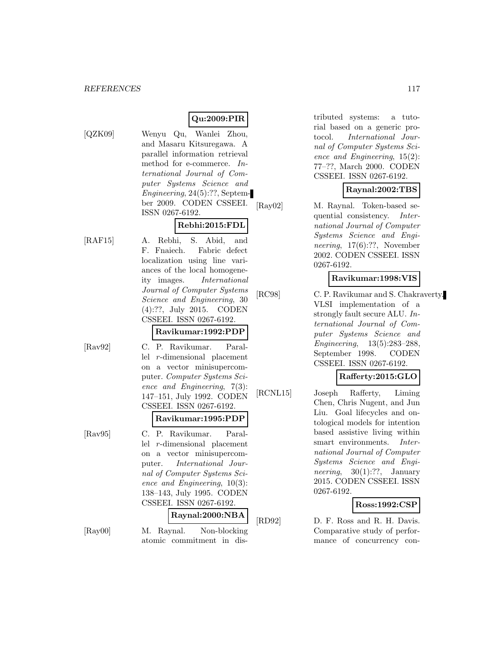## **Qu:2009:PIR**

- 
- [QZK09] Wenyu Qu, Wanlei Zhou, and Masaru Kitsuregawa. A parallel information retrieval method for e-commerce. International Journal of Computer Systems Science and Engineering, 24(5):??, September 2009. CODEN CSSEEI. ISSN 0267-6192.

### **Rebhi:2015:FDL**

[RAF15] A. Rebhi, S. Abid, and F. Fnaiech. Fabric defect localization using line variances of the local homogeneity images. International Journal of Computer Systems Science and Engineering, 30 (4):??, July 2015. CODEN CSSEEI. ISSN 0267-6192.

#### **Ravikumar:1992:PDP**

[Rav92] C. P. Ravikumar. Parallel r-dimensional placement on a vector minisupercomputer. Computer Systems Science and Engineering, 7(3): 147–151, July 1992. CODEN CSSEEI. ISSN 0267-6192.

# **Ravikumar:1995:PDP**

[Rav95] C. P. Ravikumar. Parallel r-dimensional placement on a vector minisupercomputer. International Journal of Computer Systems Science and Engineering, 10(3): 138–143, July 1995. CODEN CSSEEI. ISSN 0267-6192.

### **Raynal:2000:NBA**

[Ray00] M. Raynal. Non-blocking atomic commitment in distributed systems: a tutorial based on a generic protocol. International Journal of Computer Systems Science and Engineering, 15(2): 77–??, March 2000. CODEN CSSEEI. ISSN 0267-6192.

### **Raynal:2002:TBS**

[Ray02] M. Raynal. Token-based sequential consistency. International Journal of Computer Systems Science and Engineering, 17(6):??, November 2002. CODEN CSSEEI. ISSN 0267-6192.

### **Ravikumar:1998:VIS**

[RC98] C. P. Ravikumar and S. Chakraverty. VLSI implementation of a strongly fault secure ALU. International Journal of Computer Systems Science and Engineering, 13(5):283–288, September 1998. CODEN CSSEEI. ISSN 0267-6192.

### **Rafferty:2015:GLO**

[RCNL15] Joseph Rafferty, Liming Chen, Chris Nugent, and Jun Liu. Goal lifecycles and ontological models for intention based assistive living within smart environments. International Journal of Computer Systems Science and Engineering,  $30(1)$ :??, January 2015. CODEN CSSEEI. ISSN 0267-6192.

### **Ross:1992:CSP**

[RD92] D. F. Ross and R. H. Davis. Comparative study of performance of concurrency con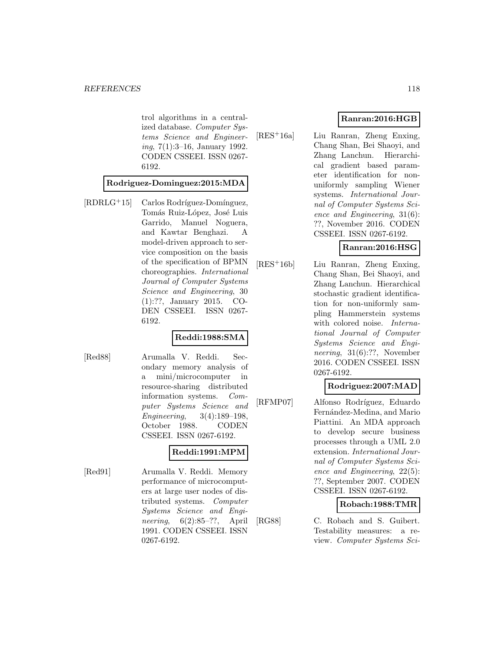trol algorithms in a centralized database. Computer Systems Science and Engineering, 7(1):3–16, January 1992. CODEN CSSEEI. ISSN 0267- 6192.

#### **Rodriguez-Dominguez:2015:MDA**

 $[RDRLG+15]$  Carlos Rodríguez-Domínguez, Tomás Ruiz-López, José Luis Garrido, Manuel Noguera, and Kawtar Benghazi. A model-driven approach to service composition on the basis of the specification of BPMN choreographies. International Journal of Computer Systems Science and Engineering, 30 (1):??, January 2015. CO-DEN CSSEEI. ISSN 0267- 6192.

#### **Reddi:1988:SMA**

[Red88] Arumalla V. Reddi. Secondary memory analysis of a mini/microcomputer in resource-sharing distributed information systems. Computer Systems Science and Engineering, 3(4):189–198, October 1988. CODEN CSSEEI. ISSN 0267-6192.

### **Reddi:1991:MPM**

[Red91] Arumalla V. Reddi. Memory performance of microcomputers at large user nodes of distributed systems. Computer Systems Science and Engineering, 6(2):85–??, April 1991. CODEN CSSEEI. ISSN 0267-6192.

### **Ranran:2016:HGB**

[RES<sup>+</sup>16a] Liu Ranran, Zheng Enxing, Chang Shan, Bei Shaoyi, and Zhang Lanchun. Hierarchical gradient based parameter identification for nonuniformly sampling Wiener systems. International Journal of Computer Systems Science and Engineering, 31(6): ??, November 2016. CODEN CSSEEI. ISSN 0267-6192.

### **Ranran:2016:HSG**

[RES<sup>+</sup>16b] Liu Ranran, Zheng Enxing, Chang Shan, Bei Shaoyi, and Zhang Lanchun. Hierarchical stochastic gradient identification for non-uniformly sampling Hammerstein systems with colored noise. *Interna*tional Journal of Computer Systems Science and Engineering, 31(6):??, November 2016. CODEN CSSEEI. ISSN 0267-6192.

#### **Rodriguez:2007:MAD**

[RFMP07] Alfonso Rodríguez, Eduardo Fernández-Medina, and Mario Piattini. An MDA approach to develop secure business processes through a UML 2.0 extension. International Journal of Computer Systems Science and Engineering, 22(5): ??, September 2007. CODEN CSSEEI. ISSN 0267-6192.

#### **Robach:1988:TMR**

[RG88] C. Robach and S. Guibert. Testability measures: a review. Computer Systems Sci-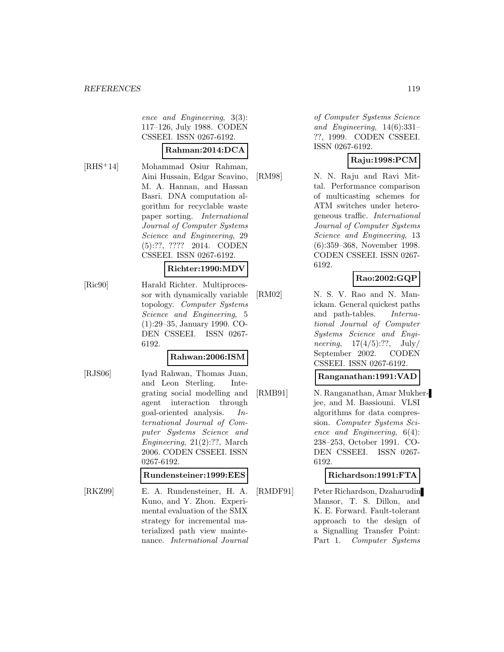ence and Engineering, 3(3): 117–126, July 1988. CODEN CSSEEI. ISSN 0267-6192.

#### **Rahman:2014:DCA**

[RHS<sup>+</sup>14] Mohammad Osiur Rahman, Aini Hussain, Edgar Scavino, M. A. Hannan, and Hassan Basri. DNA computation algorithm for recyclable waste paper sorting. International Journal of Computer Systems Science and Engineering, 29 (5):??, ???? 2014. CODEN CSSEEI. ISSN 0267-6192.

#### **Richter:1990:MDV**

[Ric90] Harald Richter. Multiprocessor with dynamically variable topology. Computer Systems Science and Engineering, 5 (1):29–35, January 1990. CO-DEN CSSEEI. ISSN 0267- 6192.

#### **Rahwan:2006:ISM**

[RJS06] Iyad Rahwan, Thomas Juan, and Leon Sterling. Integrating social modelling and agent interaction through goal-oriented analysis. International Journal of Computer Systems Science and Engineering, 21(2):??, March 2006. CODEN CSSEEI. ISSN 0267-6192.

### **Rundensteiner:1999:EES**

[RKZ99] E. A. Rundensteiner, H. A. Kuno, and Y. Zhou. Experimental evaluation of the SMX strategy for incremental materialized path view maintenance. International Journal

of Computer Systems Science and Engineering, 14(6):331– ??, 1999. CODEN CSSEEI. ISSN 0267-6192.

### **Raju:1998:PCM**

[RM98] N. N. Raju and Ravi Mittal. Performance comparison of multicasting schemes for ATM switches under heterogeneous traffic. International Journal of Computer Systems Science and Engineering, 13 (6):359–368, November 1998. CODEN CSSEEI. ISSN 0267- 6192.

### **Rao:2002:GQP**

[RM02] N. S. V. Rao and N. Manickam. General quickest paths and path-tables. International Journal of Computer Systems Science and Engineering,  $17(4/5)$ :??,  $\text{July}/$ September 2002. CODEN CSSEEI. ISSN 0267-6192.

#### **Ranganathan:1991:VAD**

[RMB91] N. Ranganathan, Amar Mukherjee, and M. Bassiouni. VLSI algorithms for data compression. Computer Systems Science and Engineering, 6(4): 238–253, October 1991. CO-DEN CSSEEI. ISSN 0267- 6192.

### **Richardson:1991:FTA**

[RMDF91] Peter Richardson, Dzaharudin Mansor, T. S. Dillon, and K. E. Forward. Fault-tolerant approach to the design of a Signalling Transfer Point: Part 1. Computer Systems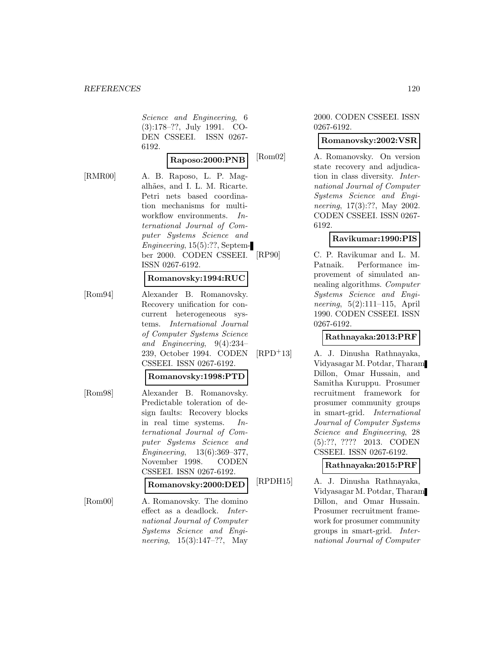Science and Engineering, 6 (3):178–??, July 1991. CO-DEN CSSEEI. ISSN 0267- 6192.

#### **Raposo:2000:PNB**

[RMR00] A. B. Raposo, L. P. Magalhães, and I. L. M. Ricarte. Petri nets based coordination mechanisms for multiworkflow environments. International Journal of Computer Systems Science and Engineering, 15(5):??, September 2000. CODEN CSSEEI. ISSN 0267-6192.

#### **Romanovsky:1994:RUC**

[Rom94] Alexander B. Romanovsky. Recovery unification for concurrent heterogeneous systems. International Journal of Computer Systems Science and Engineering, 9(4):234– 239, October 1994. CODEN CSSEEI. ISSN 0267-6192.

#### **Romanovsky:1998:PTD**

[Rom98] Alexander B. Romanovsky. Predictable toleration of design faults: Recovery blocks in real time systems. International Journal of Computer Systems Science and Engineering, 13(6):369–377, November 1998. CODEN CSSEEI. ISSN 0267-6192.

#### **Romanovsky:2000:DED**

[Rom00] A. Romanovsky. The domino effect as a deadlock. International Journal of Computer Systems Science and Engineering, 15(3):147–??, May

#### 2000. CODEN CSSEEI. ISSN 0267-6192.

#### **Romanovsky:2002:VSR**

[Rom02] A. Romanovsky. On version state recovery and adjudication in class diversity. International Journal of Computer Systems Science and Engineering, 17(3):??, May 2002. CODEN CSSEEI. ISSN 0267- 6192.

### **Ravikumar:1990:PIS**

[RP90] C. P. Ravikumar and L. M. Patnaik. Performance improvement of simulated annealing algorithms. Computer Systems Science and Engineering, 5(2):111–115, April 1990. CODEN CSSEEI. ISSN 0267-6192.

#### **Rathnayaka:2013:PRF**

[RPD<sup>+</sup>13] A. J. Dinusha Rathnayaka, Vidyasagar M. Potdar, Tharam Dillon, Omar Hussain, and Samitha Kuruppu. Prosumer recruitment framework for prosumer community groups in smart-grid. International Journal of Computer Systems Science and Engineering, 28 (5):??, ???? 2013. CODEN CSSEEI. ISSN 0267-6192.

#### **Rathnayaka:2015:PRF**

[RPDH15] A. J. Dinusha Rathnayaka, Vidyasagar M. Potdar, Tharam Dillon, and Omar Hussain. Prosumer recruitment framework for prosumer community groups in smart-grid. International Journal of Computer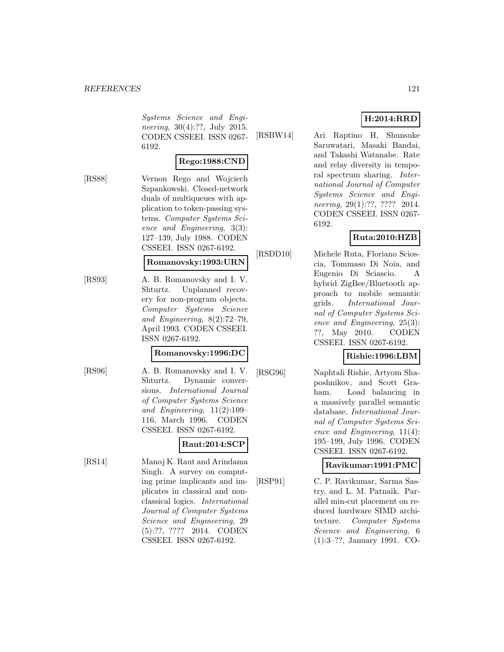Systems Science and Engineering, 30(4):??, July 2015. CODEN CSSEEI. ISSN 0267- 6192.

#### **Rego:1988:CND**

[RS88] Vernon Rego and Wojciech Szpankowski. Closed-network duals of multiqueues with application to token-passing systems. Computer Systems Science and Engineering, 3(3): 127–139, July 1988. CODEN CSSEEI. ISSN 0267-6192.

#### **Romanovsky:1993:URN**

[RS93] A. B. Romanovsky and I. V. Shturtz. Unplanned recovery for non-program objects. Computer Systems Science and Engineering, 8(2):72–79, April 1993. CODEN CSSEEI. ISSN 0267-6192.

### **Romanovsky:1996:DC**

[RS96] A. B. Romanovsky and I. V. Shturtz. Dynamic conversions. International Journal of Computer Systems Science and Engineering, 11(2):109– 116, March 1996. CODEN CSSEEI. ISSN 0267-6192.

### **Raut:2014:SCP**

[RS14] Manoj K. Raut and Arindama Singh. A survey on computing prime implicants and implicates in classical and nonclassical logics. International Journal of Computer Systems Science and Engineering, 29 (5):??, ???? 2014. CODEN CSSEEI. ISSN 0267-6192.

# **H:2014:RRD**

[RSBW14] Ari Raptino H, Shunsuke Saruwatari, Masaki Bandai, and Takashi Watanabe. Rate and relay diversity in temporal spectrum sharing. International Journal of Computer Systems Science and Engineering, 29(1):??, ???? 2014. CODEN CSSEEI. ISSN 0267- 6192.

### **Ruta:2010:HZB**

[RSDD10] Michele Ruta, Floriano Scioscia, Tommaso Di Noia, and Eugenio Di Sciascio. A hybrid ZigBee/Bluetooth approach to mobile semantic grids. International Journal of Computer Systems Science and Engineering, 25(3): ??, May 2010. CODEN CSSEEI. ISSN 0267-6192.

### **Rishie:1996:LBM**

[RSG96] Naphtali Rishie, Artyom Shaposhnikov, and Scott Graham. Load balancing in a massively parallel semantic database. International Journal of Computer Systems Science and Engineering, 11(4): 195–199, July 1996. CODEN CSSEEI. ISSN 0267-6192.

### **Ravikumar:1991:PMC**

[RSP91] C. P. Ravikumar, Sarma Sastry, and L. M. Patnaik. Parallel min-cut placement on reduced hardware SIMD architecture. Computer Systems Science and Engineering, 6 (1):3–??, January 1991. CO-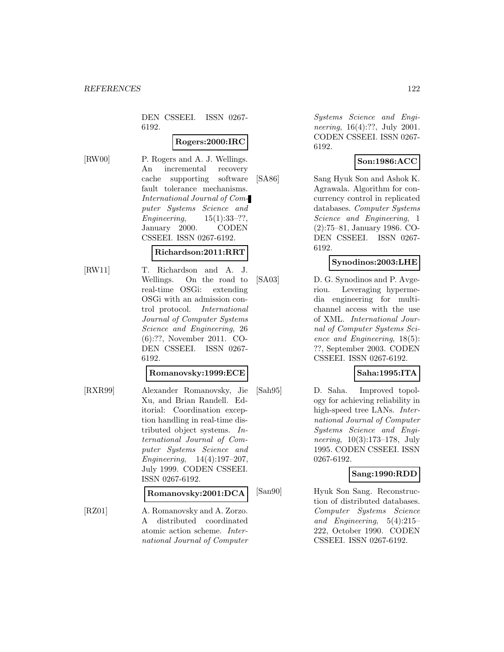DEN CSSEEI. ISSN 0267- 6192.

### **Rogers:2000:IRC**

[RW00] P. Rogers and A. J. Wellings. An incremental recovery cache supporting software fault tolerance mechanisms. International Journal of Computer Systems Science and Engineering, 15(1):33–??, January 2000. CODEN CSSEEI. ISSN 0267-6192.

#### **Richardson:2011:RRT**

[RW11] T. Richardson and A. J. Wellings. On the road to real-time OSGi: extending OSGi with an admission control protocol. International Journal of Computer Systems Science and Engineering, 26 (6):??, November 2011. CO-DEN CSSEEI. ISSN 0267- 6192.

#### **Romanovsky:1999:ECE**

[RXR99] Alexander Romanovsky, Jie Xu, and Brian Randell. Editorial: Coordination exception handling in real-time distributed object systems. International Journal of Computer Systems Science and Engineering, 14(4):197–207, July 1999. CODEN CSSEEI. ISSN 0267-6192.

#### **Romanovsky:2001:DCA**

[RZ01] A. Romanovsky and A. Zorzo. A distributed coordinated atomic action scheme. International Journal of Computer

Systems Science and Engineering, 16(4):??, July 2001. CODEN CSSEEI. ISSN 0267- 6192.

#### **Son:1986:ACC**

[SA86] Sang Hyuk Son and Ashok K. Agrawala. Algorithm for concurrency control in replicated databases. Computer Systems Science and Engineering, 1 (2):75–81, January 1986. CO-DEN CSSEEI. ISSN 0267- 6192.

### **Synodinos:2003:LHE**

[SA03] D. G. Synodinos and P. Avgeriou. Leveraging hypermedia engineering for multichannel access with the use of XML. International Journal of Computer Systems Science and Engineering, 18(5): ??, September 2003. CODEN CSSEEI. ISSN 0267-6192.

### **Saha:1995:ITA**

[Sah95] D. Saha. Improved topology for achieving reliability in high-speed tree LANs. *Inter*national Journal of Computer Systems Science and Engineering, 10(3):173–178, July 1995. CODEN CSSEEI. ISSN 0267-6192.

### **Sang:1990:RDD**

[San90] Hyuk Son Sang. Reconstruction of distributed databases. Computer Systems Science and Engineering, 5(4):215– 222, October 1990. CODEN CSSEEI. ISSN 0267-6192.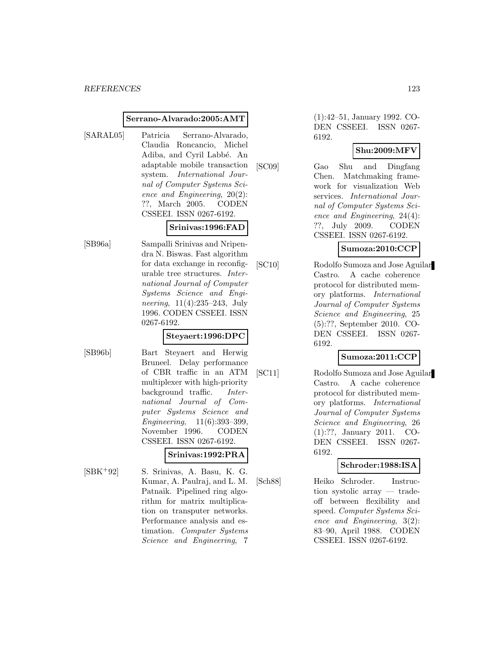#### **Serrano-Alvarado:2005:AMT**

[SARAL05] Patricia Serrano-Alvarado, Claudia Roncancio, Michel Adiba, and Cyril Labb´e. An adaptable mobile transaction system. International Journal of Computer Systems Science and Engineering, 20(2): ??, March 2005. CODEN CSSEEI. ISSN 0267-6192.

#### **Srinivas:1996:FAD**

[SB96a] Sampalli Srinivas and Nripendra N. Biswas. Fast algorithm for data exchange in reconfigurable tree structures. International Journal of Computer Systems Science and Engineering, 11(4):235–243, July 1996. CODEN CSSEEI. ISSN 0267-6192.

#### **Steyaert:1996:DPC**

- 
- [SB96b] Bart Steyaert and Herwig Bruneel. Delay performance of CBR traffic in an ATM multiplexer with high-priority background traffic. International Journal of Computer Systems Science and Engineering, 11(6):393–399, November 1996. CODEN CSSEEI. ISSN 0267-6192.

#### **Srinivas:1992:PRA**

[SBK<sup>+</sup>92] S. Srinivas, A. Basu, K. G. Kumar, A. Paulraj, and L. M. Patnaik. Pipelined ring algorithm for matrix multiplication on transputer networks. Performance analysis and estimation. Computer Systems Science and Engineering, 7

(1):42–51, January 1992. CO-DEN CSSEEI. ISSN 0267- 6192.

### **Shu:2009:MFV**

[SC09] Gao Shu and Dingfang Chen. Matchmaking framework for visualization Web services. International Journal of Computer Systems Science and Engineering, 24(4): ??, July 2009. CODEN CSSEEI. ISSN 0267-6192.

**Sumoza:2010:CCP**

[SC10] Rodolfo Sumoza and Jose Aguilar Castro. A cache coherence protocol for distributed memory platforms. International Journal of Computer Systems Science and Engineering, 25 (5):??, September 2010. CO-DEN CSSEEI. ISSN 0267- 6192.

### **Sumoza:2011:CCP**

[SC11] Rodolfo Sumoza and Jose Aguilar Castro. A cache coherence protocol for distributed memory platforms. International Journal of Computer Systems Science and Engineering, 26 (1):??, January 2011. CO-DEN CSSEEI. ISSN 0267- 6192.

#### **Schroder:1988:ISA**

[Sch88] Heiko Schroder. Instruction systolic array — tradeoff between flexibility and speed. Computer Systems Science and Engineering, 3(2): 83–90, April 1988. CODEN CSSEEI. ISSN 0267-6192.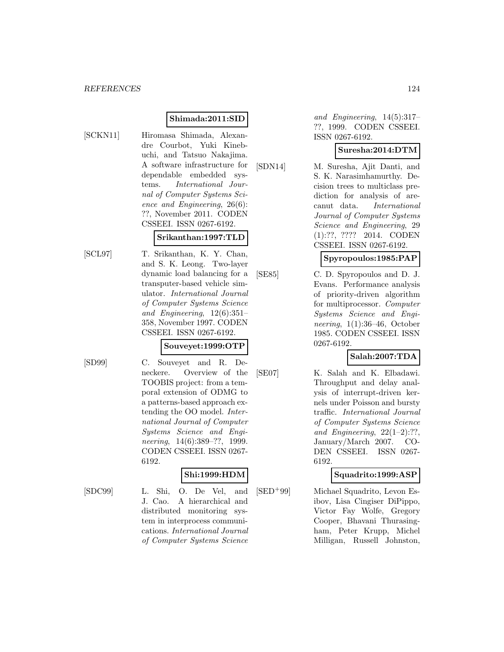### **Shimada:2011:SID**

[SCKN11] Hiromasa Shimada, Alexandre Courbot, Yuki Kinebuchi, and Tatsuo Nakajima. A software infrastructure for dependable embedded systems. International Journal of Computer Systems Science and Engineering, 26(6): ??, November 2011. CODEN CSSEEI. ISSN 0267-6192.

#### **Srikanthan:1997:TLD**

[SCL97] T. Srikanthan, K. Y. Chan, and S. K. Leong. Two-layer dynamic load balancing for a transputer-based vehicle simulator. International Journal of Computer Systems Science and Engineering, 12(6):351– 358, November 1997. CODEN CSSEEI. ISSN 0267-6192.

#### **Souveyet:1999:OTP**

[SD99] C. Souveyet and R. Deneckere. Overview of the TOOBIS project: from a temporal extension of ODMG to a patterns-based approach extending the OO model. International Journal of Computer Systems Science and Engineering, 14(6):389–??, 1999. CODEN CSSEEI. ISSN 0267- 6192.

> J. Cao. A hierarchical and distributed monitoring system in interprocess communications. International Journal of Computer Systems Science

### **Shi:1999:HDM**

[SDC99] L. Shi, O. De Vel, and

and Engineering, 14(5):317– ??, 1999. CODEN CSSEEI. ISSN 0267-6192.

#### **Suresha:2014:DTM**

[SDN14] M. Suresha, Ajit Danti, and S. K. Narasimhamurthy. Decision trees to multiclass prediction for analysis of arecanut data. International Journal of Computer Systems Science and Engineering, 29 (1):??, ???? 2014. CODEN CSSEEI. ISSN 0267-6192.

### **Spyropoulos:1985:PAP**

[SE85] C. D. Spyropoulos and D. J. Evans. Performance analysis of priority-driven algorithm for multiprocessor. Computer Systems Science and Engineering, 1(1):36–46, October 1985. CODEN CSSEEI. ISSN 0267-6192.

### **Salah:2007:TDA**

[SE07] K. Salah and K. Elbadawi. Throughput and delay analysis of interrupt-driven kernels under Poisson and bursty traffic. International Journal of Computer Systems Science and Engineering,  $22(1-2)$ :??, January/March 2007. CO-DEN CSSEEI. ISSN 0267- 6192.

### **Squadrito:1999:ASP**

[SED<sup>+</sup>99] Michael Squadrito, Levon Esibov, Lisa Cingiser DiPippo, Victor Fay Wolfe, Gregory Cooper, Bhavani Thurasingham, Peter Krupp, Michel Milligan, Russell Johnston,

- -
	-
	-
	-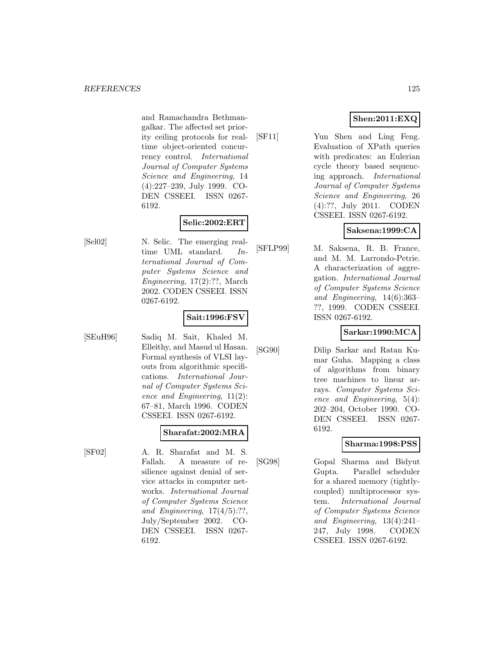and Ramachandra Bethmangalkar. The affected set priority ceiling protocols for realtime object-oriented concurrency control. International Journal of Computer Systems Science and Engineering, 14 (4):227–239, July 1999. CO-DEN CSSEEI. ISSN 0267- 6192.

# **Selic:2002:ERT**

[Sel02] N. Selic. The emerging realtime UML standard. International Journal of Computer Systems Science and Engineering, 17(2):??, March 2002. CODEN CSSEEI. ISSN 0267-6192.

### **Sait:1996:FSV**

[SEuH96] Sadiq M. Sait, Khaled M. Elleithy, and Masud ul Hasan. Formal synthesis of VLSI layouts from algorithmic specifications. International Journal of Computer Systems Science and Engineering, 11(2): 67–81, March 1996. CODEN CSSEEI. ISSN 0267-6192.

# **Sharafat:2002:MRA**

[SF02] A. R. Sharafat and M. S. Fallah. A measure of resilience against denial of service attacks in computer networks. International Journal of Computer Systems Science and Engineering,  $17(4/5)$ :??, July/September 2002. CO-DEN CSSEEI. ISSN 0267- 6192.

## **Shen:2011:EXQ**

[SF11] Yun Shen and Ling Feng. Evaluation of XPath queries with predicates: an Eulerian cycle theory based sequencing approach. International Journal of Computer Systems Science and Engineering, 26 (4):??, July 2011. CODEN CSSEEI. ISSN 0267-6192.

### **Saksena:1999:CA**

[SFLP99] M. Saksena, R. B. France, and M. M. Larrondo-Petrie. A characterization of aggregation. International Journal of Computer Systems Science and Engineering, 14(6):363– ??, 1999. CODEN CSSEEI. ISSN 0267-6192.

### **Sarkar:1990:MCA**

[SG90] Dilip Sarkar and Ratan Kumar Guha. Mapping a class of algorithms from binary tree machines to linear arrays. Computer Systems Science and Engineering, 5(4): 202–204, October 1990. CO-DEN CSSEEI. ISSN 0267- 6192.

### **Sharma:1998:PSS**

[SG98] Gopal Sharma and Bidyut Gupta. Parallel scheduler for a shared memory (tightlycoupled) multiprocessor system. International Journal of Computer Systems Science and Engineering, 13(4):241– 247, July 1998. CODEN CSSEEI. ISSN 0267-6192.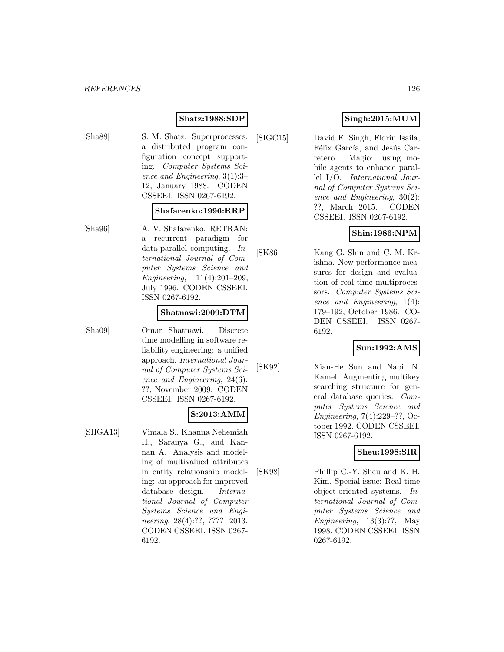#### **Shatz:1988:SDP**

[Sha88] S. M. Shatz. Superprocesses: a distributed program configuration concept supporting. Computer Systems Science and Engineering, 3(1):3– 12, January 1988. CODEN CSSEEI. ISSN 0267-6192.

#### **Shafarenko:1996:RRP**

[Sha96] A. V. Shafarenko. RETRAN: a recurrent paradigm for data-parallel computing. International Journal of Computer Systems Science and Engineering, 11(4):201–209, July 1996. CODEN CSSEEI. ISSN 0267-6192.

#### **Shatnawi:2009:DTM**

[Sha09] Omar Shatnawi. Discrete time modelling in software reliability engineering: a unified approach. International Journal of Computer Systems Science and Engineering, 24(6): ??, November 2009. CODEN CSSEEI. ISSN 0267-6192.

### **S:2013:AMM**

[SHGA13] Vimala S., Khanna Nehemiah H., Saranya G., and Kannan A. Analysis and modeling of multivalued attributes in entity relationship modeling: an approach for improved database design. International Journal of Computer Systems Science and Engineering, 28(4):??, ???? 2013. CODEN CSSEEI. ISSN 0267- 6192.

### **Singh:2015:MUM**

[SIGC15] David E. Singh, Florin Isaila, Félix García, and Jesús Carretero. Magio: using mobile agents to enhance parallel I/O. International Journal of Computer Systems Science and Engineering, 30(2): ??, March 2015. CODEN CSSEEI. ISSN 0267-6192.

### **Shin:1986:NPM**

[SK86] Kang G. Shin and C. M. Krishna. New performance measures for design and evaluation of real-time multiprocessors. Computer Systems Science and Engineering, 1(4): 179–192, October 1986. CO-DEN CSSEEI. ISSN 0267- 6192.

### **Sun:1992:AMS**

[SK92] Xian-He Sun and Nabil N. Kamel. Augmenting multikey searching structure for general database queries. Computer Systems Science and Engineering, 7(4):229–??, October 1992. CODEN CSSEEI. ISSN 0267-6192.

#### **Sheu:1998:SIR**

[SK98] Phillip C.-Y. Sheu and K. H. Kim. Special issue: Real-time object-oriented systems. International Journal of Computer Systems Science and Engineering, 13(3):??, May 1998. CODEN CSSEEI. ISSN 0267-6192.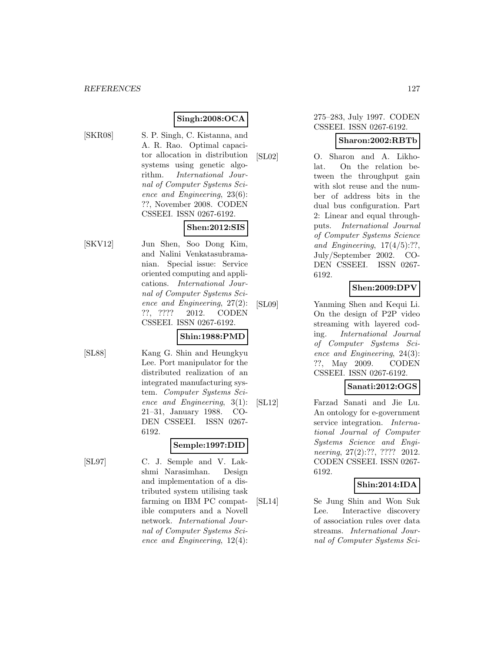### **Singh:2008:OCA**

- 
- [SKR08] S. P. Singh, C. Kistanna, and A. R. Rao. Optimal capacitor allocation in distribution systems using genetic algorithm. International Journal of Computer Systems Science and Engineering, 23(6): ??, November 2008. CODEN CSSEEI. ISSN 0267-6192.

### **Shen:2012:SIS**

[SKV12] Jun Shen, Soo Dong Kim, and Nalini Venkatasubramanian. Special issue: Service oriented computing and applications. International Journal of Computer Systems Science and Engineering, 27(2): ??, ???? 2012. CODEN CSSEEI. ISSN 0267-6192.

### **Shin:1988:PMD**

[SL88] Kang G. Shin and Heungkyu Lee. Port manipulator for the distributed realization of an integrated manufacturing system. Computer Systems Science and Engineering, 3(1): 21–31, January 1988. CO-DEN CSSEEI. ISSN 0267- 6192.

# **Semple:1997:DID**

[SL97] C. J. Semple and V. Lakshmi Narasimhan. Design and implementation of a distributed system utilising task farming on IBM PC compatible computers and a Novell network. International Journal of Computer Systems Science and Engineering, 12(4):

#### 275–283, July 1997. CODEN CSSEEI. ISSN 0267-6192.

### **Sharon:2002:RBTb**

[SL02] O. Sharon and A. Likholat. On the relation between the throughput gain with slot reuse and the number of address bits in the dual bus configuration. Part 2: Linear and equal throughputs. International Journal of Computer Systems Science and Engineering,  $17(4/5)$ :??, July/September 2002. CO-DEN CSSEEI. ISSN 0267- 6192.

### **Shen:2009:DPV**

[SL09] Yanming Shen and Kequi Li. On the design of P2P video streaming with layered coding. International Journal of Computer Systems Science and Engineering, 24(3): ??, May 2009. CODEN CSSEEI. ISSN 0267-6192.

### **Sanati:2012:OGS**

[SL12] Farzad Sanati and Jie Lu. An ontology for e-government service integration. International Journal of Computer Systems Science and Engineering, 27(2):??, ???? 2012. CODEN CSSEEI. ISSN 0267- 6192.

### **Shin:2014:IDA**

[SL14] Se Jung Shin and Won Suk Lee. Interactive discovery of association rules over data streams. International Journal of Computer Systems Sci-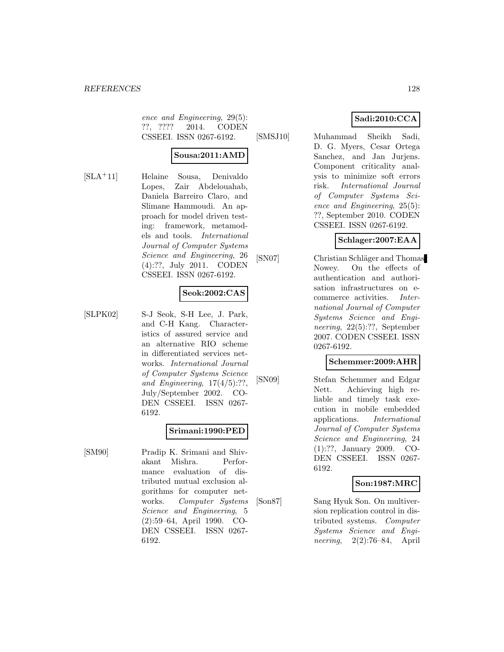ence and Engineering, 29(5): ??, ???? 2014. CODEN CSSEEI. ISSN 0267-6192.

#### **Sousa:2011:AMD**

[SLA<sup>+</sup>11] Helaine Sousa, Denivaldo Lopes, Zair Abdelouahab, Daniela Barreiro Claro, and Slimane Hammoudi. An approach for model driven testing: framework, metamodels and tools. International Journal of Computer Systems Science and Engineering, 26 (4):??, July 2011. CODEN CSSEEI. ISSN 0267-6192.

### **Seok:2002:CAS**

[SLPK02] S-J Seok, S-H Lee, J. Park, and C-H Kang. Characteristics of assured service and an alternative RIO scheme in differentiated services networks. International Journal of Computer Systems Science and Engineering,  $17(4/5)$ :??, July/September 2002. CO-DEN CSSEEI. ISSN 0267- 6192.

### **Srimani:1990:PED**

[SM90] Pradip K. Srimani and Shivakant Mishra. Performance evaluation of distributed mutual exclusion algorithms for computer networks. Computer Systems Science and Engineering, 5 (2):59–64, April 1990. CO-DEN CSSEEI. ISSN 0267- 6192.

### **Sadi:2010:CCA**

[SMSJ10] Muhammad Sheikh Sadi, D. G. Myers, Cesar Ortega Sanchez, and Jan Jurjens. Component criticality analysis to minimize soft errors risk. International Journal of Computer Systems Science and Engineering, 25(5): ??, September 2010. CODEN CSSEEI. ISSN 0267-6192.

#### **Schlager:2007:EAA**

[SN07] Christian Schläger and Thomas Nowey. On the effects of authentication and authorisation infrastructures on ecommerce activities. International Journal of Computer Systems Science and Engineering, 22(5):??, September 2007. CODEN CSSEEI. ISSN 0267-6192.

#### **Schemmer:2009:AHR**

[SN09] Stefan Schemmer and Edgar Nett. Achieving high reliable and timely task execution in mobile embedded applications. International Journal of Computer Systems Science and Engineering, 24 (1):??, January 2009. CO-DEN CSSEEI. ISSN 0267- 6192.

### **Son:1987:MRC**

[Son87] Sang Hyuk Son. On multiversion replication control in distributed systems. Computer Systems Science and Engineering, 2(2):76–84, April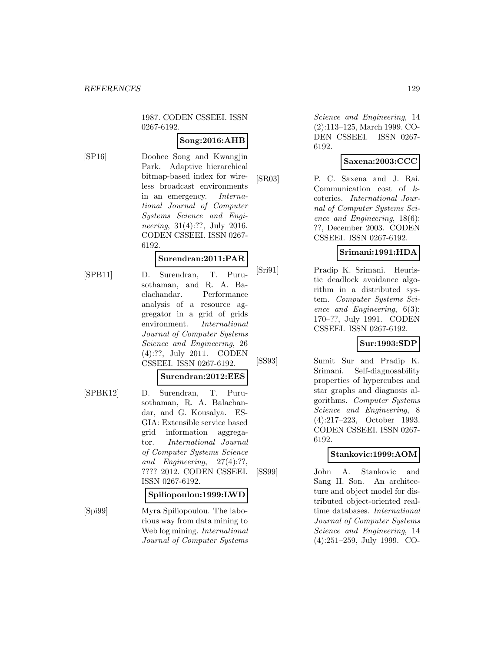1987. CODEN CSSEEI. ISSN 0267-6192.

### **Song:2016:AHB**

[SP16] Doohee Song and Kwangjin Park. Adaptive hierarchical bitmap-based index for wireless broadcast environments in an emergency. International Journal of Computer Systems Science and Engineering, 31(4):??, July 2016. CODEN CSSEEI. ISSN 0267- 6192.

### **Surendran:2011:PAR**

- 
- [SPB11] D. Surendran, T. Purusothaman, and R. A. Baclachandar. Performance analysis of a resource aggregator in a grid of grids environment. International Journal of Computer Systems Science and Engineering, 26 (4):??, July 2011. CODEN CSSEEI. ISSN 0267-6192.

#### **Surendran:2012:EES**

[SPBK12] D. Surendran, T. Purusothaman, R. A. Balachandar, and G. Kousalya. ES-GIA: Extensible service based grid information aggregator. International Journal of Computer Systems Science and Engineering, 27(4):??, ???? 2012. CODEN CSSEEI. ISSN 0267-6192.

#### **Spiliopoulou:1999:LWD**

[Spi99] Myra Spiliopoulou. The laborious way from data mining to Web log mining. International Journal of Computer Systems

Science and Engineering, 14 (2):113–125, March 1999. CO-DEN CSSEEI. ISSN 0267- 6192.

### **Saxena:2003:CCC**

[SR03] P. C. Saxena and J. Rai. Communication cost of kcoteries. International Journal of Computer Systems Science and Engineering, 18(6): ??, December 2003. CODEN CSSEEI. ISSN 0267-6192.

### **Srimani:1991:HDA**

[Sri91] Pradip K. Srimani. Heuristic deadlock avoidance algorithm in a distributed system. Computer Systems Science and Engineering, 6(3): 170–??, July 1991. CODEN CSSEEI. ISSN 0267-6192.

### **Sur:1993:SDP**

[SS93] Sumit Sur and Pradip K. Srimani. Self-diagnosability properties of hypercubes and star graphs and diagnosis algorithms. Computer Systems Science and Engineering, 8 (4):217–223, October 1993. CODEN CSSEEI. ISSN 0267- 6192.

### **Stankovic:1999:AOM**

[SS99] John A. Stankovic and Sang H. Son. An architecture and object model for distributed object-oriented realtime databases. International Journal of Computer Systems Science and Engineering, 14 (4):251–259, July 1999. CO-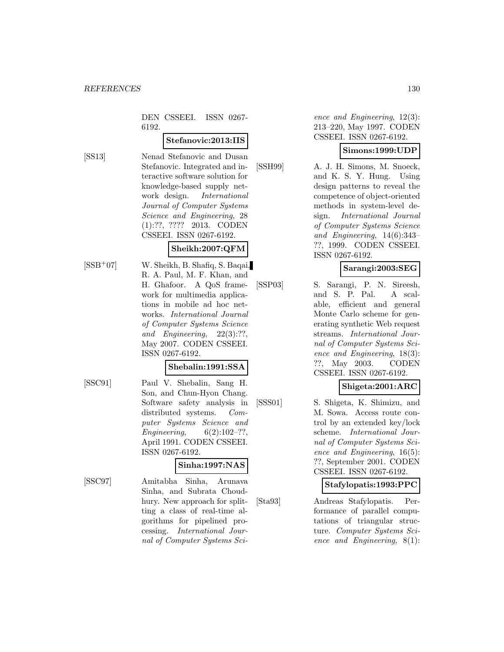DEN CSSEEI. ISSN 0267- 6192.

#### **Stefanovic:2013:IIS**

[SS13] Nenad Stefanovic and Dusan Stefanovic. Integrated and interactive software solution for knowledge-based supply network design. International Journal of Computer Systems Science and Engineering, 28 (1):??, ???? 2013. CODEN CSSEEI. ISSN 0267-6192.

### **Sheikh:2007:QFM**

[SSB<sup>+</sup>07] W. Sheikh, B. Shafiq, S. Baqai, R. A. Paul, M. F. Khan, and H. Ghafoor. A QoS framework for multimedia applications in mobile ad hoc networks. International Journal of Computer Systems Science and Engineering, 22(3):??, May 2007. CODEN CSSEEI. ISSN 0267-6192.

#### **Shebalin:1991:SSA**

[SSC91] Paul V. Shebalin, Sang H. Son, and Chun-Hyon Chang. Software safety analysis in distributed systems. Computer Systems Science and Engineering,  $6(2):102-??,$ April 1991. CODEN CSSEEI. ISSN 0267-6192.

### **Sinha:1997:NAS**

[SSC97] Amitabha Sinha, Arunava Sinha, and Subrata Choudhury. New approach for splitting a class of real-time algorithms for pipelined processing. International Journal of Computer Systems Science and Engineering, 12(3): 213–220, May 1997. CODEN CSSEEI. ISSN 0267-6192.

### **Simons:1999:UDP**

[SSH99] A. J. H. Simons, M. Snoeck, and K. S. Y. Hung. Using design patterns to reveal the competence of object-oriented methods in system-level design. International Journal of Computer Systems Science and Engineering, 14(6):343– ??, 1999. CODEN CSSEEI. ISSN 0267-6192.

### **Sarangi:2003:SEG**

[SSP03] S. Sarangi, P. N. Sireesh, and S. P. Pal. A scalable, efficient and general Monte Carlo scheme for generating synthetic Web request streams. International Journal of Computer Systems Science and Engineering, 18(3): ??, May 2003. CODEN CSSEEI. ISSN 0267-6192.

### **Shigeta:2001:ARC**

[SSS01] S. Shigeta, K. Shimizu, and M. Sowa. Access route control by an extended key/lock scheme. International Journal of Computer Systems Science and Engineering, 16(5): ??, September 2001. CODEN CSSEEI. ISSN 0267-6192.

### **Stafylopatis:1993:PPC**

[Sta93] Andreas Stafylopatis. Performance of parallel computations of triangular structure. Computer Systems Science and Engineering, 8(1):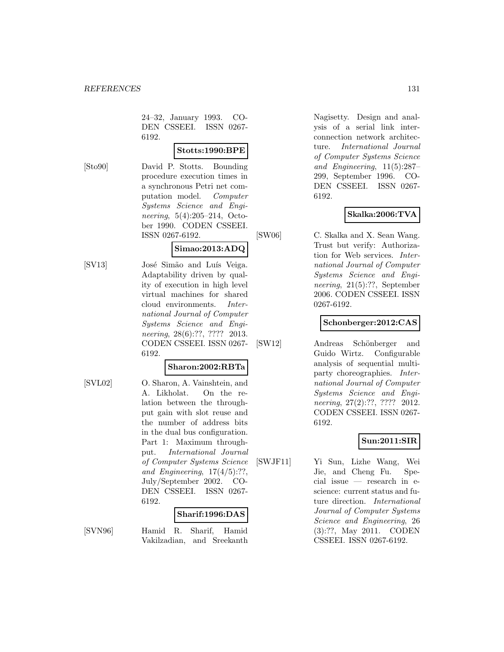24–32, January 1993. CO-DEN CSSEEI. ISSN 0267- 6192.

**Stotts:1990:BPE**

[Sto90] David P. Stotts. Bounding procedure execution times in a synchronous Petri net computation model. Computer Systems Science and Engineering, 5(4):205–214, October 1990. CODEN CSSEEI. ISSN 0267-6192.

# **Simao:2013:ADQ**

[SV13] José Simão and Luís Veiga. Adaptability driven by quality of execution in high level virtual machines for shared cloud environments. International Journal of Computer Systems Science and Engineering, 28(6):??, ???? 2013. CODEN CSSEEI. ISSN 0267- 6192.

### **Sharon:2002:RBTa**

[SVL02] O. Sharon, A. Vainshtein, and A. Likholat. On the relation between the throughput gain with slot reuse and the number of address bits in the dual bus configuration. Part 1: Maximum throughput. International Journal of Computer Systems Science and Engineering,  $17(4/5)$ :??, July/September 2002. CO-DEN CSSEEI. ISSN 0267- 6192.

### **Sharif:1996:DAS**

[SVN96] Hamid R. Sharif, Hamid Vakilzadian, and Sreekanth

Nagisetty. Design and analysis of a serial link interconnection network architecture. International Journal of Computer Systems Science and Engineering, 11(5):287– 299, September 1996. CO-DEN CSSEEI. ISSN 0267- 6192.

### **Skalka:2006:TVA**

[SW06] C. Skalka and X. Sean Wang.

Trust but verify: Authorization for Web services. International Journal of Computer Systems Science and Engineering, 21(5):??, September 2006. CODEN CSSEEI. ISSN 0267-6192.

#### **Schonberger:2012:CAS**

[SW12] Andreas Schönberger and Guido Wirtz. Configurable analysis of sequential multiparty choreographies. International Journal of Computer Systems Science and Engineering, 27(2):??, ???? 2012. CODEN CSSEEI. ISSN 0267- 6192.

### **Sun:2011:SIR**

[SWJF11] Yi Sun, Lizhe Wang, Wei Jie, and Cheng Fu. Special issue — research in escience: current status and future direction. International Journal of Computer Systems Science and Engineering, 26 (3):??, May 2011. CODEN CSSEEI. ISSN 0267-6192.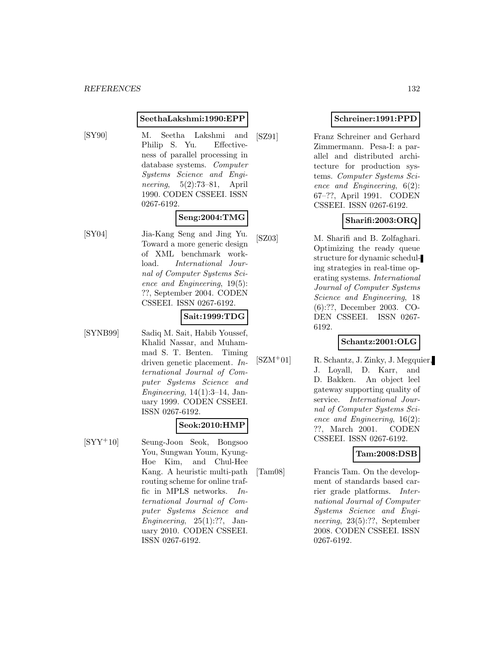#### **SeethaLakshmi:1990:EPP**

[SY90] M. Seetha Lakshmi and Philip S. Yu. Effectiveness of parallel processing in database systems. Computer Systems Science and Engineering, 5(2):73–81, April 1990. CODEN CSSEEI. ISSN 0267-6192.

#### **Seng:2004:TMG**

[SY04] Jia-Kang Seng and Jing Yu. Toward a more generic design of XML benchmark workload. International Journal of Computer Systems Science and Engineering, 19(5): ??, September 2004. CODEN CSSEEI. ISSN 0267-6192.

#### **Sait:1999:TDG**

[SYNB99] Sadiq M. Sait, Habib Youssef, Khalid Nassar, and Muhammad S. T. Benten. Timing driven genetic placement. International Journal of Computer Systems Science and Engineering,  $14(1):3-14$ , January 1999. CODEN CSSEEI. ISSN 0267-6192.

#### **Seok:2010:HMP**

[SYY<sup>+</sup>10] Seung-Joon Seok, Bongsoo You, Sungwan Youm, Kyung-Hoe Kim, and Chul-Hee Kang. A heuristic multi-path routing scheme for online traffic in MPLS networks. International Journal of Computer Systems Science and Engineering,  $25(1):$ ??, January 2010. CODEN CSSEEI. ISSN 0267-6192.

### **Schreiner:1991:PPD**

[SZ91] Franz Schreiner and Gerhard Zimmermann. Pesa-I: a parallel and distributed architecture for production systems. Computer Systems Science and Engineering, 6(2): 67–??, April 1991. CODEN CSSEEI. ISSN 0267-6192.

#### **Sharifi:2003:ORQ**

[SZ03] M. Sharifi and B. Zolfaghari. Optimizing the ready queue structure for dynamic scheduling strategies in real-time operating systems. International Journal of Computer Systems Science and Engineering, 18 (6):??, December 2003. CO-DEN CSSEEI. ISSN 0267- 6192.

### **Schantz:2001:OLG**

[SZM<sup>+</sup>01] R. Schantz, J. Zinky, J. Megquier, J. Loyall, D. Karr, and D. Bakken. An object leel gateway supporting quality of service. International Journal of Computer Systems Science and Engineering, 16(2): ??, March 2001. CODEN CSSEEI. ISSN 0267-6192.

### **Tam:2008:DSB**

[Tam08] Francis Tam. On the development of standards based carrier grade platforms. International Journal of Computer Systems Science and Engineering, 23(5):??, September 2008. CODEN CSSEEI. ISSN 0267-6192.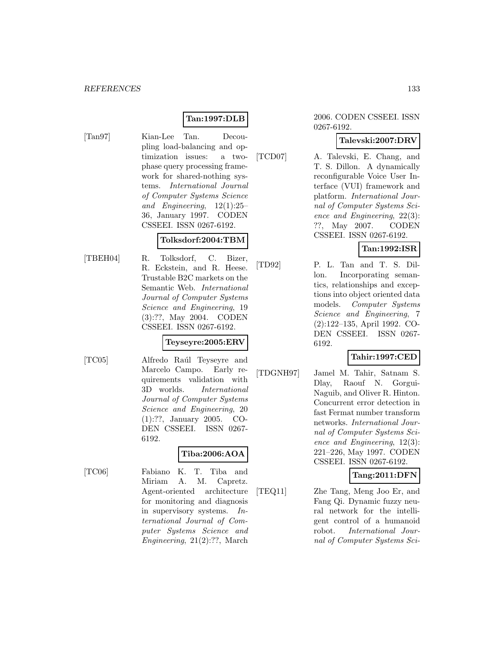### **Tan:1997:DLB**

- [Tan97] Kian-Lee Tan. Decou
	- pling load-balancing and optimization issues: a twophase query processing framework for shared-nothing systems. International Journal of Computer Systems Science and Engineering, 12(1):25– 36, January 1997. CODEN CSSEEI. ISSN 0267-6192.

#### **Tolksdorf:2004:TBM**

[TBEH04] R. Tolksdorf, C. Bizer, R. Eckstein, and R. Heese. Trustable B2C markets on the Semantic Web. International Journal of Computer Systems Science and Engineering, 19 (3):??, May 2004. CODEN CSSEEI. ISSN 0267-6192.

#### **Teyseyre:2005:ERV**

- 
- [TC05] Alfredo Raúl Teyseyre and Marcelo Campo. Early requirements validation with 3D worlds. International Journal of Computer Systems Science and Engineering, 20 (1):??, January 2005. CO-DEN CSSEEI. ISSN 0267- 6192.

### **Tiba:2006:AOA**

[TC06] Fabiano K. T. Tiba and Miriam A. M. Capretz. Agent-oriented architecture for monitoring and diagnosis in supervisory systems. International Journal of Computer Systems Science and Engineering, 21(2):??, March

#### 2006. CODEN CSSEEI. ISSN 0267-6192.

### **Talevski:2007:DRV**

[TCD07] A. Talevski, E. Chang, and T. S. Dillon. A dynamically reconfigurable Voice User Interface (VUI) framework and platform. International Journal of Computer Systems Science and Engineering, 22(3): ??, May 2007. CODEN CSSEEI. ISSN 0267-6192.

**Tan:1992:ISR**

[TD92] P. L. Tan and T. S. Dillon. Incorporating semantics, relationships and exceptions into object oriented data models. Computer Systems Science and Engineering, 7 (2):122–135, April 1992. CO-DEN CSSEEI. ISSN 0267- 6192.

### **Tahir:1997:CED**

[TDGNH97] Jamel M. Tahir, Satnam S. Dlay, Raouf N. Gorgui-Naguib, and Oliver R. Hinton. Concurrent error detection in fast Fermat number transform networks. International Journal of Computer Systems Science and Engineering, 12(3): 221–226, May 1997. CODEN CSSEEI. ISSN 0267-6192.

### **Tang:2011:DFN**

[TEQ11] Zhe Tang, Meng Joo Er, and Fang Qi. Dynamic fuzzy neural network for the intelligent control of a humanoid robot. International Journal of Computer Systems Sci-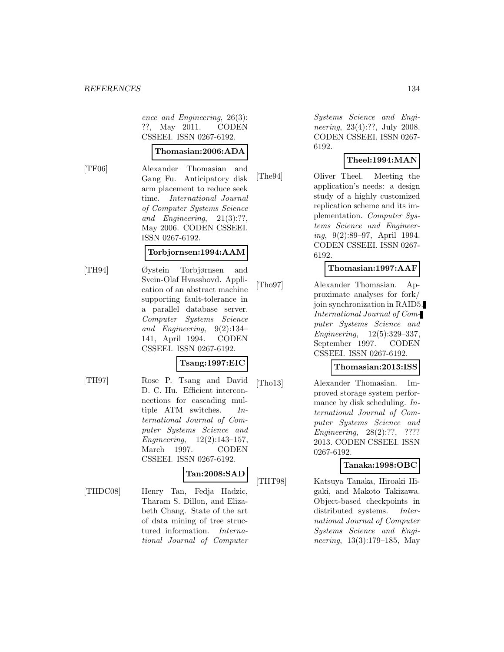ence and Engineering, 26(3): ??, May 2011. CODEN CSSEEI. ISSN 0267-6192.

### **Thomasian:2006:ADA**

[TF06] Alexander Thomasian and Gang Fu. Anticipatory disk arm placement to reduce seek time. International Journal of Computer Systems Science and Engineering, 21(3):??, May 2006. CODEN CSSEEI. ISSN 0267-6192.

### **Torbjornsen:1994:AAM**

[TH94] Øystein Torbjørnsen and Svein-Olaf Hvasshovd. Application of an abstract machine supporting fault-tolerance in a parallel database server. Computer Systems Science and Engineering, 9(2):134– 141, April 1994. CODEN CSSEEI. ISSN 0267-6192.

### **Tsang:1997:EIC**

[TH97] Rose P. Tsang and David D. C. Hu. Efficient interconnections for cascading multiple ATM switches. International Journal of Computer Systems Science and Engineering, 12(2):143–157, March 1997. CODEN CSSEEI. ISSN 0267-6192.

### **Tan:2008:SAD**

[THDC08] Henry Tan, Fedja Hadzic, Tharam S. Dillon, and Elizabeth Chang. State of the art of data mining of tree structured information. International Journal of Computer Systems Science and Engineering, 23(4):??, July 2008. CODEN CSSEEI. ISSN 0267- 6192.

### **Theel:1994:MAN**

[The94] Oliver Theel. Meeting the application's needs: a design study of a highly customized replication scheme and its implementation. Computer Systems Science and Engineering, 9(2):89–97, April 1994. CODEN CSSEEI. ISSN 0267- 6192.

### **Thomasian:1997:AAF**

[Tho97] Alexander Thomasian. Approximate analyses for fork/ join synchronization in RAID5. International Journal of Computer Systems Science and Engineering, 12(5):329–337, September 1997. CODEN CSSEEI. ISSN 0267-6192.

### **Thomasian:2013:ISS**

[Tho13] Alexander Thomasian. Improved storage system performance by disk scheduling. International Journal of Computer Systems Science and Engineering, 28(2):??, ???? 2013. CODEN CSSEEI. ISSN 0267-6192.

### **Tanaka:1998:OBC**

[THT98] Katsuya Tanaka, Hiroaki Higaki, and Makoto Takizawa. Object-based checkpoints in distributed systems. International Journal of Computer Systems Science and Engineering, 13(3):179–185, May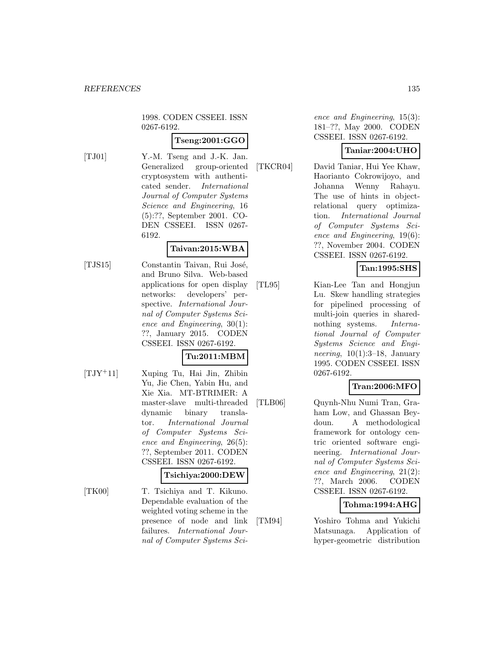1998. CODEN CSSEEI. ISSN 0267-6192.

### **Tseng:2001:GGO**

- 
- [TJ01] Y.-M. Tseng and J.-K. Jan. Generalized group-oriented cryptosystem with authenticated sender. International Journal of Computer Systems Science and Engineering, 16 (5):??, September 2001. CO-DEN CSSEEI. ISSN 0267- 6192.

#### **Taivan:2015:WBA**

[TJS15] Constantin Taivan, Rui José, and Bruno Silva. Web-based applications for open display networks: developers' perspective. International Journal of Computer Systems Science and Engineering, 30(1): ??, January 2015. CODEN CSSEEI. ISSN 0267-6192.

### **Tu:2011:MBM**

[TJY<sup>+</sup>11] Xuping Tu, Hai Jin, Zhibin Yu, Jie Chen, Yabin Hu, and Xie Xia. MT-BTRIMER: A master-slave multi-threaded dynamic binary translator. International Journal of Computer Systems Science and Engineering, 26(5): ??, September 2011. CODEN CSSEEI. ISSN 0267-6192.

#### **Tsichiya:2000:DEW**

[TK00] T. Tsichiya and T. Kikuno. Dependable evaluation of the weighted voting scheme in the presence of node and link failures. International Journal of Computer Systems Science and Engineering, 15(3): 181–??, May 2000. CODEN CSSEEI. ISSN 0267-6192.

### **Taniar:2004:UHO**

[TKCR04] David Taniar, Hui Yee Khaw, Haorianto Cokrowijoyo, and Johanna Wenny Rahayu. The use of hints in objectrelational query optimization. International Journal of Computer Systems Science and Engineering, 19(6): ??, November 2004. CODEN CSSEEI. ISSN 0267-6192.

### **Tan:1995:SHS**

[TL95] Kian-Lee Tan and Hongjun Lu. Skew handling strategies for pipelined processing of multi-join queries in sharednothing systems. *Interna*tional Journal of Computer Systems Science and Engineering,  $10(1):3-18$ , January 1995. CODEN CSSEEI. ISSN 0267-6192.

### **Tran:2006:MFO**

[TLB06] Quynh-Nhu Numi Tran, Graham Low, and Ghassan Beydoun. A methodological framework for ontology centric oriented software engineering. International Journal of Computer Systems Science and Engineering, 21(2): ??, March 2006. CODEN CSSEEI. ISSN 0267-6192.

### **Tohma:1994:AHG**

[TM94] Yoshiro Tohma and Yukichi Matsunaga. Application of hyper-geometric distribution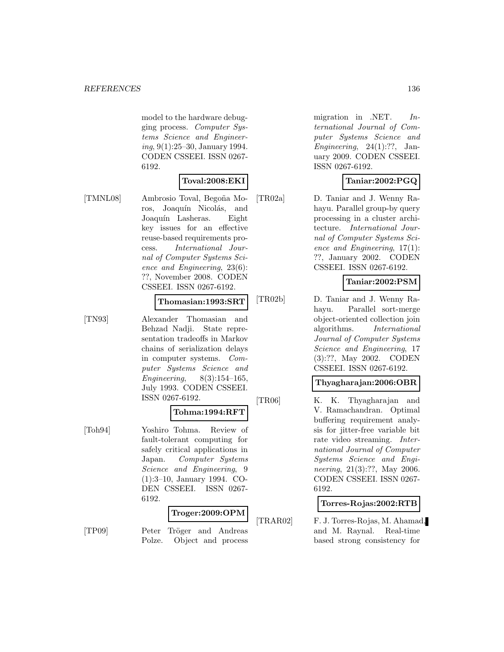model to the hardware debugging process. Computer Systems Science and Engineering, 9(1):25–30, January 1994. CODEN CSSEEI. ISSN 0267- 6192.

### **Toval:2008:EKI**

[TMNL08] Ambrosio Toval, Begoña Moros, Joaquín Nicolás, and Joaquín Lasheras. Eight key issues for an effective reuse-based requirements process. International Journal of Computer Systems Science and Engineering, 23(6): ??, November 2008. CODEN CSSEEI. ISSN 0267-6192.

#### **Thomasian:1993:SRT**

[TN93] Alexander Thomasian and Behzad Nadji. State representation tradeoffs in Markov chains of serialization delays in computer systems. Computer Systems Science and Engineering,  $8(3):154-165$ , July 1993. CODEN CSSEEI. ISSN 0267-6192.

### **Tohma:1994:RFT**

[Toh94] Yoshiro Tohma. Review of fault-tolerant computing for safely critical applications in Japan. Computer Systems Science and Engineering, 9 (1):3–10, January 1994. CO-DEN CSSEEI. ISSN 0267- 6192.

### **Troger:2009:OPM**

[TP09] Peter Tröger and Andreas Polze. Object and process migration in .NET.  $In$ ternational Journal of Computer Systems Science and Engineering,  $24(1)$ :??, January 2009. CODEN CSSEEI. ISSN 0267-6192.

### **Taniar:2002:PGQ**

[TR02a] D. Taniar and J. Wenny Rahayu. Parallel group-by query processing in a cluster architecture. International Journal of Computer Systems Science and Engineering, 17(1): ??, January 2002. CODEN CSSEEI. ISSN 0267-6192.

### **Taniar:2002:PSM**

[TR02b] D. Taniar and J. Wenny Rahayu. Parallel sort-merge object-oriented collection join algorithms. International Journal of Computer Systems Science and Engineering, 17 (3):??, May 2002. CODEN CSSEEI. ISSN 0267-6192.

#### **Thyagharajan:2006:OBR**

[TR06] K. K. Thyagharajan and V. Ramachandran. Optimal buffering requirement analysis for jitter-free variable bit rate video streaming. International Journal of Computer Systems Science and Engineering, 21(3):??, May 2006. CODEN CSSEEI. ISSN 0267- 6192.

#### **Torres-Rojas:2002:RTB**

[TRAR02] F. J. Torres-Rojas, M. Ahamad, and M. Raynal. Real-time based strong consistency for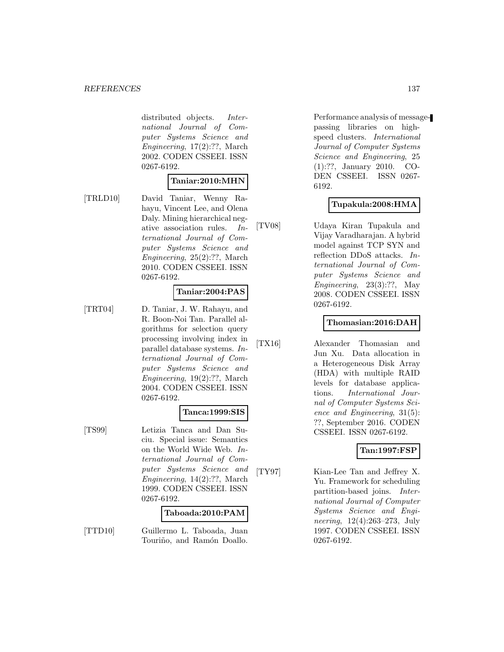distributed objects. *Inter*national Journal of Computer Systems Science and Engineering, 17(2):??, March 2002. CODEN CSSEEI. ISSN 0267-6192.

#### **Taniar:2010:MHN**

[TRLD10] David Taniar, Wenny Rahayu, Vincent Lee, and Olena Daly. Mining hierarchical negative association rules. International Journal of Computer Systems Science and Engineering, 25(2):??, March 2010. CODEN CSSEEI. ISSN 0267-6192.

#### **Taniar:2004:PAS**

[TRT04] D. Taniar, J. W. Rahayu, and R. Boon-Noi Tan. Parallel algorithms for selection query processing involving index in parallel database systems. International Journal of Computer Systems Science and Engineering, 19(2):??, March 2004. CODEN CSSEEI. ISSN 0267-6192.

#### **Tanca:1999:SIS**

[TS99] Letizia Tanca and Dan Suciu. Special issue: Semantics on the World Wide Web. International Journal of Computer Systems Science and Engineering, 14(2):??, March 1999. CODEN CSSEEI. ISSN 0267-6192.

#### **Taboada:2010:PAM**

[TTD10] Guillermo L. Taboada, Juan Touriño, and Ramón Doallo.

Performance analysis of messagepassing libraries on highspeed clusters. International Journal of Computer Systems Science and Engineering, 25 (1):??, January 2010. CO-DEN CSSEEI. ISSN 0267- 6192.

### **Tupakula:2008:HMA**

[TV08] Udaya Kiran Tupakula and Vijay Varadharajan. A hybrid model against TCP SYN and reflection DDoS attacks. International Journal of Computer Systems Science and Engineering,  $23(3):??$ , May 2008. CODEN CSSEEI. ISSN 0267-6192.

#### **Thomasian:2016:DAH**

[TX16] Alexander Thomasian and Jun Xu. Data allocation in a Heterogeneous Disk Array (HDA) with multiple RAID levels for database applications. International Journal of Computer Systems Science and Engineering, 31(5): ??, September 2016. CODEN CSSEEI. ISSN 0267-6192.

### **Tan:1997:FSP**

[TY97] Kian-Lee Tan and Jeffrey X. Yu. Framework for scheduling partition-based joins. International Journal of Computer Systems Science and Engineering, 12(4):263–273, July 1997. CODEN CSSEEI. ISSN 0267-6192.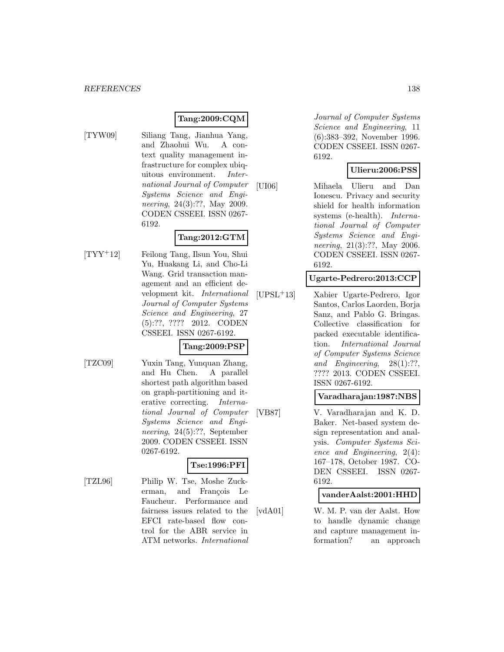## **Tang:2009:CQM**

[TYW09] Siliang Tang, Jianhua Yang, and Zhaohui Wu. A context quality management infrastructure for complex ubiquitous environment. International Journal of Computer Systems Science and Engineering, 24(3):??, May 2009. CODEN CSSEEI. ISSN 0267- 6192.

### **Tang:2012:GTM**

[TYY<sup>+</sup>12] Feilong Tang, Ilsun You, Shui Yu, Huakang Li, and Cho-Li Wang. Grid transaction management and an efficient development kit. International Journal of Computer Systems Science and Engineering, 27 (5):??, ???? 2012. CODEN CSSEEI. ISSN 0267-6192.

### **Tang:2009:PSP**

[TZC09] Yuxin Tang, Yunquan Zhang, and Hu Chen. A parallel shortest path algorithm based on graph-partitioning and iterative correcting. International Journal of Computer Systems Science and Engineering, 24(5):??, September 2009. CODEN CSSEEI. ISSN 0267-6192.

### **Tse:1996:PFI**

[TZL96] Philip W. Tse, Moshe Zuckerman, and Francois Le Faucheur. Performance and fairness issues related to the EFCI rate-based flow control for the ABR service in ATM networks. International

Journal of Computer Systems Science and Engineering, 11 (6):383–392, November 1996. CODEN CSSEEI. ISSN 0267- 6192.

### **Ulieru:2006:PSS**

[UI06] Mihaela Ulieru and Dan Ionescu. Privacy and security shield for health information systems (e-health). International Journal of Computer Systems Science and Engineering, 21(3):??, May 2006. CODEN CSSEEI. ISSN 0267- 6192.

#### **Ugarte-Pedrero:2013:CCP**

[UPSL<sup>+</sup>13] Xabier Ugarte-Pedrero, Igor Santos, Carlos Laorden, Borja Sanz, and Pablo G. Bringas. Collective classification for packed executable identification. International Journal of Computer Systems Science and Engineering, 28(1):??, ???? 2013. CODEN CSSEEI. ISSN 0267-6192.

### **Varadharajan:1987:NBS**

[VB87] V. Varadharajan and K. D. Baker. Net-based system design representation and analysis. Computer Systems Science and Engineering, 2(4): 167–178, October 1987. CO-DEN CSSEEI. ISSN 0267- 6192.

### **vanderAalst:2001:HHD**

[vdA01] W. M. P. van der Aalst. How to handle dynamic change and capture management information? an approach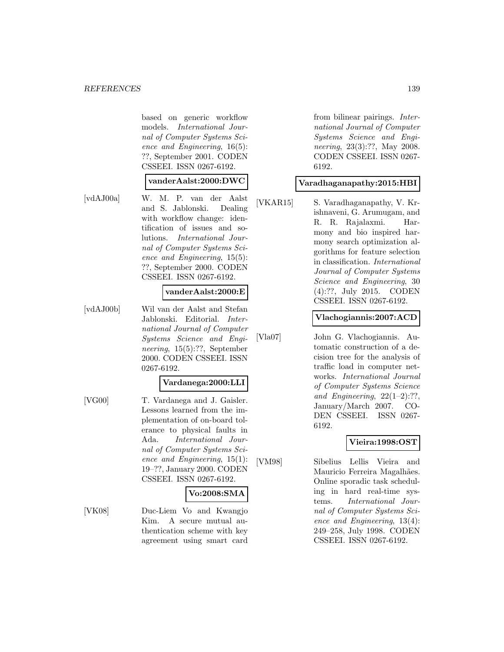#### *REFERENCES* 139

based on generic workflow models. International Journal of Computer Systems Science and Engineering, 16(5): ??, September 2001. CODEN CSSEEI. ISSN 0267-6192.

#### **vanderAalst:2000:DWC**

[vdAJ00a] W. M. P. van der Aalst and S. Jablonski. Dealing with workflow change: identification of issues and solutions. International Journal of Computer Systems Science and Engineering, 15(5): ??, September 2000. CODEN CSSEEI. ISSN 0267-6192.

#### **vanderAalst:2000:E**

[vdAJ00b] Wil van der Aalst and Stefan Jablonski. Editorial. International Journal of Computer Systems Science and Engineering, 15(5):??, September 2000. CODEN CSSEEI. ISSN 0267-6192.

#### **Vardanega:2000:LLI**

[VG00] T. Vardanega and J. Gaisler. Lessons learned from the implementation of on-board tolerance to physical faults in Ada. International Journal of Computer Systems Science and Engineering, 15(1): 19–??, January 2000. CODEN CSSEEI. ISSN 0267-6192.

### **Vo:2008:SMA**

[VK08] Duc-Liem Vo and Kwangjo Kim. A secure mutual authentication scheme with key agreement using smart card

from bilinear pairings. International Journal of Computer Systems Science and Engineering, 23(3):??, May 2008. CODEN CSSEEI. ISSN 0267- 6192.

#### **Varadhaganapathy:2015:HBI**

[VKAR15] S. Varadhaganapathy, V. Krishnaveni, G. Arumugam, and R. R. Rajalaxmi. Harmony and bio inspired harmony search optimization algorithms for feature selection in classification. International Journal of Computer Systems Science and Engineering, 30 (4):??, July 2015. CODEN CSSEEI. ISSN 0267-6192.

#### **Vlachogiannis:2007:ACD**

[Vla07] John G. Vlachogiannis. Automatic construction of a decision tree for the analysis of traffic load in computer networks. International Journal of Computer Systems Science and Engineering,  $22(1-2)$ :??, January/March 2007. CO-DEN CSSEEI. ISSN 0267- 6192.

#### **Vieira:1998:OST**

[VM98] Sibelius Lellis Vieira and Mauricio Ferreira Magalhães. Online sporadic task scheduling in hard real-time systems. International Journal of Computer Systems Science and Engineering, 13(4): 249–258, July 1998. CODEN CSSEEI. ISSN 0267-6192.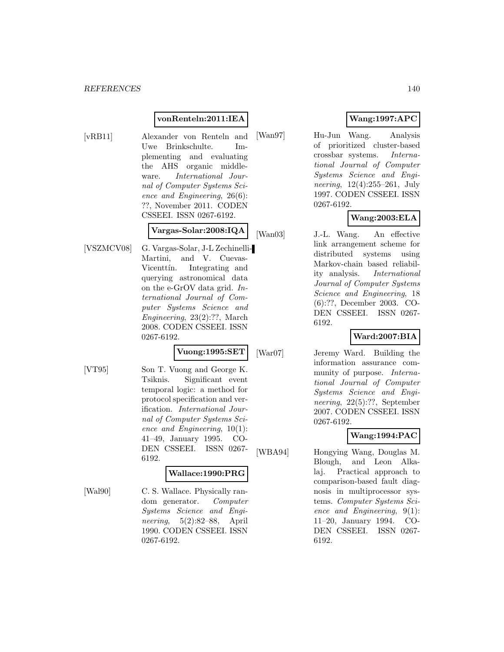### **vonRenteln:2011:IEA**

[vRB11] Alexander von Renteln and Uwe Brinkschulte. Implementing and evaluating the AHS organic middleware. International Journal of Computer Systems Science and Engineering, 26(6): ??, November 2011. CODEN CSSEEI. ISSN 0267-6192.

### **Vargas-Solar:2008:IQA**

[VSZMCV08] G. Vargas-Solar, J-L Zechinelli-Martini, and V. Cuevas-Vicenttín. Integrating and querying astronomical data on the e-GrOV data grid. International Journal of Computer Systems Science and Engineering, 23(2):??, March 2008. CODEN CSSEEI. ISSN 0267-6192.

#### **Vuong:1995:SET**

[VT95] Son T. Vuong and George K. Tsiknis. Significant event temporal logic: a method for protocol specification and verification. International Journal of Computer Systems Science and Engineering, 10(1): 41–49, January 1995. CO-DEN CSSEEI. ISSN 0267- 6192.

#### **Wallace:1990:PRG**

[Wal90] C. S. Wallace. Physically random generator. Computer Systems Science and Engineering, 5(2):82–88, April 1990. CODEN CSSEEI. ISSN 0267-6192.

### **Wang:1997:APC**

[Wan97] Hu-Jun Wang. Analysis of prioritized cluster-based crossbar systems. International Journal of Computer Systems Science and Engineering, 12(4):255–261, July 1997. CODEN CSSEEI. ISSN 0267-6192.

### **Wang:2003:ELA**

[Wan03] J.-L. Wang. An effective link arrangement scheme for distributed systems using Markov-chain based reliability analysis. International Journal of Computer Systems Science and Engineering, 18 (6):??, December 2003. CO-DEN CSSEEI. ISSN 0267- 6192.

### **Ward:2007:BIA**

[War07] Jeremy Ward. Building the information assurance community of purpose. International Journal of Computer Systems Science and Engineering, 22(5):??, September 2007. CODEN CSSEEI. ISSN 0267-6192.

### **Wang:1994:PAC**

[WBA94] Hongying Wang, Douglas M. Blough, and Leon Alkalaj. Practical approach to comparison-based fault diagnosis in multiprocessor systems. Computer Systems Science and Engineering, 9(1): 11–20, January 1994. CO-DEN CSSEEI. ISSN 0267- 6192.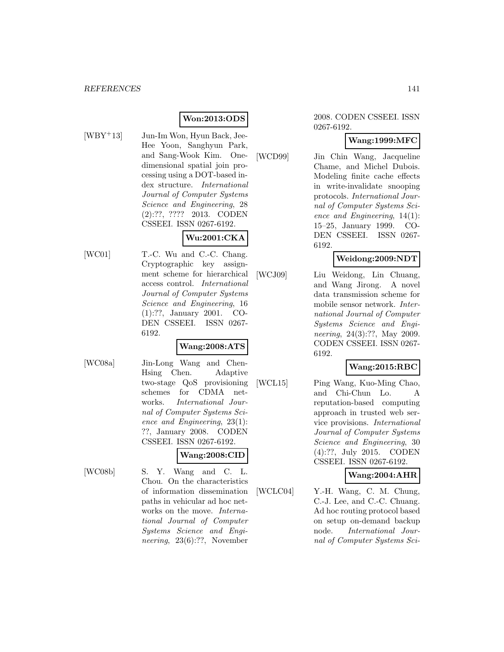### **Won:2013:ODS**

- 
- [WBY+13] Jun-Im Won, Hyun Back, Jee-Hee Yoon, Sanghyun Park, and Sang-Wook Kim. Onedimensional spatial join processing using a DOT-based index structure. International Journal of Computer Systems Science and Engineering, 28 (2):??, ???? 2013. CODEN CSSEEI. ISSN 0267-6192.

### **Wu:2001:CKA**

- 
- [WC01] T.-C. Wu and C.-C. Chang. Cryptographic key assignment scheme for hierarchical access control. International Journal of Computer Systems Science and Engineering, 16 (1):??, January 2001. CO-DEN CSSEEI. ISSN 0267- 6192.

### **Wang:2008:ATS**

- 
- [WC08a] Jin-Long Wang and Chen-Hsing Chen. Adaptive two-stage QoS provisioning schemes for CDMA networks. International Journal of Computer Systems Science and Engineering, 23(1): ??, January 2008. CODEN CSSEEI. ISSN 0267-6192.

### **Wang:2008:CID**

[WC08b] S. Y. Wang and C. L. Chou. On the characteristics of information dissemination paths in vehicular ad hoc networks on the move. International Journal of Computer Systems Science and Engineering, 23(6):??, November

#### 2008. CODEN CSSEEI. ISSN 0267-6192.

### **Wang:1999:MFC**

[WCD99] Jin Chin Wang, Jacqueline Chame, and Michel Dubois. Modeling finite cache effects in write-invalidate snooping protocols. International Journal of Computer Systems Science and Engineering, 14(1): 15–25, January 1999. CO-DEN CSSEEI. ISSN 0267- 6192.

### **Weidong:2009:NDT**

[WCJ09] Liu Weidong, Lin Chuang, and Wang Jirong. A novel data transmission scheme for mobile sensor network. International Journal of Computer Systems Science and Engineering, 24(3):??, May 2009. CODEN CSSEEI. ISSN 0267- 6192.

### **Wang:2015:RBC**

[WCL15] Ping Wang, Kuo-Ming Chao, and Chi-Chun Lo. A reputation-based computing approach in trusted web service provisions. International Journal of Computer Systems Science and Engineering, 30 (4):??, July 2015. CODEN CSSEEI. ISSN 0267-6192.

### **Wang:2004:AHR**

[WCLC04] Y.-H. Wang, C. M. Chung, C.-J. Lee, and C.-C. Chuang. Ad hoc routing protocol based on setup on-demand backup node. International Journal of Computer Systems Sci-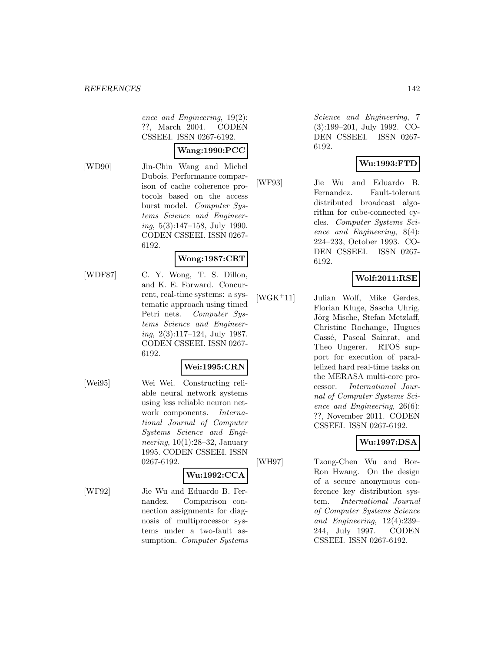ence and Engineering, 19(2): ??, March 2004. CODEN CSSEEI. ISSN 0267-6192.

#### **Wang:1990:PCC**

[WD90] Jin-Chin Wang and Michel Dubois. Performance comparison of cache coherence protocols based on the access burst model. Computer Systems Science and Engineering, 5(3):147–158, July 1990. CODEN CSSEEI. ISSN 0267- 6192.

### **Wong:1987:CRT**

[WDF87] C. Y. Wong, T. S. Dillon, and K. E. Forward. Concurrent, real-time systems: a systematic approach using timed Petri nets. Computer Systems Science and Engineering, 2(3):117–124, July 1987. CODEN CSSEEI. ISSN 0267- 6192.

### **Wei:1995:CRN**

[Wei95] Wei Wei. Constructing reliable neural network systems using less reliable neuron network components. International Journal of Computer Systems Science and Engineering,  $10(1):28-32$ , January 1995. CODEN CSSEEI. ISSN 0267-6192.

#### **Wu:1992:CCA**

[WF92] Jie Wu and Eduardo B. Fernandez. Comparison connection assignments for diagnosis of multiprocessor systems under a two-fault assumption. *Computer Systems* 

Science and Engineering, 7 (3):199–201, July 1992. CO-DEN CSSEEI. ISSN 0267- 6192.

### **Wu:1993:FTD**

[WF93] Jie Wu and Eduardo B. Fernandez. Fault-tolerant distributed broadcast algorithm for cube-connected cycles. Computer Systems Science and Engineering, 8(4): 224–233, October 1993. CO-DEN CSSEEI. ISSN 0267- 6192.

### **Wolf:2011:RSE**

[WGK<sup>+</sup>11] Julian Wolf, Mike Gerdes, Florian Kluge, Sascha Uhrig, Jörg Mische, Stefan Metzlaff, Christine Rochange, Hugues Cassé, Pascal Sainrat, and Theo Ungerer. RTOS support for execution of parallelized hard real-time tasks on the MERASA multi-core processor. International Journal of Computer Systems Science and Engineering, 26(6): ??, November 2011. CODEN CSSEEI. ISSN 0267-6192.

### **Wu:1997:DSA**

[WH97] Tzong-Chen Wu and Bor-Ron Hwang. On the design of a secure anonymous conference key distribution system. International Journal of Computer Systems Science and Engineering, 12(4):239– 244, July 1997. CODEN CSSEEI. ISSN 0267-6192.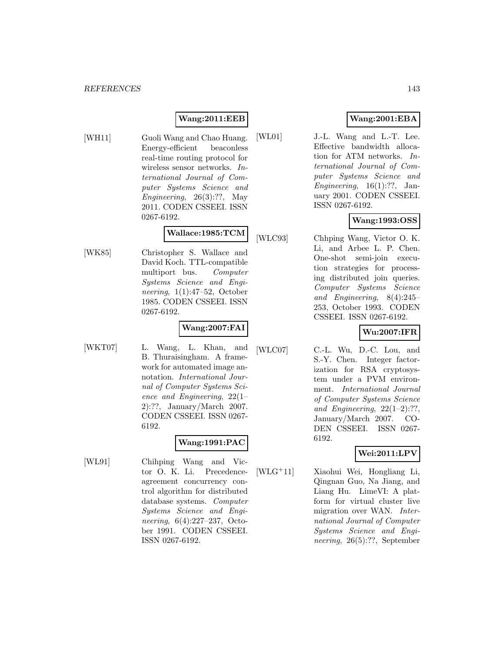### **Wang:2011:EEB**

[WH11] Guoli Wang and Chao Huang. Energy-efficient beaconless real-time routing protocol for wireless sensor networks. International Journal of Computer Systems Science and Engineering, 26(3):??, May 2011. CODEN CSSEEI. ISSN 0267-6192.

# **Wallace:1985:TCM**

[WK85] Christopher S. Wallace and David Koch. TTL-compatible multiport bus. Computer Systems Science and Engineering, 1(1):47–52, October 1985. CODEN CSSEEI. ISSN 0267-6192.

#### **Wang:2007:FAI**

[WKT07] L. Wang, L. Khan, and B. Thuraisingham. A framework for automated image annotation. International Journal of Computer Systems Science and Engineering, 22(1– 2):??, January/March 2007. CODEN CSSEEI. ISSN 0267- 6192.

### **Wang:1991:PAC**

[WL91] Chihping Wang and Victor O. K. Li. Precedenceagreement concurrency control algorithm for distributed database systems. Computer Systems Science and Engineering, 6(4):227–237, October 1991. CODEN CSSEEI. ISSN 0267-6192.

### **Wang:2001:EBA**

[WL01] J.-L. Wang and L.-T. Lee. Effective bandwidth allocation for ATM networks. International Journal of Computer Systems Science and Engineering,  $16(1):$ ??, January 2001. CODEN CSSEEI. ISSN 0267-6192.

### **Wang:1993:OSS**

[WLC93] Chhping Wang, Victor O. K. Li, and Arbee L. P. Chen. One-shot semi-join execution strategies for processing distributed join queries. Computer Systems Science and Engineering, 8(4):245– 253, October 1993. CODEN CSSEEI. ISSN 0267-6192.

### **Wu:2007:IFR**

[WLC07] C.-L. Wu, D.-C. Lou, and S.-Y. Chen. Integer factorization for RSA cryptosystem under a PVM environment. International Journal of Computer Systems Science and Engineering,  $22(1-2)$ :??, January/March 2007. CO-DEN CSSEEI. ISSN 0267- 6192.

### **Wei:2011:LPV**

[WLG<sup>+</sup>11] Xiaohui Wei, Hongliang Li, Qingnan Guo, Na Jiang, and Liang Hu. LimeVI: A platform for virtual cluster live migration over WAN. International Journal of Computer Systems Science and Engineering, 26(5):??, September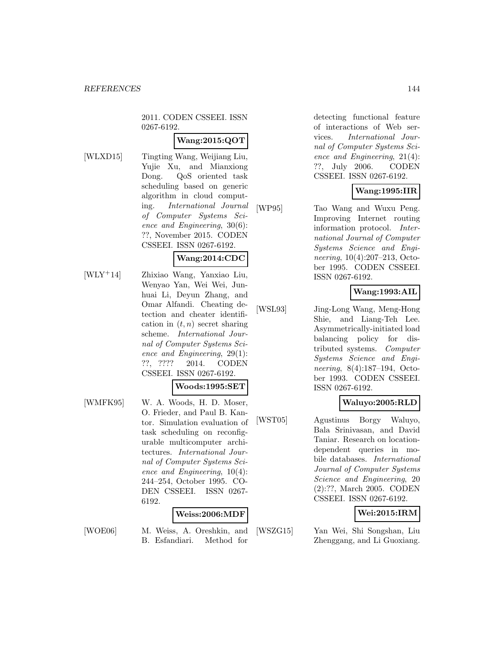2011. CODEN CSSEEI. ISSN 0267-6192.

### **Wang:2015:QOT**

- 
- [WLXD15] Tingting Wang, Weijiang Liu, Yujie Xu, and Mianxiong Dong. QoS oriented task scheduling based on generic algorithm in cloud computing. International Journal of Computer Systems Science and Engineering, 30(6): ??, November 2015. CODEN CSSEEI. ISSN 0267-6192.

### **Wang:2014:CDC**

[WLY<sup>+</sup>14] Zhixiao Wang, Yanxiao Liu, Wenyao Yan, Wei Wei, Junhuai Li, Deyun Zhang, and Omar Alfandi. Cheating detection and cheater identification in  $(t, n)$  secret sharing scheme. International Journal of Computer Systems Science and Engineering, 29(1): ??, ???? 2014. CODEN CSSEEI. ISSN 0267-6192.

#### **Woods:1995:SET**

[WMFK95] W. A. Woods, H. D. Moser, O. Frieder, and Paul B. Kantor. Simulation evaluation of task scheduling on reconfigurable multicomputer architectures. International Journal of Computer Systems Science and Engineering, 10(4): 244–254, October 1995. CO-DEN CSSEEI. ISSN 0267- 6192.

### **Weiss:2006:MDF**

[WOE06] M. Weiss, A. Oreshkin, and B. Esfandiari. Method for

detecting functional feature of interactions of Web services. International Journal of Computer Systems Science and Engineering, 21(4): ??, July 2006. CODEN CSSEEI. ISSN 0267-6192.

### **Wang:1995:IIR**

[WP95] Tao Wang and Wuxu Peng. Improving Internet routing information protocol. International Journal of Computer Systems Science and Engineering, 10(4):207–213, October 1995. CODEN CSSEEI. ISSN 0267-6192.

### **Wang:1993:AIL**

[WSL93] Jing-Long Wang, Meng-Hong Shie, and Liang-Teh Lee. Asymmetrically-initiated load balancing policy for distributed systems. Computer Systems Science and Engineering, 8(4):187–194, October 1993. CODEN CSSEEI. ISSN 0267-6192.

### **Waluyo:2005:RLD**

[WST05] Agustinus Borgy Waluyo, Bala Srinivasan, and David Taniar. Research on locationdependent queries in mobile databases. International Journal of Computer Systems Science and Engineering, 20 (2):??, March 2005. CODEN CSSEEI. ISSN 0267-6192.

### **Wei:2015:IRM**

[WSZG15] Yan Wei, Shi Songshan, Liu Zhenggang, and Li Guoxiang.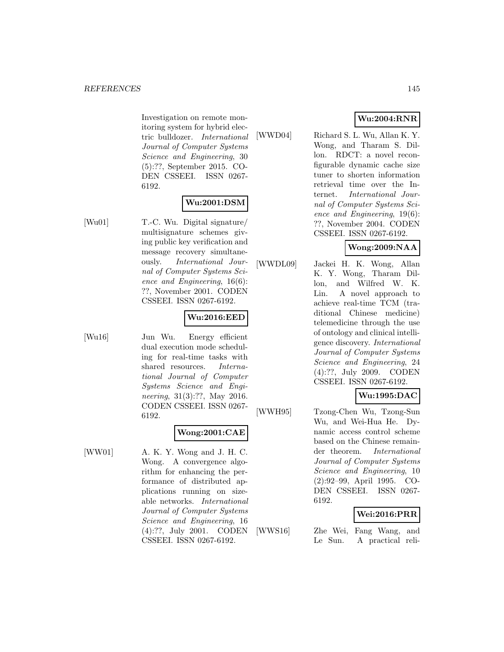Investigation on remote monitoring system for hybrid electric bulldozer. International Journal of Computer Systems Science and Engineering, 30 (5):??, September 2015. CO-DEN CSSEEI. ISSN 0267- 6192.

# **Wu:2001:DSM**

[Wu01] T.-C. Wu. Digital signature/ multisignature schemes giving public key verification and message recovery simultaneously. International Journal of Computer Systems Science and Engineering, 16(6): ??, November 2001. CODEN CSSEEI. ISSN 0267-6192.

# **Wu:2016:EED**

[Wu16] Jun Wu. Energy efficient dual execution mode scheduling for real-time tasks with shared resources. International Journal of Computer Systems Science and Engineering, 31(3):??, May 2016. CODEN CSSEEI. ISSN 0267- 6192.

# **Wong:2001:CAE**

[WW01] A. K. Y. Wong and J. H. C. Wong. A convergence algorithm for enhancing the performance of distributed applications running on sizeable networks. International Journal of Computer Systems Science and Engineering, 16 (4):??, July 2001. CODEN CSSEEI. ISSN 0267-6192.

**Wu:2004:RNR**

[WWD04] Richard S. L. Wu, Allan K. Y. Wong, and Tharam S. Dillon. RDCT: a novel reconfigurable dynamic cache size tuner to shorten information retrieval time over the Internet. International Journal of Computer Systems Science and Engineering, 19(6): ??, November 2004. CODEN CSSEEI. ISSN 0267-6192.

**Wong:2009:NAA**

[WWDL09] Jackei H. K. Wong, Allan K. Y. Wong, Tharam Dillon, and Wilfred W. K. Lin. A novel approach to achieve real-time TCM (traditional Chinese medicine) telemedicine through the use of ontology and clinical intelligence discovery. International Journal of Computer Systems Science and Engineering, 24 (4):??, July 2009. CODEN CSSEEI. ISSN 0267-6192.

# **Wu:1995:DAC**

[WWH95] Tzong-Chen Wu, Tzong-Sun Wu, and Wei-Hua He. Dynamic access control scheme based on the Chinese remainder theorem. International Journal of Computer Systems Science and Engineering, 10 (2):92–99, April 1995. CO-DEN CSSEEI. ISSN 0267- 6192.

#### **Wei:2016:PRR**

[WWS16] Zhe Wei, Fang Wang, and Le Sun. A practical reli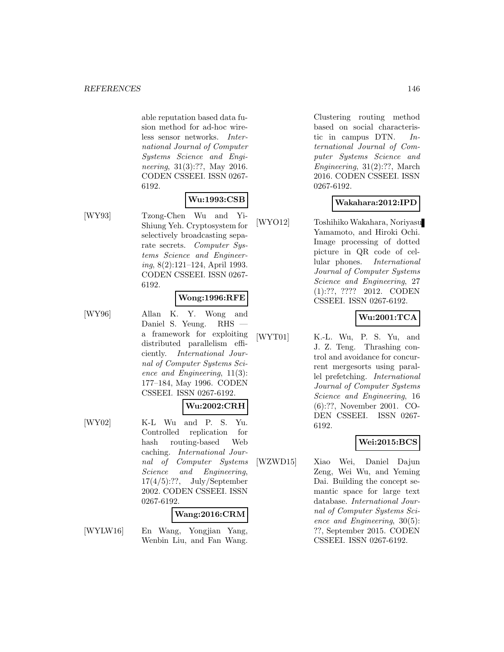able reputation based data fusion method for ad-hoc wireless sensor networks. International Journal of Computer Systems Science and Engineering, 31(3):??, May 2016. CODEN CSSEEI. ISSN 0267- 6192.

# **Wu:1993:CSB**

[WY93] Tzong-Chen Wu and Yi-Shiung Yeh. Cryptosystem for selectively broadcasting separate secrets. Computer Systems Science and Engineering, 8(2):121–124, April 1993. CODEN CSSEEI. ISSN 0267- 6192.

### **Wong:1996:RFE**

[WY96] Allan K. Y. Wong and Daniel S. Yeung. RHS a framework for exploiting distributed parallelism efficiently. International Journal of Computer Systems Science and Engineering, 11(3): 177–184, May 1996. CODEN CSSEEI. ISSN 0267-6192.

#### **Wu:2002:CRH**

[WY02] K-L Wu and P. S. Yu. Controlled replication for hash routing-based Web caching. International Journal of Computer Systems Science and Engineering,  $17(4/5)$ :??, July/September 2002. CODEN CSSEEI. ISSN 0267-6192.

# **Wang:2016:CRM**

[WYLW16] En Wang, Yongjian Yang, Wenbin Liu, and Fan Wang.

Clustering routing method based on social characteristic in campus DTN.  $In$ ternational Journal of Computer Systems Science and Engineering, 31(2):??, March 2016. CODEN CSSEEI. ISSN 0267-6192.

### **Wakahara:2012:IPD**

[WYO12] Toshihiko Wakahara, Noriyasu Yamamoto, and Hiroki Ochi. Image processing of dotted picture in QR code of cellular phones. International Journal of Computer Systems Science and Engineering, 27 (1):??, ???? 2012. CODEN CSSEEI. ISSN 0267-6192.

### **Wu:2001:TCA**

[WYT01] K.-L. Wu, P. S. Yu, and J. Z. Teng. Thrashing control and avoidance for concurrent mergesorts using parallel prefetching. International Journal of Computer Systems Science and Engineering, 16 (6):??, November 2001. CO-DEN CSSEEI. ISSN 0267- 6192.

#### **Wei:2015:BCS**

[WZWD15] Xiao Wei, Daniel Dajun Zeng, Wei Wu, and Yeming Dai. Building the concept semantic space for large text database. International Journal of Computer Systems Science and Engineering, 30(5): ??, September 2015. CODEN CSSEEI. ISSN 0267-6192.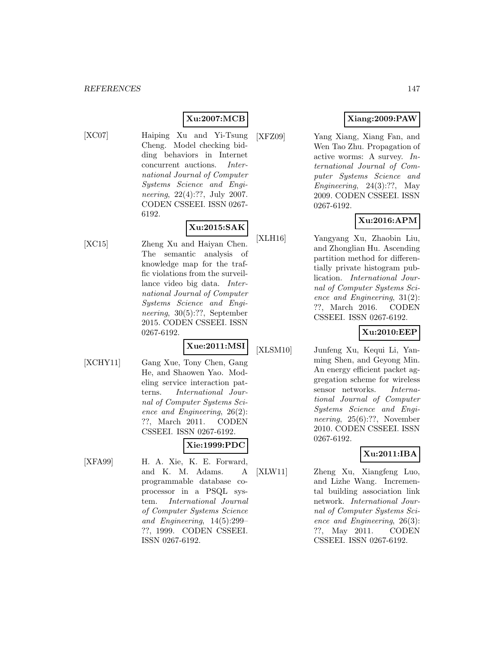# **Xu:2007:MCB**

- 
- [XC07] Haiping Xu and Yi-Tsung Cheng. Model checking bidding behaviors in Internet concurrent auctions. International Journal of Computer Systems Science and Engineering, 22(4):??, July 2007. CODEN CSSEEI. ISSN 0267- 6192.

# **Xu:2015:SAK**

- 
- [XC15] Zheng Xu and Haiyan Chen. The semantic analysis of knowledge map for the traffic violations from the surveillance video big data. International Journal of Computer Systems Science and Engineering, 30(5):??, September 2015. CODEN CSSEEI. ISSN 0267-6192.

# **Xue:2011:MSI**

- 
- [XCHY11] Gang Xue, Tony Chen, Gang He, and Shaowen Yao. Modeling service interaction patterns. International Journal of Computer Systems Science and Engineering, 26(2): ??, March 2011. CODEN CSSEEI. ISSN 0267-6192.

# **Xie:1999:PDC**

[XFA99] H. A. Xie, K. E. Forward, and K. M. Adams. A programmable database coprocessor in a PSQL system. International Journal of Computer Systems Science and Engineering, 14(5):299– ??, 1999. CODEN CSSEEI. ISSN 0267-6192.

# **Xiang:2009:PAW**

[XFZ09] Yang Xiang, Xiang Fan, and Wen Tao Zhu. Propagation of active worms: A survey. International Journal of Computer Systems Science and Engineering,  $24(3):?$ ?, May 2009. CODEN CSSEEI. ISSN 0267-6192.

# **Xu:2016:APM**

[XLH16] Yangyang Xu, Zhaobin Liu, and Zhonglian Hu. Ascending partition method for differentially private histogram publication. International Journal of Computer Systems Science and Engineering, 31(2): ??, March 2016. CODEN CSSEEI. ISSN 0267-6192.

#### **Xu:2010:EEP**

[XLSM10] Junfeng Xu, Kequi Li, Yanming Shen, and Geyong Min. An energy efficient packet aggregation scheme for wireless sensor networks. International Journal of Computer Systems Science and Engineering, 25(6):??, November 2010. CODEN CSSEEI. ISSN 0267-6192.

# **Xu:2011:IBA**

[XLW11] Zheng Xu, Xiangfeng Luo, and Lizhe Wang. Incremental building association link network. International Journal of Computer Systems Science and Engineering, 26(3): ??, May 2011. CODEN CSSEEI. ISSN 0267-6192.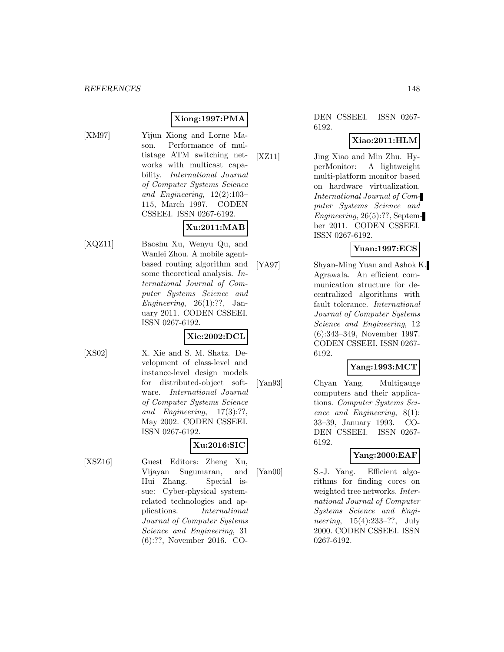# **Xiong:1997:PMA**

- 
- [XM97] Yijun Xiong and Lorne Mason. Performance of multistage ATM switching networks with multicast capability. International Journal of Computer Systems Science and Engineering, 12(2):103– 115, March 1997. CODEN CSSEEI. ISSN 0267-6192.

# **Xu:2011:MAB**

[XQZ11] Baoshu Xu, Wenyu Qu, and Wanlei Zhou. A mobile agentbased routing algorithm and some theoretical analysis. International Journal of Computer Systems Science and Engineering,  $26(1):?$ ?, January 2011. CODEN CSSEEI. ISSN 0267-6192.

# **Xie:2002:DCL**

[XS02] X. Xie and S. M. Shatz. Development of class-level and instance-level design models for distributed-object software. International Journal of Computer Systems Science and Engineering, 17(3):??, May 2002. CODEN CSSEEI. ISSN 0267-6192.

# **Xu:2016:SIC**

[XSZ16] Guest Editors: Zheng Xu, Vijayan Sugumaran, and Hui Zhang. Special issue: Cyber-physical systemrelated technologies and applications. International Journal of Computer Systems Science and Engineering, 31 (6):??, November 2016. CO-

DEN CSSEEI. ISSN 0267- 6192.

#### **Xiao:2011:HLM**

[XZ11] Jing Xiao and Min Zhu. HyperMonitor: A lightweight multi-platform monitor based on hardware virtualization. International Journal of Computer Systems Science and Engineering, 26(5):??, September 2011. CODEN CSSEEI. ISSN 0267-6192.

#### **Yuan:1997:ECS**

[YA97] Shyan-Ming Yuan and Ashok K. Agrawala. An efficient communication structure for decentralized algorithms with fault tolerance. International Journal of Computer Systems Science and Engineering, 12 (6):343–349, November 1997. CODEN CSSEEI. ISSN 0267- 6192.

#### **Yang:1993:MCT**

[Yan93] Chyan Yang. Multigauge computers and their applications. Computer Systems Science and Engineering, 8(1): 33–39, January 1993. CO-DEN CSSEEI. ISSN 0267- 6192.

# **Yang:2000:EAF**

[Yan00] S.-J. Yang. Efficient algorithms for finding cores on weighted tree networks. International Journal of Computer Systems Science and Engineering, 15(4):233–??, July 2000. CODEN CSSEEI. ISSN 0267-6192.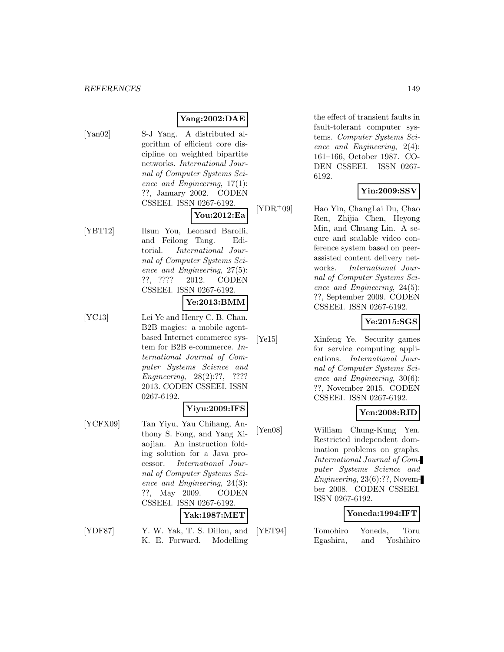# **Yang:2002:DAE**

[Yan02] S-J Yang. A distributed algorithm of efficient core discipline on weighted bipartite networks. International Journal of Computer Systems Science and Engineering, 17(1): ??, January 2002. CODEN CSSEEI. ISSN 0267-6192.

**You:2012:Ea**

[YBT12] Ilsun You, Leonard Barolli, and Feilong Tang. Editorial. International Journal of Computer Systems Science and Engineering, 27(5): ??, ???? 2012. CODEN CSSEEI. ISSN 0267-6192.

#### **Ye:2013:BMM**

[YC13] Lei Ye and Henry C. B. Chan. B2B magics: a mobile agentbased Internet commerce system for B2B e-commerce. International Journal of Computer Systems Science and Engineering, 28(2):??, ???? 2013. CODEN CSSEEI. ISSN 0267-6192.

#### **Yiyu:2009:IFS**

[YCFX09] Tan Yiyu, Yau Chihang, Anthony S. Fong, and Yang Xiaojian. An instruction folding solution for a Java processor. International Journal of Computer Systems Science and Engineering, 24(3): ??, May 2009. CODEN CSSEEI. ISSN 0267-6192.

#### **Yak:1987:MET**

[YDF87] Y. W. Yak, T. S. Dillon, and K. E. Forward. Modelling

the effect of transient faults in fault-tolerant computer systems. Computer Systems Science and Engineering, 2(4): 161–166, October 1987. CO-DEN CSSEEI. ISSN 0267- 6192.

### **Yin:2009:SSV**

[YDR<sup>+</sup>09] Hao Yin, ChangLai Du, Chao Ren, Zhijia Chen, Heyong Min, and Chuang Lin. A secure and scalable video conference system based on peerassisted content delivery networks. International Journal of Computer Systems Science and Engineering, 24(5): ??, September 2009. CODEN CSSEEI. ISSN 0267-6192.

#### **Ye:2015:SGS**

[Ye15] Xinfeng Ye. Security games for service computing applications. International Journal of Computer Systems Science and Engineering, 30(6): ??, November 2015. CODEN CSSEEI. ISSN 0267-6192.

#### **Yen:2008:RID**

[Yen08] William Chung-Kung Yen. Restricted independent domination problems on graphs. International Journal of Computer Systems Science and Engineering, 23(6):??, November 2008. CODEN CSSEEI. ISSN 0267-6192.

#### **Yoneda:1994:IFT**

[YET94] Tomohiro Yoneda, Toru Egashira, and Yoshihiro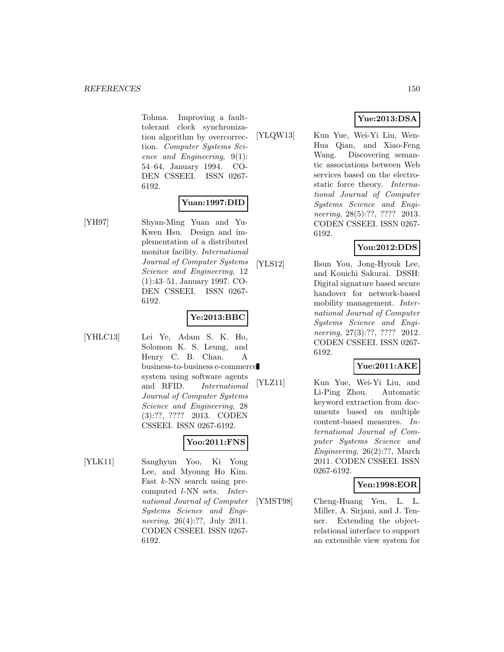Tohma. Improving a faulttolerant clock synchronization algorithm by overcorrection. Computer Systems Science and Engineering, 9(1): 54–64, January 1994. CO-DEN CSSEEI. ISSN 0267- 6192.

# **Yuan:1997:DID**

[YH97] Shyan-Ming Yuan and Yu-Kwen Hsu. Design and implementation of a distributed monitor facility. International Journal of Computer Systems Science and Engineering, 12 (1):43–51, January 1997. CO-DEN CSSEEI. ISSN 0267- 6192.

## **Ye:2013:BBC**

[YHLC13] Lei Ye, Adam S. K. Ho, Solomon K. S. Leung, and Henry C. B. Chan. A business-to-business e-commerce system using software agents and RFID. International Journal of Computer Systems Science and Engineering, 28 (3):??, ???? 2013. CODEN CSSEEI. ISSN 0267-6192.

# **Yoo:2011:FNS**

[YLK11] Sanghyun Yoo, Ki Yong Lee, and Myoung Ho Kim. Fast k-NN search using precomputed l-NN sets. International Journal of Computer Systems Science and Engineering, 26(4):??, July 2011. CODEN CSSEEI. ISSN 0267- 6192.

# **Yue:2013:DSA**

[YLQW13] Kun Yue, Wei-Yi Liu, Wen-Hua Qian, and Xiao-Feng Wang. Discovering semantic associations between Web services based on the electrostatic force theory. International Journal of Computer Systems Science and Engineering, 28(5):??, ???? 2013. CODEN CSSEEI. ISSN 0267- 6192.

# **You:2012:DDS**

[YLS12] Ilsun You, Jong-Hyouk Lee, and Kouichi Sakurai. DSSH: Digital signature based secure handover for network-based mobility management. International Journal of Computer Systems Science and Engineering, 27(3):??, ???? 2012. CODEN CSSEEI. ISSN 0267- 6192.

# **Yue:2011:AKE**

[YLZ11] Kun Yue, Wei-Yi Liu, and Li-Ping Zhou. Automatic keyword extraction from documents based on multiple content-based measures. International Journal of Computer Systems Science and Engineering, 26(2):??, March 2011. CODEN CSSEEI. ISSN 0267-6192.

#### **Yen:1998:EOR**

[YMST98] Cheng-Huang Yen, L. L. Miller, A. Sirjani, and J. Tenner. Extending the objectrelational interface to support an extensible view system for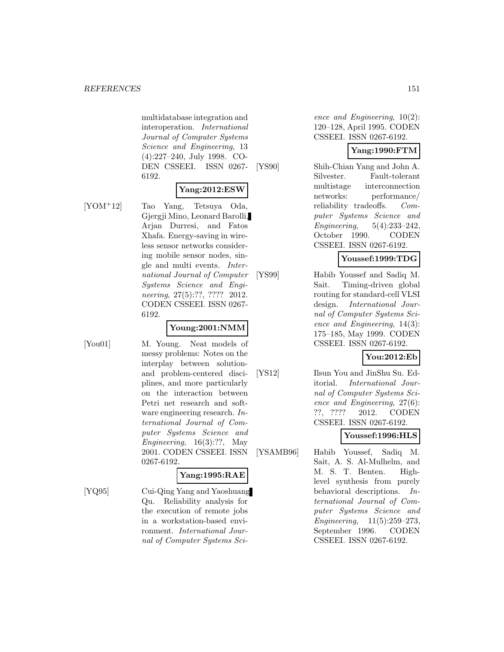multidatabase integration and interoperation. International Journal of Computer Systems Science and Engineering, 13 (4):227–240, July 1998. CO-DEN CSSEEI. ISSN 0267- 6192.

#### **Yang:2012:ESW**

[YOM<sup>+</sup>12] Tao Yang, Tetsuya Oda, Gjergji Mino, Leonard Barolli, Arjan Durresi, and Fatos Xhafa. Energy-saving in wireless sensor networks considering mobile sensor nodes, single and multi events. International Journal of Computer Systems Science and Engineering, 27(5):??, ???? 2012. CODEN CSSEEI. ISSN 0267- 6192.

# **Young:2001:NMM**

[You01] M. Young. Neat models of messy problems: Notes on the interplay between solutionand problem-centered disciplines, and more particularly on the interaction between Petri net research and software engineering research. International Journal of Computer Systems Science and Engineering, 16(3):??, May 2001. CODEN CSSEEI. ISSN 0267-6192.

# **Yang:1995:RAE**

[YQ95] Cui-Qing Yang and Yaoshuang Qu. Reliability analysis for the execution of remote jobs in a workstation-based environment. International Journal of Computer Systems Science and Engineering, 10(2): 120–128, April 1995. CODEN CSSEEI. ISSN 0267-6192.

## **Yang:1990:FTM**

[YS90] Shih-Chian Yang and John A. Silvester. Fault-tolerant multistage interconnection networks: performance/ reliability tradeoffs. Computer Systems Science and Engineering, 5(4):233–242, October 1990. CODEN CSSEEI. ISSN 0267-6192.

### **Youssef:1999:TDG**

[YS99] Habib Youssef and Sadiq M. Sait. Timing-driven global routing for standard-cell VLSI design. International Journal of Computer Systems Science and Engineering, 14(3): 175–185, May 1999. CODEN CSSEEI. ISSN 0267-6192.

**You:2012:Eb**

[YS12] Ilsun You and JinShu Su. Editorial. International Journal of Computer Systems Science and Engineering, 27(6): ??, ???? 2012. CODEN CSSEEI. ISSN 0267-6192.

# **Youssef:1996:HLS**

[YSAMB96] Habib Youssef, Sadiq M. Sait, A. S. Al-Mulhelm, and M. S. T. Benten. Highlevel synthesis from purely behavioral descriptions. International Journal of Computer Systems Science and Engineering, 11(5):259–273, September 1996. CODEN CSSEEI. ISSN 0267-6192.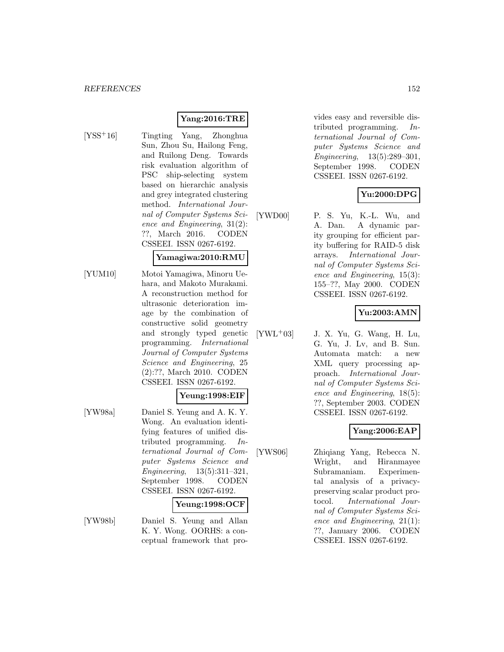## **Yang:2016:TRE**

- 
- [YSS<sup>+</sup>16] Tingting Yang, Zhonghua Sun, Zhou Su, Hailong Feng, and Ruilong Deng. Towards risk evaluation algorithm of PSC ship-selecting system based on hierarchic analysis and grey integrated clustering method. International Journal of Computer Systems Science and Engineering, 31(2): ??, March 2016. CODEN CSSEEI. ISSN 0267-6192.

# **Yamagiwa:2010:RMU**

[YUM10] Motoi Yamagiwa, Minoru Uehara, and Makoto Murakami. A reconstruction method for ultrasonic deterioration image by the combination of constructive solid geometry and strongly typed genetic programming. International Journal of Computer Systems Science and Engineering, 25 (2):??, March 2010. CODEN CSSEEI. ISSN 0267-6192.

#### **Yeung:1998:EIF**

[YW98a] Daniel S. Yeung and A. K. Y. Wong. An evaluation identifying features of unified distributed programming. International Journal of Computer Systems Science and Engineering, 13(5):311–321, September 1998. CODEN CSSEEI. ISSN 0267-6192.

#### **Yeung:1998:OCF**

[YW98b] Daniel S. Yeung and Allan K. Y. Wong. OORHS: a conceptual framework that provides easy and reversible distributed programming. International Journal of Computer Systems Science and Engineering, 13(5):289–301, September 1998. CODEN CSSEEI. ISSN 0267-6192.

#### **Yu:2000:DPG**

[YWD00] P. S. Yu, K.-L. Wu, and A. Dan. A dynamic parity grouping for efficient parity buffering for RAID-5 disk arrays. International Journal of Computer Systems Science and Engineering, 15(3): 155–??, May 2000. CODEN CSSEEI. ISSN 0267-6192.

### **Yu:2003:AMN**

 $[YWL+03]$  J. X. Yu, G. Wang, H. Lu, G. Yu, J. Lv, and B. Sun. Automata match: a new XML query processing approach. International Journal of Computer Systems Science and Engineering, 18(5): ??, September 2003. CODEN CSSEEI. ISSN 0267-6192.

### **Yang:2006:EAP**

[YWS06] Zhiqiang Yang, Rebecca N. Wright, and Hiranmayee Subramaniam. Experimental analysis of a privacypreserving scalar product protocol. International Journal of Computer Systems Science and Engineering, 21(1): ??, January 2006. CODEN CSSEEI. ISSN 0267-6192.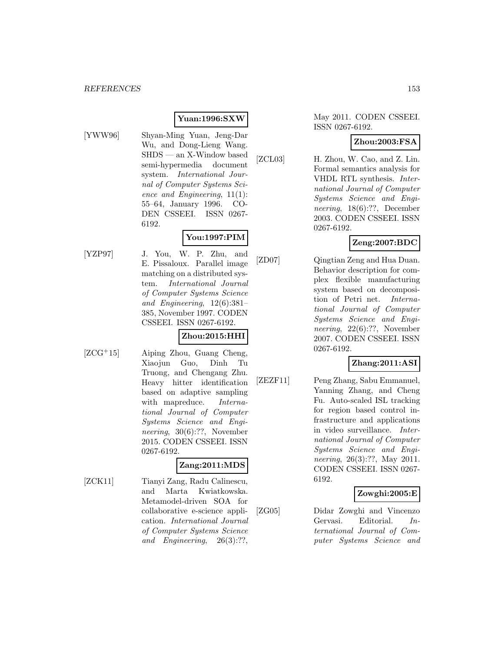### **Yuan:1996:SXW**

- 
- [YWW96] Shyan-Ming Yuan, Jeng-Dar Wu, and Dong-Lieng Wang. SHDS — an X-Window based semi-hypermedia document system. International Journal of Computer Systems Science and Engineering, 11(1): 55–64, January 1996. CO-DEN CSSEEI. ISSN 0267- 6192.

# **You:1997:PIM**

[YZP97] J. You, W. P. Zhu, and E. Pissaloux. Parallel image matching on a distributed system. International Journal of Computer Systems Science and Engineering, 12(6):381– 385, November 1997. CODEN CSSEEI. ISSN 0267-6192.

# **Zhou:2015:HHI**

[ZCG<sup>+</sup>15] Aiping Zhou, Guang Cheng, Xiaojun Guo, Dinh Tu Truong, and Chengang Zhu. Heavy hitter identification based on adaptive sampling with mapreduce. *Interna*tional Journal of Computer Systems Science and Engineering, 30(6):??, November 2015. CODEN CSSEEI. ISSN 0267-6192.

#### **Zang:2011:MDS**

[ZCK11] Tianyi Zang, Radu Calinescu, and Marta Kwiatkowska. Metamodel-driven SOA for collaborative e-science application. International Journal of Computer Systems Science and Engineering, 26(3):??,

May 2011. CODEN CSSEEI. ISSN 0267-6192.

#### **Zhou:2003:FSA**

[ZCL03] H. Zhou, W. Cao, and Z. Lin. Formal semantics analysis for VHDL RTL synthesis. International Journal of Computer Systems Science and Engineering, 18(6):??, December 2003. CODEN CSSEEI. ISSN 0267-6192.

# **Zeng:2007:BDC**

[ZD07] Qingtian Zeng and Hua Duan. Behavior description for complex flexible manufacturing system based on decomposition of Petri net. International Journal of Computer Systems Science and Engineering, 22(6):??, November 2007. CODEN CSSEEI. ISSN 0267-6192.

#### **Zhang:2011:ASI**

[ZEZF11] Peng Zhang, Sabu Emmanuel, Yanning Zhang, and Cheng Fu. Auto-scaled ISL tracking for region based control infrastructure and applications in video surveillance. International Journal of Computer Systems Science and Engineering, 26(3):??, May 2011. CODEN CSSEEI. ISSN 0267- 6192.

### **Zowghi:2005:E**

[ZG05] Didar Zowghi and Vincenzo Gervasi. Editorial. International Journal of Computer Systems Science and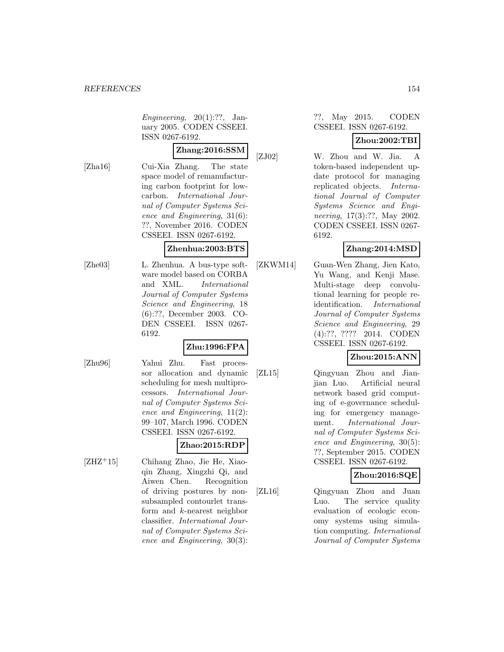Engineering,  $20(1):?$ ?, January 2005. CODEN CSSEEI. ISSN 0267-6192.

# **Zhang:2016:SSM**

[Zha16] Cui-Xia Zhang. The state space model of remanufacturing carbon footprint for lowcarbon. International Journal of Computer Systems Science and Engineering, 31(6): ??, November 2016. CODEN CSSEEI. ISSN 0267-6192.

### **Zhenhua:2003:BTS**

- 
- [Zhe03] L. Zhenhua. A bus-type software model based on CORBA and XML. International Journal of Computer Systems Science and Engineering, 18 (6):??, December 2003. CO-DEN CSSEEI. ISSN 0267- 6192.

# **Zhu:1996:FPA**

[Zhu96] Yahui Zhu. Fast processor allocation and dynamic scheduling for mesh multiprocessors. International Journal of Computer Systems Science and Engineering, 11(2): 99–107, March 1996. CODEN CSSEEI. ISSN 0267-6192.

# **Zhao:2015:RDP**

[ZHZ<sup>+</sup>15] Chihang Zhao, Jie He, Xiaoqin Zhang, Xingzhi Qi, and Aiwen Chen. Recognition of driving postures by nonsubsampled contourlet transform and k-nearest neighbor classifier. International Journal of Computer Systems Science and Engineering, 30(3):

#### ??, May 2015. CODEN CSSEEI. ISSN 0267-6192.

# **Zhou:2002:TBI**

[ZJ02] W. Zhou and W. Jia. A token-based independent update protocol for managing replicated objects. International Journal of Computer Systems Science and Engineering, 17(3):??, May 2002. CODEN CSSEEI. ISSN 0267- 6192.

# **Zhang:2014:MSD**

[ZKWM14] Guan-Wen Zhang, Jien Kato, Yu Wang, and Kenji Mase. Multi-stage deep convolutional learning for people reidentification. International Journal of Computer Systems Science and Engineering, 29 (4):??, ???? 2014. CODEN CSSEEI. ISSN 0267-6192.

# **Zhou:2015:ANN**

[ZL15] Qingyuan Zhou and Jianjian Luo. Artificial neural network based grid computing of e-governance scheduling for emergency management. International Journal of Computer Systems Science and Engineering, 30(5): ??, September 2015. CODEN CSSEEI. ISSN 0267-6192.

# **Zhou:2016:SQE**

[ZL16] Qingyuan Zhou and Juan Luo. The service quality evaluation of ecologic economy systems using simulation computing. International Journal of Computer Systems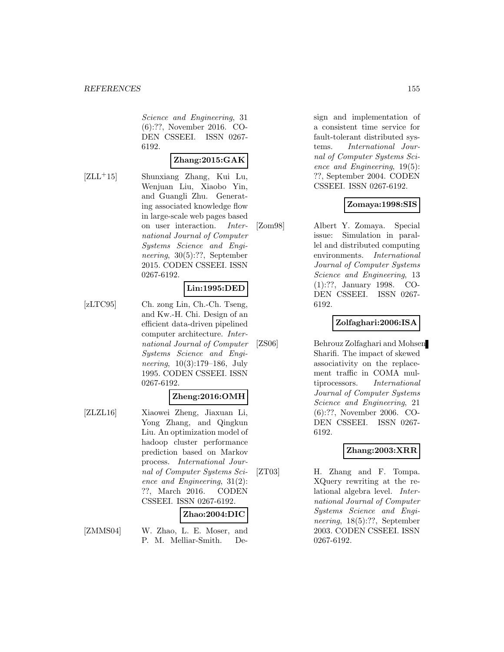Science and Engineering, 31 (6):??, November 2016. CO-DEN CSSEEI. ISSN 0267- 6192.

# **Zhang:2015:GAK**

[ZLL<sup>+</sup>15] Shunxiang Zhang, Kui Lu, Wenjuan Liu, Xiaobo Yin, and Guangli Zhu. Generating associated knowledge flow in large-scale web pages based on user interaction. International Journal of Computer Systems Science and Engineering, 30(5):??, September 2015. CODEN CSSEEI. ISSN 0267-6192.

### **Lin:1995:DED**

[zLTC95] Ch. zong Lin, Ch.-Ch. Tseng, and Kw.-H. Chi. Design of an efficient data-driven pipelined computer architecture. International Journal of Computer Systems Science and Engineering, 10(3):179–186, July 1995. CODEN CSSEEI. ISSN 0267-6192.

#### **Zheng:2016:OMH**

[ZLZL16] Xiaowei Zheng, Jiaxuan Li, Yong Zhang, and Qingkun Liu. An optimization model of hadoop cluster performance prediction based on Markov process. International Journal of Computer Systems Science and Engineering, 31(2): ??, March 2016. CODEN CSSEEI. ISSN 0267-6192.

# **Zhao:2004:DIC**

[ZMMS04] W. Zhao, L. E. Moser, and P. M. Melliar-Smith. Design and implementation of a consistent time service for fault-tolerant distributed systems. International Journal of Computer Systems Science and Engineering, 19(5): ??, September 2004. CODEN CSSEEI. ISSN 0267-6192.

### **Zomaya:1998:SIS**

[Zom98] Albert Y. Zomaya. Special issue: Simulation in parallel and distributed computing environments. International Journal of Computer Systems Science and Engineering, 13 (1):??, January 1998. CO-DEN CSSEEI. ISSN 0267- 6192.

#### **Zolfaghari:2006:ISA**

[ZS06] Behrouz Zolfaghari and Mohsen Sharifi. The impact of skewed associativity on the replacement traffic in COMA multiprocessors. International Journal of Computer Systems Science and Engineering, 21 (6):??, November 2006. CO-DEN CSSEEI. ISSN 0267- 6192.

# **Zhang:2003:XRR**

[ZT03] H. Zhang and F. Tompa. XQuery rewriting at the relational algebra level. International Journal of Computer Systems Science and Engineering, 18(5):??, September 2003. CODEN CSSEEI. ISSN 0267-6192.